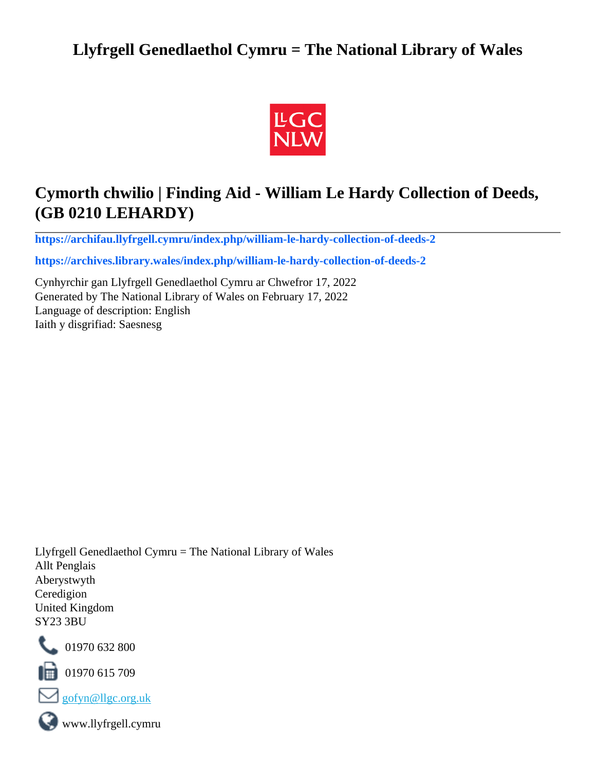# **Llyfrgell Genedlaethol Cymru = The National Library of Wales**



# **Cymorth chwilio | Finding Aid - William Le Hardy Collection of Deeds, (GB 0210 LEHARDY)**

**[https://archifau.llyfrgell.cymru/index.php/william-le-hardy-collection-of-deeds-2](https://archifau.llyfrgell.cymru/index.php/william-le-hardy-collection-of-deeds-2;isad?sf_culture=cy)**

**[https://archives.library.wales/index.php/william-le-hardy-collection-of-deeds-2](https://archives.library.wales/index.php/william-le-hardy-collection-of-deeds-2;isad?sf_culture=en)**

Cynhyrchir gan Llyfrgell Genedlaethol Cymru ar Chwefror 17, 2022 Generated by The National Library of Wales on February 17, 2022 Language of description: English Iaith y disgrifiad: Saesnesg

Llyfrgell Genedlaethol Cymru = The National Library of Wales Allt Penglais Aberystwyth Ceredigion United Kingdom SY23 3BU



101970 632 800

 $\blacksquare$  01970 615 709



www.llyfrgell.cymru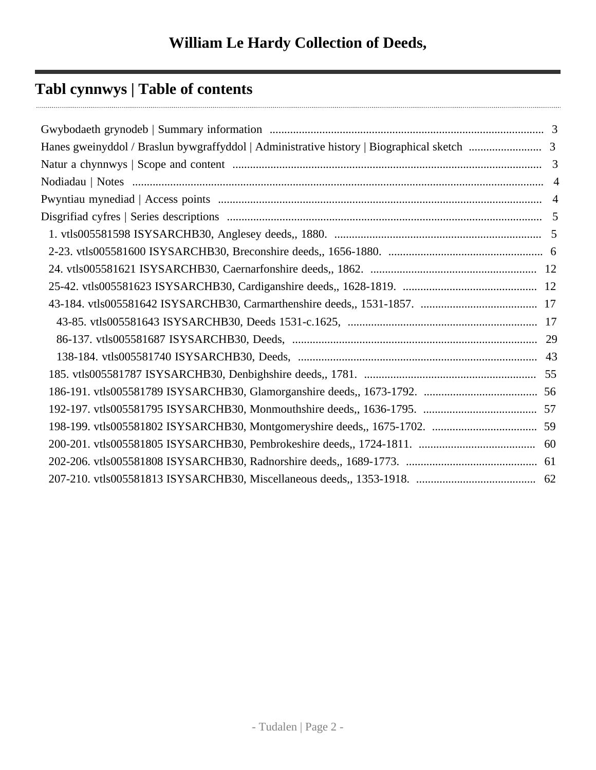# **Tabl cynnwys | Table of contents**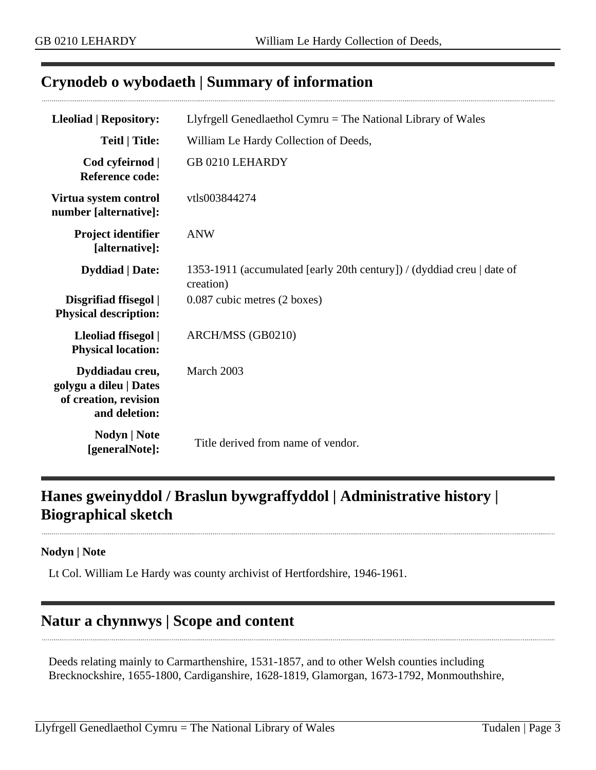## <span id="page-2-0"></span>**Crynodeb o wybodaeth | Summary of information**

| <b>Lleoliad   Repository:</b>                                                       | Llyfrgell Genedlaethol Cymru $=$ The National Library of Wales                      |  |  |
|-------------------------------------------------------------------------------------|-------------------------------------------------------------------------------------|--|--|
| <b>Teitl   Title:</b>                                                               | William Le Hardy Collection of Deeds,                                               |  |  |
| Cod cyfeirnod  <br><b>Reference code:</b>                                           | GB 0210 LEHARDY                                                                     |  |  |
| Virtua system control<br>number [alternative]:                                      | vtls003844274                                                                       |  |  |
| Project identifier<br>[alternative]:                                                | <b>ANW</b>                                                                          |  |  |
| <b>Dyddiad</b>   Date:                                                              | 1353-1911 (accumulated [early 20th century]) / (dyddiad creu   date of<br>creation) |  |  |
| Disgrifiad ffisegol  <br><b>Physical description:</b>                               | 0.087 cubic metres (2 boxes)                                                        |  |  |
| Lleoliad ffisegol  <br><b>Physical location:</b>                                    | ARCH/MSS (GB0210)                                                                   |  |  |
| Dyddiadau creu,<br>golygu a dileu   Dates<br>of creation, revision<br>and deletion: | March 2003                                                                          |  |  |
| Nodyn   Note<br>[generalNote]:                                                      | Title derived from name of vendor.                                                  |  |  |

# <span id="page-2-1"></span>**Hanes gweinyddol / Braslun bywgraffyddol | Administrative history | Biographical sketch**

#### **Nodyn | Note**

Lt Col. William Le Hardy was county archivist of Hertfordshire, 1946-1961.

# <span id="page-2-2"></span>**Natur a chynnwys | Scope and content**

Deeds relating mainly to Carmarthenshire, 1531-1857, and to other Welsh counties including Brecknockshire, 1655-1800, Cardiganshire, 1628-1819, Glamorgan, 1673-1792, Monmouthshire,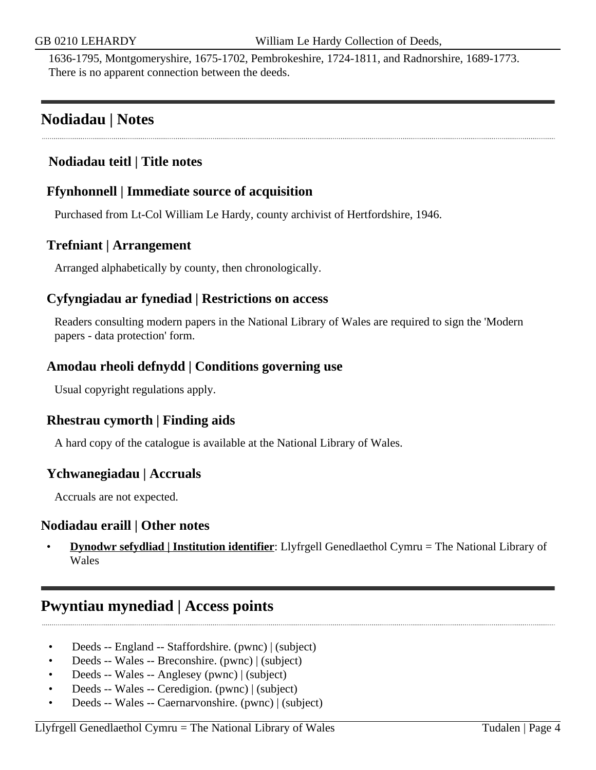1636-1795, Montgomeryshire, 1675-1702, Pembrokeshire, 1724-1811, and Radnorshire, 1689-1773. There is no apparent connection between the deeds.

## <span id="page-3-0"></span>**Nodiadau | Notes**

### **Nodiadau teitl | Title notes**

### **Ffynhonnell | Immediate source of acquisition**

Purchased from Lt-Col William Le Hardy, county archivist of Hertfordshire, 1946.

### **Trefniant | Arrangement**

Arranged alphabetically by county, then chronologically.

### **Cyfyngiadau ar fynediad | Restrictions on access**

Readers consulting modern papers in the National Library of Wales are required to sign the 'Modern papers - data protection' form.

#### **Amodau rheoli defnydd | Conditions governing use**

Usual copyright regulations apply.

### **Rhestrau cymorth | Finding aids**

A hard copy of the catalogue is available at the National Library of Wales.

#### **Ychwanegiadau | Accruals**

Accruals are not expected.

#### **Nodiadau eraill | Other notes**

• **Dynodwr sefydliad | Institution identifier**: Llyfrgell Genedlaethol Cymru = The National Library of Wales

## <span id="page-3-1"></span>**Pwyntiau mynediad | Access points**

- Deeds -- England -- Staffordshire. (pwnc) | (subject)
- Deeds -- Wales -- Breconshire. (pwnc) | (subject)
- Deeds -- Wales -- Anglesey (pwnc) | (subject)
- Deeds -- Wales -- Ceredigion. (pwnc) | (subject)
- Deeds -- Wales -- Caernarvonshire. (pwnc) | (subject)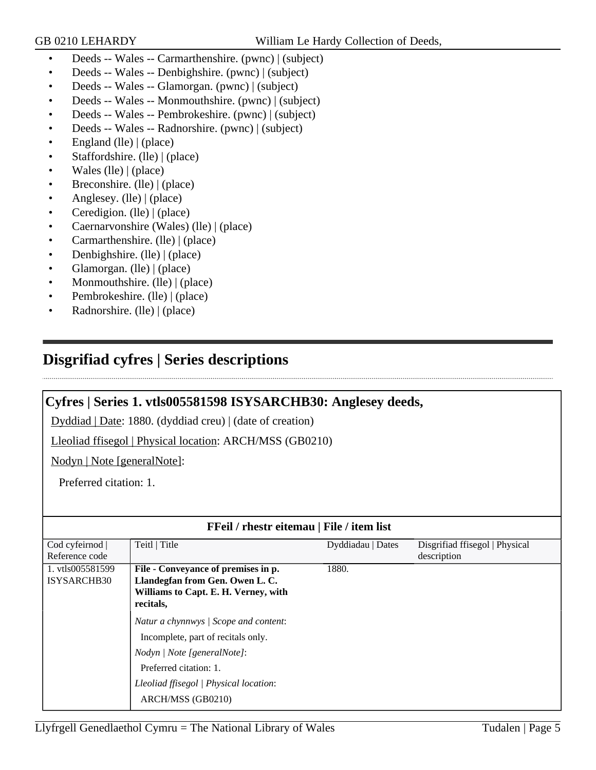- Deeds -- Wales -- Carmarthenshire. (pwnc) | (subject)
- Deeds -- Wales -- Denbighshire. (pwnc) | (subject)
- Deeds -- Wales -- Glamorgan. (pwnc) | (subject)
- Deeds -- Wales -- Monmouthshire. (pwnc) | (subject)
- Deeds -- Wales -- Pembrokeshire. (pwnc) | (subject)
- Deeds -- Wales -- Radnorshire. (pwnc) | (subject)
- England (lle) | (place)
- Staffordshire. (lle) | (place)
- Wales (lle)  $|$  (place)
- Breconshire. (lle) | (place)
- Anglesey. (lle) | (place)
- Ceredigion. (lle) | (place)
- Caernarvonshire (Wales) (lle) | (place)
- Carmarthenshire. (lle) | (place)
- Denbighshire. (lle) | (place)
- Glamorgan. (lle) | (place)
- Monmouthshire. (lle) | (place)
- Pembrokeshire. (lle) | (place)
- Radnorshire. (lle) | (place)

# <span id="page-4-0"></span>**Disgrifiad cyfres | Series descriptions**

### <span id="page-4-1"></span>**Cyfres | Series 1. vtls005581598 ISYSARCHB30: Anglesey deeds,**

Dyddiad | Date: 1880. (dyddiad creu) | (date of creation)

Lleoliad ffisegol | Physical location: ARCH/MSS (GB0210)

Nodyn | Note [generalNote]:

Preferred citation: 1.

| FFeil / rhestr eitemau   File / item list |                                        |                   |                                |
|-------------------------------------------|----------------------------------------|-------------------|--------------------------------|
| Cod cyfeirnod                             | Teitl   Title                          | Dyddiadau   Dates | Disgrifiad ffisegol   Physical |
| Reference code                            |                                        |                   | description                    |
| 1. vtls005581599                          | File - Conveyance of premises in p.    | 1880.             |                                |
| <b>ISYSARCHB30</b>                        | Llandegfan from Gen. Owen L. C.        |                   |                                |
|                                           | Williams to Capt. E. H. Verney, with   |                   |                                |
|                                           | recitals,                              |                   |                                |
|                                           | Natur a chynnwys / Scope and content:  |                   |                                |
|                                           | Incomplete, part of recitals only.     |                   |                                |
|                                           | Nodyn / Note [generalNote]:            |                   |                                |
|                                           | Preferred citation: 1.                 |                   |                                |
|                                           | Lleoliad ffisegol   Physical location: |                   |                                |
|                                           | ARCH/MSS (GB0210)                      |                   |                                |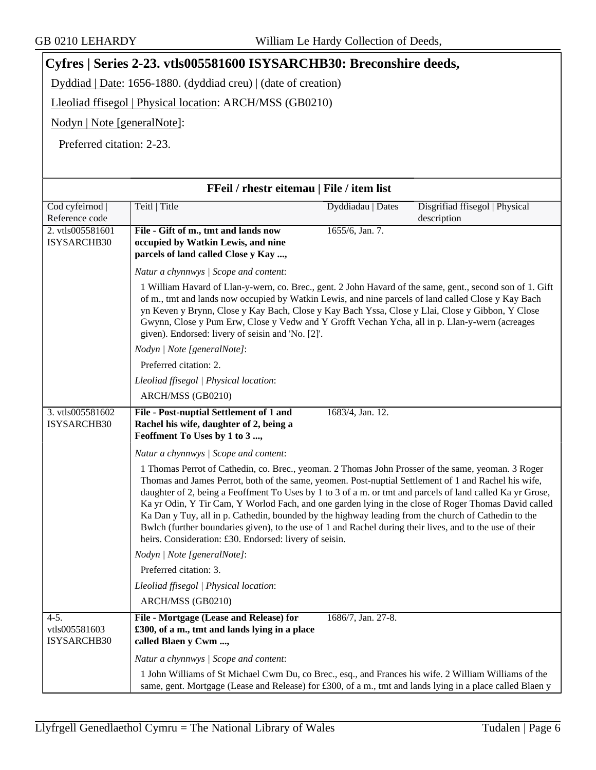## <span id="page-5-0"></span>**Cyfres | Series 2-23. vtls005581600 ISYSARCHB30: Breconshire deeds,**

Dyddiad | Date: 1656-1880. (dyddiad creu) | (date of creation)

Lleoliad ffisegol | Physical location: ARCH/MSS (GB0210)

Nodyn | Note [generalNote]:

Preferred citation: 2-23.

| FFeil / rhestr eitemau   File / item list |                                                                                                                                                                                                                                                                                                                                                                                                                                                                                                                                                                                                                                                                                                              |  |                                |
|-------------------------------------------|--------------------------------------------------------------------------------------------------------------------------------------------------------------------------------------------------------------------------------------------------------------------------------------------------------------------------------------------------------------------------------------------------------------------------------------------------------------------------------------------------------------------------------------------------------------------------------------------------------------------------------------------------------------------------------------------------------------|--|--------------------------------|
| Cod cyfeirnod                             | Teitl   Title<br>Dyddiadau   Dates                                                                                                                                                                                                                                                                                                                                                                                                                                                                                                                                                                                                                                                                           |  | Disgrifiad ffisegol   Physical |
| Reference code                            |                                                                                                                                                                                                                                                                                                                                                                                                                                                                                                                                                                                                                                                                                                              |  | description                    |
| 2. vtls005581601<br>ISYSARCHB30           | 1655/6, Jan. 7.<br>File - Gift of m., tmt and lands now<br>occupied by Watkin Lewis, and nine<br>parcels of land called Close y Kay ,                                                                                                                                                                                                                                                                                                                                                                                                                                                                                                                                                                        |  |                                |
|                                           | Natur a chynnwys / Scope and content:                                                                                                                                                                                                                                                                                                                                                                                                                                                                                                                                                                                                                                                                        |  |                                |
|                                           | 1 William Havard of Llan-y-wern, co. Brec., gent. 2 John Havard of the same, gent., second son of 1. Gift<br>of m., tmt and lands now occupied by Watkin Lewis, and nine parcels of land called Close y Kay Bach<br>yn Keven y Brynn, Close y Kay Bach, Close y Kay Bach Yssa, Close y Llai, Close y Gibbon, Y Close<br>Gwynn, Close y Pum Erw, Close y Vedw and Y Grofft Vechan Ycha, all in p. Llan-y-wern (acreages<br>given). Endorsed: livery of seisin and 'No. [2]'.                                                                                                                                                                                                                                  |  |                                |
|                                           | Nodyn   Note [generalNote]:                                                                                                                                                                                                                                                                                                                                                                                                                                                                                                                                                                                                                                                                                  |  |                                |
|                                           | Preferred citation: 2.                                                                                                                                                                                                                                                                                                                                                                                                                                                                                                                                                                                                                                                                                       |  |                                |
|                                           | Lleoliad ffisegol   Physical location:                                                                                                                                                                                                                                                                                                                                                                                                                                                                                                                                                                                                                                                                       |  |                                |
|                                           | ARCH/MSS (GB0210)                                                                                                                                                                                                                                                                                                                                                                                                                                                                                                                                                                                                                                                                                            |  |                                |
| 3. vtls005581602<br>ISYSARCHB30           | 1683/4, Jan. 12.<br>File - Post-nuptial Settlement of 1 and<br>Rachel his wife, daughter of 2, being a<br>Feoffment To Uses by 1 to 3 ,                                                                                                                                                                                                                                                                                                                                                                                                                                                                                                                                                                      |  |                                |
|                                           | Natur a chynnwys / Scope and content:                                                                                                                                                                                                                                                                                                                                                                                                                                                                                                                                                                                                                                                                        |  |                                |
|                                           | 1 Thomas Perrot of Cathedin, co. Brec., yeoman. 2 Thomas John Prosser of the same, yeoman. 3 Roger<br>Thomas and James Perrot, both of the same, yeomen. Post-nuptial Settlement of 1 and Rachel his wife,<br>daughter of 2, being a Feoffment To Uses by 1 to 3 of a m. or tmt and parcels of land called Ka yr Grose,<br>Ka yr Odin, Y Tir Cam, Y Worlod Fach, and one garden lying in the close of Roger Thomas David called<br>Ka Dan y Tuy, all in p. Cathedin, bounded by the highway leading from the church of Cathedin to the<br>Bwlch (further boundaries given), to the use of 1 and Rachel during their lives, and to the use of their<br>heirs. Consideration: £30. Endorsed: livery of seisin. |  |                                |
|                                           | Nodyn   Note [generalNote]:                                                                                                                                                                                                                                                                                                                                                                                                                                                                                                                                                                                                                                                                                  |  |                                |
|                                           | Preferred citation: 3.                                                                                                                                                                                                                                                                                                                                                                                                                                                                                                                                                                                                                                                                                       |  |                                |
|                                           | Lleoliad ffisegol   Physical location:                                                                                                                                                                                                                                                                                                                                                                                                                                                                                                                                                                                                                                                                       |  |                                |
|                                           | ARCH/MSS (GB0210)                                                                                                                                                                                                                                                                                                                                                                                                                                                                                                                                                                                                                                                                                            |  |                                |
| $4-5.$<br>vtls005581603<br>ISYSARCHB30    | File - Mortgage (Lease and Release) for<br>1686/7, Jan. 27-8.<br>£300, of a m., tmt and lands lying in a place<br>called Blaen y Cwm ,                                                                                                                                                                                                                                                                                                                                                                                                                                                                                                                                                                       |  |                                |
|                                           | Natur a chynnwys / Scope and content:                                                                                                                                                                                                                                                                                                                                                                                                                                                                                                                                                                                                                                                                        |  |                                |
|                                           | 1 John Williams of St Michael Cwm Du, co Brec., esq., and Frances his wife. 2 William Williams of the<br>same, gent. Mortgage (Lease and Release) for £300, of a m., tmt and lands lying in a place called Blaen y                                                                                                                                                                                                                                                                                                                                                                                                                                                                                           |  |                                |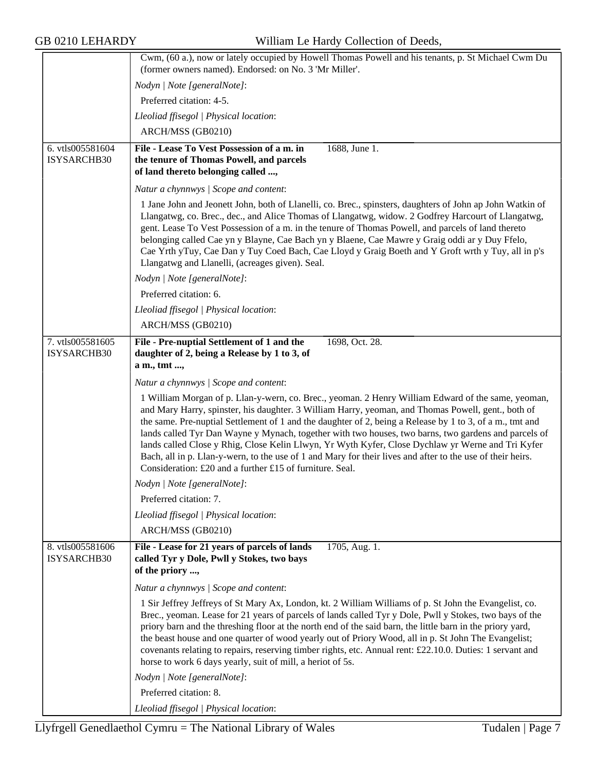|                                 | Cwm, (60 a.), now or lately occupied by Howell Thomas Powell and his tenants, p. St Michael Cwm Du                                                                                                                                                                                                                                                                                                                                                                                                                                                                                                                                                                                                          |
|---------------------------------|-------------------------------------------------------------------------------------------------------------------------------------------------------------------------------------------------------------------------------------------------------------------------------------------------------------------------------------------------------------------------------------------------------------------------------------------------------------------------------------------------------------------------------------------------------------------------------------------------------------------------------------------------------------------------------------------------------------|
|                                 | (former owners named). Endorsed: on No. 3 'Mr Miller'.                                                                                                                                                                                                                                                                                                                                                                                                                                                                                                                                                                                                                                                      |
|                                 | Nodyn   Note [generalNote]:                                                                                                                                                                                                                                                                                                                                                                                                                                                                                                                                                                                                                                                                                 |
|                                 | Preferred citation: 4-5.                                                                                                                                                                                                                                                                                                                                                                                                                                                                                                                                                                                                                                                                                    |
|                                 | Lleoliad ffisegol   Physical location:                                                                                                                                                                                                                                                                                                                                                                                                                                                                                                                                                                                                                                                                      |
|                                 | ARCH/MSS (GB0210)                                                                                                                                                                                                                                                                                                                                                                                                                                                                                                                                                                                                                                                                                           |
| 6. vtls005581604                | File - Lease To Vest Possession of a m. in<br>1688, June 1.                                                                                                                                                                                                                                                                                                                                                                                                                                                                                                                                                                                                                                                 |
| ISYSARCHB30                     | the tenure of Thomas Powell, and parcels<br>of land thereto belonging called ,                                                                                                                                                                                                                                                                                                                                                                                                                                                                                                                                                                                                                              |
|                                 | Natur a chynnwys / Scope and content:                                                                                                                                                                                                                                                                                                                                                                                                                                                                                                                                                                                                                                                                       |
|                                 | 1 Jane John and Jeonett John, both of Llanelli, co. Brec., spinsters, daughters of John ap John Watkin of<br>Llangatwg, co. Brec., dec., and Alice Thomas of Llangatwg, widow. 2 Godfrey Harcourt of Llangatwg,<br>gent. Lease To Vest Possession of a m. in the tenure of Thomas Powell, and parcels of land thereto<br>belonging called Cae yn y Blayne, Cae Bach yn y Blaene, Cae Mawre y Graig oddi ar y Duy Ffelo,<br>Cae Yrth yTuy, Cae Dan y Tuy Coed Bach, Cae Lloyd y Graig Boeth and Y Groft wrth y Tuy, all in p's<br>Llangatwg and Llanelli, (acreages given). Seal.                                                                                                                            |
|                                 | Nodyn   Note [generalNote]:                                                                                                                                                                                                                                                                                                                                                                                                                                                                                                                                                                                                                                                                                 |
|                                 | Preferred citation: 6.                                                                                                                                                                                                                                                                                                                                                                                                                                                                                                                                                                                                                                                                                      |
|                                 | Lleoliad ffisegol   Physical location:                                                                                                                                                                                                                                                                                                                                                                                                                                                                                                                                                                                                                                                                      |
|                                 | ARCH/MSS (GB0210)                                                                                                                                                                                                                                                                                                                                                                                                                                                                                                                                                                                                                                                                                           |
| 7. vtls005581605<br>ISYSARCHB30 | File - Pre-nuptial Settlement of 1 and the<br>1698, Oct. 28.<br>daughter of 2, being a Release by 1 to 3, of<br>a m., tmt ,                                                                                                                                                                                                                                                                                                                                                                                                                                                                                                                                                                                 |
|                                 | Natur a chynnwys / Scope and content:                                                                                                                                                                                                                                                                                                                                                                                                                                                                                                                                                                                                                                                                       |
|                                 | 1 William Morgan of p. Llan-y-wern, co. Brec., yeoman. 2 Henry William Edward of the same, yeoman,<br>and Mary Harry, spinster, his daughter. 3 William Harry, yeoman, and Thomas Powell, gent., both of<br>the same. Pre-nuptial Settlement of 1 and the daughter of 2, being a Release by 1 to 3, of a m., tmt and<br>lands called Tyr Dan Wayne y Mynach, together with two houses, two barns, two gardens and parcels of<br>lands called Close y Rhig, Close Kelin Llwyn, Yr Wyth Kyfer, Close Dychlaw yr Werne and Tri Kyfer<br>Bach, all in p. Llan-y-wern, to the use of 1 and Mary for their lives and after to the use of their heirs.<br>Consideration: £20 and a further £15 of furniture. Seal. |
|                                 | Nodyn   Note [generalNote]:                                                                                                                                                                                                                                                                                                                                                                                                                                                                                                                                                                                                                                                                                 |
|                                 | Preferred citation: 7.                                                                                                                                                                                                                                                                                                                                                                                                                                                                                                                                                                                                                                                                                      |
|                                 | Lleoliad ffisegol   Physical location:                                                                                                                                                                                                                                                                                                                                                                                                                                                                                                                                                                                                                                                                      |
|                                 | ARCH/MSS (GB0210)                                                                                                                                                                                                                                                                                                                                                                                                                                                                                                                                                                                                                                                                                           |
| 8. vtls005581606                | File - Lease for 21 years of parcels of lands<br>1705, Aug. 1.                                                                                                                                                                                                                                                                                                                                                                                                                                                                                                                                                                                                                                              |
| ISYSARCHB30                     | called Tyr y Dole, Pwll y Stokes, two bays<br>of the priory ,                                                                                                                                                                                                                                                                                                                                                                                                                                                                                                                                                                                                                                               |
|                                 | Natur a chynnwys / Scope and content:                                                                                                                                                                                                                                                                                                                                                                                                                                                                                                                                                                                                                                                                       |
|                                 | 1 Sir Jeffrey Jeffreys of St Mary Ax, London, kt. 2 William Williams of p. St John the Evangelist, co.<br>Brec., yeoman. Lease for 21 years of parcels of lands called Tyr y Dole, Pwll y Stokes, two bays of the<br>priory barn and the threshing floor at the north end of the said barn, the little barn in the priory yard,<br>the beast house and one quarter of wood yearly out of Priory Wood, all in p. St John The Evangelist;<br>covenants relating to repairs, reserving timber rights, etc. Annual rent: £22.10.0. Duties: 1 servant and<br>horse to work 6 days yearly, suit of mill, a heriot of 5s.                                                                                          |
|                                 | Nodyn   Note [generalNote]:                                                                                                                                                                                                                                                                                                                                                                                                                                                                                                                                                                                                                                                                                 |
|                                 | Preferred citation: 8.                                                                                                                                                                                                                                                                                                                                                                                                                                                                                                                                                                                                                                                                                      |
|                                 | Lleoliad ffisegol   Physical location:                                                                                                                                                                                                                                                                                                                                                                                                                                                                                                                                                                                                                                                                      |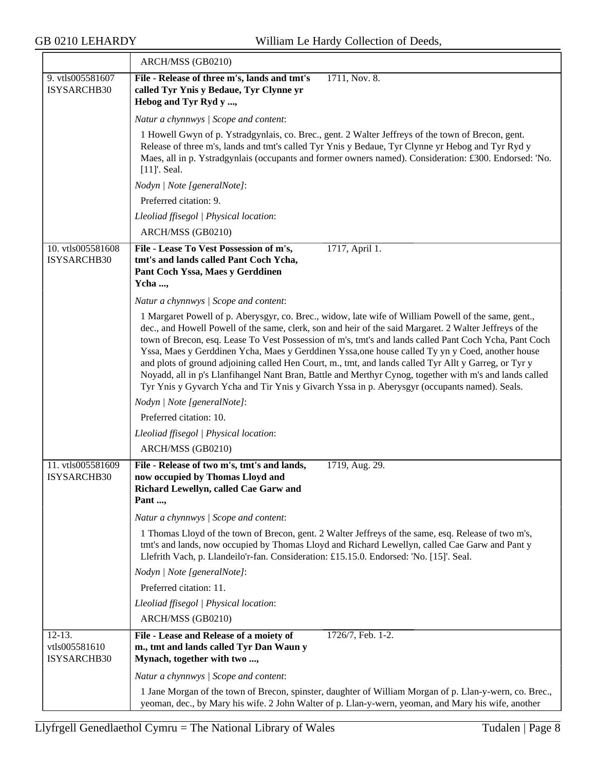|                                          | ARCH/MSS (GB0210)                                                                                                                                                                                                                                                                                                                                                                                                                                                                                                                                                                                                                                                                                                                                  |
|------------------------------------------|----------------------------------------------------------------------------------------------------------------------------------------------------------------------------------------------------------------------------------------------------------------------------------------------------------------------------------------------------------------------------------------------------------------------------------------------------------------------------------------------------------------------------------------------------------------------------------------------------------------------------------------------------------------------------------------------------------------------------------------------------|
| 9. vtls005581607<br>ISYSARCHB30          | File - Release of three m's, lands and tmt's<br>1711, Nov. 8.<br>called Tyr Ynis y Bedaue, Tyr Clynne yr<br>Hebog and Tyr Ryd y ,                                                                                                                                                                                                                                                                                                                                                                                                                                                                                                                                                                                                                  |
|                                          | Natur a chynnwys / Scope and content:                                                                                                                                                                                                                                                                                                                                                                                                                                                                                                                                                                                                                                                                                                              |
|                                          | 1 Howell Gwyn of p. Ystradgynlais, co. Brec., gent. 2 Walter Jeffreys of the town of Brecon, gent.<br>Release of three m's, lands and tmt's called Tyr Ynis y Bedaue, Tyr Clynne yr Hebog and Tyr Ryd y<br>Maes, all in p. Ystradgynlais (occupants and former owners named). Consideration: £300. Endorsed: 'No.<br>$[11]'$ . Seal.                                                                                                                                                                                                                                                                                                                                                                                                               |
|                                          | Nodyn   Note [generalNote]:                                                                                                                                                                                                                                                                                                                                                                                                                                                                                                                                                                                                                                                                                                                        |
|                                          | Preferred citation: 9.                                                                                                                                                                                                                                                                                                                                                                                                                                                                                                                                                                                                                                                                                                                             |
|                                          | Lleoliad ffisegol   Physical location:                                                                                                                                                                                                                                                                                                                                                                                                                                                                                                                                                                                                                                                                                                             |
|                                          | ARCH/MSS (GB0210)                                                                                                                                                                                                                                                                                                                                                                                                                                                                                                                                                                                                                                                                                                                                  |
| 10. vtls005581608<br>ISYSARCHB30         | File - Lease To Vest Possession of m's,<br>1717, April 1.<br>tmt's and lands called Pant Coch Ycha,<br>Pant Coch Yssa, Maes y Gerddinen<br>Ycha ,                                                                                                                                                                                                                                                                                                                                                                                                                                                                                                                                                                                                  |
|                                          | Natur a chynnwys / Scope and content:                                                                                                                                                                                                                                                                                                                                                                                                                                                                                                                                                                                                                                                                                                              |
|                                          | 1 Margaret Powell of p. Aberysgyr, co. Brec., widow, late wife of William Powell of the same, gent.,<br>dec., and Howell Powell of the same, clerk, son and heir of the said Margaret. 2 Walter Jeffreys of the<br>town of Brecon, esq. Lease To Vest Possession of m's, tmt's and lands called Pant Coch Ycha, Pant Coch<br>Yssa, Maes y Gerddinen Ycha, Maes y Gerddinen Yssa, one house called Ty yn y Coed, another house<br>and plots of ground adjoining called Hen Court, m., tmt, and lands called Tyr Allt y Garreg, or Tyr y<br>Noyadd, all in p's Llanfihangel Nant Bran, Battle and Merthyr Cynog, together with m's and lands called<br>Tyr Ynis y Gyvarch Ycha and Tir Ynis y Givarch Yssa in p. Aberysgyr (occupants named). Seals. |
|                                          | Nodyn   Note [generalNote]:                                                                                                                                                                                                                                                                                                                                                                                                                                                                                                                                                                                                                                                                                                                        |
|                                          | Preferred citation: 10.                                                                                                                                                                                                                                                                                                                                                                                                                                                                                                                                                                                                                                                                                                                            |
|                                          | Lleoliad ffisegol   Physical location:                                                                                                                                                                                                                                                                                                                                                                                                                                                                                                                                                                                                                                                                                                             |
|                                          | ARCH/MSS (GB0210)                                                                                                                                                                                                                                                                                                                                                                                                                                                                                                                                                                                                                                                                                                                                  |
| 11. vtls005581609<br>ISYSARCHB30         | File - Release of two m's, tmt's and lands,<br>1719, Aug. 29.<br>now occupied by Thomas Lloyd and<br>Richard Lewellyn, called Cae Garw and<br>Pant ,                                                                                                                                                                                                                                                                                                                                                                                                                                                                                                                                                                                               |
|                                          | Natur a chynnwys / Scope and content:                                                                                                                                                                                                                                                                                                                                                                                                                                                                                                                                                                                                                                                                                                              |
|                                          | 1 Thomas Lloyd of the town of Brecon, gent. 2 Walter Jeffreys of the same, esq. Release of two m's,<br>tmt's and lands, now occupied by Thomas Lloyd and Richard Lewellyn, called Cae Garw and Pant y<br>Llefrith Vach, p. Llandeilo'r-fan. Consideration: £15.15.0. Endorsed: 'No. [15]'. Seal.                                                                                                                                                                                                                                                                                                                                                                                                                                                   |
|                                          | Nodyn   Note [generalNote]:                                                                                                                                                                                                                                                                                                                                                                                                                                                                                                                                                                                                                                                                                                                        |
|                                          | Preferred citation: 11.                                                                                                                                                                                                                                                                                                                                                                                                                                                                                                                                                                                                                                                                                                                            |
|                                          | Lleoliad ffisegol   Physical location:                                                                                                                                                                                                                                                                                                                                                                                                                                                                                                                                                                                                                                                                                                             |
|                                          | ARCH/MSS (GB0210)                                                                                                                                                                                                                                                                                                                                                                                                                                                                                                                                                                                                                                                                                                                                  |
| $12-13.$<br>vtls005581610<br>ISYSARCHB30 | File - Lease and Release of a moiety of<br>1726/7, Feb. 1-2.<br>m., tmt and lands called Tyr Dan Waun y<br>Mynach, together with two ,                                                                                                                                                                                                                                                                                                                                                                                                                                                                                                                                                                                                             |
|                                          | Natur a chynnwys / Scope and content:                                                                                                                                                                                                                                                                                                                                                                                                                                                                                                                                                                                                                                                                                                              |
|                                          | 1 Jane Morgan of the town of Brecon, spinster, daughter of William Morgan of p. Llan-y-wern, co. Brec.,<br>yeoman, dec., by Mary his wife. 2 John Walter of p. Llan-y-wern, yeoman, and Mary his wife, another                                                                                                                                                                                                                                                                                                                                                                                                                                                                                                                                     |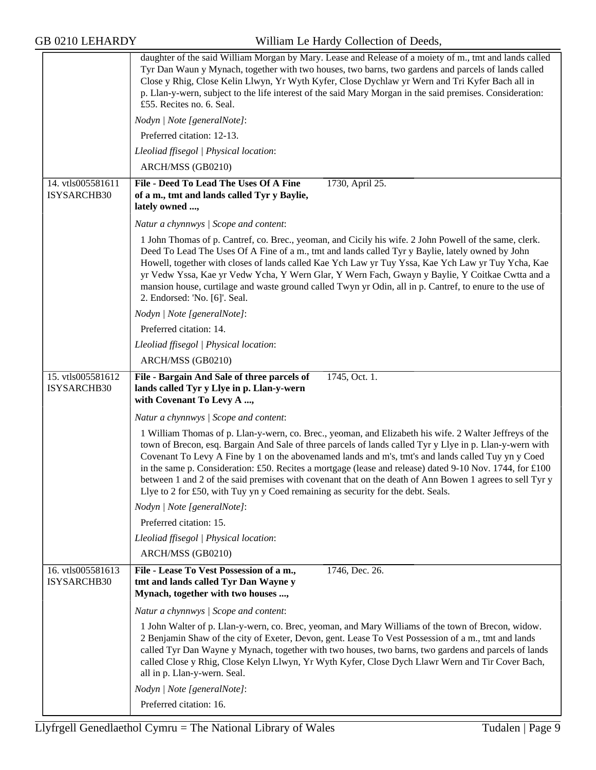|                                  | daughter of the said William Morgan by Mary. Lease and Release of a moiety of m., tmt and lands called<br>Tyr Dan Waun y Mynach, together with two houses, two barns, two gardens and parcels of lands called<br>Close y Rhig, Close Kelin Llwyn, Yr Wyth Kyfer, Close Dychlaw yr Wern and Tri Kyfer Bach all in<br>p. Llan-y-wern, subject to the life interest of the said Mary Morgan in the said premises. Consideration:<br>£55. Recites no. 6. Seal.                                                                                                                                                                            |
|----------------------------------|---------------------------------------------------------------------------------------------------------------------------------------------------------------------------------------------------------------------------------------------------------------------------------------------------------------------------------------------------------------------------------------------------------------------------------------------------------------------------------------------------------------------------------------------------------------------------------------------------------------------------------------|
|                                  | Nodyn   Note [generalNote]:                                                                                                                                                                                                                                                                                                                                                                                                                                                                                                                                                                                                           |
|                                  | Preferred citation: 12-13.                                                                                                                                                                                                                                                                                                                                                                                                                                                                                                                                                                                                            |
|                                  | Lleoliad ffisegol   Physical location:                                                                                                                                                                                                                                                                                                                                                                                                                                                                                                                                                                                                |
|                                  | ARCH/MSS (GB0210)                                                                                                                                                                                                                                                                                                                                                                                                                                                                                                                                                                                                                     |
| 14. vtls005581611<br>ISYSARCHB30 | File - Deed To Lead The Uses Of A Fine<br>1730, April 25.<br>of a m., tmt and lands called Tyr y Baylie,<br>lately owned ,                                                                                                                                                                                                                                                                                                                                                                                                                                                                                                            |
|                                  | Natur a chynnwys / Scope and content:                                                                                                                                                                                                                                                                                                                                                                                                                                                                                                                                                                                                 |
|                                  | 1 John Thomas of p. Cantref, co. Brec., yeoman, and Cicily his wife. 2 John Powell of the same, clerk.<br>Deed To Lead The Uses Of A Fine of a m., tmt and lands called Tyr y Baylie, lately owned by John<br>Howell, together with closes of lands called Kae Ych Law yr Tuy Yssa, Kae Ych Law yr Tuy Ycha, Kae<br>yr Vedw Yssa, Kae yr Vedw Ycha, Y Wern Glar, Y Wern Fach, Gwayn y Baylie, Y Coitkae Cwtta and a<br>mansion house, curtilage and waste ground called Twyn yr Odin, all in p. Cantref, to enure to the use of<br>2. Endorsed: 'No. [6]'. Seal.                                                                      |
|                                  | Nodyn   Note [generalNote]:                                                                                                                                                                                                                                                                                                                                                                                                                                                                                                                                                                                                           |
|                                  | Preferred citation: 14.                                                                                                                                                                                                                                                                                                                                                                                                                                                                                                                                                                                                               |
|                                  | Lleoliad ffisegol   Physical location:                                                                                                                                                                                                                                                                                                                                                                                                                                                                                                                                                                                                |
|                                  | ARCH/MSS (GB0210)                                                                                                                                                                                                                                                                                                                                                                                                                                                                                                                                                                                                                     |
| 15. vtls005581612<br>ISYSARCHB30 | File - Bargain And Sale of three parcels of<br>1745, Oct. 1.<br>lands called Tyr y Llye in p. Llan-y-wern<br>with Covenant To Levy A ,                                                                                                                                                                                                                                                                                                                                                                                                                                                                                                |
|                                  | Natur a chynnwys / Scope and content:                                                                                                                                                                                                                                                                                                                                                                                                                                                                                                                                                                                                 |
|                                  | 1 William Thomas of p. Llan-y-wern, co. Brec., yeoman, and Elizabeth his wife. 2 Walter Jeffreys of the<br>town of Brecon, esq. Bargain And Sale of three parcels of lands called Tyr y Llye in p. Llan-y-wern with<br>Covenant To Levy A Fine by 1 on the abovenamed lands and m's, tmt's and lands called Tuy yn y Coed<br>in the same p. Consideration: £50. Recites a mortgage (lease and release) dated 9-10 Nov. 1744, for £100<br>between 1 and 2 of the said premises with covenant that on the death of Ann Bowen 1 agrees to sell Tyr y<br>Llye to 2 for £50, with Tuy yn y Coed remaining as security for the debt. Seals. |
|                                  | Nodyn   Note [generalNote]:                                                                                                                                                                                                                                                                                                                                                                                                                                                                                                                                                                                                           |
|                                  | Preferred citation: 15.                                                                                                                                                                                                                                                                                                                                                                                                                                                                                                                                                                                                               |
|                                  | Lleoliad ffisegol   Physical location:                                                                                                                                                                                                                                                                                                                                                                                                                                                                                                                                                                                                |
|                                  | ARCH/MSS (GB0210)                                                                                                                                                                                                                                                                                                                                                                                                                                                                                                                                                                                                                     |
| 16. vtls005581613<br>ISYSARCHB30 | File - Lease To Vest Possession of a m.,<br>1746, Dec. 26.<br>tmt and lands called Tyr Dan Wayne y<br>Mynach, together with two houses ,                                                                                                                                                                                                                                                                                                                                                                                                                                                                                              |
|                                  | Natur a chynnwys / Scope and content:                                                                                                                                                                                                                                                                                                                                                                                                                                                                                                                                                                                                 |
|                                  | 1 John Walter of p. Llan-y-wern, co. Brec, yeoman, and Mary Williams of the town of Brecon, widow.<br>2 Benjamin Shaw of the city of Exeter, Devon, gent. Lease To Vest Possession of a m., tmt and lands<br>called Tyr Dan Wayne y Mynach, together with two houses, two barns, two gardens and parcels of lands<br>called Close y Rhig, Close Kelyn Llwyn, Yr Wyth Kyfer, Close Dych Llawr Wern and Tir Cover Bach,<br>all in p. Llan-y-wern. Seal.                                                                                                                                                                                 |
|                                  | Nodyn   Note [generalNote]:                                                                                                                                                                                                                                                                                                                                                                                                                                                                                                                                                                                                           |
|                                  | Preferred citation: 16.                                                                                                                                                                                                                                                                                                                                                                                                                                                                                                                                                                                                               |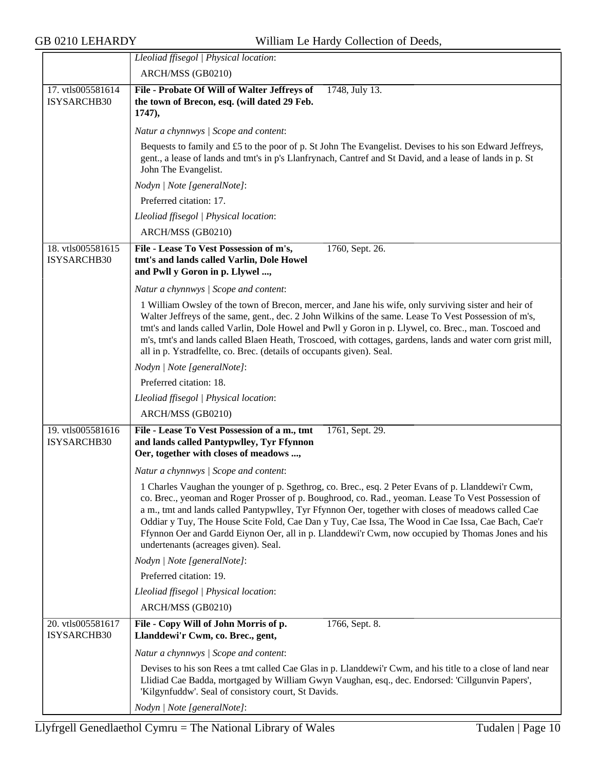|                                  | Lleoliad ffisegol   Physical location:                                                                                                                                                                                                                                                                                                                                                                                                                                                                                                                             |  |  |
|----------------------------------|--------------------------------------------------------------------------------------------------------------------------------------------------------------------------------------------------------------------------------------------------------------------------------------------------------------------------------------------------------------------------------------------------------------------------------------------------------------------------------------------------------------------------------------------------------------------|--|--|
|                                  | ARCH/MSS (GB0210)                                                                                                                                                                                                                                                                                                                                                                                                                                                                                                                                                  |  |  |
| 17. vtls005581614                | 1748, July 13.<br>File - Probate Of Will of Walter Jeffreys of                                                                                                                                                                                                                                                                                                                                                                                                                                                                                                     |  |  |
| ISYSARCHB30                      | the town of Brecon, esq. (will dated 29 Feb.<br>1747),                                                                                                                                                                                                                                                                                                                                                                                                                                                                                                             |  |  |
|                                  | Natur a chynnwys / Scope and content:                                                                                                                                                                                                                                                                                                                                                                                                                                                                                                                              |  |  |
|                                  | Bequests to family and £5 to the poor of p. St John The Evangelist. Devises to his son Edward Jeffreys,                                                                                                                                                                                                                                                                                                                                                                                                                                                            |  |  |
|                                  | gent., a lease of lands and tmt's in p's Llanfrynach, Cantref and St David, and a lease of lands in p. St<br>John The Evangelist.                                                                                                                                                                                                                                                                                                                                                                                                                                  |  |  |
|                                  | Nodyn   Note [generalNote]:                                                                                                                                                                                                                                                                                                                                                                                                                                                                                                                                        |  |  |
|                                  | Preferred citation: 17.                                                                                                                                                                                                                                                                                                                                                                                                                                                                                                                                            |  |  |
|                                  | Lleoliad ffisegol   Physical location:                                                                                                                                                                                                                                                                                                                                                                                                                                                                                                                             |  |  |
|                                  | ARCH/MSS (GB0210)                                                                                                                                                                                                                                                                                                                                                                                                                                                                                                                                                  |  |  |
| 18. vtls005581615                | File - Lease To Vest Possession of m's,<br>1760, Sept. 26.                                                                                                                                                                                                                                                                                                                                                                                                                                                                                                         |  |  |
| ISYSARCHB30                      | tmt's and lands called Varlin, Dole Howel<br>and Pwll y Goron in p. Llywel ,                                                                                                                                                                                                                                                                                                                                                                                                                                                                                       |  |  |
|                                  | Natur a chynnwys / Scope and content:                                                                                                                                                                                                                                                                                                                                                                                                                                                                                                                              |  |  |
|                                  | 1 William Owsley of the town of Brecon, mercer, and Jane his wife, only surviving sister and heir of<br>Walter Jeffreys of the same, gent., dec. 2 John Wilkins of the same. Lease To Vest Possession of m's,<br>tmt's and lands called Varlin, Dole Howel and Pwll y Goron in p. Llywel, co. Brec., man. Toscoed and                                                                                                                                                                                                                                              |  |  |
|                                  | m's, tmt's and lands called Blaen Heath, Troscoed, with cottages, gardens, lands and water corn grist mill,<br>all in p. Ystradfellte, co. Brec. (details of occupants given). Seal.                                                                                                                                                                                                                                                                                                                                                                               |  |  |
|                                  | Nodyn   Note [generalNote]:                                                                                                                                                                                                                                                                                                                                                                                                                                                                                                                                        |  |  |
|                                  | Preferred citation: 18.                                                                                                                                                                                                                                                                                                                                                                                                                                                                                                                                            |  |  |
|                                  | Lleoliad ffisegol   Physical location:                                                                                                                                                                                                                                                                                                                                                                                                                                                                                                                             |  |  |
|                                  | ARCH/MSS (GB0210)                                                                                                                                                                                                                                                                                                                                                                                                                                                                                                                                                  |  |  |
| 19. vtls005581616<br>ISYSARCHB30 | File - Lease To Vest Possession of a m., tmt<br>1761, Sept. 29.<br>and lands called Pantypwlley, Tyr Ffynnon<br>Oer, together with closes of meadows ,                                                                                                                                                                                                                                                                                                                                                                                                             |  |  |
|                                  | Natur a chynnwys / Scope and content:                                                                                                                                                                                                                                                                                                                                                                                                                                                                                                                              |  |  |
|                                  | 1 Charles Vaughan the younger of p. Sgethrog, co. Brec., esq. 2 Peter Evans of p. Llanddewi'r Cwm,<br>co. Brec., yeoman and Roger Prosser of p. Boughrood, co. Rad., yeoman. Lease To Vest Possession of<br>a m., tmt and lands called Pantypwlley, Tyr Ffynnon Oer, together with closes of meadows called Cae<br>Oddiar y Tuy, The House Scite Fold, Cae Dan y Tuy, Cae Issa, The Wood in Cae Issa, Cae Bach, Cae'r<br>Ffynnon Oer and Gardd Eiynon Oer, all in p. Llanddewi'r Cwm, now occupied by Thomas Jones and his<br>undertenants (acreages given). Seal. |  |  |
|                                  | Nodyn   Note [generalNote]:                                                                                                                                                                                                                                                                                                                                                                                                                                                                                                                                        |  |  |
|                                  | Preferred citation: 19.                                                                                                                                                                                                                                                                                                                                                                                                                                                                                                                                            |  |  |
|                                  | Lleoliad ffisegol   Physical location:                                                                                                                                                                                                                                                                                                                                                                                                                                                                                                                             |  |  |
|                                  | ARCH/MSS (GB0210)                                                                                                                                                                                                                                                                                                                                                                                                                                                                                                                                                  |  |  |
| 20. vtls005581617<br>ISYSARCHB30 | File - Copy Will of John Morris of p.<br>1766, Sept. 8.<br>Llanddewi'r Cwm, co. Brec., gent,                                                                                                                                                                                                                                                                                                                                                                                                                                                                       |  |  |
|                                  | Natur a chynnwys / Scope and content:                                                                                                                                                                                                                                                                                                                                                                                                                                                                                                                              |  |  |
|                                  | Devises to his son Rees a tmt called Cae Glas in p. Llanddewi'r Cwm, and his title to a close of land near<br>Llidiad Cae Badda, mortgaged by William Gwyn Vaughan, esq., dec. Endorsed: 'Cillgunvin Papers',<br>'Kilgynfuddw'. Seal of consistory court, St Davids.                                                                                                                                                                                                                                                                                               |  |  |
|                                  | Nodyn   Note [generalNote]:                                                                                                                                                                                                                                                                                                                                                                                                                                                                                                                                        |  |  |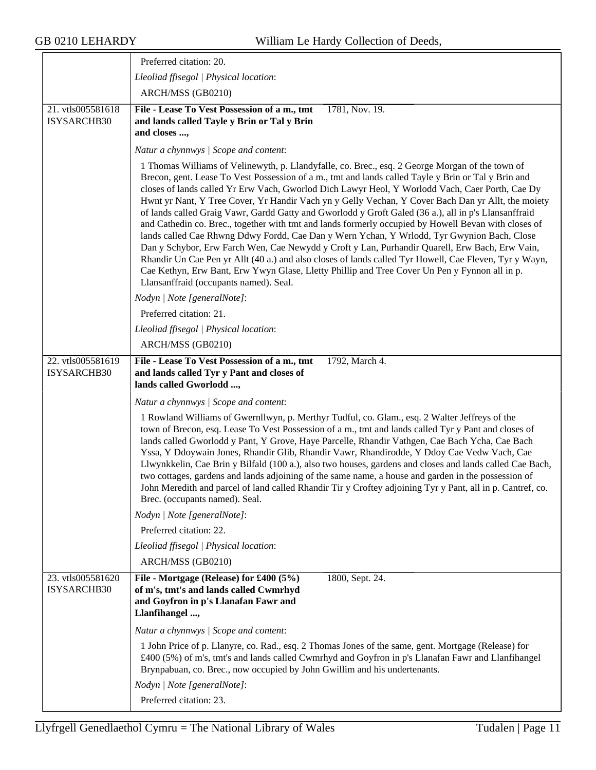|                                  | Preferred citation: 20.                                                                                                                                                                                                                                                                                                                                                                                                                                                                                                                                                                                                                                                                                                                                                                                                                                                                                                                                                                                                                                                              |
|----------------------------------|--------------------------------------------------------------------------------------------------------------------------------------------------------------------------------------------------------------------------------------------------------------------------------------------------------------------------------------------------------------------------------------------------------------------------------------------------------------------------------------------------------------------------------------------------------------------------------------------------------------------------------------------------------------------------------------------------------------------------------------------------------------------------------------------------------------------------------------------------------------------------------------------------------------------------------------------------------------------------------------------------------------------------------------------------------------------------------------|
|                                  | Lleoliad ffisegol   Physical location:                                                                                                                                                                                                                                                                                                                                                                                                                                                                                                                                                                                                                                                                                                                                                                                                                                                                                                                                                                                                                                               |
|                                  | ARCH/MSS (GB0210)                                                                                                                                                                                                                                                                                                                                                                                                                                                                                                                                                                                                                                                                                                                                                                                                                                                                                                                                                                                                                                                                    |
| 21. vtls005581618<br>ISYSARCHB30 | File - Lease To Vest Possession of a m., tmt<br>1781, Nov. 19.<br>and lands called Tayle y Brin or Tal y Brin<br>and closes ,                                                                                                                                                                                                                                                                                                                                                                                                                                                                                                                                                                                                                                                                                                                                                                                                                                                                                                                                                        |
|                                  | Natur a chynnwys / Scope and content:                                                                                                                                                                                                                                                                                                                                                                                                                                                                                                                                                                                                                                                                                                                                                                                                                                                                                                                                                                                                                                                |
|                                  | 1 Thomas Williams of Velinewyth, p. Llandyfalle, co. Brec., esq. 2 George Morgan of the town of<br>Brecon, gent. Lease To Vest Possession of a m., tmt and lands called Tayle y Brin or Tal y Brin and<br>closes of lands called Yr Erw Vach, Gworlod Dich Lawyr Heol, Y Worlodd Vach, Caer Porth, Cae Dy<br>Hwnt yr Nant, Y Tree Cover, Yr Handir Vach yn y Gelly Vechan, Y Cover Bach Dan yr Allt, the moiety<br>of lands called Graig Vawr, Gardd Gatty and Gworlodd y Groft Galed (36 a.), all in p's Llansanffraid<br>and Cathedin co. Brec., together with tmt and lands formerly occupied by Howell Bevan with closes of<br>lands called Cae Rhwng Ddwy Fordd, Cae Dan y Wern Ychan, Y Wrlodd, Tyr Gwynion Bach, Close<br>Dan y Schybor, Erw Farch Wen, Cae Newydd y Croft y Lan, Purhandir Quarell, Erw Bach, Erw Vain,<br>Rhandir Un Cae Pen yr Allt (40 a.) and also closes of lands called Tyr Howell, Cae Fleven, Tyr y Wayn,<br>Cae Kethyn, Erw Bant, Erw Ywyn Glase, Lletty Phillip and Tree Cover Un Pen y Fynnon all in p.<br>Llansanffraid (occupants named). Seal. |
|                                  | Nodyn   Note [generalNote]:                                                                                                                                                                                                                                                                                                                                                                                                                                                                                                                                                                                                                                                                                                                                                                                                                                                                                                                                                                                                                                                          |
|                                  | Preferred citation: 21.                                                                                                                                                                                                                                                                                                                                                                                                                                                                                                                                                                                                                                                                                                                                                                                                                                                                                                                                                                                                                                                              |
|                                  | Lleoliad ffisegol   Physical location:                                                                                                                                                                                                                                                                                                                                                                                                                                                                                                                                                                                                                                                                                                                                                                                                                                                                                                                                                                                                                                               |
|                                  | ARCH/MSS (GB0210)                                                                                                                                                                                                                                                                                                                                                                                                                                                                                                                                                                                                                                                                                                                                                                                                                                                                                                                                                                                                                                                                    |
| 22. vtls005581619<br>ISYSARCHB30 | File - Lease To Vest Possession of a m., tmt<br>1792, March 4.<br>and lands called Tyr y Pant and closes of<br>lands called Gworlodd ,                                                                                                                                                                                                                                                                                                                                                                                                                                                                                                                                                                                                                                                                                                                                                                                                                                                                                                                                               |
|                                  | Natur a chynnwys / Scope and content:                                                                                                                                                                                                                                                                                                                                                                                                                                                                                                                                                                                                                                                                                                                                                                                                                                                                                                                                                                                                                                                |
|                                  | 1 Rowland Williams of Gwernllwyn, p. Merthyr Tudful, co. Glam., esq. 2 Walter Jeffreys of the<br>town of Brecon, esq. Lease To Vest Possession of a m., tmt and lands called Tyr y Pant and closes of<br>lands called Gworlodd y Pant, Y Grove, Haye Parcelle, Rhandir Vathgen, Cae Bach Ycha, Cae Bach<br>Yssa, Y Ddoywain Jones, Rhandir Glib, Rhandir Vawr, Rhandirodde, Y Ddoy Cae Vedw Vach, Cae<br>Llwynkkelin, Cae Brin y Bilfald (100 a.), also two houses, gardens and closes and lands called Cae Bach,<br>two cottages, gardens and lands adjoining of the same name, a house and garden in the possession of<br>John Meredith and parcel of land called Rhandir Tir y Croftey adjoining Tyr y Pant, all in p. Cantref, co.<br>Brec. (occupants named). Seal.                                                                                                                                                                                                                                                                                                             |
|                                  | Nodyn   Note [generalNote]:                                                                                                                                                                                                                                                                                                                                                                                                                                                                                                                                                                                                                                                                                                                                                                                                                                                                                                                                                                                                                                                          |
|                                  | Preferred citation: 22.                                                                                                                                                                                                                                                                                                                                                                                                                                                                                                                                                                                                                                                                                                                                                                                                                                                                                                                                                                                                                                                              |
|                                  | Lleoliad ffisegol   Physical location:                                                                                                                                                                                                                                                                                                                                                                                                                                                                                                                                                                                                                                                                                                                                                                                                                                                                                                                                                                                                                                               |
|                                  | ARCH/MSS (GB0210)                                                                                                                                                                                                                                                                                                                                                                                                                                                                                                                                                                                                                                                                                                                                                                                                                                                                                                                                                                                                                                                                    |
| 23. vtls005581620<br>ISYSARCHB30 | File - Mortgage (Release) for £400 (5%)<br>1800, Sept. 24.<br>of m's, tmt's and lands called Cwmrhyd<br>and Goyfron in p's Llanafan Fawr and<br>Llanfihangel ,                                                                                                                                                                                                                                                                                                                                                                                                                                                                                                                                                                                                                                                                                                                                                                                                                                                                                                                       |
|                                  | Natur a chynnwys / Scope and content:                                                                                                                                                                                                                                                                                                                                                                                                                                                                                                                                                                                                                                                                                                                                                                                                                                                                                                                                                                                                                                                |
|                                  | 1 John Price of p. Llanyre, co. Rad., esq. 2 Thomas Jones of the same, gent. Mortgage (Release) for<br>£400 (5%) of m's, tmt's and lands called Cwmrhyd and Goyfron in p's Llanafan Fawr and Llanfihangel<br>Brynpabuan, co. Brec., now occupied by John Gwillim and his undertenants.                                                                                                                                                                                                                                                                                                                                                                                                                                                                                                                                                                                                                                                                                                                                                                                               |
|                                  | Nodyn   Note [generalNote]:                                                                                                                                                                                                                                                                                                                                                                                                                                                                                                                                                                                                                                                                                                                                                                                                                                                                                                                                                                                                                                                          |
|                                  | Preferred citation: 23.                                                                                                                                                                                                                                                                                                                                                                                                                                                                                                                                                                                                                                                                                                                                                                                                                                                                                                                                                                                                                                                              |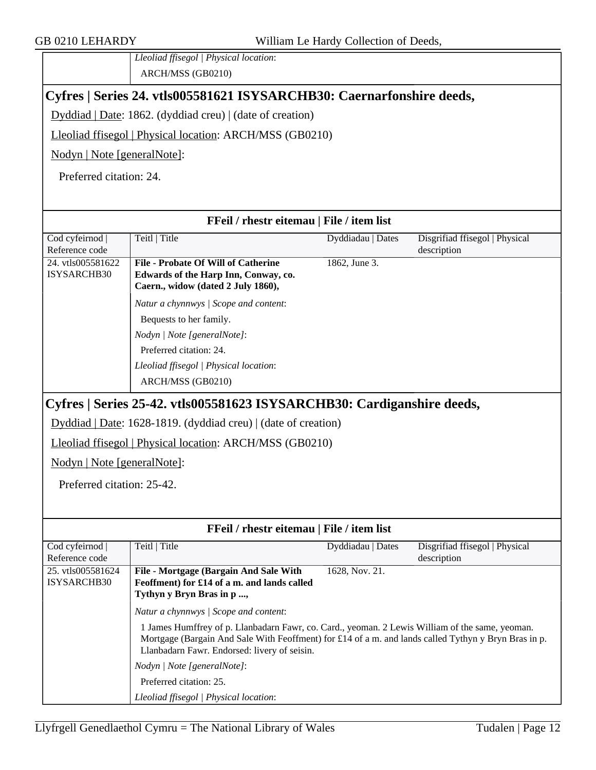*Lleoliad ffisegol | Physical location*: ARCH/MSS (GB0210)

#### <span id="page-11-0"></span>**Cyfres | Series 24. vtls005581621 ISYSARCHB30: Caernarfonshire deeds,**

Dyddiad | Date: 1862. (dyddiad creu) | (date of creation)

Lleoliad ffisegol | Physical location: ARCH/MSS (GB0210)

Nodyn | Note [generalNote]:

Preferred citation: 24.

#### **FFeil / rhestr eitemau | File / item list**

| Cod cyfeirnod     | Teitl   Title                              | Dyddiadau   Dates | Disgrifiad ffisegol   Physical |
|-------------------|--------------------------------------------|-------------------|--------------------------------|
| Reference code    |                                            |                   | description                    |
| 24. vtls005581622 | <b>File - Probate Of Will of Catherine</b> | 1862, June 3.     |                                |
| ISYSARCHB30       | Edwards of the Harp Inn, Conway, co.       |                   |                                |
|                   | Caern., widow (dated 2 July 1860),         |                   |                                |
|                   | Natur a chynnwys / Scope and content:      |                   |                                |
|                   | Bequests to her family.                    |                   |                                |
|                   | Nodyn   Note [generalNote]:                |                   |                                |
|                   | Preferred citation: 24.                    |                   |                                |
|                   | Lleoliad ffisegol   Physical location:     |                   |                                |
|                   | ARCH/MSS (GB0210)                          |                   |                                |
|                   |                                            |                   |                                |

### <span id="page-11-1"></span>**Cyfres | Series 25-42. vtls005581623 ISYSARCHB30: Cardiganshire deeds,**

Dyddiad | Date: 1628-1819. (dyddiad creu) | (date of creation)

Lleoliad ffisegol | Physical location: ARCH/MSS (GB0210)

Nodyn | Note [generalNote]:

Preferred citation: 25-42.

| <b>FFeil</b> / rhestr eitemau   File / item list |                                                                                                                                                                                                                                                                                                                                 |                   |                                |
|--------------------------------------------------|---------------------------------------------------------------------------------------------------------------------------------------------------------------------------------------------------------------------------------------------------------------------------------------------------------------------------------|-------------------|--------------------------------|
| Cod cyfeirnod                                    | Teitl   Title                                                                                                                                                                                                                                                                                                                   | Dyddiadau   Dates | Disgrifiad ffisegol   Physical |
| Reference code                                   |                                                                                                                                                                                                                                                                                                                                 |                   | description                    |
| 25. vtls005581624                                | File - Mortgage (Bargain And Sale With                                                                                                                                                                                                                                                                                          | 1628, Nov. 21.    |                                |
| ISYSARCHB30                                      | Feoffment) for £14 of a m. and lands called                                                                                                                                                                                                                                                                                     |                   |                                |
|                                                  | Tythyn y Bryn Bras in p,                                                                                                                                                                                                                                                                                                        |                   |                                |
|                                                  | Natur a chynnwys / Scope and content:<br>1 James Humffrey of p. Llanbadarn Fawr, co. Card., yeoman. 2 Lewis William of the same, yeoman.<br>Mortgage (Bargain And Sale With Feoffment) for £14 of a m. and lands called Tythyn y Bryn Bras in p.<br>Llanbadarn Fawr. Endorsed: livery of seisin.<br>Nodyn / Note [generalNote]: |                   |                                |
|                                                  | Preferred citation: 25.                                                                                                                                                                                                                                                                                                         |                   |                                |
|                                                  | Lleoliad ffisegol   Physical location:                                                                                                                                                                                                                                                                                          |                   |                                |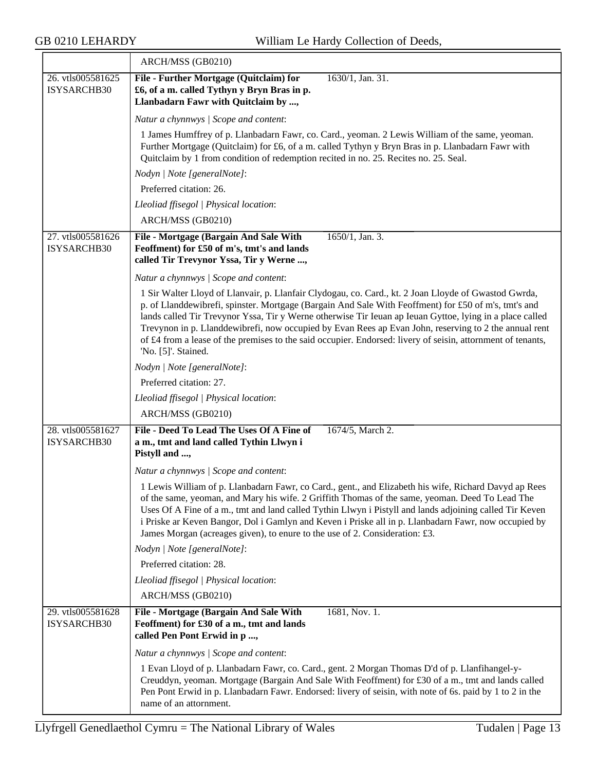$\overline{\phantom{a}}$ 

|                                  | ARCH/MSS (GB0210)                                                                                                                                                                                                                                                                                                                                                                                                                                                                                                                                                       |
|----------------------------------|-------------------------------------------------------------------------------------------------------------------------------------------------------------------------------------------------------------------------------------------------------------------------------------------------------------------------------------------------------------------------------------------------------------------------------------------------------------------------------------------------------------------------------------------------------------------------|
| 26. vtls005581625<br>ISYSARCHB30 | File - Further Mortgage (Quitclaim) for<br>1630/1, Jan. 31.<br>£6, of a m. called Tythyn y Bryn Bras in p.<br>Llanbadarn Fawr with Quitclaim by ,                                                                                                                                                                                                                                                                                                                                                                                                                       |
|                                  | Natur a chynnwys / Scope and content:                                                                                                                                                                                                                                                                                                                                                                                                                                                                                                                                   |
|                                  | 1 James Humffrey of p. Llanbadarn Fawr, co. Card., yeoman. 2 Lewis William of the same, yeoman.<br>Further Mortgage (Quitclaim) for £6, of a m. called Tythyn y Bryn Bras in p. Llanbadarn Fawr with<br>Quitclaim by 1 from condition of redemption recited in no. 25. Recites no. 25. Seal.                                                                                                                                                                                                                                                                            |
|                                  | Nodyn   Note [generalNote]:                                                                                                                                                                                                                                                                                                                                                                                                                                                                                                                                             |
|                                  | Preferred citation: 26.                                                                                                                                                                                                                                                                                                                                                                                                                                                                                                                                                 |
|                                  | Lleoliad ffisegol   Physical location:                                                                                                                                                                                                                                                                                                                                                                                                                                                                                                                                  |
|                                  | ARCH/MSS (GB0210)                                                                                                                                                                                                                                                                                                                                                                                                                                                                                                                                                       |
| 27. vtls005581626<br>ISYSARCHB30 | 1650/1, Jan. 3.<br>File - Mortgage (Bargain And Sale With<br>Feoffment) for £50 of m's, tmt's and lands<br>called Tir Trevynor Yssa, Tir y Werne ,                                                                                                                                                                                                                                                                                                                                                                                                                      |
|                                  | Natur a chynnwys / Scope and content:                                                                                                                                                                                                                                                                                                                                                                                                                                                                                                                                   |
|                                  | 1 Sir Walter Lloyd of Llanvair, p. Llanfair Clydogau, co. Card., kt. 2 Joan Lloyde of Gwastod Gwrda,<br>p. of Llanddewibrefi, spinster. Mortgage (Bargain And Sale With Feoffment) for £50 of m's, tmt's and<br>lands called Tir Trevynor Yssa, Tir y Werne otherwise Tir Ieuan ap Ieuan Gyttoe, lying in a place called<br>Trevynon in p. Llanddewibrefi, now occupied by Evan Rees ap Evan John, reserving to 2 the annual rent<br>of £4 from a lease of the premises to the said occupier. Endorsed: livery of seisin, attornment of tenants,<br>'No. [5]'. Stained. |
|                                  | Nodyn   Note [generalNote]:                                                                                                                                                                                                                                                                                                                                                                                                                                                                                                                                             |
|                                  | Preferred citation: 27.                                                                                                                                                                                                                                                                                                                                                                                                                                                                                                                                                 |
|                                  | Lleoliad ffisegol   Physical location:                                                                                                                                                                                                                                                                                                                                                                                                                                                                                                                                  |
|                                  | ARCH/MSS (GB0210)                                                                                                                                                                                                                                                                                                                                                                                                                                                                                                                                                       |
| 28. vtls005581627<br>ISYSARCHB30 | File - Deed To Lead The Uses Of A Fine of<br>1674/5, March 2.<br>a m., tmt and land called Tythin Llwyn i<br>Pistyll and ,                                                                                                                                                                                                                                                                                                                                                                                                                                              |
|                                  | Natur a chynnwys / Scope and content:                                                                                                                                                                                                                                                                                                                                                                                                                                                                                                                                   |
|                                  | 1 Lewis William of p. Llanbadarn Fawr, co Card., gent., and Elizabeth his wife, Richard Davyd ap Rees<br>of the same, yeoman, and Mary his wife. 2 Griffith Thomas of the same, yeoman. Deed To Lead The<br>Uses Of A Fine of a m., tmt and land called Tythin Llwyn i Pistyll and lands adjoining called Tir Keven<br>i Priske ar Keven Bangor, Dol i Gamlyn and Keven i Priske all in p. Llanbadarn Fawr, now occupied by<br>James Morgan (acreages given), to enure to the use of 2. Consideration: £3.                                                              |
|                                  | Nodyn   Note [generalNote]:                                                                                                                                                                                                                                                                                                                                                                                                                                                                                                                                             |
|                                  | Preferred citation: 28.                                                                                                                                                                                                                                                                                                                                                                                                                                                                                                                                                 |
|                                  | Lleoliad ffisegol   Physical location:                                                                                                                                                                                                                                                                                                                                                                                                                                                                                                                                  |
|                                  | ARCH/MSS (GB0210)                                                                                                                                                                                                                                                                                                                                                                                                                                                                                                                                                       |
| 29. vtls005581628<br>ISYSARCHB30 | File - Mortgage (Bargain And Sale With<br>1681, Nov. 1.<br>Feoffment) for £30 of a m., tmt and lands<br>called Pen Pont Erwid in p ,                                                                                                                                                                                                                                                                                                                                                                                                                                    |
|                                  | Natur a chynnwys / Scope and content:                                                                                                                                                                                                                                                                                                                                                                                                                                                                                                                                   |
|                                  | 1 Evan Lloyd of p. Llanbadarn Fawr, co. Card., gent. 2 Morgan Thomas D'd of p. Llanfihangel-y-<br>Creuddyn, yeoman. Mortgage (Bargain And Sale With Feoffment) for £30 of a m., tmt and lands called<br>Pen Pont Erwid in p. Llanbadarn Fawr. Endorsed: livery of seisin, with note of 6s. paid by 1 to 2 in the<br>name of an attornment.                                                                                                                                                                                                                              |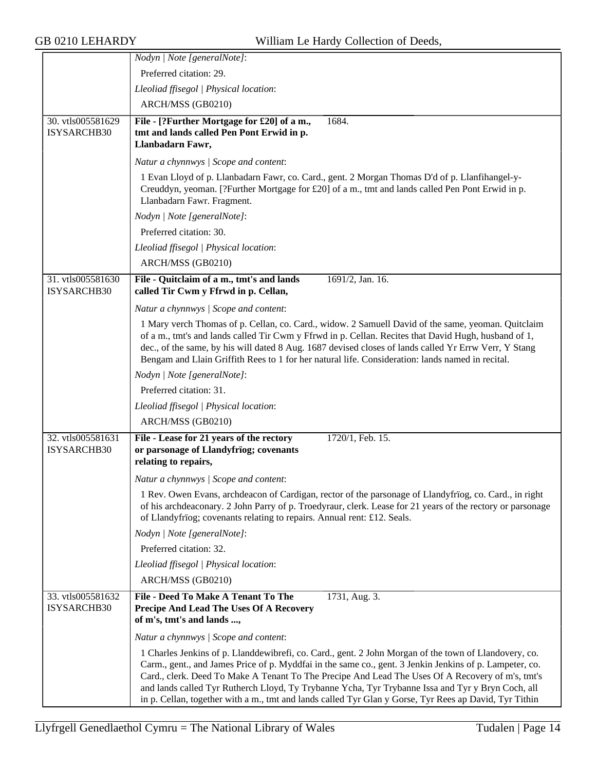|                                  | Nodyn   Note [generalNote]:                                                                                                                                                                                                                                                                                                                                                                                                                                                                                                         |
|----------------------------------|-------------------------------------------------------------------------------------------------------------------------------------------------------------------------------------------------------------------------------------------------------------------------------------------------------------------------------------------------------------------------------------------------------------------------------------------------------------------------------------------------------------------------------------|
|                                  | Preferred citation: 29.                                                                                                                                                                                                                                                                                                                                                                                                                                                                                                             |
|                                  | Lleoliad ffisegol   Physical location:                                                                                                                                                                                                                                                                                                                                                                                                                                                                                              |
|                                  | ARCH/MSS (GB0210)                                                                                                                                                                                                                                                                                                                                                                                                                                                                                                                   |
| 30. vtls005581629<br>ISYSARCHB30 | File - [?Further Mortgage for £20] of a m.,<br>1684.<br>tmt and lands called Pen Pont Erwid in p.<br>Llanbadarn Fawr,                                                                                                                                                                                                                                                                                                                                                                                                               |
|                                  | Natur a chynnwys / Scope and content:                                                                                                                                                                                                                                                                                                                                                                                                                                                                                               |
|                                  | 1 Evan Lloyd of p. Llanbadarn Fawr, co. Card., gent. 2 Morgan Thomas D'd of p. Llanfihangel-y-<br>Creuddyn, yeoman. [?Further Mortgage for £20] of a m., tmt and lands called Pen Pont Erwid in p.<br>Llanbadarn Fawr. Fragment.                                                                                                                                                                                                                                                                                                    |
|                                  | Nodyn   Note [generalNote]:                                                                                                                                                                                                                                                                                                                                                                                                                                                                                                         |
|                                  | Preferred citation: 30.                                                                                                                                                                                                                                                                                                                                                                                                                                                                                                             |
|                                  | Lleoliad ffisegol   Physical location:                                                                                                                                                                                                                                                                                                                                                                                                                                                                                              |
|                                  | ARCH/MSS (GB0210)                                                                                                                                                                                                                                                                                                                                                                                                                                                                                                                   |
| 31. vtls005581630                | File - Quitclaim of a m., tmt's and lands<br>1691/2, Jan. 16.                                                                                                                                                                                                                                                                                                                                                                                                                                                                       |
| ISYSARCHB30                      | called Tir Cwm y Ffrwd in p. Cellan,                                                                                                                                                                                                                                                                                                                                                                                                                                                                                                |
|                                  | Natur a chynnwys / Scope and content:                                                                                                                                                                                                                                                                                                                                                                                                                                                                                               |
|                                  | 1 Mary verch Thomas of p. Cellan, co. Card., widow. 2 Samuell David of the same, yeoman. Quitclaim<br>of a m., tmt's and lands called Tir Cwm y Ffrwd in p. Cellan. Recites that David Hugh, husband of 1,<br>dec., of the same, by his will dated 8 Aug. 1687 devised closes of lands called Yr Errw Verr, Y Stang<br>Bengam and Llain Griffith Rees to 1 for her natural life. Consideration: lands named in recital.                                                                                                             |
|                                  | Nodyn   Note [generalNote]:                                                                                                                                                                                                                                                                                                                                                                                                                                                                                                         |
|                                  | Preferred citation: 31.                                                                                                                                                                                                                                                                                                                                                                                                                                                                                                             |
|                                  | Lleoliad ffisegol   Physical location:                                                                                                                                                                                                                                                                                                                                                                                                                                                                                              |
|                                  | ARCH/MSS (GB0210)                                                                                                                                                                                                                                                                                                                                                                                                                                                                                                                   |
| 32. vtls005581631<br>ISYSARCHB30 | File - Lease for 21 years of the rectory<br>1720/1, Feb. 15.<br>or parsonage of Llandyfrïog; covenants<br>relating to repairs,                                                                                                                                                                                                                                                                                                                                                                                                      |
|                                  | Natur a chynnwys / Scope and content:                                                                                                                                                                                                                                                                                                                                                                                                                                                                                               |
|                                  | 1 Rev. Owen Evans, archdeacon of Cardigan, rector of the parsonage of Llandyfriog, co. Card., in right<br>of his archdeaconary. 2 John Parry of p. Troedyraur, clerk. Lease for 21 years of the rectory or parsonage<br>of Llandyfrïog; covenants relating to repairs. Annual rent: £12. Seals.                                                                                                                                                                                                                                     |
|                                  | Nodyn   Note [generalNote]:                                                                                                                                                                                                                                                                                                                                                                                                                                                                                                         |
|                                  | Preferred citation: 32.                                                                                                                                                                                                                                                                                                                                                                                                                                                                                                             |
|                                  | Lleoliad ffisegol   Physical location:                                                                                                                                                                                                                                                                                                                                                                                                                                                                                              |
|                                  | ARCH/MSS (GB0210)                                                                                                                                                                                                                                                                                                                                                                                                                                                                                                                   |
| 33. vtls005581632<br>ISYSARCHB30 | File - Deed To Make A Tenant To The<br>1731, Aug. 3.<br>Precipe And Lead The Uses Of A Recovery<br>of m's, tmt's and lands ,                                                                                                                                                                                                                                                                                                                                                                                                        |
|                                  | Natur a chynnwys / Scope and content:                                                                                                                                                                                                                                                                                                                                                                                                                                                                                               |
|                                  | 1 Charles Jenkins of p. Llanddewibrefi, co. Card., gent. 2 John Morgan of the town of Llandovery, co.<br>Carm., gent., and James Price of p. Myddfai in the same co., gent. 3 Jenkin Jenkins of p. Lampeter, co.<br>Card., clerk. Deed To Make A Tenant To The Precipe And Lead The Uses Of A Recovery of m's, tmt's<br>and lands called Tyr Rutherch Lloyd, Ty Trybanne Ycha, Tyr Trybanne Issa and Tyr y Bryn Coch, all<br>in p. Cellan, together with a m., tmt and lands called Tyr Glan y Gorse, Tyr Rees ap David, Tyr Tithin |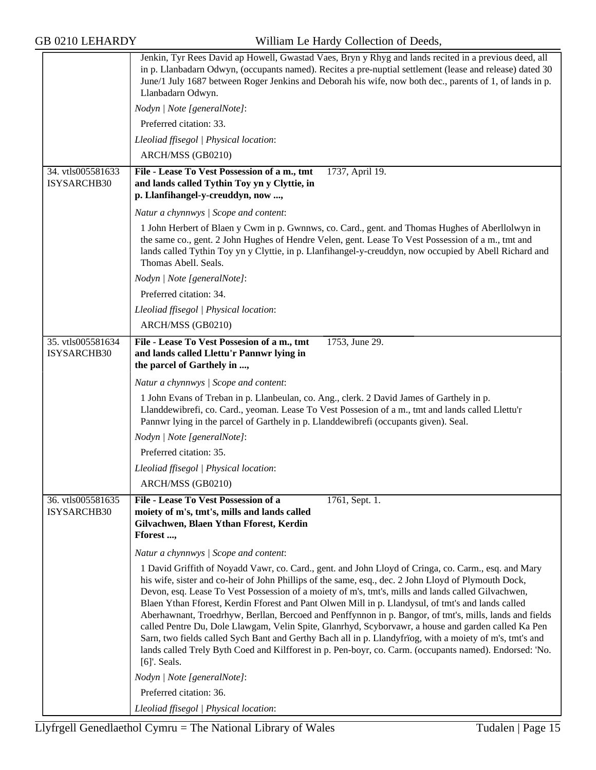|                                  | Jenkin, Tyr Rees David ap Howell, Gwastad Vaes, Bryn y Rhyg and lands recited in a previous deed, all<br>in p. Llanbadarn Odwyn, (occupants named). Recites a pre-nuptial settlement (lease and release) dated 30<br>June/1 July 1687 between Roger Jenkins and Deborah his wife, now both dec., parents of 1, of lands in p.<br>Llanbadarn Odwyn.                                                                                                                                                                                                                                                                                                                                                                                                                                                                                                                |
|----------------------------------|-------------------------------------------------------------------------------------------------------------------------------------------------------------------------------------------------------------------------------------------------------------------------------------------------------------------------------------------------------------------------------------------------------------------------------------------------------------------------------------------------------------------------------------------------------------------------------------------------------------------------------------------------------------------------------------------------------------------------------------------------------------------------------------------------------------------------------------------------------------------|
|                                  | Nodyn   Note [generalNote]:                                                                                                                                                                                                                                                                                                                                                                                                                                                                                                                                                                                                                                                                                                                                                                                                                                       |
|                                  | Preferred citation: 33.                                                                                                                                                                                                                                                                                                                                                                                                                                                                                                                                                                                                                                                                                                                                                                                                                                           |
|                                  | Lleoliad ffisegol   Physical location:                                                                                                                                                                                                                                                                                                                                                                                                                                                                                                                                                                                                                                                                                                                                                                                                                            |
|                                  | ARCH/MSS (GB0210)                                                                                                                                                                                                                                                                                                                                                                                                                                                                                                                                                                                                                                                                                                                                                                                                                                                 |
| 34. vtls005581633<br>ISYSARCHB30 | File - Lease To Vest Possession of a m., tmt<br>1737, April 19.<br>and lands called Tythin Toy yn y Clyttie, in<br>p. Llanfihangel-y-creuddyn, now ,                                                                                                                                                                                                                                                                                                                                                                                                                                                                                                                                                                                                                                                                                                              |
|                                  | Natur a chynnwys / Scope and content:                                                                                                                                                                                                                                                                                                                                                                                                                                                                                                                                                                                                                                                                                                                                                                                                                             |
|                                  | 1 John Herbert of Blaen y Cwm in p. Gwnnws, co. Card., gent. and Thomas Hughes of Aberllolwyn in<br>the same co., gent. 2 John Hughes of Hendre Velen, gent. Lease To Vest Possession of a m., tmt and<br>lands called Tythin Toy yn y Clyttie, in p. Llanfihangel-y-creuddyn, now occupied by Abell Richard and<br>Thomas Abell. Seals.                                                                                                                                                                                                                                                                                                                                                                                                                                                                                                                          |
|                                  | Nodyn   Note [generalNote]:                                                                                                                                                                                                                                                                                                                                                                                                                                                                                                                                                                                                                                                                                                                                                                                                                                       |
|                                  | Preferred citation: 34.                                                                                                                                                                                                                                                                                                                                                                                                                                                                                                                                                                                                                                                                                                                                                                                                                                           |
|                                  | Lleoliad ffisegol   Physical location:                                                                                                                                                                                                                                                                                                                                                                                                                                                                                                                                                                                                                                                                                                                                                                                                                            |
|                                  | ARCH/MSS (GB0210)                                                                                                                                                                                                                                                                                                                                                                                                                                                                                                                                                                                                                                                                                                                                                                                                                                                 |
| 35. vtls005581634<br>ISYSARCHB30 | File - Lease To Vest Possesion of a m., tmt<br>1753, June 29.<br>and lands called Llettu'r Pannwr lying in<br>the parcel of Garthely in ,                                                                                                                                                                                                                                                                                                                                                                                                                                                                                                                                                                                                                                                                                                                         |
|                                  | Natur a chynnwys / Scope and content:                                                                                                                                                                                                                                                                                                                                                                                                                                                                                                                                                                                                                                                                                                                                                                                                                             |
|                                  | 1 John Evans of Treban in p. Llanbeulan, co. Ang., clerk. 2 David James of Garthely in p.<br>Llanddewibrefi, co. Card., yeoman. Lease To Vest Possesion of a m., tmt and lands called Llettu'r<br>Pannwr lying in the parcel of Garthely in p. Llanddewibrefi (occupants given). Seal.                                                                                                                                                                                                                                                                                                                                                                                                                                                                                                                                                                            |
|                                  | Nodyn   Note [generalNote]:                                                                                                                                                                                                                                                                                                                                                                                                                                                                                                                                                                                                                                                                                                                                                                                                                                       |
|                                  | Preferred citation: 35.                                                                                                                                                                                                                                                                                                                                                                                                                                                                                                                                                                                                                                                                                                                                                                                                                                           |
|                                  | Lleoliad ffisegol   Physical location:                                                                                                                                                                                                                                                                                                                                                                                                                                                                                                                                                                                                                                                                                                                                                                                                                            |
|                                  | ARCH/MSS (GB0210)                                                                                                                                                                                                                                                                                                                                                                                                                                                                                                                                                                                                                                                                                                                                                                                                                                                 |
| 36. vtls005581635<br>ISYSARCHB30 | 1761, Sept. 1.<br>File - Lease To Vest Possession of a<br>moiety of m's, tmt's, mills and lands called<br>Gilvachwen, Blaen Ythan Fforest, Kerdin<br>Fforest ,                                                                                                                                                                                                                                                                                                                                                                                                                                                                                                                                                                                                                                                                                                    |
|                                  | Natur a chynnwys / Scope and content:                                                                                                                                                                                                                                                                                                                                                                                                                                                                                                                                                                                                                                                                                                                                                                                                                             |
|                                  | 1 David Griffith of Noyadd Vawr, co. Card., gent. and John Lloyd of Cringa, co. Carm., esq. and Mary<br>his wife, sister and co-heir of John Phillips of the same, esq., dec. 2 John Lloyd of Plymouth Dock,<br>Devon, esq. Lease To Vest Possession of a moiety of m's, tmt's, mills and lands called Gilvachwen,<br>Blaen Ythan Fforest, Kerdin Fforest and Pant Olwen Mill in p. Llandysul, of tmt's and lands called<br>Aberhawnant, Troedrhyw, Berllan, Bercoed and Penffynnon in p. Bangor, of tmt's, mills, lands and fields<br>called Pentre Du, Dole Llawgam, Velin Spite, Glanrhyd, Scyborvawr, a house and garden called Ka Pen<br>Sarn, two fields called Sych Bant and Gerthy Bach all in p. Llandyfriog, with a moiety of m's, tmt's and<br>lands called Trely Byth Coed and Kilfforest in p. Pen-boyr, co. Carm. (occupants named). Endorsed: 'No. |
|                                  | $[6]$ '. Seals.                                                                                                                                                                                                                                                                                                                                                                                                                                                                                                                                                                                                                                                                                                                                                                                                                                                   |
|                                  | Nodyn   Note [generalNote]:                                                                                                                                                                                                                                                                                                                                                                                                                                                                                                                                                                                                                                                                                                                                                                                                                                       |
|                                  | Preferred citation: 36.                                                                                                                                                                                                                                                                                                                                                                                                                                                                                                                                                                                                                                                                                                                                                                                                                                           |
|                                  | Lleoliad ffisegol   Physical location:                                                                                                                                                                                                                                                                                                                                                                                                                                                                                                                                                                                                                                                                                                                                                                                                                            |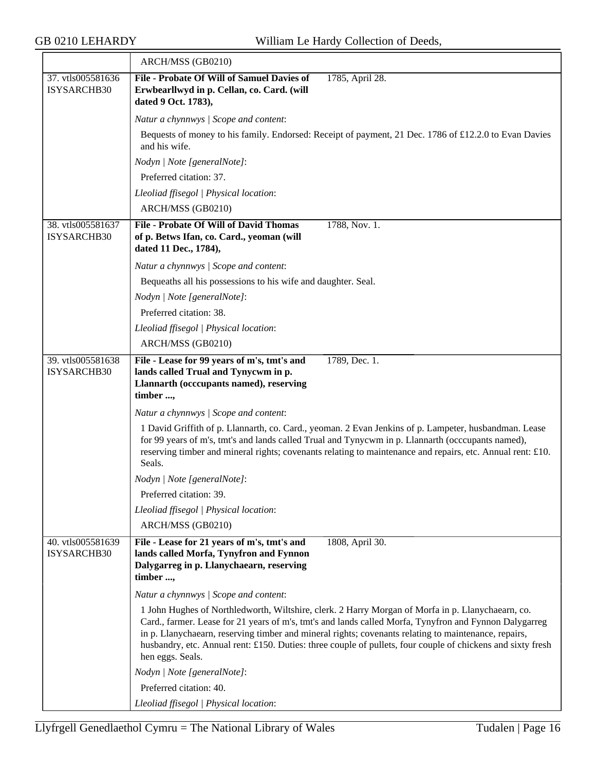|                                  | ARCH/MSS (GB0210)                                                                                                                                                                                                                                                                                                                                                                                                                                      |
|----------------------------------|--------------------------------------------------------------------------------------------------------------------------------------------------------------------------------------------------------------------------------------------------------------------------------------------------------------------------------------------------------------------------------------------------------------------------------------------------------|
| 37. vtls005581636<br>ISYSARCHB30 | File - Probate Of Will of Samuel Davies of<br>1785, April 28.<br>Erwbearllwyd in p. Cellan, co. Card. (will<br>dated 9 Oct. 1783),                                                                                                                                                                                                                                                                                                                     |
|                                  | Natur a chynnwys / Scope and content:                                                                                                                                                                                                                                                                                                                                                                                                                  |
|                                  | Bequests of money to his family. Endorsed: Receipt of payment, 21 Dec. 1786 of £12.2.0 to Evan Davies<br>and his wife.                                                                                                                                                                                                                                                                                                                                 |
|                                  | Nodyn   Note [generalNote]:                                                                                                                                                                                                                                                                                                                                                                                                                            |
|                                  | Preferred citation: 37.                                                                                                                                                                                                                                                                                                                                                                                                                                |
|                                  | Lleoliad ffisegol   Physical location:                                                                                                                                                                                                                                                                                                                                                                                                                 |
|                                  | ARCH/MSS (GB0210)                                                                                                                                                                                                                                                                                                                                                                                                                                      |
| 38. vtls005581637<br>ISYSARCHB30 | <b>File - Probate Of Will of David Thomas</b><br>1788, Nov. 1.<br>of p. Betws Ifan, co. Card., yeoman (will<br>dated 11 Dec., 1784),                                                                                                                                                                                                                                                                                                                   |
|                                  | Natur a chynnwys / Scope and content:                                                                                                                                                                                                                                                                                                                                                                                                                  |
|                                  | Bequeaths all his possessions to his wife and daughter. Seal.                                                                                                                                                                                                                                                                                                                                                                                          |
|                                  | Nodyn   Note [generalNote]:                                                                                                                                                                                                                                                                                                                                                                                                                            |
|                                  | Preferred citation: 38.                                                                                                                                                                                                                                                                                                                                                                                                                                |
|                                  | Lleoliad ffisegol   Physical location:                                                                                                                                                                                                                                                                                                                                                                                                                 |
|                                  | ARCH/MSS (GB0210)                                                                                                                                                                                                                                                                                                                                                                                                                                      |
| 39. vtls005581638<br>ISYSARCHB30 | 1789, Dec. 1.<br>File - Lease for 99 years of m's, tmt's and<br>lands called Trual and Tynycwm in p.<br>Llannarth (occcupants named), reserving<br>timber ,                                                                                                                                                                                                                                                                                            |
|                                  | Natur a chynnwys / Scope and content:                                                                                                                                                                                                                                                                                                                                                                                                                  |
|                                  | 1 David Griffith of p. Llannarth, co. Card., yeoman. 2 Evan Jenkins of p. Lampeter, husbandman. Lease<br>for 99 years of m's, tmt's and lands called Trual and Tynycwm in p. Llannarth (occcupants named),<br>reserving timber and mineral rights; covenants relating to maintenance and repairs, etc. Annual rent: £10.<br>Seals.                                                                                                                     |
|                                  | Nodyn   Note [generalNote]:                                                                                                                                                                                                                                                                                                                                                                                                                            |
|                                  | Preferred citation: 39.                                                                                                                                                                                                                                                                                                                                                                                                                                |
|                                  | Lleoliad ffisegol   Physical location:                                                                                                                                                                                                                                                                                                                                                                                                                 |
|                                  | ARCH/MSS (GB0210)                                                                                                                                                                                                                                                                                                                                                                                                                                      |
| 40. vtls005581639<br>ISYSARCHB30 | 1808, April 30.<br>File - Lease for 21 years of m's, tmt's and<br>lands called Morfa, Tynyfron and Fynnon<br>Dalygarreg in p. Llanychaearn, reserving<br>timber ,                                                                                                                                                                                                                                                                                      |
|                                  | Natur a chynnwys / Scope and content:                                                                                                                                                                                                                                                                                                                                                                                                                  |
|                                  | 1 John Hughes of Northledworth, Wiltshire, clerk. 2 Harry Morgan of Morfa in p. Llanychaearn, co.<br>Card., farmer. Lease for 21 years of m's, tmt's and lands called Morfa, Tynyfron and Fynnon Dalygarreg<br>in p. Llanychaearn, reserving timber and mineral rights; covenants relating to maintenance, repairs,<br>husbandry, etc. Annual rent: £150. Duties: three couple of pullets, four couple of chickens and sixty fresh<br>hen eggs. Seals. |
|                                  | Nodyn   Note [generalNote]:                                                                                                                                                                                                                                                                                                                                                                                                                            |
|                                  | Preferred citation: 40.                                                                                                                                                                                                                                                                                                                                                                                                                                |
|                                  | Lleoliad ffisegol   Physical location:                                                                                                                                                                                                                                                                                                                                                                                                                 |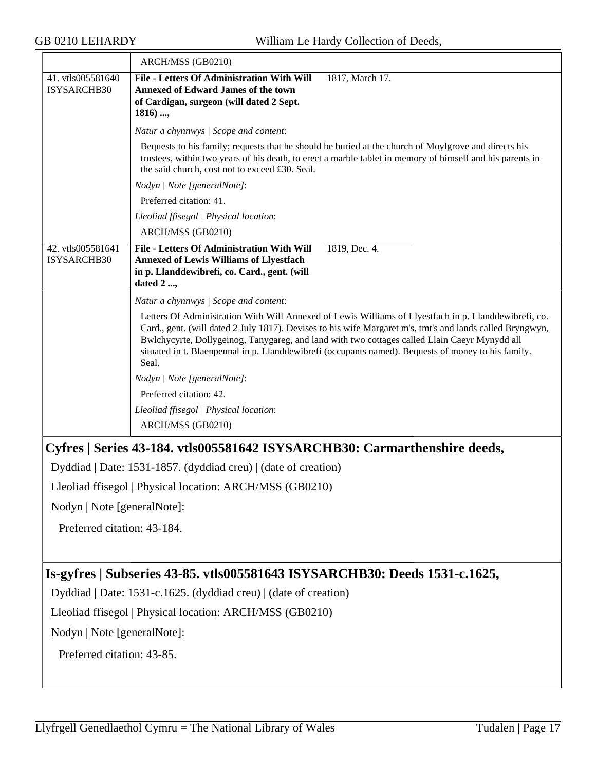<span id="page-16-1"></span><span id="page-16-0"></span>

|                                  | ARCH/MSS (GB0210)                                                                                                                                                                                                                                                                                                                                                                                                                   |
|----------------------------------|-------------------------------------------------------------------------------------------------------------------------------------------------------------------------------------------------------------------------------------------------------------------------------------------------------------------------------------------------------------------------------------------------------------------------------------|
| 41. vtls005581640<br>ISYSARCHB30 | <b>File - Letters Of Administration With Will</b><br>1817, March 17.<br><b>Annexed of Edward James of the town</b><br>of Cardigan, surgeon (will dated 2 Sept.<br>$1816)$ ,                                                                                                                                                                                                                                                         |
|                                  | Natur a chynnwys / Scope and content:                                                                                                                                                                                                                                                                                                                                                                                               |
|                                  | Bequests to his family; requests that he should be buried at the church of Moylgrove and directs his<br>trustees, within two years of his death, to erect a marble tablet in memory of himself and his parents in<br>the said church, cost not to exceed £30. Seal.                                                                                                                                                                 |
|                                  | Nodyn   Note [generalNote]:                                                                                                                                                                                                                                                                                                                                                                                                         |
|                                  | Preferred citation: 41.                                                                                                                                                                                                                                                                                                                                                                                                             |
|                                  | Lleoliad ffisegol   Physical location:                                                                                                                                                                                                                                                                                                                                                                                              |
|                                  | ARCH/MSS (GB0210)                                                                                                                                                                                                                                                                                                                                                                                                                   |
| 42. vtls005581641<br>ISYSARCHB30 | <b>File - Letters Of Administration With Will</b><br>1819, Dec. 4.<br><b>Annexed of Lewis Williams of Llyestfach</b><br>in p. Llanddewibrefi, co. Card., gent. (will<br>dated $2 \dots$                                                                                                                                                                                                                                             |
|                                  | Natur a chynnwys / Scope and content:                                                                                                                                                                                                                                                                                                                                                                                               |
|                                  | Letters Of Administration With Will Annexed of Lewis Williams of Llyestfach in p. Llanddewibrefi, co.<br>Card., gent. (will dated 2 July 1817). Devises to his wife Margaret m's, tmt's and lands called Bryngwyn,<br>Bwlchycyrte, Dollygeinog, Tanygareg, and land with two cottages called Llain Caeyr Mynydd all<br>situated in t. Blaenpennal in p. Llanddewibrefi (occupants named). Bequests of money to his family.<br>Seal. |
|                                  | Nodyn   Note [generalNote]:                                                                                                                                                                                                                                                                                                                                                                                                         |
|                                  | Preferred citation: 42.                                                                                                                                                                                                                                                                                                                                                                                                             |
|                                  | Lleoliad ffisegol   Physical location:                                                                                                                                                                                                                                                                                                                                                                                              |
|                                  | ARCH/MSS (GB0210)                                                                                                                                                                                                                                                                                                                                                                                                                   |
|                                  | Cyfres   Series 43-184. vtls005581642 ISYSARCHB30: Carmarthenshire deeds,                                                                                                                                                                                                                                                                                                                                                           |
|                                  | Dyddiad   Date: 1531-1857. (dyddiad creu)   (date of creation)                                                                                                                                                                                                                                                                                                                                                                      |
|                                  | Lleoliad ffisegol   Physical location: ARCH/MSS (GB0210)                                                                                                                                                                                                                                                                                                                                                                            |
| Nodyn   Note [generalNote]:      |                                                                                                                                                                                                                                                                                                                                                                                                                                     |
| Preferred citation: 43-184.      |                                                                                                                                                                                                                                                                                                                                                                                                                                     |
|                                  |                                                                                                                                                                                                                                                                                                                                                                                                                                     |
|                                  | Is-gyfres   Subseries 43-85. vtls005581643 ISYSARCHB30: Deeds 1531-c.1625,                                                                                                                                                                                                                                                                                                                                                          |
|                                  | Dyddiad   Date: 1531-c.1625. (dyddiad creu)   (date of creation)                                                                                                                                                                                                                                                                                                                                                                    |
|                                  | Lleoliad ffisegol   Physical location: ARCH/MSS (GB0210)                                                                                                                                                                                                                                                                                                                                                                            |
| Nodyn   Note [generalNote]:      |                                                                                                                                                                                                                                                                                                                                                                                                                                     |
| Preferred citation: 43-85.       |                                                                                                                                                                                                                                                                                                                                                                                                                                     |
|                                  |                                                                                                                                                                                                                                                                                                                                                                                                                                     |
|                                  |                                                                                                                                                                                                                                                                                                                                                                                                                                     |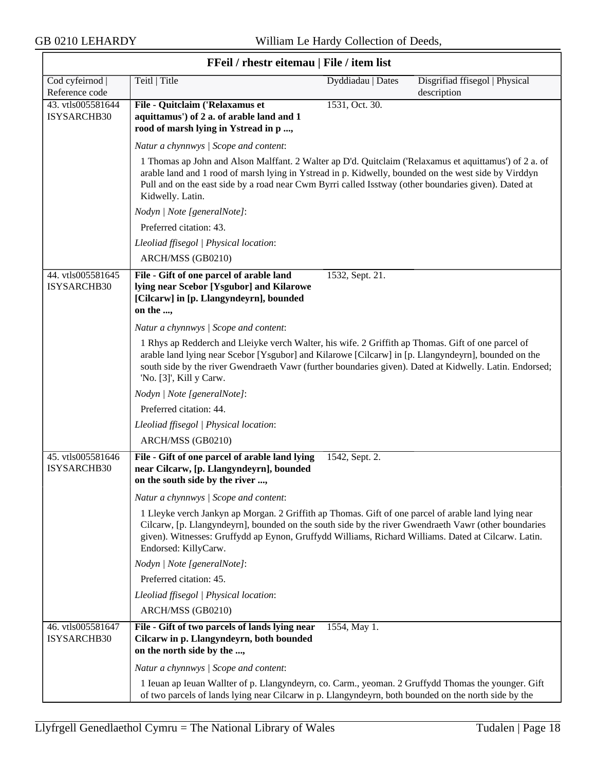| FFeil / rhestr eitemau   File / item list |                                                                                                                                                                                                                                                                                                                                                 |                   |                                               |
|-------------------------------------------|-------------------------------------------------------------------------------------------------------------------------------------------------------------------------------------------------------------------------------------------------------------------------------------------------------------------------------------------------|-------------------|-----------------------------------------------|
| Cod cyfeirnod<br>Reference code           | Teitl   Title                                                                                                                                                                                                                                                                                                                                   | Dyddiadau   Dates | Disgrifiad ffisegol   Physical<br>description |
| 43. vtls005581644<br>ISYSARCHB30          | File - Quitclaim ('Relaxamus et<br>aquittamus') of 2 a. of arable land and 1<br>rood of marsh lying in Ystread in p ,                                                                                                                                                                                                                           | 1531, Oct. 30.    |                                               |
|                                           | Natur a chynnwys / Scope and content:                                                                                                                                                                                                                                                                                                           |                   |                                               |
|                                           | 1 Thomas ap John and Alson Malffant. 2 Walter ap D'd. Quitclaim ('Relaxamus et aquittamus') of 2 a. of<br>arable land and 1 rood of marsh lying in Ystread in p. Kidwelly, bounded on the west side by Virddyn<br>Pull and on the east side by a road near Cwm Byrri called Isstway (other boundaries given). Dated at<br>Kidwelly. Latin.      |                   |                                               |
|                                           | Nodyn   Note [generalNote]:                                                                                                                                                                                                                                                                                                                     |                   |                                               |
|                                           | Preferred citation: 43.                                                                                                                                                                                                                                                                                                                         |                   |                                               |
|                                           | Lleoliad ffisegol   Physical location:                                                                                                                                                                                                                                                                                                          |                   |                                               |
|                                           | ARCH/MSS (GB0210)                                                                                                                                                                                                                                                                                                                               |                   |                                               |
| 44. vtls005581645<br>ISYSARCHB30          | File - Gift of one parcel of arable land<br>lying near Scebor [Ysgubor] and Kilarowe<br>[Cilcarw] in [p. Llangyndeyrn], bounded<br>on the ,                                                                                                                                                                                                     | 1532, Sept. 21.   |                                               |
|                                           | Natur a chynnwys / Scope and content:                                                                                                                                                                                                                                                                                                           |                   |                                               |
|                                           | 1 Rhys ap Redderch and Lleiyke verch Walter, his wife. 2 Griffith ap Thomas. Gift of one parcel of<br>arable land lying near Scebor [Ysgubor] and Kilarowe [Cilcarw] in [p. Llangyndeyrn], bounded on the<br>south side by the river Gwendraeth Vawr (further boundaries given). Dated at Kidwelly. Latin. Endorsed;<br>'No. [3]', Kill y Carw. |                   |                                               |
|                                           | Nodyn   Note [generalNote]:                                                                                                                                                                                                                                                                                                                     |                   |                                               |
|                                           | Preferred citation: 44.                                                                                                                                                                                                                                                                                                                         |                   |                                               |
|                                           | Lleoliad ffisegol   Physical location:                                                                                                                                                                                                                                                                                                          |                   |                                               |
|                                           | ARCH/MSS (GB0210)                                                                                                                                                                                                                                                                                                                               |                   |                                               |
| 45. vtls005581646<br>ISYSARCHB30          | File - Gift of one parcel of arable land lying<br>near Cilcarw, [p. Llangyndeyrn], bounded<br>on the south side by the river ,                                                                                                                                                                                                                  | 1542, Sept. 2.    |                                               |
|                                           | Natur a chynnwys / Scope and content:                                                                                                                                                                                                                                                                                                           |                   |                                               |
|                                           | 1 Lleyke verch Jankyn ap Morgan. 2 Griffith ap Thomas. Gift of one parcel of arable land lying near<br>Cilcarw, [p. Llangyndeyrn], bounded on the south side by the river Gwendraeth Vawr (other boundaries<br>given). Witnesses: Gruffydd ap Eynon, Gruffydd Williams, Richard Williams. Dated at Cilcarw. Latin.<br>Endorsed: KillyCarw.      |                   |                                               |
|                                           | Nodyn   Note [generalNote]:                                                                                                                                                                                                                                                                                                                     |                   |                                               |
|                                           | Preferred citation: 45.                                                                                                                                                                                                                                                                                                                         |                   |                                               |
|                                           | Lleoliad ffisegol   Physical location:                                                                                                                                                                                                                                                                                                          |                   |                                               |
|                                           | ARCH/MSS (GB0210)                                                                                                                                                                                                                                                                                                                               |                   |                                               |
| 46. vtls005581647<br>ISYSARCHB30          | File - Gift of two parcels of lands lying near<br>Cilcarw in p. Llangyndeyrn, both bounded<br>on the north side by the ,                                                                                                                                                                                                                        | 1554, May 1.      |                                               |
|                                           | Natur a chynnwys / Scope and content:                                                                                                                                                                                                                                                                                                           |                   |                                               |
|                                           | 1 Ieuan ap Ieuan Wallter of p. Llangyndeyrn, co. Carm., yeoman. 2 Gruffydd Thomas the younger. Gift<br>of two parcels of lands lying near Cilcarw in p. Llangyndeyrn, both bounded on the north side by the                                                                                                                                     |                   |                                               |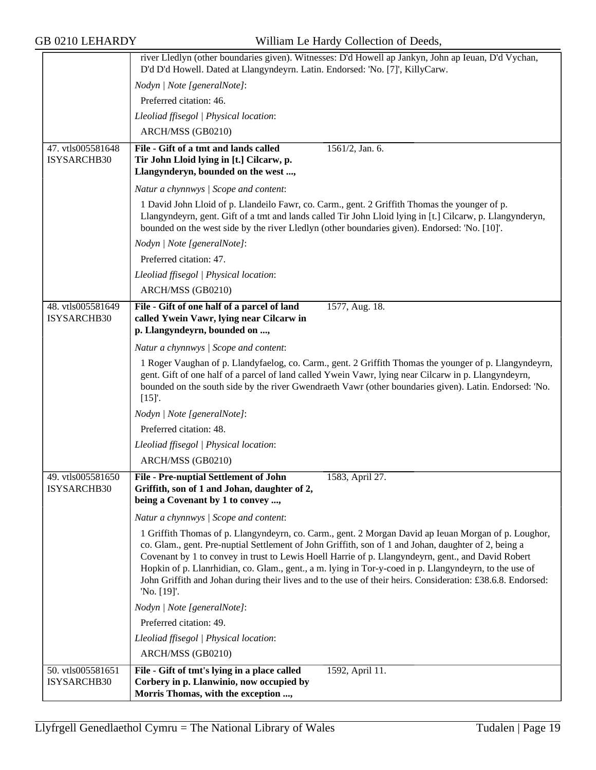|                                  | river Lledlyn (other boundaries given). Witnesses: D'd Howell ap Jankyn, John ap Ieuan, D'd Vychan,<br>D'd D'd Howell. Dated at Llangyndeyrn. Latin. Endorsed: 'No. [7]', KillyCarw.                                                                                                                                                                                                                                                                                                                                                                       |
|----------------------------------|------------------------------------------------------------------------------------------------------------------------------------------------------------------------------------------------------------------------------------------------------------------------------------------------------------------------------------------------------------------------------------------------------------------------------------------------------------------------------------------------------------------------------------------------------------|
|                                  | Nodyn   Note [generalNote]:                                                                                                                                                                                                                                                                                                                                                                                                                                                                                                                                |
|                                  | Preferred citation: 46.                                                                                                                                                                                                                                                                                                                                                                                                                                                                                                                                    |
|                                  | Lleoliad ffisegol   Physical location:                                                                                                                                                                                                                                                                                                                                                                                                                                                                                                                     |
|                                  | ARCH/MSS (GB0210)                                                                                                                                                                                                                                                                                                                                                                                                                                                                                                                                          |
| 47. vtls005581648                | File - Gift of a tmt and lands called<br>1561/2, Jan. 6.                                                                                                                                                                                                                                                                                                                                                                                                                                                                                                   |
| ISYSARCHB30                      | Tir John Lloid lying in [t.] Cilcarw, p.                                                                                                                                                                                                                                                                                                                                                                                                                                                                                                                   |
|                                  | Llangynderyn, bounded on the west,                                                                                                                                                                                                                                                                                                                                                                                                                                                                                                                         |
|                                  | Natur a chynnwys / Scope and content:                                                                                                                                                                                                                                                                                                                                                                                                                                                                                                                      |
|                                  | 1 David John Lloid of p. Llandeilo Fawr, co. Carm., gent. 2 Griffith Thomas the younger of p.<br>Llangyndeyrn, gent. Gift of a tmt and lands called Tir John Lloid lying in [t.] Cilcarw, p. Llangynderyn,<br>bounded on the west side by the river Lledlyn (other boundaries given). Endorsed: 'No. [10]'.                                                                                                                                                                                                                                                |
|                                  | Nodyn   Note [generalNote]:                                                                                                                                                                                                                                                                                                                                                                                                                                                                                                                                |
|                                  | Preferred citation: 47.                                                                                                                                                                                                                                                                                                                                                                                                                                                                                                                                    |
|                                  | Lleoliad ffisegol   Physical location:                                                                                                                                                                                                                                                                                                                                                                                                                                                                                                                     |
|                                  | ARCH/MSS (GB0210)                                                                                                                                                                                                                                                                                                                                                                                                                                                                                                                                          |
| 48. vtls005581649                | File - Gift of one half of a parcel of land<br>1577, Aug. 18.                                                                                                                                                                                                                                                                                                                                                                                                                                                                                              |
| ISYSARCHB30                      | called Ywein Vawr, lying near Cilcarw in<br>p. Llangyndeyrn, bounded on ,                                                                                                                                                                                                                                                                                                                                                                                                                                                                                  |
|                                  | Natur a chynnwys / Scope and content:                                                                                                                                                                                                                                                                                                                                                                                                                                                                                                                      |
|                                  | 1 Roger Vaughan of p. Llandyfaelog, co. Carm., gent. 2 Griffith Thomas the younger of p. Llangyndeyrn,<br>gent. Gift of one half of a parcel of land called Ywein Vawr, lying near Cilcarw in p. Llangyndeyrn,<br>bounded on the south side by the river Gwendraeth Vawr (other boundaries given). Latin. Endorsed: 'No.<br>[15]'.                                                                                                                                                                                                                         |
|                                  | Nodyn   Note [generalNote]:                                                                                                                                                                                                                                                                                                                                                                                                                                                                                                                                |
|                                  | Preferred citation: 48.                                                                                                                                                                                                                                                                                                                                                                                                                                                                                                                                    |
|                                  | Lleoliad ffisegol   Physical location:                                                                                                                                                                                                                                                                                                                                                                                                                                                                                                                     |
|                                  | ARCH/MSS (GB0210)                                                                                                                                                                                                                                                                                                                                                                                                                                                                                                                                          |
| 49. vtls005581650<br>ISYSARCHB30 | <b>File - Pre-nuptial Settlement of John</b><br>1583, April 27.<br>Griffith, son of 1 and Johan, daughter of 2,<br>being a Covenant by 1 to convey ,                                                                                                                                                                                                                                                                                                                                                                                                       |
|                                  | Natur a chynnwys / Scope and content:                                                                                                                                                                                                                                                                                                                                                                                                                                                                                                                      |
|                                  | 1 Griffith Thomas of p. Llangyndeyrn, co. Carm., gent. 2 Morgan David ap Ieuan Morgan of p. Loughor,<br>co. Glam., gent. Pre-nuptial Settlement of John Griffith, son of 1 and Johan, daughter of 2, being a<br>Covenant by 1 to convey in trust to Lewis Hoell Harrie of p. Llangyndeyrn, gent., and David Robert<br>Hopkin of p. Llanrhidian, co. Glam., gent., a m. lying in Tor-y-coed in p. Llangyndeyrn, to the use of<br>John Griffith and Johan during their lives and to the use of their heirs. Consideration: £38.6.8. Endorsed:<br>'No. [19]'. |
|                                  | Nodyn   Note [generalNote]:                                                                                                                                                                                                                                                                                                                                                                                                                                                                                                                                |
|                                  | Preferred citation: 49.                                                                                                                                                                                                                                                                                                                                                                                                                                                                                                                                    |
|                                  | Lleoliad ffisegol   Physical location:                                                                                                                                                                                                                                                                                                                                                                                                                                                                                                                     |
|                                  | ARCH/MSS (GB0210)                                                                                                                                                                                                                                                                                                                                                                                                                                                                                                                                          |
| 50. vtls005581651<br>ISYSARCHB30 | File - Gift of tmt's lying in a place called<br>1592, April 11.<br>Corbery in p. Llanwinio, now occupied by<br>Morris Thomas, with the exception ,                                                                                                                                                                                                                                                                                                                                                                                                         |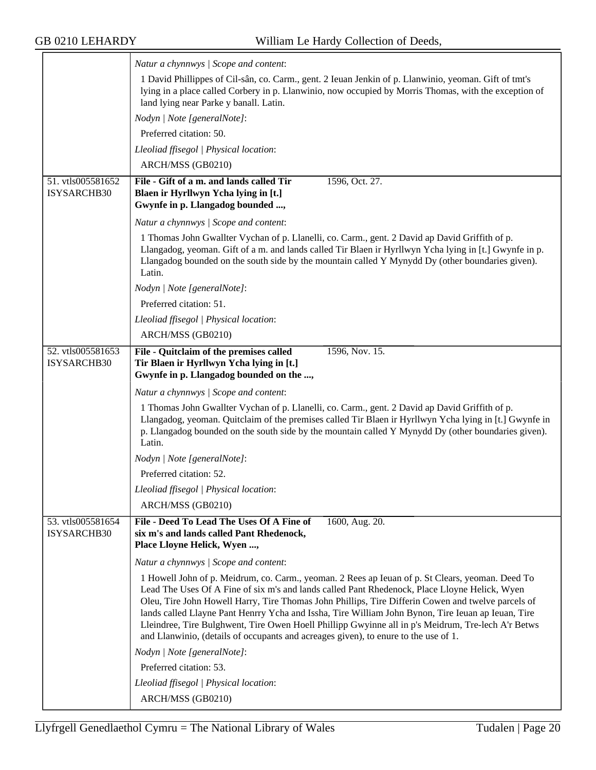|                                  | Natur a chynnwys / Scope and content:                                                                                                                                                                                                                                                                                                                                                                                                                                                                                                                                                                      |
|----------------------------------|------------------------------------------------------------------------------------------------------------------------------------------------------------------------------------------------------------------------------------------------------------------------------------------------------------------------------------------------------------------------------------------------------------------------------------------------------------------------------------------------------------------------------------------------------------------------------------------------------------|
|                                  | 1 David Phillippes of Cil-sân, co. Carm., gent. 2 Ieuan Jenkin of p. Llanwinio, yeoman. Gift of tmt's                                                                                                                                                                                                                                                                                                                                                                                                                                                                                                      |
|                                  | lying in a place called Corbery in p. Llanwinio, now occupied by Morris Thomas, with the exception of<br>land lying near Parke y banall. Latin.                                                                                                                                                                                                                                                                                                                                                                                                                                                            |
|                                  | Nodyn   Note [generalNote]:                                                                                                                                                                                                                                                                                                                                                                                                                                                                                                                                                                                |
|                                  | Preferred citation: 50.                                                                                                                                                                                                                                                                                                                                                                                                                                                                                                                                                                                    |
|                                  | Lleoliad ffisegol   Physical location:                                                                                                                                                                                                                                                                                                                                                                                                                                                                                                                                                                     |
|                                  | ARCH/MSS (GB0210)                                                                                                                                                                                                                                                                                                                                                                                                                                                                                                                                                                                          |
| 51. vtls005581652                | File - Gift of a m. and lands called Tir<br>1596, Oct. 27.                                                                                                                                                                                                                                                                                                                                                                                                                                                                                                                                                 |
| ISYSARCHB30                      | Blaen ir Hyrllwyn Ycha lying in [t.]<br>Gwynfe in p. Llangadog bounded ,                                                                                                                                                                                                                                                                                                                                                                                                                                                                                                                                   |
|                                  | Natur a chynnwys / Scope and content:                                                                                                                                                                                                                                                                                                                                                                                                                                                                                                                                                                      |
|                                  | 1 Thomas John Gwallter Vychan of p. Llanelli, co. Carm., gent. 2 David ap David Griffith of p.<br>Llangadog, yeoman. Gift of a m. and lands called Tir Blaen ir Hyrllwyn Ycha lying in [t.] Gwynfe in p.<br>Llangadog bounded on the south side by the mountain called Y Mynydd Dy (other boundaries given).<br>Latin.                                                                                                                                                                                                                                                                                     |
|                                  | Nodyn   Note [generalNote]:                                                                                                                                                                                                                                                                                                                                                                                                                                                                                                                                                                                |
|                                  | Preferred citation: 51.                                                                                                                                                                                                                                                                                                                                                                                                                                                                                                                                                                                    |
|                                  | Lleoliad ffisegol   Physical location:                                                                                                                                                                                                                                                                                                                                                                                                                                                                                                                                                                     |
|                                  | ARCH/MSS (GB0210)                                                                                                                                                                                                                                                                                                                                                                                                                                                                                                                                                                                          |
| 52. vtls005581653                | 1596, Nov. 15.<br>File - Quitclaim of the premises called                                                                                                                                                                                                                                                                                                                                                                                                                                                                                                                                                  |
| ISYSARCHB30                      | Tir Blaen ir Hyrllwyn Ycha lying in [t.]<br>Gwynfe in p. Llangadog bounded on the ,                                                                                                                                                                                                                                                                                                                                                                                                                                                                                                                        |
|                                  | Natur a chynnwys / Scope and content:                                                                                                                                                                                                                                                                                                                                                                                                                                                                                                                                                                      |
|                                  | 1 Thomas John Gwallter Vychan of p. Llanelli, co. Carm., gent. 2 David ap David Griffith of p.<br>Llangadog, yeoman. Quitclaim of the premises called Tir Blaen ir Hyrllwyn Ycha lying in [t.] Gwynfe in<br>p. Llangadog bounded on the south side by the mountain called Y Mynydd Dy (other boundaries given).<br>Latin.                                                                                                                                                                                                                                                                                  |
|                                  | Nodyn   Note [generalNote]:                                                                                                                                                                                                                                                                                                                                                                                                                                                                                                                                                                                |
|                                  | Preferred citation: 52.                                                                                                                                                                                                                                                                                                                                                                                                                                                                                                                                                                                    |
|                                  | Lleoliad ffisegol   Physical location:                                                                                                                                                                                                                                                                                                                                                                                                                                                                                                                                                                     |
|                                  | ARCH/MSS (GB0210)                                                                                                                                                                                                                                                                                                                                                                                                                                                                                                                                                                                          |
| 53. vtls005581654<br>ISYSARCHB30 | File - Deed To Lead The Uses Of A Fine of<br>1600, Aug. 20.<br>six m's and lands called Pant Rhedenock,<br>Place Lloyne Helick, Wyen ,                                                                                                                                                                                                                                                                                                                                                                                                                                                                     |
|                                  | Natur a chynnwys / Scope and content:                                                                                                                                                                                                                                                                                                                                                                                                                                                                                                                                                                      |
|                                  | 1 Howell John of p. Meidrum, co. Carm., yeoman. 2 Rees ap Ieuan of p. St Clears, yeoman. Deed To<br>Lead The Uses Of A Fine of six m's and lands called Pant Rhedenock, Place Lloyne Helick, Wyen<br>Oleu, Tire John Howell Harry, Tire Thomas John Phillips, Tire Differin Cowen and twelve parcels of<br>lands called Llayne Pant Henrry Ycha and Issha, Tire William John Bynon, Tire Ieuan ap Ieuan, Tire<br>Lleindree, Tire Bulghwent, Tire Owen Hoell Phillipp Gwyinne all in p's Meidrum, Tre-lech A'r Betws<br>and Llanwinio, (details of occupants and acreages given), to enure to the use of 1. |
|                                  | Nodyn   Note [generalNote]:                                                                                                                                                                                                                                                                                                                                                                                                                                                                                                                                                                                |
|                                  | Preferred citation: 53.                                                                                                                                                                                                                                                                                                                                                                                                                                                                                                                                                                                    |
|                                  | Lleoliad ffisegol   Physical location:                                                                                                                                                                                                                                                                                                                                                                                                                                                                                                                                                                     |
|                                  | ARCH/MSS (GB0210)                                                                                                                                                                                                                                                                                                                                                                                                                                                                                                                                                                                          |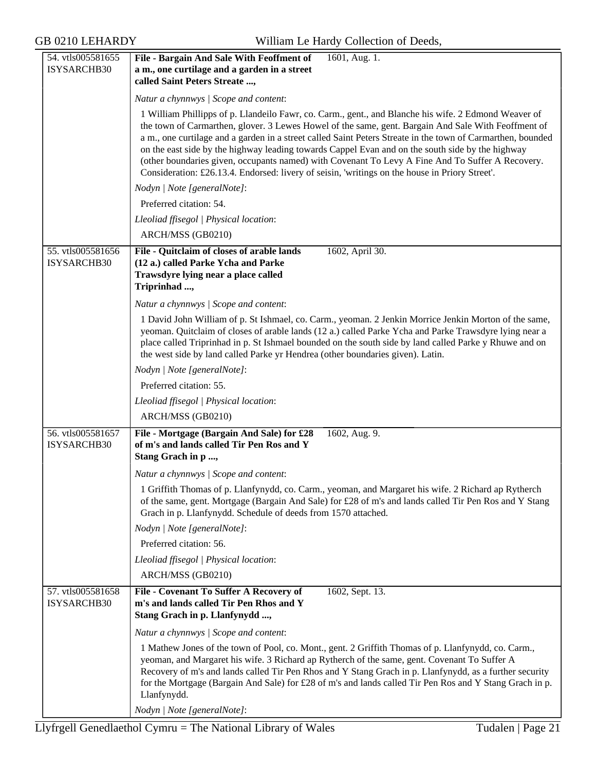| 54. vtls005581655<br>ISYSARCHB30 | File - Bargain And Sale With Feoffment of<br>1601, Aug. 1.<br>a m., one curtilage and a garden in a street<br>called Saint Peters Streate ,                                                                                                                                                                                                                                                                                                                                                                                                                                                                                          |
|----------------------------------|--------------------------------------------------------------------------------------------------------------------------------------------------------------------------------------------------------------------------------------------------------------------------------------------------------------------------------------------------------------------------------------------------------------------------------------------------------------------------------------------------------------------------------------------------------------------------------------------------------------------------------------|
|                                  | Natur a chynnwys / Scope and content:                                                                                                                                                                                                                                                                                                                                                                                                                                                                                                                                                                                                |
|                                  | 1 William Phillipps of p. Llandeilo Fawr, co. Carm., gent., and Blanche his wife. 2 Edmond Weaver of<br>the town of Carmarthen, glover. 3 Lewes Howel of the same, gent. Bargain And Sale With Feoffment of<br>a m., one curtilage and a garden in a street called Saint Peters Streate in the town of Carmarthen, bounded<br>on the east side by the highway leading towards Cappel Evan and on the south side by the highway<br>(other boundaries given, occupants named) with Covenant To Levy A Fine And To Suffer A Recovery.<br>Consideration: £26.13.4. Endorsed: livery of seisin, 'writings on the house in Priory Street'. |
|                                  | Nodyn   Note [generalNote]:                                                                                                                                                                                                                                                                                                                                                                                                                                                                                                                                                                                                          |
|                                  | Preferred citation: 54.                                                                                                                                                                                                                                                                                                                                                                                                                                                                                                                                                                                                              |
|                                  | Lleoliad ffisegol   Physical location:                                                                                                                                                                                                                                                                                                                                                                                                                                                                                                                                                                                               |
|                                  | ARCH/MSS (GB0210)                                                                                                                                                                                                                                                                                                                                                                                                                                                                                                                                                                                                                    |
| 55. vtls005581656<br>ISYSARCHB30 | File - Quitclaim of closes of arable lands<br>1602, April 30.<br>(12 a.) called Parke Ycha and Parke<br>Trawsdyre lying near a place called<br>Triprinhad ,                                                                                                                                                                                                                                                                                                                                                                                                                                                                          |
|                                  | Natur a chynnwys / Scope and content:                                                                                                                                                                                                                                                                                                                                                                                                                                                                                                                                                                                                |
|                                  | 1 David John William of p. St Ishmael, co. Carm., yeoman. 2 Jenkin Morrice Jenkin Morton of the same,<br>yeoman. Quitclaim of closes of arable lands (12 a.) called Parke Ycha and Parke Trawsdyre lying near a<br>place called Triprinhad in p. St Ishmael bounded on the south side by land called Parke y Rhuwe and on<br>the west side by land called Parke yr Hendrea (other boundaries given). Latin.                                                                                                                                                                                                                          |
|                                  | Nodyn   Note [generalNote]:                                                                                                                                                                                                                                                                                                                                                                                                                                                                                                                                                                                                          |
|                                  | Preferred citation: 55.                                                                                                                                                                                                                                                                                                                                                                                                                                                                                                                                                                                                              |
|                                  | Lleoliad ffisegol   Physical location:                                                                                                                                                                                                                                                                                                                                                                                                                                                                                                                                                                                               |
|                                  | ARCH/MSS (GB0210)                                                                                                                                                                                                                                                                                                                                                                                                                                                                                                                                                                                                                    |
| 56. vtls005581657<br>ISYSARCHB30 | File - Mortgage (Bargain And Sale) for £28<br>1602, Aug. 9.<br>of m's and lands called Tir Pen Ros and Y<br>Stang Grach in p,                                                                                                                                                                                                                                                                                                                                                                                                                                                                                                        |
|                                  | Natur a chynnwys / Scope and content:                                                                                                                                                                                                                                                                                                                                                                                                                                                                                                                                                                                                |
|                                  | 1 Griffith Thomas of p. Llanfynydd, co. Carm., yeoman, and Margaret his wife. 2 Richard ap Rytherch<br>of the same, gent. Mortgage (Bargain And Sale) for £28 of m's and lands called Tir Pen Ros and Y Stang<br>Grach in p. Llanfynydd. Schedule of deeds from 1570 attached.                                                                                                                                                                                                                                                                                                                                                       |
|                                  | Nodyn   Note [generalNote]:                                                                                                                                                                                                                                                                                                                                                                                                                                                                                                                                                                                                          |
|                                  | Preferred citation: 56.                                                                                                                                                                                                                                                                                                                                                                                                                                                                                                                                                                                                              |
|                                  | Lleoliad ffisegol   Physical location:                                                                                                                                                                                                                                                                                                                                                                                                                                                                                                                                                                                               |
|                                  | ARCH/MSS (GB0210)                                                                                                                                                                                                                                                                                                                                                                                                                                                                                                                                                                                                                    |
| 57. vtls005581658<br>ISYSARCHB30 | 1602, Sept. 13.<br>File - Covenant To Suffer A Recovery of<br>m's and lands called Tir Pen Rhos and Y<br>Stang Grach in p. Llanfynydd ,                                                                                                                                                                                                                                                                                                                                                                                                                                                                                              |
|                                  | Natur a chynnwys / Scope and content:                                                                                                                                                                                                                                                                                                                                                                                                                                                                                                                                                                                                |
|                                  | 1 Mathew Jones of the town of Pool, co. Mont., gent. 2 Griffith Thomas of p. Llanfynydd, co. Carm.,<br>yeoman, and Margaret his wife. 3 Richard ap Rytherch of the same, gent. Covenant To Suffer A<br>Recovery of m's and lands called Tir Pen Rhos and Y Stang Grach in p. Llanfynydd, as a further security<br>for the Mortgage (Bargain And Sale) for £28 of m's and lands called Tir Pen Ros and Y Stang Grach in p.<br>Llanfynydd.<br>Nodyn   Note [generalNote]:                                                                                                                                                              |
|                                  |                                                                                                                                                                                                                                                                                                                                                                                                                                                                                                                                                                                                                                      |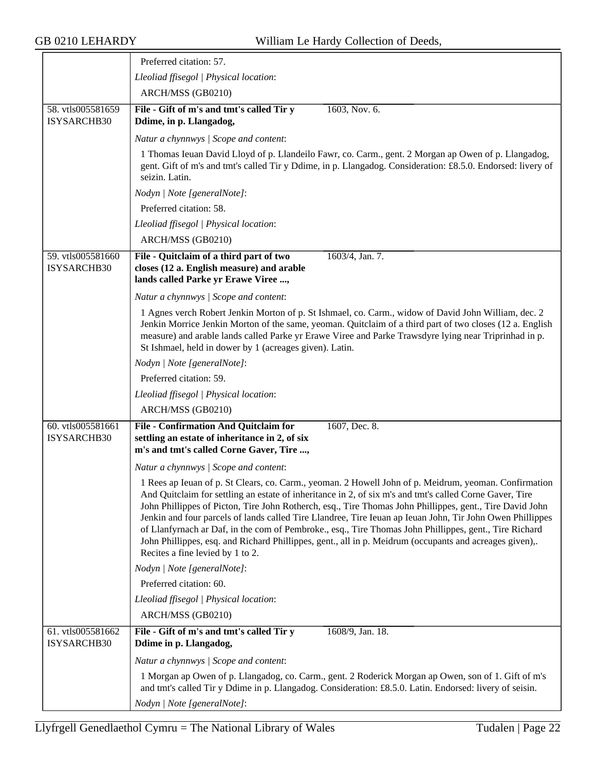|                                  | Preferred citation: 57.                                                                                                                                                                                                                                                                                                                                                                                                                                                                                                                                                                                                                                                                            |
|----------------------------------|----------------------------------------------------------------------------------------------------------------------------------------------------------------------------------------------------------------------------------------------------------------------------------------------------------------------------------------------------------------------------------------------------------------------------------------------------------------------------------------------------------------------------------------------------------------------------------------------------------------------------------------------------------------------------------------------------|
|                                  | Lleoliad ffisegol   Physical location:                                                                                                                                                                                                                                                                                                                                                                                                                                                                                                                                                                                                                                                             |
|                                  | ARCH/MSS (GB0210)                                                                                                                                                                                                                                                                                                                                                                                                                                                                                                                                                                                                                                                                                  |
| 58. vtls005581659<br>ISYSARCHB30 | File - Gift of m's and tmt's called Tir y<br>1603, Nov. 6.<br>Ddime, in p. Llangadog,                                                                                                                                                                                                                                                                                                                                                                                                                                                                                                                                                                                                              |
|                                  | Natur a chynnwys / Scope and content:                                                                                                                                                                                                                                                                                                                                                                                                                                                                                                                                                                                                                                                              |
|                                  | 1 Thomas Ieuan David Lloyd of p. Llandeilo Fawr, co. Carm., gent. 2 Morgan ap Owen of p. Llangadog,<br>gent. Gift of m's and tmt's called Tir y Ddime, in p. Llangadog. Consideration: £8.5.0. Endorsed: livery of<br>seizin. Latin.                                                                                                                                                                                                                                                                                                                                                                                                                                                               |
|                                  | Nodyn   Note [generalNote]:                                                                                                                                                                                                                                                                                                                                                                                                                                                                                                                                                                                                                                                                        |
|                                  | Preferred citation: 58.                                                                                                                                                                                                                                                                                                                                                                                                                                                                                                                                                                                                                                                                            |
|                                  | Lleoliad ffisegol   Physical location:                                                                                                                                                                                                                                                                                                                                                                                                                                                                                                                                                                                                                                                             |
|                                  | ARCH/MSS (GB0210)                                                                                                                                                                                                                                                                                                                                                                                                                                                                                                                                                                                                                                                                                  |
| 59. vtls005581660<br>ISYSARCHB30 | 1603/4, Jan. 7.<br>File - Quitclaim of a third part of two<br>closes (12 a. English measure) and arable<br>lands called Parke yr Erawe Viree ,                                                                                                                                                                                                                                                                                                                                                                                                                                                                                                                                                     |
|                                  | Natur a chynnwys / Scope and content:                                                                                                                                                                                                                                                                                                                                                                                                                                                                                                                                                                                                                                                              |
|                                  | 1 Agnes verch Robert Jenkin Morton of p. St Ishmael, co. Carm., widow of David John William, dec. 2<br>Jenkin Morrice Jenkin Morton of the same, yeoman. Quitclaim of a third part of two closes (12 a. English<br>measure) and arable lands called Parke yr Erawe Viree and Parke Trawsdyre lying near Triprinhad in p.<br>St Ishmael, held in dower by 1 (acreages given). Latin.                                                                                                                                                                                                                                                                                                                |
|                                  | Nodyn   Note [generalNote]:                                                                                                                                                                                                                                                                                                                                                                                                                                                                                                                                                                                                                                                                        |
|                                  | Preferred citation: 59.                                                                                                                                                                                                                                                                                                                                                                                                                                                                                                                                                                                                                                                                            |
|                                  | Lleoliad ffisegol   Physical location:                                                                                                                                                                                                                                                                                                                                                                                                                                                                                                                                                                                                                                                             |
|                                  | ARCH/MSS (GB0210)                                                                                                                                                                                                                                                                                                                                                                                                                                                                                                                                                                                                                                                                                  |
| 60. vtls005581661<br>ISYSARCHB30 | File - Confirmation And Quitclaim for<br>1607, Dec. 8.<br>settling an estate of inheritance in 2, of six<br>m's and tmt's called Corne Gaver, Tire ,                                                                                                                                                                                                                                                                                                                                                                                                                                                                                                                                               |
|                                  | Natur a chynnwys / Scope and content:                                                                                                                                                                                                                                                                                                                                                                                                                                                                                                                                                                                                                                                              |
|                                  | 1 Rees ap Ieuan of p. St Clears, co. Carm., yeoman. 2 Howell John of p. Meidrum, yeoman. Confirmation<br>And Quitclaim for settling an estate of inheritance in 2, of six m's and tmt's called Corne Gaver, Tire<br>John Phillippes of Picton, Tire John Rotherch, esq., Tire Thomas John Phillippes, gent., Tire David John<br>Jenkin and four parcels of lands called Tire Llandree, Tire Ieuan ap Ieuan John, Tir John Owen Phillippes<br>of Llanfyrnach ar Daf, in the com of Pembroke., esq., Tire Thomas John Phillippes, gent., Tire Richard<br>John Phillippes, esq. and Richard Phillippes, gent., all in p. Meidrum (occupants and acreages given),.<br>Recites a fine levied by 1 to 2. |
|                                  | Nodyn   Note [generalNote]:                                                                                                                                                                                                                                                                                                                                                                                                                                                                                                                                                                                                                                                                        |
|                                  | Preferred citation: 60.                                                                                                                                                                                                                                                                                                                                                                                                                                                                                                                                                                                                                                                                            |
|                                  | Lleoliad ffisegol   Physical location:                                                                                                                                                                                                                                                                                                                                                                                                                                                                                                                                                                                                                                                             |
|                                  | ARCH/MSS (GB0210)                                                                                                                                                                                                                                                                                                                                                                                                                                                                                                                                                                                                                                                                                  |
| 61. vtls005581662<br>ISYSARCHB30 | File - Gift of m's and tmt's called Tir y<br>1608/9, Jan. 18.<br>Ddime in p. Llangadog,                                                                                                                                                                                                                                                                                                                                                                                                                                                                                                                                                                                                            |
|                                  | Natur a chynnwys / Scope and content:                                                                                                                                                                                                                                                                                                                                                                                                                                                                                                                                                                                                                                                              |
|                                  | 1 Morgan ap Owen of p. Llangadog, co. Carm., gent. 2 Roderick Morgan ap Owen, son of 1. Gift of m's<br>and tmt's called Tir y Ddime in p. Llangadog. Consideration: £8.5.0. Latin. Endorsed: livery of seisin.                                                                                                                                                                                                                                                                                                                                                                                                                                                                                     |
|                                  | Nodyn   Note [generalNote]:                                                                                                                                                                                                                                                                                                                                                                                                                                                                                                                                                                                                                                                                        |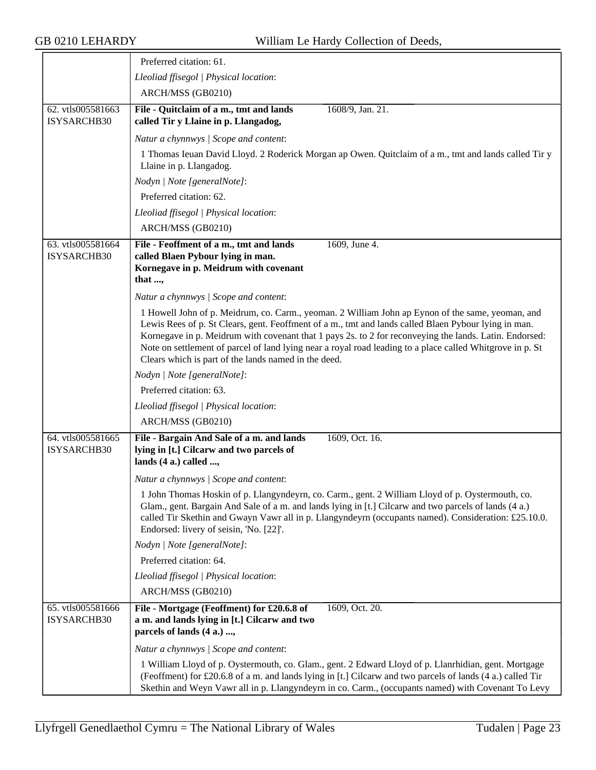|                                  | Preferred citation: 61.                                                                                                                                                                                                                                                                                                                                                                                                                                                                 |
|----------------------------------|-----------------------------------------------------------------------------------------------------------------------------------------------------------------------------------------------------------------------------------------------------------------------------------------------------------------------------------------------------------------------------------------------------------------------------------------------------------------------------------------|
|                                  | Lleoliad ffisegol   Physical location:                                                                                                                                                                                                                                                                                                                                                                                                                                                  |
|                                  | ARCH/MSS (GB0210)                                                                                                                                                                                                                                                                                                                                                                                                                                                                       |
| 62. vtls005581663<br>ISYSARCHB30 | File - Quitclaim of a m., tmt and lands<br>1608/9, Jan. 21.<br>called Tir y Llaine in p. Llangadog,                                                                                                                                                                                                                                                                                                                                                                                     |
|                                  | Natur a chynnwys / Scope and content:                                                                                                                                                                                                                                                                                                                                                                                                                                                   |
|                                  | 1 Thomas Ieuan David Lloyd. 2 Roderick Morgan ap Owen. Quitclaim of a m., tmt and lands called Tir y<br>Llaine in p. Llangadog.                                                                                                                                                                                                                                                                                                                                                         |
|                                  | Nodyn   Note [generalNote]:                                                                                                                                                                                                                                                                                                                                                                                                                                                             |
|                                  | Preferred citation: 62.                                                                                                                                                                                                                                                                                                                                                                                                                                                                 |
|                                  | Lleoliad ffisegol   Physical location:                                                                                                                                                                                                                                                                                                                                                                                                                                                  |
|                                  | ARCH/MSS (GB0210)                                                                                                                                                                                                                                                                                                                                                                                                                                                                       |
| 63. vtls005581664<br>ISYSARCHB30 | File - Feoffment of a m., tmt and lands<br>1609, June 4.<br>called Blaen Pybour lying in man.<br>Kornegave in p. Meidrum with covenant<br>that ,                                                                                                                                                                                                                                                                                                                                        |
|                                  | Natur a chynnwys / Scope and content:                                                                                                                                                                                                                                                                                                                                                                                                                                                   |
|                                  | 1 Howell John of p. Meidrum, co. Carm., yeoman. 2 William John ap Eynon of the same, yeoman, and<br>Lewis Rees of p. St Clears, gent. Feoffment of a m., tmt and lands called Blaen Pybour lying in man.<br>Kornegave in p. Meidrum with covenant that 1 pays 2s. to 2 for reconveying the lands. Latin. Endorsed:<br>Note on settlement of parcel of land lying near a royal road leading to a place called Whitgrove in p. St<br>Clears which is part of the lands named in the deed. |
|                                  | Nodyn   Note [generalNote]:                                                                                                                                                                                                                                                                                                                                                                                                                                                             |
|                                  | Preferred citation: 63.                                                                                                                                                                                                                                                                                                                                                                                                                                                                 |
|                                  | Lleoliad ffisegol   Physical location:                                                                                                                                                                                                                                                                                                                                                                                                                                                  |
|                                  | ARCH/MSS (GB0210)                                                                                                                                                                                                                                                                                                                                                                                                                                                                       |
| 64. vtls005581665<br>ISYSARCHB30 | File - Bargain And Sale of a m. and lands<br>1609, Oct. 16.<br>lying in [t.] Cilcarw and two parcels of<br>lands (4 a.) called ,                                                                                                                                                                                                                                                                                                                                                        |
|                                  | Natur a chynnwys / Scope and content:                                                                                                                                                                                                                                                                                                                                                                                                                                                   |
|                                  | 1 John Thomas Hoskin of p. Llangyndeyrn, co. Carm., gent. 2 William Lloyd of p. Oystermouth, co.<br>Glam., gent. Bargain And Sale of a m. and lands lying in [t.] Cilcarw and two parcels of lands (4 a.)<br>called Tir Skethin and Gwayn Vawr all in p. Llangyndeyrn (occupants named). Consideration: £25.10.0.<br>Endorsed: livery of seisin, 'No. [22]'.                                                                                                                            |
|                                  | Nodyn   Note [generalNote]:                                                                                                                                                                                                                                                                                                                                                                                                                                                             |
|                                  | Preferred citation: 64.                                                                                                                                                                                                                                                                                                                                                                                                                                                                 |
|                                  | Lleoliad ffisegol   Physical location:                                                                                                                                                                                                                                                                                                                                                                                                                                                  |
|                                  | ARCH/MSS (GB0210)                                                                                                                                                                                                                                                                                                                                                                                                                                                                       |
| 65. vtls005581666<br>ISYSARCHB30 | File - Mortgage (Feoffment) for £20.6.8 of<br>1609, Oct. 20.<br>a m. and lands lying in [t.] Cilcarw and two<br>parcels of lands (4 a.) ,                                                                                                                                                                                                                                                                                                                                               |
|                                  | Natur a chynnwys / Scope and content:                                                                                                                                                                                                                                                                                                                                                                                                                                                   |
|                                  | 1 William Lloyd of p. Oystermouth, co. Glam., gent. 2 Edward Lloyd of p. Llanrhidian, gent. Mortgage<br>(Feoffment) for £20.6.8 of a m. and lands lying in [t.] Cilcarw and two parcels of lands (4 a.) called Tir<br>Skethin and Weyn Vawr all in p. Llangyndeyrn in co. Carm., (occupants named) with Covenant To Levy                                                                                                                                                                |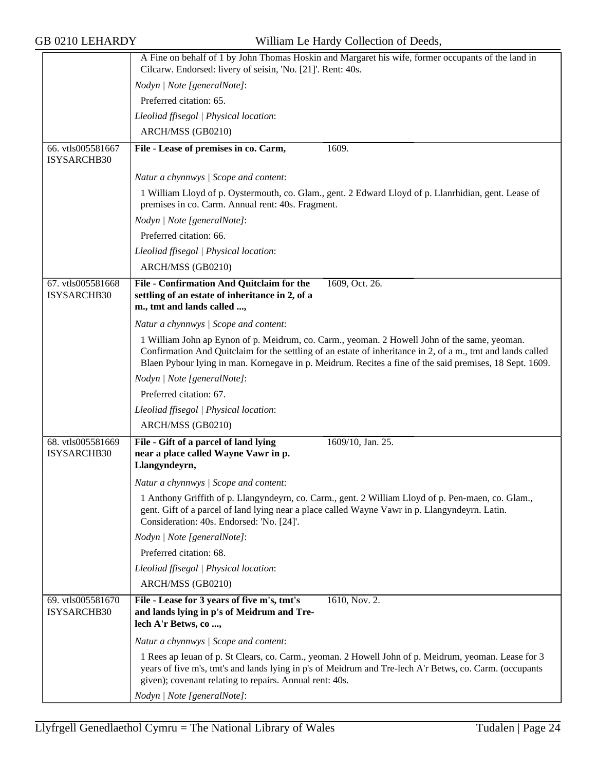|                                  | A Fine on behalf of 1 by John Thomas Hoskin and Margaret his wife, former occupants of the land in<br>Cilcarw. Endorsed: livery of seisin, 'No. [21]'. Rent: 40s.                                                                                                                                                      |
|----------------------------------|------------------------------------------------------------------------------------------------------------------------------------------------------------------------------------------------------------------------------------------------------------------------------------------------------------------------|
|                                  | Nodyn   Note [generalNote]:                                                                                                                                                                                                                                                                                            |
|                                  | Preferred citation: 65.                                                                                                                                                                                                                                                                                                |
|                                  | Lleoliad ffisegol   Physical location:                                                                                                                                                                                                                                                                                 |
|                                  | ARCH/MSS (GB0210)                                                                                                                                                                                                                                                                                                      |
|                                  |                                                                                                                                                                                                                                                                                                                        |
| 66. vtls005581667<br>ISYSARCHB30 | 1609.<br>File - Lease of premises in co. Carm,                                                                                                                                                                                                                                                                         |
|                                  | Natur a chynnwys / Scope and content:                                                                                                                                                                                                                                                                                  |
|                                  | 1 William Lloyd of p. Oystermouth, co. Glam., gent. 2 Edward Lloyd of p. Llanrhidian, gent. Lease of                                                                                                                                                                                                                   |
|                                  | premises in co. Carm. Annual rent: 40s. Fragment.                                                                                                                                                                                                                                                                      |
|                                  | Nodyn   Note [generalNote]:                                                                                                                                                                                                                                                                                            |
|                                  | Preferred citation: 66.                                                                                                                                                                                                                                                                                                |
|                                  | Lleoliad ffisegol   Physical location:                                                                                                                                                                                                                                                                                 |
|                                  | ARCH/MSS (GB0210)                                                                                                                                                                                                                                                                                                      |
| 67. vtls005581668                | File - Confirmation And Quitclaim for the<br>1609, Oct. 26.                                                                                                                                                                                                                                                            |
| ISYSARCHB30                      | settling of an estate of inheritance in 2, of a<br>m., tmt and lands called ,                                                                                                                                                                                                                                          |
|                                  |                                                                                                                                                                                                                                                                                                                        |
|                                  | Natur a chynnwys / Scope and content:                                                                                                                                                                                                                                                                                  |
|                                  | 1 William John ap Eynon of p. Meidrum, co. Carm., yeoman. 2 Howell John of the same, yeoman.<br>Confirmation And Quitclaim for the settling of an estate of inheritance in 2, of a m., tmt and lands called<br>Blaen Pybour lying in man. Kornegave in p. Meidrum. Recites a fine of the said premises, 18 Sept. 1609. |
|                                  | Nodyn   Note [generalNote]:                                                                                                                                                                                                                                                                                            |
|                                  | Preferred citation: 67.                                                                                                                                                                                                                                                                                                |
|                                  | Lleoliad ffisegol   Physical location:                                                                                                                                                                                                                                                                                 |
|                                  | ARCH/MSS (GB0210)                                                                                                                                                                                                                                                                                                      |
| 68. vtls005581669                | File - Gift of a parcel of land lying<br>1609/10, Jan. 25.                                                                                                                                                                                                                                                             |
| ISYSARCHB30                      | near a place called Wayne Vawr in p.<br>Llangyndeyrn,                                                                                                                                                                                                                                                                  |
|                                  | Natur a chynnwys / Scope and content:                                                                                                                                                                                                                                                                                  |
|                                  | 1 Anthony Griffith of p. Llangyndeyrn, co. Carm., gent. 2 William Lloyd of p. Pen-maen, co. Glam.,<br>gent. Gift of a parcel of land lying near a place called Wayne Vawr in p. Llangyndeyrn. Latin.<br>Consideration: 40s. Endorsed: 'No. [24]'.                                                                      |
|                                  | Nodyn   Note [generalNote]:                                                                                                                                                                                                                                                                                            |
|                                  | Preferred citation: 68.                                                                                                                                                                                                                                                                                                |
|                                  | Lleoliad ffisegol   Physical location:                                                                                                                                                                                                                                                                                 |
|                                  | ARCH/MSS (GB0210)                                                                                                                                                                                                                                                                                                      |
| 69. vtls005581670<br>ISYSARCHB30 | 1610, Nov. 2.<br>File - Lease for 3 years of five m's, tmt's<br>and lands lying in p's of Meidrum and Tre-<br>lech A'r Betws, co ,                                                                                                                                                                                     |
|                                  | Natur a chynnwys / Scope and content:                                                                                                                                                                                                                                                                                  |
|                                  | 1 Rees ap Ieuan of p. St Clears, co. Carm., yeoman. 2 Howell John of p. Meidrum, yeoman. Lease for 3<br>years of five m's, tmt's and lands lying in p's of Meidrum and Tre-lech A'r Betws, co. Carm. (occupants<br>given); covenant relating to repairs. Annual rent: 40s.                                             |
|                                  | Nodyn   Note [generalNote]:                                                                                                                                                                                                                                                                                            |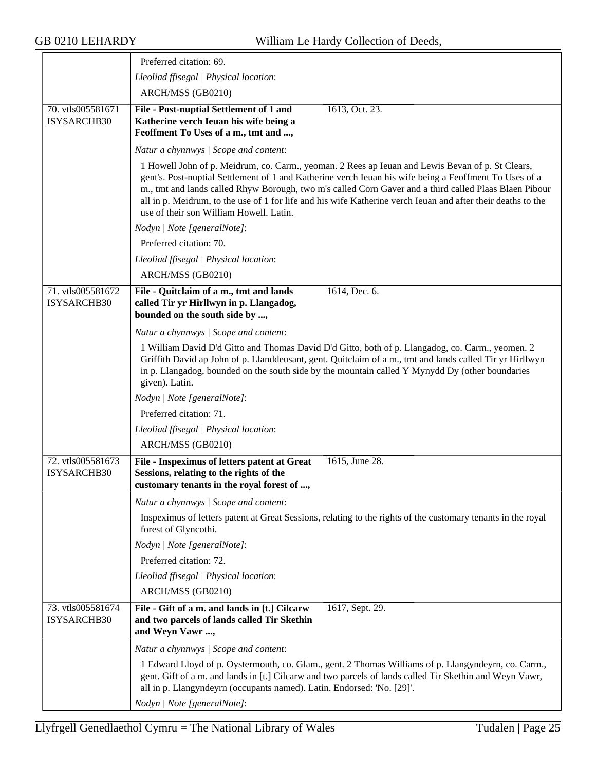≂

|                                  | Preferred citation: 69.                                                                                                                                                                                                                                                                                                                                                                                                                                                         |
|----------------------------------|---------------------------------------------------------------------------------------------------------------------------------------------------------------------------------------------------------------------------------------------------------------------------------------------------------------------------------------------------------------------------------------------------------------------------------------------------------------------------------|
|                                  | Lleoliad ffisegol   Physical location:                                                                                                                                                                                                                                                                                                                                                                                                                                          |
|                                  | ARCH/MSS (GB0210)                                                                                                                                                                                                                                                                                                                                                                                                                                                               |
| 70. vtls005581671<br>ISYSARCHB30 | File - Post-nuptial Settlement of 1 and<br>1613, Oct. 23.<br>Katherine verch Ieuan his wife being a<br>Feoffment To Uses of a m., tmt and ,                                                                                                                                                                                                                                                                                                                                     |
|                                  | Natur a chynnwys / Scope and content:                                                                                                                                                                                                                                                                                                                                                                                                                                           |
|                                  | 1 Howell John of p. Meidrum, co. Carm., yeoman. 2 Rees ap Ieuan and Lewis Bevan of p. St Clears,<br>gent's. Post-nuptial Settlement of 1 and Katherine verch Ieuan his wife being a Feoffment To Uses of a<br>m., tmt and lands called Rhyw Borough, two m's called Corn Gaver and a third called Plaas Blaen Pibour<br>all in p. Meidrum, to the use of 1 for life and his wife Katherine verch Ieuan and after their deaths to the<br>use of their son William Howell. Latin. |
|                                  | Nodyn   Note [generalNote]:                                                                                                                                                                                                                                                                                                                                                                                                                                                     |
|                                  | Preferred citation: 70.                                                                                                                                                                                                                                                                                                                                                                                                                                                         |
|                                  | Lleoliad ffisegol   Physical location:                                                                                                                                                                                                                                                                                                                                                                                                                                          |
|                                  | ARCH/MSS (GB0210)                                                                                                                                                                                                                                                                                                                                                                                                                                                               |
| 71. vtls005581672<br>ISYSARCHB30 | 1614, Dec. 6.<br>File - Quitclaim of a m., tmt and lands<br>called Tir yr Hirllwyn in p. Llangadog,<br>bounded on the south side by ,                                                                                                                                                                                                                                                                                                                                           |
|                                  | Natur a chynnwys / Scope and content:                                                                                                                                                                                                                                                                                                                                                                                                                                           |
|                                  | 1 William David D'd Gitto and Thomas David D'd Gitto, both of p. Llangadog, co. Carm., yeomen. 2<br>Griffith David ap John of p. Llanddeusant, gent. Quitclaim of a m., tmt and lands called Tir yr Hirllwyn<br>in p. Llangadog, bounded on the south side by the mountain called Y Mynydd Dy (other boundaries<br>given). Latin.                                                                                                                                               |
|                                  | Nodyn   Note [generalNote]:                                                                                                                                                                                                                                                                                                                                                                                                                                                     |
|                                  | Preferred citation: 71.                                                                                                                                                                                                                                                                                                                                                                                                                                                         |
|                                  | Lleoliad ffisegol   Physical location:                                                                                                                                                                                                                                                                                                                                                                                                                                          |
|                                  | ARCH/MSS (GB0210)                                                                                                                                                                                                                                                                                                                                                                                                                                                               |
| 72. vtls005581673<br>ISYSARCHB30 | File - Inspeximus of letters patent at Great<br>1615, June 28.<br>Sessions, relating to the rights of the<br>customary tenants in the royal forest of ,                                                                                                                                                                                                                                                                                                                         |
|                                  | Natur a chynnwys / Scope and content:                                                                                                                                                                                                                                                                                                                                                                                                                                           |
|                                  | Inspeximus of letters patent at Great Sessions, relating to the rights of the customary tenants in the royal<br>forest of Glyncothi.                                                                                                                                                                                                                                                                                                                                            |
|                                  | Nodyn   Note [generalNote]:                                                                                                                                                                                                                                                                                                                                                                                                                                                     |
|                                  | Preferred citation: 72.                                                                                                                                                                                                                                                                                                                                                                                                                                                         |
|                                  | Lleoliad ffisegol   Physical location:                                                                                                                                                                                                                                                                                                                                                                                                                                          |
|                                  | ARCH/MSS (GB0210)                                                                                                                                                                                                                                                                                                                                                                                                                                                               |
| 73. vtls005581674<br>ISYSARCHB30 | File - Gift of a m. and lands in [t.] Cilcarw<br>1617, Sept. 29.<br>and two parcels of lands called Tir Skethin<br>and Weyn Vawr ,                                                                                                                                                                                                                                                                                                                                              |
|                                  | Natur a chynnwys / Scope and content:                                                                                                                                                                                                                                                                                                                                                                                                                                           |
|                                  | 1 Edward Lloyd of p. Oystermouth, co. Glam., gent. 2 Thomas Williams of p. Llangyndeyrn, co. Carm.,<br>gent. Gift of a m. and lands in [t.] Cilcarw and two parcels of lands called Tir Skethin and Weyn Vawr,<br>all in p. Llangyndeyrn (occupants named). Latin. Endorsed: 'No. [29]'.                                                                                                                                                                                        |
|                                  | Nodyn   Note [generalNote]:                                                                                                                                                                                                                                                                                                                                                                                                                                                     |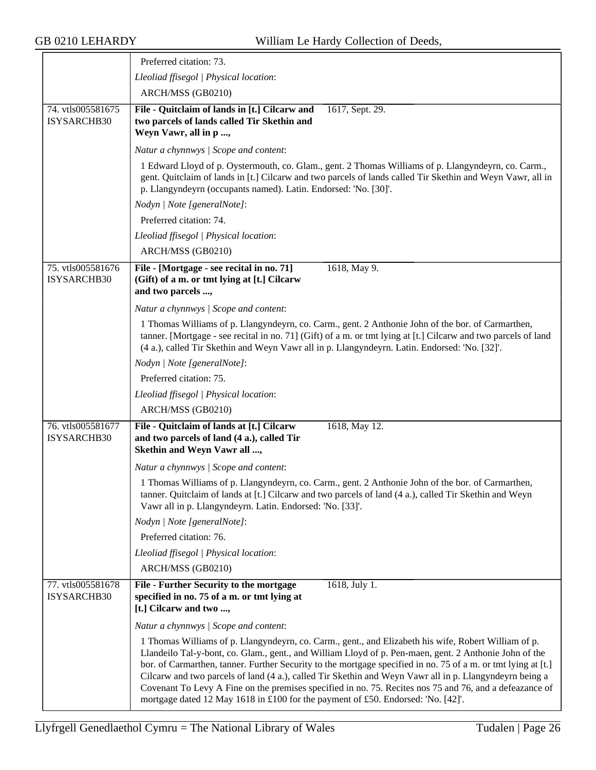|                                  | Preferred citation: 73.                                                                                                                                                                                                                                                                                                                                                                                                                                                                                                                                                                                                                   |
|----------------------------------|-------------------------------------------------------------------------------------------------------------------------------------------------------------------------------------------------------------------------------------------------------------------------------------------------------------------------------------------------------------------------------------------------------------------------------------------------------------------------------------------------------------------------------------------------------------------------------------------------------------------------------------------|
|                                  | Lleoliad ffisegol   Physical location:                                                                                                                                                                                                                                                                                                                                                                                                                                                                                                                                                                                                    |
|                                  | ARCH/MSS (GB0210)                                                                                                                                                                                                                                                                                                                                                                                                                                                                                                                                                                                                                         |
| 74. vtls005581675<br>ISYSARCHB30 | File - Quitclaim of lands in [t.] Cilcarw and<br>1617, Sept. 29.<br>two parcels of lands called Tir Skethin and<br>Weyn Vawr, all in p ,                                                                                                                                                                                                                                                                                                                                                                                                                                                                                                  |
|                                  | Natur a chynnwys / Scope and content:                                                                                                                                                                                                                                                                                                                                                                                                                                                                                                                                                                                                     |
|                                  | 1 Edward Lloyd of p. Oystermouth, co. Glam., gent. 2 Thomas Williams of p. Llangyndeyrn, co. Carm.,<br>gent. Quitclaim of lands in [t.] Cilcarw and two parcels of lands called Tir Skethin and Weyn Vawr, all in<br>p. Llangyndeyrn (occupants named). Latin. Endorsed: 'No. [30]'.                                                                                                                                                                                                                                                                                                                                                      |
|                                  | Nodyn   Note [generalNote]:                                                                                                                                                                                                                                                                                                                                                                                                                                                                                                                                                                                                               |
|                                  | Preferred citation: 74.                                                                                                                                                                                                                                                                                                                                                                                                                                                                                                                                                                                                                   |
|                                  | Lleoliad ffisegol   Physical location:                                                                                                                                                                                                                                                                                                                                                                                                                                                                                                                                                                                                    |
|                                  | ARCH/MSS (GB0210)                                                                                                                                                                                                                                                                                                                                                                                                                                                                                                                                                                                                                         |
| 75. vtls005581676<br>ISYSARCHB30 | File - [Mortgage - see recital in no. 71]<br>1618, May 9.<br>(Gift) of a m. or tmt lying at [t.] Cilcarw<br>and two parcels ,                                                                                                                                                                                                                                                                                                                                                                                                                                                                                                             |
|                                  | Natur a chynnwys / Scope and content:                                                                                                                                                                                                                                                                                                                                                                                                                                                                                                                                                                                                     |
|                                  | 1 Thomas Williams of p. Llangyndeyrn, co. Carm., gent. 2 Anthonie John of the bor. of Carmarthen,<br>tanner. [Mortgage - see recital in no. 71] (Gift) of a m. or tmt lying at [t.] Cilcarw and two parcels of land<br>(4 a.), called Tir Skethin and Weyn Vawr all in p. Llangyndeyrn. Latin. Endorsed: 'No. [32]'.                                                                                                                                                                                                                                                                                                                      |
|                                  | Nodyn   Note [generalNote]:                                                                                                                                                                                                                                                                                                                                                                                                                                                                                                                                                                                                               |
|                                  | Preferred citation: 75.                                                                                                                                                                                                                                                                                                                                                                                                                                                                                                                                                                                                                   |
|                                  | Lleoliad ffisegol   Physical location:                                                                                                                                                                                                                                                                                                                                                                                                                                                                                                                                                                                                    |
|                                  | ARCH/MSS (GB0210)                                                                                                                                                                                                                                                                                                                                                                                                                                                                                                                                                                                                                         |
| 76. vtls005581677<br>ISYSARCHB30 | File - Quitclaim of lands at [t.] Cilcarw<br>1618, May 12.<br>and two parcels of land (4 a.), called Tir<br>Skethin and Weyn Vawr all ,                                                                                                                                                                                                                                                                                                                                                                                                                                                                                                   |
|                                  | Natur a chynnwys / Scope and content:                                                                                                                                                                                                                                                                                                                                                                                                                                                                                                                                                                                                     |
|                                  | 1 Thomas Williams of p. Llangyndeyrn, co. Carm., gent. 2 Anthonie John of the bor. of Carmarthen,<br>tanner. Quitclaim of lands at [t.] Cilcarw and two parcels of land (4 a.), called Tir Skethin and Weyn<br>Vawr all in p. Llangyndeyrn. Latin. Endorsed: 'No. [33]'.                                                                                                                                                                                                                                                                                                                                                                  |
|                                  | Nodyn   Note [generalNote]:                                                                                                                                                                                                                                                                                                                                                                                                                                                                                                                                                                                                               |
|                                  | Preferred citation: 76.                                                                                                                                                                                                                                                                                                                                                                                                                                                                                                                                                                                                                   |
|                                  | Lleoliad ffisegol   Physical location:                                                                                                                                                                                                                                                                                                                                                                                                                                                                                                                                                                                                    |
|                                  | ARCH/MSS (GB0210)                                                                                                                                                                                                                                                                                                                                                                                                                                                                                                                                                                                                                         |
| 77. vtls005581678<br>ISYSARCHB30 | File - Further Security to the mortgage<br>1618, July 1.<br>specified in no. 75 of a m. or tmt lying at<br>[t.] Cilcarw and two ,                                                                                                                                                                                                                                                                                                                                                                                                                                                                                                         |
|                                  | Natur a chynnwys / Scope and content:                                                                                                                                                                                                                                                                                                                                                                                                                                                                                                                                                                                                     |
|                                  | 1 Thomas Williams of p. Llangyndeyrn, co. Carm., gent., and Elizabeth his wife, Robert William of p.<br>Llandeilo Tal-y-bont, co. Glam., gent., and William Lloyd of p. Pen-maen, gent. 2 Anthonie John of the<br>bor. of Carmarthen, tanner. Further Security to the mortgage specified in no. 75 of a m. or tmt lying at [t.]<br>Cilcarw and two parcels of land (4 a.), called Tir Skethin and Weyn Vawr all in p. Llangyndeyrn being a<br>Covenant To Levy A Fine on the premises specified in no. 75. Recites nos 75 and 76, and a defeazance of<br>mortgage dated 12 May 1618 in £100 for the payment of £50. Endorsed: 'No. [42]'. |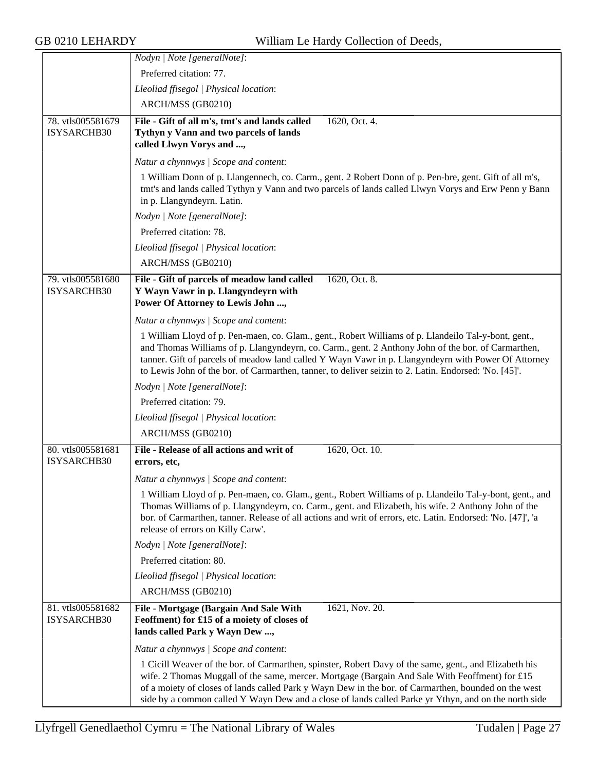|                                  | Nodyn   Note [generalNote]:                                                                                                                                                                                                                                                                                                                                                                                                |
|----------------------------------|----------------------------------------------------------------------------------------------------------------------------------------------------------------------------------------------------------------------------------------------------------------------------------------------------------------------------------------------------------------------------------------------------------------------------|
|                                  | Preferred citation: 77.                                                                                                                                                                                                                                                                                                                                                                                                    |
|                                  | Lleoliad ffisegol   Physical location:                                                                                                                                                                                                                                                                                                                                                                                     |
|                                  | ARCH/MSS (GB0210)                                                                                                                                                                                                                                                                                                                                                                                                          |
| 78. vtls005581679                | File - Gift of all m's, tmt's and lands called<br>1620, Oct. 4.                                                                                                                                                                                                                                                                                                                                                            |
| ISYSARCHB30                      | Tythyn y Vann and two parcels of lands<br>called Llwyn Vorys and ,                                                                                                                                                                                                                                                                                                                                                         |
|                                  | Natur a chynnwys / Scope and content:                                                                                                                                                                                                                                                                                                                                                                                      |
|                                  | 1 William Donn of p. Llangennech, co. Carm., gent. 2 Robert Donn of p. Pen-bre, gent. Gift of all m's,<br>tmt's and lands called Tythyn y Vann and two parcels of lands called Llwyn Vorys and Erw Penn y Bann<br>in p. Llangyndeyrn. Latin.                                                                                                                                                                               |
|                                  | Nodyn   Note [generalNote]:                                                                                                                                                                                                                                                                                                                                                                                                |
|                                  | Preferred citation: 78.                                                                                                                                                                                                                                                                                                                                                                                                    |
|                                  | Lleoliad ffisegol   Physical location:                                                                                                                                                                                                                                                                                                                                                                                     |
|                                  | ARCH/MSS (GB0210)                                                                                                                                                                                                                                                                                                                                                                                                          |
| 79. vtls005581680                | 1620, Oct. 8.<br>File - Gift of parcels of meadow land called                                                                                                                                                                                                                                                                                                                                                              |
| ISYSARCHB30                      | Y Wayn Vawr in p. Llangyndeyrn with<br>Power Of Attorney to Lewis John ,                                                                                                                                                                                                                                                                                                                                                   |
|                                  | Natur a chynnwys / Scope and content:                                                                                                                                                                                                                                                                                                                                                                                      |
|                                  | 1 William Lloyd of p. Pen-maen, co. Glam., gent., Robert Williams of p. Llandeilo Tal-y-bont, gent.,<br>and Thomas Williams of p. Llangyndeyrn, co. Carm., gent. 2 Anthony John of the bor. of Carmarthen,<br>tanner. Gift of parcels of meadow land called Y Wayn Vawr in p. Llangyndeyrn with Power Of Attorney<br>to Lewis John of the bor. of Carmarthen, tanner, to deliver seizin to 2. Latin. Endorsed: 'No. [45]'. |
|                                  | Nodyn   Note [generalNote]:                                                                                                                                                                                                                                                                                                                                                                                                |
|                                  | Preferred citation: 79.                                                                                                                                                                                                                                                                                                                                                                                                    |
|                                  | Lleoliad ffisegol   Physical location:                                                                                                                                                                                                                                                                                                                                                                                     |
|                                  | ARCH/MSS (GB0210)                                                                                                                                                                                                                                                                                                                                                                                                          |
| 80. vtls005581681                | File - Release of all actions and writ of<br>1620, Oct. 10.                                                                                                                                                                                                                                                                                                                                                                |
| ISYSARCHB30                      | errors, etc,                                                                                                                                                                                                                                                                                                                                                                                                               |
|                                  | Natur a chynnwys / Scope and content:                                                                                                                                                                                                                                                                                                                                                                                      |
|                                  | 1 William Lloyd of p. Pen-maen, co. Glam., gent., Robert Williams of p. Llandeilo Tal-y-bont, gent., and<br>Thomas Williams of p. Llangyndeyrn, co. Carm., gent. and Elizabeth, his wife. 2 Anthony John of the<br>bor. of Carmarthen, tanner. Release of all actions and writ of errors, etc. Latin. Endorsed: 'No. [47]', 'a<br>release of errors on Killy Carw'.                                                        |
|                                  | Nodyn   Note [generalNote]:                                                                                                                                                                                                                                                                                                                                                                                                |
|                                  | Preferred citation: 80.                                                                                                                                                                                                                                                                                                                                                                                                    |
|                                  | Lleoliad ffisegol   Physical location:                                                                                                                                                                                                                                                                                                                                                                                     |
|                                  | ARCH/MSS (GB0210)                                                                                                                                                                                                                                                                                                                                                                                                          |
| 81. vtls005581682<br>ISYSARCHB30 | File - Mortgage (Bargain And Sale With<br>1621, Nov. 20.<br>Feoffment) for £15 of a moiety of closes of<br>lands called Park y Wayn Dew,                                                                                                                                                                                                                                                                                   |
|                                  | Natur a chynnwys / Scope and content:                                                                                                                                                                                                                                                                                                                                                                                      |
|                                  | 1 Cicill Weaver of the bor. of Carmarthen, spinster, Robert Davy of the same, gent., and Elizabeth his<br>wife. 2 Thomas Muggall of the same, mercer. Mortgage (Bargain And Sale With Feoffment) for £15<br>of a moiety of closes of lands called Park y Wayn Dew in the bor. of Carmarthen, bounded on the west<br>side by a common called Y Wayn Dew and a close of lands called Parke yr Ythyn, and on the north side   |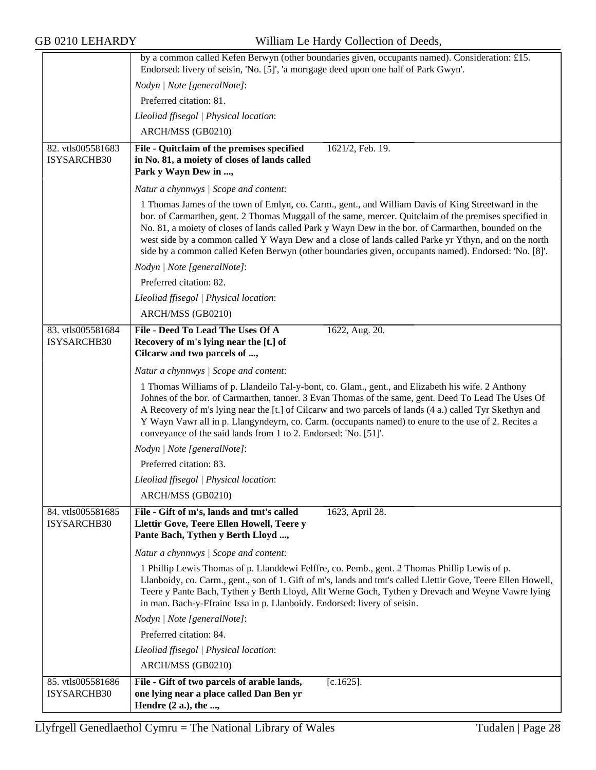|                                  | by a common called Kefen Berwyn (other boundaries given, occupants named). Consideration: £15.<br>Endorsed: livery of seisin, 'No. [5]', 'a mortgage deed upon one half of Park Gwyn'.                                                                                                                                                                                                                                                                                                                                               |
|----------------------------------|--------------------------------------------------------------------------------------------------------------------------------------------------------------------------------------------------------------------------------------------------------------------------------------------------------------------------------------------------------------------------------------------------------------------------------------------------------------------------------------------------------------------------------------|
|                                  | Nodyn   Note [generalNote]:                                                                                                                                                                                                                                                                                                                                                                                                                                                                                                          |
|                                  | Preferred citation: 81.                                                                                                                                                                                                                                                                                                                                                                                                                                                                                                              |
|                                  | Lleoliad ffisegol   Physical location:                                                                                                                                                                                                                                                                                                                                                                                                                                                                                               |
|                                  | ARCH/MSS (GB0210)                                                                                                                                                                                                                                                                                                                                                                                                                                                                                                                    |
| 82. vtls005581683                | 1621/2, Feb. 19.<br>File - Quitclaim of the premises specified                                                                                                                                                                                                                                                                                                                                                                                                                                                                       |
| ISYSARCHB30                      | in No. 81, a moiety of closes of lands called<br>Park y Wayn Dew in ,                                                                                                                                                                                                                                                                                                                                                                                                                                                                |
|                                  | Natur a chynnwys / Scope and content:                                                                                                                                                                                                                                                                                                                                                                                                                                                                                                |
|                                  | 1 Thomas James of the town of Emlyn, co. Carm., gent., and William Davis of King Streetward in the<br>bor. of Carmarthen, gent. 2 Thomas Muggall of the same, mercer. Quitclaim of the premises specified in<br>No. 81, a moiety of closes of lands called Park y Wayn Dew in the bor. of Carmarthen, bounded on the<br>west side by a common called Y Wayn Dew and a close of lands called Parke yr Ythyn, and on the north<br>side by a common called Kefen Berwyn (other boundaries given, occupants named). Endorsed: 'No. [8]'. |
|                                  | Nodyn   Note [generalNote]:                                                                                                                                                                                                                                                                                                                                                                                                                                                                                                          |
|                                  | Preferred citation: 82.                                                                                                                                                                                                                                                                                                                                                                                                                                                                                                              |
|                                  | Lleoliad ffisegol   Physical location:                                                                                                                                                                                                                                                                                                                                                                                                                                                                                               |
|                                  | ARCH/MSS (GB0210)                                                                                                                                                                                                                                                                                                                                                                                                                                                                                                                    |
| 83. vtls005581684<br>ISYSARCHB30 | File - Deed To Lead The Uses Of A<br>1622, Aug. 20.<br>Recovery of m's lying near the [t.] of<br>Cilcarw and two parcels of ,                                                                                                                                                                                                                                                                                                                                                                                                        |
|                                  | Natur a chynnwys   Scope and content:                                                                                                                                                                                                                                                                                                                                                                                                                                                                                                |
|                                  | 1 Thomas Williams of p. Llandeilo Tal-y-bont, co. Glam., gent., and Elizabeth his wife. 2 Anthony<br>Johnes of the bor. of Carmarthen, tanner. 3 Evan Thomas of the same, gent. Deed To Lead The Uses Of<br>A Recovery of m's lying near the [t.] of Cilcarw and two parcels of lands (4 a.) called Tyr Skethyn and<br>Y Wayn Vawr all in p. Llangyndeyrn, co. Carm. (occupants named) to enure to the use of 2. Recites a<br>conveyance of the said lands from 1 to 2. Endorsed: 'No. [51]'.                                        |
|                                  | Nodyn   Note [generalNote]:                                                                                                                                                                                                                                                                                                                                                                                                                                                                                                          |
|                                  | Preferred citation: 83.                                                                                                                                                                                                                                                                                                                                                                                                                                                                                                              |
|                                  | Lleoliad ffisegol   Physical location:                                                                                                                                                                                                                                                                                                                                                                                                                                                                                               |
|                                  | ARCH/MSS (GB0210)                                                                                                                                                                                                                                                                                                                                                                                                                                                                                                                    |
| 84. vtls005581685<br>ISYSARCHB30 | File - Gift of m's, lands and tmt's called<br>1623, April 28.<br>Llettir Gove, Teere Ellen Howell, Teere y<br>Pante Bach, Tythen y Berth Lloyd ,                                                                                                                                                                                                                                                                                                                                                                                     |
|                                  | Natur a chynnwys / Scope and content:                                                                                                                                                                                                                                                                                                                                                                                                                                                                                                |
|                                  | 1 Phillip Lewis Thomas of p. Llanddewi Felffre, co. Pemb., gent. 2 Thomas Phillip Lewis of p.<br>Llanboidy, co. Carm., gent., son of 1. Gift of m's, lands and tmt's called Llettir Gove, Teere Ellen Howell,<br>Teere y Pante Bach, Tythen y Berth Lloyd, Allt Werne Goch, Tythen y Drevach and Weyne Vawre lying<br>in man. Bach-y-Ffrainc Issa in p. Llanboidy. Endorsed: livery of seisin.                                                                                                                                       |
|                                  | Nodyn   Note [generalNote]:                                                                                                                                                                                                                                                                                                                                                                                                                                                                                                          |
|                                  | Preferred citation: 84.                                                                                                                                                                                                                                                                                                                                                                                                                                                                                                              |
|                                  | Lleoliad ffisegol   Physical location:                                                                                                                                                                                                                                                                                                                                                                                                                                                                                               |
|                                  | ARCH/MSS (GB0210)                                                                                                                                                                                                                                                                                                                                                                                                                                                                                                                    |
| 85. vtls005581686<br>ISYSARCHB30 | File - Gift of two parcels of arable lands,<br>$[c.1625]$ .<br>one lying near a place called Dan Ben yr<br>Hendre $(2 a.)$ , the ,                                                                                                                                                                                                                                                                                                                                                                                                   |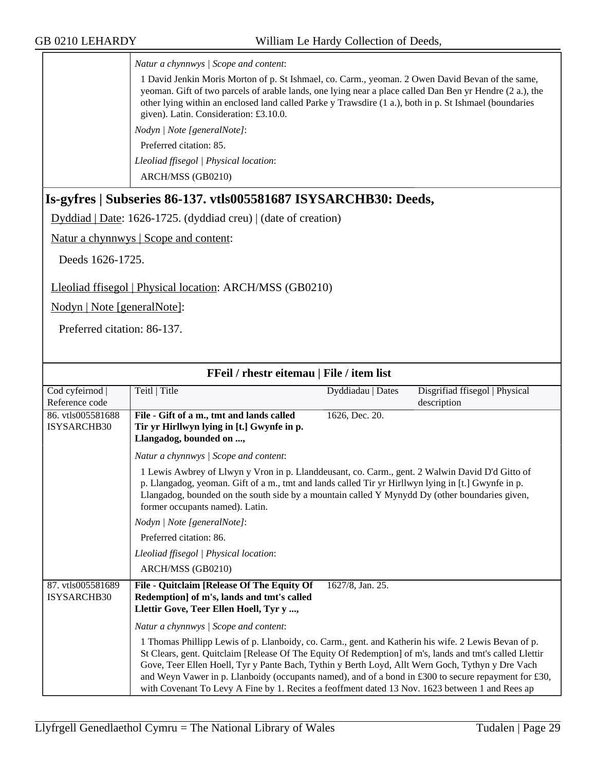*Natur a chynnwys | Scope and content*:

1 David Jenkin Moris Morton of p. St Ishmael, co. Carm., yeoman. 2 Owen David Bevan of the same, yeoman. Gift of two parcels of arable lands, one lying near a place called Dan Ben yr Hendre (2 a.), the other lying within an enclosed land called Parke y Trawsdire (1 a.), both in p. St Ishmael (boundaries given). Latin. Consideration: £3.10.0.

*Nodyn | Note [generalNote]*:

Preferred citation: 85.

*Lleoliad ffisegol | Physical location*:

ARCH/MSS (GB0210)

#### <span id="page-28-0"></span>**Is-gyfres | Subseries 86-137. vtls005581687 ISYSARCHB30: Deeds,**

Dyddiad | Date: 1626-1725. (dyddiad creu) | (date of creation)

Natur a chynnwys | Scope and content:

Deeds 1626-1725.

Lleoliad ffisegol | Physical location: ARCH/MSS (GB0210)

Nodyn | Note [generalNote]:

Preferred citation: 86-137.

| FFeil / rhestr eitemau   File / item list |                                                                                                                                                                                                                                                                                                                                                                                                                                                                                                                                |                   |                                |
|-------------------------------------------|--------------------------------------------------------------------------------------------------------------------------------------------------------------------------------------------------------------------------------------------------------------------------------------------------------------------------------------------------------------------------------------------------------------------------------------------------------------------------------------------------------------------------------|-------------------|--------------------------------|
| Cod cyfeirnod                             | Teitl   Title                                                                                                                                                                                                                                                                                                                                                                                                                                                                                                                  | Dyddiadau   Dates | Disgrifiad ffisegol   Physical |
| Reference code                            |                                                                                                                                                                                                                                                                                                                                                                                                                                                                                                                                |                   | description                    |
| 86. vtls005581688                         | File - Gift of a m., tmt and lands called                                                                                                                                                                                                                                                                                                                                                                                                                                                                                      | 1626, Dec. 20.    |                                |
| <b>ISYSARCHB30</b>                        | Tir yr Hirllwyn lying in [t.] Gwynfe in p.                                                                                                                                                                                                                                                                                                                                                                                                                                                                                     |                   |                                |
|                                           | Llangadog, bounded on ,                                                                                                                                                                                                                                                                                                                                                                                                                                                                                                        |                   |                                |
|                                           | Natur a chynnwys / Scope and content:                                                                                                                                                                                                                                                                                                                                                                                                                                                                                          |                   |                                |
|                                           | 1 Lewis Awbrey of Llwyn y Vron in p. Llanddeusant, co. Carm., gent. 2 Walwin David D'd Gitto of<br>p. Llangadog, yeoman. Gift of a m., tmt and lands called Tir yr Hirllwyn lying in [t.] Gwynfe in p.<br>Llangadog, bounded on the south side by a mountain called Y Mynydd Dy (other boundaries given,<br>former occupants named). Latin.                                                                                                                                                                                    |                   |                                |
|                                           | Nodyn   Note [generalNote]:                                                                                                                                                                                                                                                                                                                                                                                                                                                                                                    |                   |                                |
|                                           | Preferred citation: 86.                                                                                                                                                                                                                                                                                                                                                                                                                                                                                                        |                   |                                |
|                                           | Lleoliad ffisegol   Physical location:                                                                                                                                                                                                                                                                                                                                                                                                                                                                                         |                   |                                |
|                                           | ARCH/MSS (GB0210)                                                                                                                                                                                                                                                                                                                                                                                                                                                                                                              |                   |                                |
| 87. vtls005581689<br><b>ISYSARCHB30</b>   | File - Quitclaim [Release Of The Equity Of<br>Redemption] of m's, lands and tmt's called<br>Llettir Gove, Teer Ellen Hoell, Tyr y ,                                                                                                                                                                                                                                                                                                                                                                                            | 1627/8, Jan. 25.  |                                |
|                                           | Natur a chynnwys / Scope and content:                                                                                                                                                                                                                                                                                                                                                                                                                                                                                          |                   |                                |
|                                           | 1 Thomas Phillipp Lewis of p. Llanboidy, co. Carm., gent. and Katherin his wife. 2 Lewis Bevan of p.<br>St Clears, gent. Quitclaim [Release Of The Equity Of Redemption] of m's, lands and tmt's called Llettir<br>Gove, Teer Ellen Hoell, Tyr y Pante Bach, Tythin y Berth Loyd, Allt Wern Goch, Tythyn y Dre Vach<br>and Weyn Vawer in p. Llanboidy (occupants named), and of a bond in £300 to secure repayment for £30,<br>with Covenant To Levy A Fine by 1. Recites a feoffment dated 13 Nov. 1623 between 1 and Rees ap |                   |                                |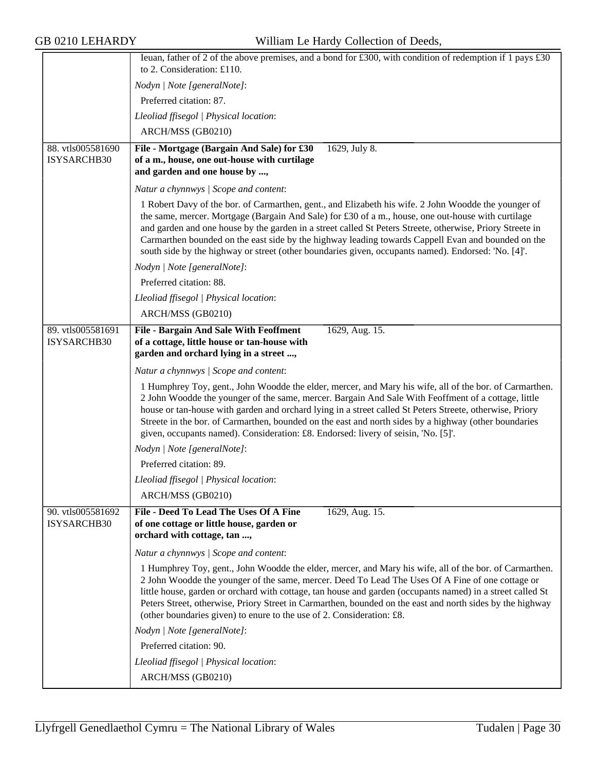|                                  | Ieuan, father of 2 of the above premises, and a bond for £300, with condition of redemption if 1 pays £30<br>to 2. Consideration: £110.                                                                                                                                                                                                                                                                                                                                                                                              |
|----------------------------------|--------------------------------------------------------------------------------------------------------------------------------------------------------------------------------------------------------------------------------------------------------------------------------------------------------------------------------------------------------------------------------------------------------------------------------------------------------------------------------------------------------------------------------------|
|                                  | Nodyn   Note [generalNote]:                                                                                                                                                                                                                                                                                                                                                                                                                                                                                                          |
|                                  | Preferred citation: 87.                                                                                                                                                                                                                                                                                                                                                                                                                                                                                                              |
|                                  | Lleoliad ffisegol   Physical location:                                                                                                                                                                                                                                                                                                                                                                                                                                                                                               |
|                                  | ARCH/MSS (GB0210)                                                                                                                                                                                                                                                                                                                                                                                                                                                                                                                    |
| 88. vtls005581690                | File - Mortgage (Bargain And Sale) for £30<br>1629, July 8.                                                                                                                                                                                                                                                                                                                                                                                                                                                                          |
| ISYSARCHB30                      | of a m., house, one out-house with curtilage<br>and garden and one house by ,                                                                                                                                                                                                                                                                                                                                                                                                                                                        |
|                                  | Natur a chynnwys / Scope and content:                                                                                                                                                                                                                                                                                                                                                                                                                                                                                                |
|                                  | 1 Robert Davy of the bor. of Carmarthen, gent., and Elizabeth his wife. 2 John Woodde the younger of<br>the same, mercer. Mortgage (Bargain And Sale) for £30 of a m., house, one out-house with curtilage<br>and garden and one house by the garden in a street called St Peters Streete, otherwise, Priory Streete in<br>Carmarthen bounded on the east side by the highway leading towards Cappell Evan and bounded on the<br>south side by the highway or street (other boundaries given, occupants named). Endorsed: 'No. [4]'. |
|                                  | Nodyn   Note [generalNote]:                                                                                                                                                                                                                                                                                                                                                                                                                                                                                                          |
|                                  | Preferred citation: 88.                                                                                                                                                                                                                                                                                                                                                                                                                                                                                                              |
|                                  | Lleoliad ffisegol   Physical location:                                                                                                                                                                                                                                                                                                                                                                                                                                                                                               |
|                                  | ARCH/MSS (GB0210)                                                                                                                                                                                                                                                                                                                                                                                                                                                                                                                    |
| 89. vtls005581691<br>ISYSARCHB30 | <b>File - Bargain And Sale With Feoffment</b><br>1629, Aug. 15.<br>of a cottage, little house or tan-house with<br>garden and orchard lying in a street ,                                                                                                                                                                                                                                                                                                                                                                            |
|                                  | Natur a chynnwys / Scope and content:                                                                                                                                                                                                                                                                                                                                                                                                                                                                                                |
|                                  | 1 Humphrey Toy, gent., John Woodde the elder, mercer, and Mary his wife, all of the bor. of Carmarthen.<br>2 John Woodde the younger of the same, mercer. Bargain And Sale With Feoffment of a cottage, little<br>house or tan-house with garden and orchard lying in a street called St Peters Streete, otherwise, Priory<br>Streete in the bor. of Carmarthen, bounded on the east and north sides by a highway (other boundaries<br>given, occupants named). Consideration: £8. Endorsed: livery of seisin, 'No. [5]'.            |
|                                  | Nodyn   Note [generalNote]:                                                                                                                                                                                                                                                                                                                                                                                                                                                                                                          |
|                                  | Preferred citation: 89.                                                                                                                                                                                                                                                                                                                                                                                                                                                                                                              |
|                                  | Lleoliad ffisegol   Physical location:                                                                                                                                                                                                                                                                                                                                                                                                                                                                                               |
|                                  | ARCH/MSS (GB0210)                                                                                                                                                                                                                                                                                                                                                                                                                                                                                                                    |
| 90. vtls005581692<br>ISYSARCHB30 | File - Deed To Lead The Uses Of A Fine<br>1629, Aug. 15.<br>of one cottage or little house, garden or<br>orchard with cottage, tan ,                                                                                                                                                                                                                                                                                                                                                                                                 |
|                                  | Natur a chynnwys / Scope and content:                                                                                                                                                                                                                                                                                                                                                                                                                                                                                                |
|                                  | 1 Humphrey Toy, gent., John Woodde the elder, mercer, and Mary his wife, all of the bor. of Carmarthen.<br>2 John Woodde the younger of the same, mercer. Deed To Lead The Uses Of A Fine of one cottage or<br>little house, garden or orchard with cottage, tan house and garden (occupants named) in a street called St<br>Peters Street, otherwise, Priory Street in Carmarthen, bounded on the east and north sides by the highway<br>(other boundaries given) to enure to the use of 2. Consideration: £8.                      |
|                                  | Nodyn   Note [generalNote]:                                                                                                                                                                                                                                                                                                                                                                                                                                                                                                          |
|                                  | Preferred citation: 90.                                                                                                                                                                                                                                                                                                                                                                                                                                                                                                              |
|                                  | Lleoliad ffisegol   Physical location:                                                                                                                                                                                                                                                                                                                                                                                                                                                                                               |
|                                  | ARCH/MSS (GB0210)                                                                                                                                                                                                                                                                                                                                                                                                                                                                                                                    |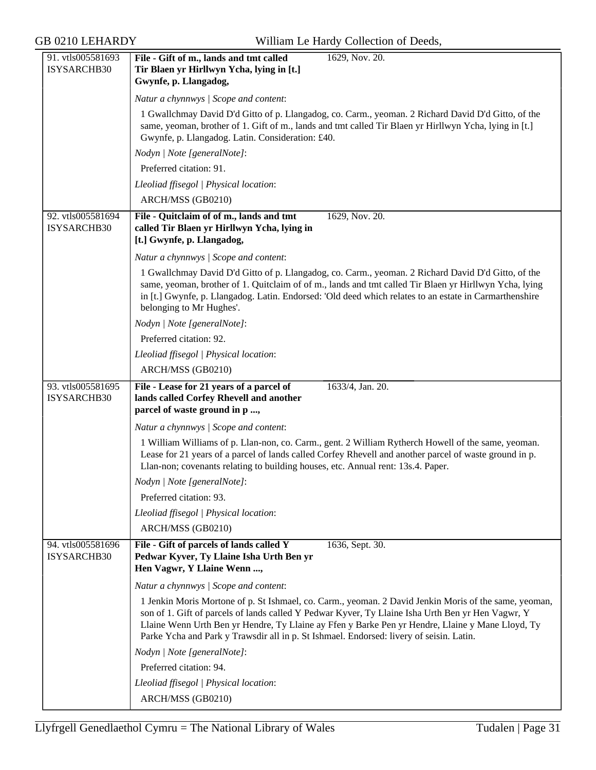| 91. vtls005581693 | File - Gift of m., lands and tmt called<br>1629, Nov. 20.                                                                                                                                                        |
|-------------------|------------------------------------------------------------------------------------------------------------------------------------------------------------------------------------------------------------------|
| ISYSARCHB30       | Tir Blaen yr Hirllwyn Ycha, lying in [t.]                                                                                                                                                                        |
|                   | Gwynfe, p. Llangadog,                                                                                                                                                                                            |
|                   | Natur a chynnwys / Scope and content:                                                                                                                                                                            |
|                   | 1 Gwallchmay David D'd Gitto of p. Llangadog, co. Carm., yeoman. 2 Richard David D'd Gitto, of the                                                                                                               |
|                   | same, yeoman, brother of 1. Gift of m., lands and tmt called Tir Blaen yr Hirllwyn Ycha, lying in [t.]                                                                                                           |
|                   | Gwynfe, p. Llangadog. Latin. Consideration: £40.                                                                                                                                                                 |
|                   | Nodyn   Note [generalNote]:                                                                                                                                                                                      |
|                   | Preferred citation: 91.                                                                                                                                                                                          |
|                   | Lleoliad ffisegol   Physical location:                                                                                                                                                                           |
|                   | ARCH/MSS (GB0210)                                                                                                                                                                                                |
| 92. vtls005581694 | File - Quitclaim of of m., lands and tmt<br>1629, Nov. 20.                                                                                                                                                       |
| ISYSARCHB30       | called Tir Blaen yr Hirllwyn Ycha, lying in                                                                                                                                                                      |
|                   | [t.] Gwynfe, p. Llangadog,                                                                                                                                                                                       |
|                   | Natur a chynnwys / Scope and content:                                                                                                                                                                            |
|                   | 1 Gwallchmay David D'd Gitto of p. Llangadog, co. Carm., yeoman. 2 Richard David D'd Gitto, of the                                                                                                               |
|                   | same, yeoman, brother of 1. Quitclaim of of m., lands and tmt called Tir Blaen yr Hirllwyn Ycha, lying<br>in [t.] Gwynfe, p. Llangadog. Latin. Endorsed: 'Old deed which relates to an estate in Carmarthenshire |
|                   | belonging to Mr Hughes'.                                                                                                                                                                                         |
|                   | Nodyn   Note [generalNote]:                                                                                                                                                                                      |
|                   | Preferred citation: 92.                                                                                                                                                                                          |
|                   | Lleoliad ffisegol   Physical location:                                                                                                                                                                           |
|                   | ARCH/MSS (GB0210)                                                                                                                                                                                                |
| 93. vtls005581695 | 1633/4, Jan. 20.<br>File - Lease for 21 years of a parcel of                                                                                                                                                     |
|                   |                                                                                                                                                                                                                  |
| ISYSARCHB30       | lands called Corfey Rhevell and another                                                                                                                                                                          |
|                   | parcel of waste ground in p ,                                                                                                                                                                                    |
|                   | Natur a chynnwys / Scope and content:                                                                                                                                                                            |
|                   |                                                                                                                                                                                                                  |
|                   | 1 William Williams of p. Llan-non, co. Carm., gent. 2 William Rytherch Howell of the same, yeoman.<br>Lease for 21 years of a parcel of lands called Corfey Rhevell and another parcel of waste ground in p.     |
|                   | Llan-non; covenants relating to building houses, etc. Annual rent: 13s.4. Paper.                                                                                                                                 |
|                   | Nodyn   Note [generalNote]:                                                                                                                                                                                      |
|                   | Preferred citation: 93.                                                                                                                                                                                          |
|                   | Lleoliad ffisegol   Physical location:                                                                                                                                                                           |
|                   | ARCH/MSS (GB0210)                                                                                                                                                                                                |
| 94. vtls005581696 | 1636, Sept. 30.<br>File - Gift of parcels of lands called Y                                                                                                                                                      |
| ISYSARCHB30       | Pedwar Kyver, Ty Llaine Isha Urth Ben yr                                                                                                                                                                         |
|                   | Hen Vagwr, Y Llaine Wenn ,                                                                                                                                                                                       |
|                   | Natur a chynnwys / Scope and content:                                                                                                                                                                            |
|                   | 1 Jenkin Moris Mortone of p. St Ishmael, co. Carm., yeoman. 2 David Jenkin Moris of the same, yeoman,                                                                                                            |
|                   | son of 1. Gift of parcels of lands called Y Pedwar Kyver, Ty Llaine Isha Urth Ben yr Hen Vagwr, Y                                                                                                                |
|                   | Llaine Wenn Urth Ben yr Hendre, Ty Llaine ay Ffen y Barke Pen yr Hendre, Llaine y Mane Lloyd, Ty<br>Parke Ycha and Park y Trawsdir all in p. St Ishmael. Endorsed: livery of seisin. Latin.                      |
|                   | Nodyn   Note [generalNote]:                                                                                                                                                                                      |
|                   | Preferred citation: 94.                                                                                                                                                                                          |
|                   | Lleoliad ffisegol   Physical location:                                                                                                                                                                           |
|                   | ARCH/MSS (GB0210)                                                                                                                                                                                                |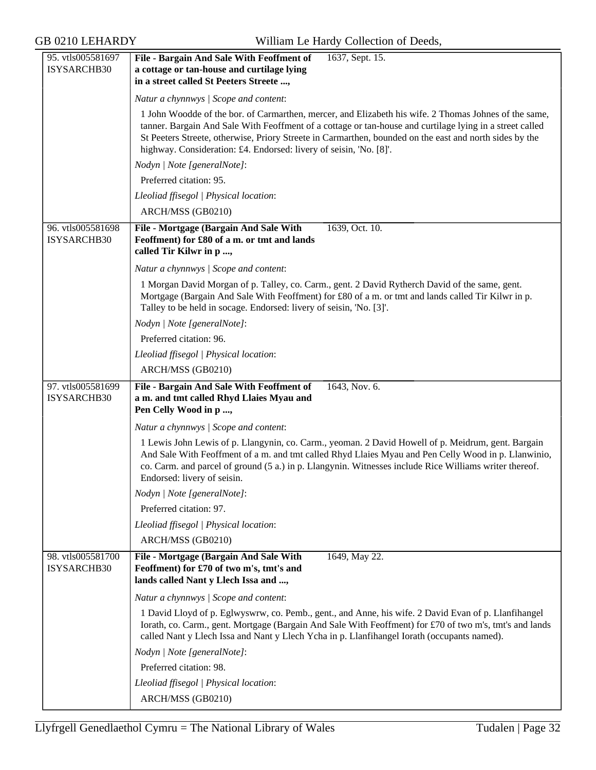| 95. vtls005581697                | File - Bargain And Sale With Feoffment of<br>1637, Sept. 15.                                                                                                                                                                                                                                                                                       |
|----------------------------------|----------------------------------------------------------------------------------------------------------------------------------------------------------------------------------------------------------------------------------------------------------------------------------------------------------------------------------------------------|
| ISYSARCHB30                      | a cottage or tan-house and curtilage lying                                                                                                                                                                                                                                                                                                         |
|                                  | in a street called St Peeters Streete ,                                                                                                                                                                                                                                                                                                            |
|                                  | Natur a chynnwys / Scope and content:                                                                                                                                                                                                                                                                                                              |
|                                  | 1 John Woodde of the bor. of Carmarthen, mercer, and Elizabeth his wife. 2 Thomas Johnes of the same,                                                                                                                                                                                                                                              |
|                                  | tanner. Bargain And Sale With Feoffment of a cottage or tan-house and curtilage lying in a street called<br>St Peeters Streete, otherwise, Priory Streete in Carmarthen, bounded on the east and north sides by the<br>highway. Consideration: £4. Endorsed: livery of seisin, 'No. [8]'.                                                          |
|                                  | Nodyn   Note [generalNote]:                                                                                                                                                                                                                                                                                                                        |
|                                  | Preferred citation: 95.                                                                                                                                                                                                                                                                                                                            |
|                                  | Lleoliad ffisegol   Physical location:                                                                                                                                                                                                                                                                                                             |
|                                  | ARCH/MSS (GB0210)                                                                                                                                                                                                                                                                                                                                  |
| 96. vtls005581698<br>ISYSARCHB30 | File - Mortgage (Bargain And Sale With<br>1639, Oct. 10.<br>Feoffment) for £80 of a m. or tmt and lands<br>called Tir Kilwr in p ,                                                                                                                                                                                                                 |
|                                  | Natur a chynnwys / Scope and content:                                                                                                                                                                                                                                                                                                              |
|                                  | 1 Morgan David Morgan of p. Talley, co. Carm., gent. 2 David Rytherch David of the same, gent.<br>Mortgage (Bargain And Sale With Feoffment) for £80 of a m. or tmt and lands called Tir Kilwr in p.<br>Talley to be held in socage. Endorsed: livery of seisin, 'No. [3]'.                                                                        |
|                                  | Nodyn   Note [generalNote]:                                                                                                                                                                                                                                                                                                                        |
|                                  | Preferred citation: 96.                                                                                                                                                                                                                                                                                                                            |
|                                  | Lleoliad ffisegol   Physical location:                                                                                                                                                                                                                                                                                                             |
|                                  | ARCH/MSS (GB0210)                                                                                                                                                                                                                                                                                                                                  |
|                                  |                                                                                                                                                                                                                                                                                                                                                    |
| 97. vtls005581699<br>ISYSARCHB30 | File - Bargain And Sale With Feoffment of<br>1643, Nov. 6.<br>a m. and tmt called Rhyd Llaies Myau and<br>Pen Celly Wood in p ,                                                                                                                                                                                                                    |
|                                  | Natur a chynnwys / Scope and content:                                                                                                                                                                                                                                                                                                              |
|                                  | 1 Lewis John Lewis of p. Llangynin, co. Carm., yeoman. 2 David Howell of p. Meidrum, gent. Bargain<br>And Sale With Feoffment of a m. and tmt called Rhyd Llaies Myau and Pen Celly Wood in p. Llanwinio,<br>co. Carm. and parcel of ground (5 a.) in p. Llangynin. Witnesses include Rice Williams writer thereof.<br>Endorsed: livery of seisin. |
|                                  | Nodyn   Note [generalNote]:                                                                                                                                                                                                                                                                                                                        |
|                                  | Preferred citation: 97.                                                                                                                                                                                                                                                                                                                            |
|                                  | Lleoliad ffisegol   Physical location:                                                                                                                                                                                                                                                                                                             |
|                                  | ARCH/MSS (GB0210)                                                                                                                                                                                                                                                                                                                                  |
| 98. vtls005581700<br>ISYSARCHB30 | File - Mortgage (Bargain And Sale With<br>1649, May 22.<br>Feoffment) for £70 of two m's, tmt's and<br>lands called Nant y Llech Issa and ,                                                                                                                                                                                                        |
|                                  | Natur a chynnwys / Scope and content:                                                                                                                                                                                                                                                                                                              |
|                                  | 1 David Lloyd of p. Eglwyswrw, co. Pemb., gent., and Anne, his wife. 2 David Evan of p. Llanfihangel<br>Iorath, co. Carm., gent. Mortgage (Bargain And Sale With Feoffment) for £70 of two m's, tmt's and lands<br>called Nant y Llech Issa and Nant y Llech Ycha in p. Llanfihangel Iorath (occupants named).                                     |
|                                  | Nodyn   Note [generalNote]:                                                                                                                                                                                                                                                                                                                        |
|                                  | Preferred citation: 98.                                                                                                                                                                                                                                                                                                                            |
|                                  | Lleoliad ffisegol   Physical location:                                                                                                                                                                                                                                                                                                             |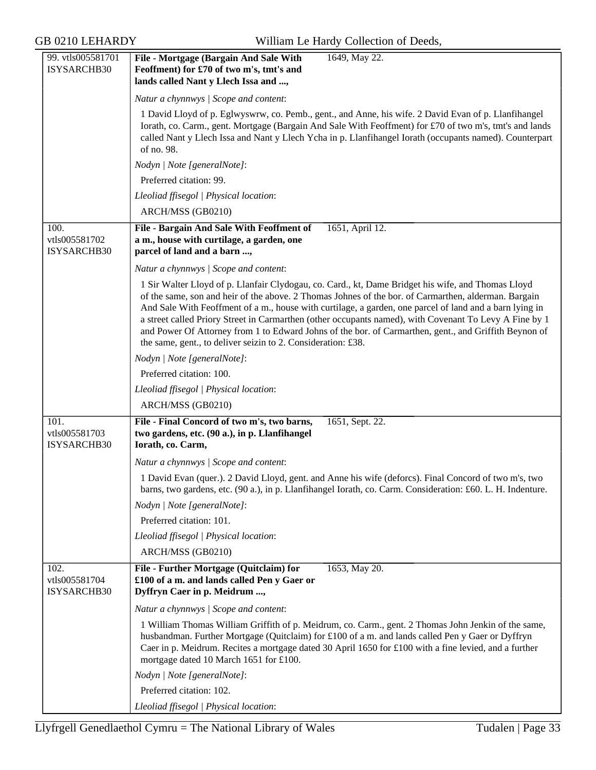| 99. vtls005581701<br>ISYSARCHB30     | File - Mortgage (Bargain And Sale With<br>1649, May 22.<br>Feoffment) for £70 of two m's, tmt's and<br>lands called Nant y Llech Issa and ,                                                                                                                                                                                                                                                                                                                                                                                                                                                              |
|--------------------------------------|----------------------------------------------------------------------------------------------------------------------------------------------------------------------------------------------------------------------------------------------------------------------------------------------------------------------------------------------------------------------------------------------------------------------------------------------------------------------------------------------------------------------------------------------------------------------------------------------------------|
|                                      | Natur a chynnwys / Scope and content:                                                                                                                                                                                                                                                                                                                                                                                                                                                                                                                                                                    |
|                                      | 1 David Lloyd of p. Eglwyswrw, co. Pemb., gent., and Anne, his wife. 2 David Evan of p. Llanfihangel<br>Iorath, co. Carm., gent. Mortgage (Bargain And Sale With Feoffment) for £70 of two m's, tmt's and lands<br>called Nant y Llech Issa and Nant y Llech Ycha in p. Llanfihangel Iorath (occupants named). Counterpart<br>of no. 98.                                                                                                                                                                                                                                                                 |
|                                      | Nodyn   Note [generalNote]:                                                                                                                                                                                                                                                                                                                                                                                                                                                                                                                                                                              |
|                                      | Preferred citation: 99.                                                                                                                                                                                                                                                                                                                                                                                                                                                                                                                                                                                  |
|                                      | Lleoliad ffisegol   Physical location:                                                                                                                                                                                                                                                                                                                                                                                                                                                                                                                                                                   |
|                                      | ARCH/MSS (GB0210)                                                                                                                                                                                                                                                                                                                                                                                                                                                                                                                                                                                        |
| 100.<br>vtls005581702<br>ISYSARCHB30 | 1651, April 12.<br>File - Bargain And Sale With Feoffment of<br>a m., house with curtilage, a garden, one<br>parcel of land and a barn ,                                                                                                                                                                                                                                                                                                                                                                                                                                                                 |
|                                      | Natur a chynnwys / Scope and content:                                                                                                                                                                                                                                                                                                                                                                                                                                                                                                                                                                    |
|                                      | 1 Sir Walter Lloyd of p. Llanfair Clydogau, co. Card., kt, Dame Bridget his wife, and Thomas Lloyd<br>of the same, son and heir of the above. 2 Thomas Johnes of the bor. of Carmarthen, alderman. Bargain<br>And Sale With Feoffment of a m., house with curtilage, a garden, one parcel of land and a barn lying in<br>a street called Priory Street in Carmarthen (other occupants named), with Covenant To Levy A Fine by 1<br>and Power Of Attorney from 1 to Edward Johns of the bor. of Carmarthen, gent., and Griffith Beynon of<br>the same, gent., to deliver seizin to 2. Consideration: £38. |
|                                      | Nodyn   Note [generalNote]:                                                                                                                                                                                                                                                                                                                                                                                                                                                                                                                                                                              |
|                                      | Preferred citation: 100.                                                                                                                                                                                                                                                                                                                                                                                                                                                                                                                                                                                 |
|                                      | Lleoliad ffisegol   Physical location:                                                                                                                                                                                                                                                                                                                                                                                                                                                                                                                                                                   |
|                                      | ARCH/MSS (GB0210)                                                                                                                                                                                                                                                                                                                                                                                                                                                                                                                                                                                        |
| 101.<br>vtls005581703<br>ISYSARCHB30 | File - Final Concord of two m's, two barns,<br>1651, Sept. 22.<br>two gardens, etc. (90 a.), in p. Llanfihangel<br>Iorath, co. Carm,                                                                                                                                                                                                                                                                                                                                                                                                                                                                     |
|                                      | Natur a chynnwys / Scope and content:                                                                                                                                                                                                                                                                                                                                                                                                                                                                                                                                                                    |
|                                      | 1 David Evan (quer.). 2 David Lloyd, gent. and Anne his wife (deforcs). Final Concord of two m's, two<br>barns, two gardens, etc. (90 a.), in p. Llanfihangel Iorath, co. Carm. Consideration: £60. L. H. Indenture.                                                                                                                                                                                                                                                                                                                                                                                     |
|                                      | Nodyn   Note [generalNote]:                                                                                                                                                                                                                                                                                                                                                                                                                                                                                                                                                                              |
|                                      | Preferred citation: 101.                                                                                                                                                                                                                                                                                                                                                                                                                                                                                                                                                                                 |
|                                      | Lleoliad ffisegol   Physical location:                                                                                                                                                                                                                                                                                                                                                                                                                                                                                                                                                                   |
|                                      | ARCH/MSS (GB0210)                                                                                                                                                                                                                                                                                                                                                                                                                                                                                                                                                                                        |
| 102.<br>vtls005581704<br>ISYSARCHB30 | File - Further Mortgage (Quitclaim) for<br>1653, May 20.<br>£100 of a m. and lands called Pen y Gaer or<br>Dyffryn Caer in p. Meidrum ,                                                                                                                                                                                                                                                                                                                                                                                                                                                                  |
|                                      | Natur a chynnwys / Scope and content:                                                                                                                                                                                                                                                                                                                                                                                                                                                                                                                                                                    |
|                                      | 1 William Thomas William Griffith of p. Meidrum, co. Carm., gent. 2 Thomas John Jenkin of the same,<br>husbandman. Further Mortgage (Quitclaim) for £100 of a m. and lands called Pen y Gaer or Dyffryn<br>Caer in p. Meidrum. Recites a mortgage dated 30 April 1650 for £100 with a fine levied, and a further<br>mortgage dated 10 March 1651 for £100.                                                                                                                                                                                                                                               |
|                                      | Nodyn   Note [generalNote]:                                                                                                                                                                                                                                                                                                                                                                                                                                                                                                                                                                              |
|                                      | Preferred citation: 102.                                                                                                                                                                                                                                                                                                                                                                                                                                                                                                                                                                                 |
|                                      | Lleoliad ffisegol   Physical location:                                                                                                                                                                                                                                                                                                                                                                                                                                                                                                                                                                   |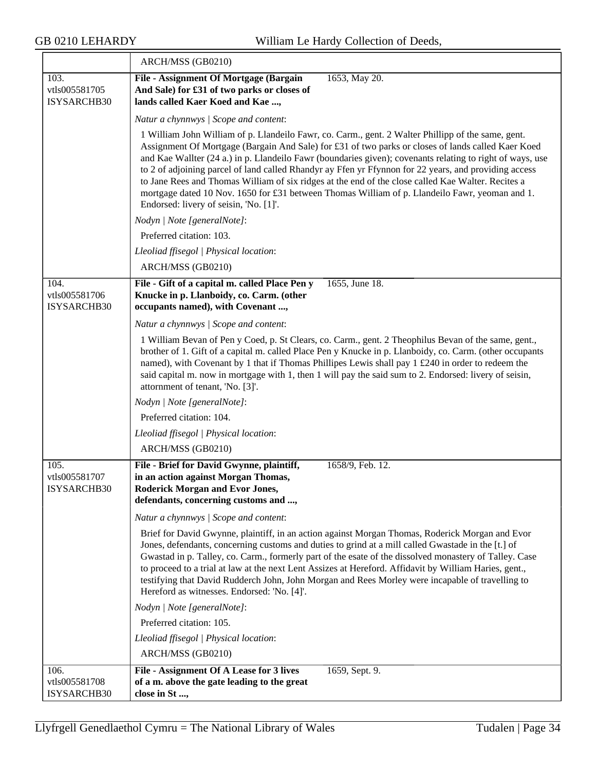≂

|                                             | ARCH/MSS (GB0210)                                                                                                                                                                                                                                                                                                                                                                                                                                                                                                                                                                                                                                                                |
|---------------------------------------------|----------------------------------------------------------------------------------------------------------------------------------------------------------------------------------------------------------------------------------------------------------------------------------------------------------------------------------------------------------------------------------------------------------------------------------------------------------------------------------------------------------------------------------------------------------------------------------------------------------------------------------------------------------------------------------|
| 103.<br>vtls005581705<br>ISYSARCHB30        | File - Assignment Of Mortgage (Bargain<br>1653, May 20.<br>And Sale) for £31 of two parks or closes of<br>lands called Kaer Koed and Kae ,                                                                                                                                                                                                                                                                                                                                                                                                                                                                                                                                       |
|                                             | Natur a chynnwys / Scope and content:                                                                                                                                                                                                                                                                                                                                                                                                                                                                                                                                                                                                                                            |
|                                             | 1 William John William of p. Llandeilo Fawr, co. Carm., gent. 2 Walter Phillipp of the same, gent.<br>Assignment Of Mortgage (Bargain And Sale) for £31 of two parks or closes of lands called Kaer Koed<br>and Kae Wallter (24 a.) in p. Llandeilo Fawr (boundaries given); covenants relating to right of ways, use<br>to 2 of adjoining parcel of land called Rhandyr ay Ffen yr Ffynnon for 22 years, and providing access<br>to Jane Rees and Thomas William of six ridges at the end of the close called Kae Walter. Recites a<br>mortgage dated 10 Nov. 1650 for £31 between Thomas William of p. Llandeilo Fawr, yeoman and 1.<br>Endorsed: livery of seisin, 'No. [1]'. |
|                                             | Nodyn   Note [generalNote]:                                                                                                                                                                                                                                                                                                                                                                                                                                                                                                                                                                                                                                                      |
|                                             | Preferred citation: 103.                                                                                                                                                                                                                                                                                                                                                                                                                                                                                                                                                                                                                                                         |
|                                             | Lleoliad ffisegol   Physical location:                                                                                                                                                                                                                                                                                                                                                                                                                                                                                                                                                                                                                                           |
|                                             | ARCH/MSS (GB0210)                                                                                                                                                                                                                                                                                                                                                                                                                                                                                                                                                                                                                                                                |
| 104.<br>vtls005581706<br>ISYSARCHB30        | File - Gift of a capital m. called Place Pen y<br>1655, June 18.<br>Knucke in p. Llanboidy, co. Carm. (other<br>occupants named), with Covenant ,                                                                                                                                                                                                                                                                                                                                                                                                                                                                                                                                |
|                                             | Natur a chynnwys / Scope and content:                                                                                                                                                                                                                                                                                                                                                                                                                                                                                                                                                                                                                                            |
|                                             | 1 William Bevan of Pen y Coed, p. St Clears, co. Carm., gent. 2 Theophilus Bevan of the same, gent.,<br>brother of 1. Gift of a capital m. called Place Pen y Knucke in p. Llanboidy, co. Carm. (other occupants<br>named), with Covenant by 1 that if Thomas Phillipes Lewis shall pay 1 £240 in order to redeem the<br>said capital m. now in mortgage with 1, then 1 will pay the said sum to 2. Endorsed: livery of seisin,<br>attornment of tenant, 'No. [3]'.                                                                                                                                                                                                              |
|                                             | Nodyn   Note [generalNote]:                                                                                                                                                                                                                                                                                                                                                                                                                                                                                                                                                                                                                                                      |
|                                             | Preferred citation: 104.                                                                                                                                                                                                                                                                                                                                                                                                                                                                                                                                                                                                                                                         |
|                                             | Lleoliad ffisegol   Physical location:                                                                                                                                                                                                                                                                                                                                                                                                                                                                                                                                                                                                                                           |
|                                             | ARCH/MSS (GB0210)                                                                                                                                                                                                                                                                                                                                                                                                                                                                                                                                                                                                                                                                |
| 105.<br>vtls005581707<br><b>ISYSARCHB30</b> | File - Brief for David Gwynne, plaintiff,<br>1658/9, Feb. 12.<br>in an action against Morgan Thomas,<br><b>Roderick Morgan and Evor Jones,</b><br>defendants, concerning customs and ,                                                                                                                                                                                                                                                                                                                                                                                                                                                                                           |
|                                             | Natur a chynnwys / Scope and content:                                                                                                                                                                                                                                                                                                                                                                                                                                                                                                                                                                                                                                            |
|                                             | Brief for David Gwynne, plaintiff, in an action against Morgan Thomas, Roderick Morgan and Evor<br>Jones, defendants, concerning customs and duties to grind at a mill called Gwastade in the [t.] of<br>Gwastad in p. Talley, co. Carm., formerly part of the esate of the dissolved monastery of Talley. Case<br>to proceed to a trial at law at the next Lent Assizes at Hereford. Affidavit by William Haries, gent.,<br>testifying that David Rudderch John, John Morgan and Rees Morley were incapable of travelling to<br>Hereford as witnesses. Endorsed: 'No. [4]'.                                                                                                     |
|                                             | Nodyn   Note [generalNote]:                                                                                                                                                                                                                                                                                                                                                                                                                                                                                                                                                                                                                                                      |
|                                             | Preferred citation: 105.                                                                                                                                                                                                                                                                                                                                                                                                                                                                                                                                                                                                                                                         |
|                                             | Lleoliad ffisegol   Physical location:                                                                                                                                                                                                                                                                                                                                                                                                                                                                                                                                                                                                                                           |
|                                             | ARCH/MSS (GB0210)                                                                                                                                                                                                                                                                                                                                                                                                                                                                                                                                                                                                                                                                |
| 106.                                        | File - Assignment Of A Lease for 3 lives<br>1659, Sept. 9.                                                                                                                                                                                                                                                                                                                                                                                                                                                                                                                                                                                                                       |
| vtls005581708<br>ISYSARCHB30                | of a m. above the gate leading to the great<br>close in St ,                                                                                                                                                                                                                                                                                                                                                                                                                                                                                                                                                                                                                     |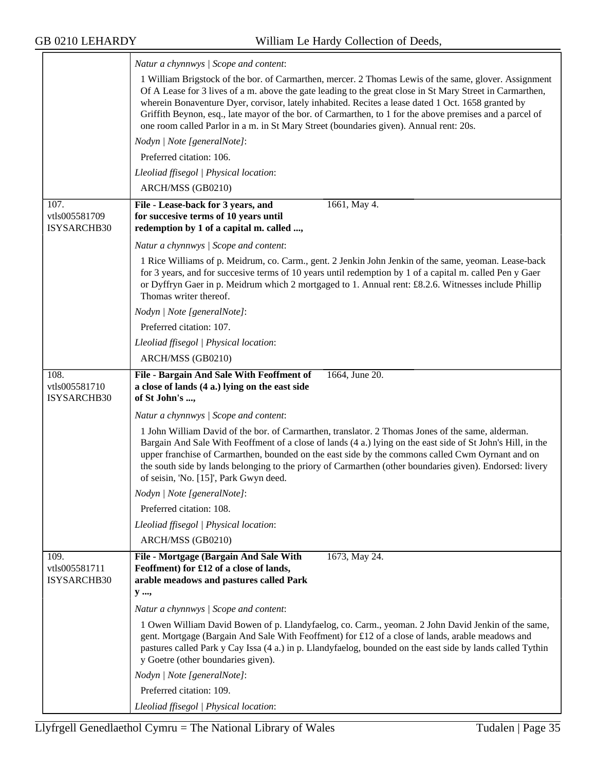|                                             | Natur a chynnwys / Scope and content:                                                                                                                                                                                                                                                                                                                                                                                                                                                                                          |
|---------------------------------------------|--------------------------------------------------------------------------------------------------------------------------------------------------------------------------------------------------------------------------------------------------------------------------------------------------------------------------------------------------------------------------------------------------------------------------------------------------------------------------------------------------------------------------------|
|                                             | 1 William Brigstock of the bor. of Carmarthen, mercer. 2 Thomas Lewis of the same, glover. Assignment<br>Of A Lease for 3 lives of a m. above the gate leading to the great close in St Mary Street in Carmarthen,<br>wherein Bonaventure Dyer, corvisor, lately inhabited. Recites a lease dated 1 Oct. 1658 granted by<br>Griffith Beynon, esq., late mayor of the bor. of Carmarthen, to 1 for the above premises and a parcel of<br>one room called Parlor in a m. in St Mary Street (boundaries given). Annual rent: 20s. |
|                                             | Nodyn   Note [generalNote]:                                                                                                                                                                                                                                                                                                                                                                                                                                                                                                    |
|                                             | Preferred citation: 106.                                                                                                                                                                                                                                                                                                                                                                                                                                                                                                       |
|                                             | Lleoliad ffisegol   Physical location:                                                                                                                                                                                                                                                                                                                                                                                                                                                                                         |
|                                             | ARCH/MSS (GB0210)                                                                                                                                                                                                                                                                                                                                                                                                                                                                                                              |
| 107.<br>vtls005581709<br><b>ISYSARCHB30</b> | 1661, May 4.<br>File - Lease-back for 3 years, and<br>for succesive terms of 10 years until<br>redemption by 1 of a capital m. called ,                                                                                                                                                                                                                                                                                                                                                                                        |
|                                             | Natur a chynnwys / Scope and content:                                                                                                                                                                                                                                                                                                                                                                                                                                                                                          |
|                                             | 1 Rice Williams of p. Meidrum, co. Carm., gent. 2 Jenkin John Jenkin of the same, yeoman. Lease-back<br>for 3 years, and for succesive terms of 10 years until redemption by 1 of a capital m. called Pen y Gaer<br>or Dyffryn Gaer in p. Meidrum which 2 mortgaged to 1. Annual rent: £8.2.6. Witnesses include Phillip<br>Thomas writer thereof.                                                                                                                                                                             |
|                                             | Nodyn   Note [generalNote]:                                                                                                                                                                                                                                                                                                                                                                                                                                                                                                    |
|                                             | Preferred citation: 107.                                                                                                                                                                                                                                                                                                                                                                                                                                                                                                       |
|                                             | Lleoliad ffisegol   Physical location:                                                                                                                                                                                                                                                                                                                                                                                                                                                                                         |
|                                             | ARCH/MSS (GB0210)                                                                                                                                                                                                                                                                                                                                                                                                                                                                                                              |
| 108.<br>vtls005581710<br>ISYSARCHB30        | File - Bargain And Sale With Feoffment of<br>1664, June 20.<br>a close of lands (4 a.) lying on the east side<br>of St John's ,                                                                                                                                                                                                                                                                                                                                                                                                |
|                                             | Natur a chynnwys / Scope and content:                                                                                                                                                                                                                                                                                                                                                                                                                                                                                          |
|                                             | 1 John William David of the bor. of Carmarthen, translator. 2 Thomas Jones of the same, alderman.<br>Bargain And Sale With Feoffment of a close of lands (4 a.) lying on the east side of St John's Hill, in the<br>upper franchise of Carmarthen, bounded on the east side by the commons called Cwm Oyrnant and on<br>the south side by lands belonging to the priory of Carmarthen (other boundaries given). Endorsed: livery<br>of seisin, 'No. [15]', Park Gwyn deed.                                                     |
|                                             | Nodyn   Note [generalNote]:                                                                                                                                                                                                                                                                                                                                                                                                                                                                                                    |
|                                             | Preferred citation: 108.                                                                                                                                                                                                                                                                                                                                                                                                                                                                                                       |
|                                             | Lleoliad ffisegol   Physical location:                                                                                                                                                                                                                                                                                                                                                                                                                                                                                         |
|                                             | ARCH/MSS (GB0210)                                                                                                                                                                                                                                                                                                                                                                                                                                                                                                              |
| 109.<br>vtls005581711<br>ISYSARCHB30        | 1673, May 24.<br>File - Mortgage (Bargain And Sale With<br>Feoffment) for £12 of a close of lands,<br>arable meadows and pastures called Park<br>y ,                                                                                                                                                                                                                                                                                                                                                                           |
|                                             |                                                                                                                                                                                                                                                                                                                                                                                                                                                                                                                                |
|                                             | Natur a chynnwys / Scope and content:                                                                                                                                                                                                                                                                                                                                                                                                                                                                                          |
|                                             | 1 Owen William David Bowen of p. Llandyfaelog, co. Carm., yeoman. 2 John David Jenkin of the same,<br>gent. Mortgage (Bargain And Sale With Feoffment) for £12 of a close of lands, arable meadows and<br>pastures called Park y Cay Issa (4 a.) in p. Llandyfaelog, bounded on the east side by lands called Tythin<br>y Goetre (other boundaries given).                                                                                                                                                                     |
|                                             | Nodyn   Note [generalNote]:                                                                                                                                                                                                                                                                                                                                                                                                                                                                                                    |
|                                             | Preferred citation: 109.                                                                                                                                                                                                                                                                                                                                                                                                                                                                                                       |
|                                             | Lleoliad ffisegol   Physical location:                                                                                                                                                                                                                                                                                                                                                                                                                                                                                         |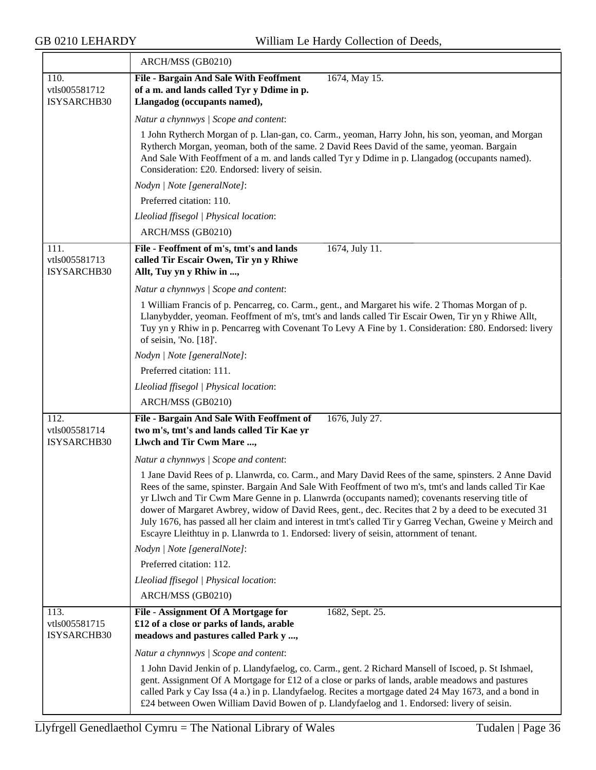|                                      | ARCH/MSS (GB0210)                                                                                                                                                                                                                                                                                                                                                                                                                                                                                                                                                                                                                   |
|--------------------------------------|-------------------------------------------------------------------------------------------------------------------------------------------------------------------------------------------------------------------------------------------------------------------------------------------------------------------------------------------------------------------------------------------------------------------------------------------------------------------------------------------------------------------------------------------------------------------------------------------------------------------------------------|
| 110.<br>vtls005581712<br>ISYSARCHB30 | <b>File - Bargain And Sale With Feoffment</b><br>1674, May 15.<br>of a m. and lands called Tyr y Ddime in p.<br>Llangadog (occupants named),                                                                                                                                                                                                                                                                                                                                                                                                                                                                                        |
|                                      | Natur a chynnwys / Scope and content:                                                                                                                                                                                                                                                                                                                                                                                                                                                                                                                                                                                               |
|                                      | 1 John Rytherch Morgan of p. Llan-gan, co. Carm., yeoman, Harry John, his son, yeoman, and Morgan<br>Rytherch Morgan, yeoman, both of the same. 2 David Rees David of the same, yeoman. Bargain<br>And Sale With Feoffment of a m. and lands called Tyr y Ddime in p. Llangadog (occupants named).<br>Consideration: £20. Endorsed: livery of seisin.                                                                                                                                                                                                                                                                               |
|                                      | Nodyn   Note [generalNote]:                                                                                                                                                                                                                                                                                                                                                                                                                                                                                                                                                                                                         |
|                                      | Preferred citation: 110.                                                                                                                                                                                                                                                                                                                                                                                                                                                                                                                                                                                                            |
|                                      | Lleoliad ffisegol   Physical location:                                                                                                                                                                                                                                                                                                                                                                                                                                                                                                                                                                                              |
|                                      | ARCH/MSS (GB0210)                                                                                                                                                                                                                                                                                                                                                                                                                                                                                                                                                                                                                   |
| 111.<br>vtls005581713                | File - Feoffment of m's, tmt's and lands<br>1674, July 11.<br>called Tir Escair Owen, Tir yn y Rhiwe                                                                                                                                                                                                                                                                                                                                                                                                                                                                                                                                |
| ISYSARCHB30                          | Allt, Tuy yn y Rhiw in ,                                                                                                                                                                                                                                                                                                                                                                                                                                                                                                                                                                                                            |
|                                      | Natur a chynnwys / Scope and content:                                                                                                                                                                                                                                                                                                                                                                                                                                                                                                                                                                                               |
|                                      | 1 William Francis of p. Pencarreg, co. Carm., gent., and Margaret his wife. 2 Thomas Morgan of p.<br>Llanybydder, yeoman. Feoffment of m's, tmt's and lands called Tir Escair Owen, Tir yn y Rhiwe Allt,<br>Tuy yn y Rhiw in p. Pencarreg with Covenant To Levy A Fine by 1. Consideration: £80. Endorsed: livery<br>of seisin, 'No. [18]'.                                                                                                                                                                                                                                                                                         |
|                                      | Nodyn   Note [generalNote]:                                                                                                                                                                                                                                                                                                                                                                                                                                                                                                                                                                                                         |
|                                      | Preferred citation: 111.                                                                                                                                                                                                                                                                                                                                                                                                                                                                                                                                                                                                            |
|                                      | Lleoliad ffisegol   Physical location:                                                                                                                                                                                                                                                                                                                                                                                                                                                                                                                                                                                              |
|                                      | ARCH/MSS (GB0210)                                                                                                                                                                                                                                                                                                                                                                                                                                                                                                                                                                                                                   |
| 112.<br>vtls005581714<br>ISYSARCHB30 | File - Bargain And Sale With Feoffment of<br>1676, July 27.<br>two m's, tmt's and lands called Tir Kae yr<br>Llwch and Tir Cwm Mare ,                                                                                                                                                                                                                                                                                                                                                                                                                                                                                               |
|                                      | Natur a chynnwys / Scope and content:                                                                                                                                                                                                                                                                                                                                                                                                                                                                                                                                                                                               |
|                                      | 1 Jane David Rees of p. Llanwrda, co. Carm., and Mary David Rees of the same, spinsters. 2 Anne David<br>Rees of the same, spinster. Bargain And Sale With Feoffment of two m's, tmt's and lands called Tir Kae<br>yr Llwch and Tir Cwm Mare Genne in p. Llanwrda (occupants named); covenants reserving title of<br>dower of Margaret Awbrey, widow of David Rees, gent., dec. Recites that 2 by a deed to be executed 31<br>July 1676, has passed all her claim and interest in tmt's called Tir y Garreg Vechan, Gweine y Meirch and<br>Escayre Lleithtuy in p. Llanwrda to 1. Endorsed: livery of seisin, attornment of tenant. |
|                                      | Nodyn   Note [generalNote]:                                                                                                                                                                                                                                                                                                                                                                                                                                                                                                                                                                                                         |
|                                      | Preferred citation: 112.                                                                                                                                                                                                                                                                                                                                                                                                                                                                                                                                                                                                            |
|                                      | Lleoliad ffisegol   Physical location:                                                                                                                                                                                                                                                                                                                                                                                                                                                                                                                                                                                              |
|                                      | ARCH/MSS (GB0210)                                                                                                                                                                                                                                                                                                                                                                                                                                                                                                                                                                                                                   |
| 113.<br>vtls005581715<br>ISYSARCHB30 | File - Assignment Of A Mortgage for<br>1682, Sept. 25.<br>£12 of a close or parks of lands, arable<br>meadows and pastures called Park y ,                                                                                                                                                                                                                                                                                                                                                                                                                                                                                          |
|                                      | Natur a chynnwys / Scope and content:                                                                                                                                                                                                                                                                                                                                                                                                                                                                                                                                                                                               |
|                                      | 1 John David Jenkin of p. Llandyfaelog, co. Carm., gent. 2 Richard Mansell of Iscoed, p. St Ishmael,<br>gent. Assignment Of A Mortgage for £12 of a close or parks of lands, arable meadows and pastures<br>called Park y Cay Issa (4 a.) in p. Llandyfaelog. Recites a mortgage dated 24 May 1673, and a bond in<br>£24 between Owen William David Bowen of p. Llandyfaelog and 1. Endorsed: livery of seisin.                                                                                                                                                                                                                     |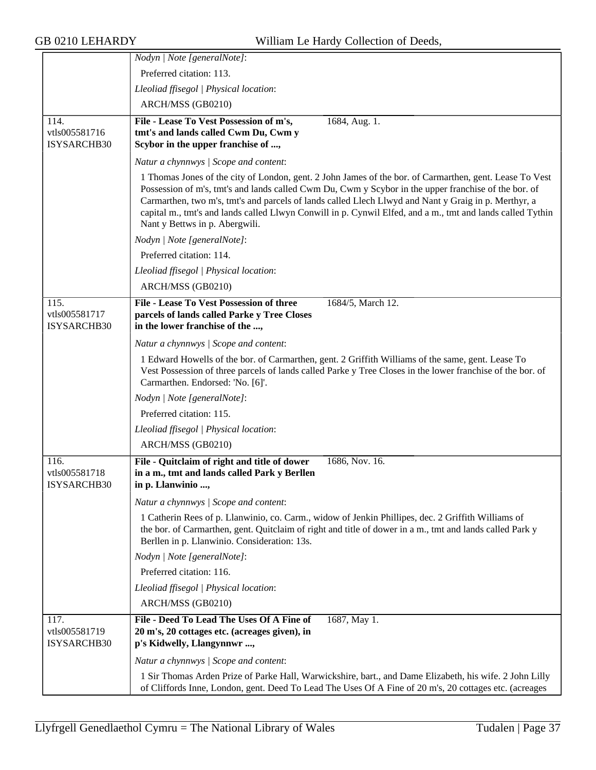|                                      | Nodyn   Note [generalNote]:                                                                                                                                                                                                                                                                                                                                                                                                                                             |
|--------------------------------------|-------------------------------------------------------------------------------------------------------------------------------------------------------------------------------------------------------------------------------------------------------------------------------------------------------------------------------------------------------------------------------------------------------------------------------------------------------------------------|
|                                      | Preferred citation: 113.                                                                                                                                                                                                                                                                                                                                                                                                                                                |
|                                      | Lleoliad ffisegol   Physical location:                                                                                                                                                                                                                                                                                                                                                                                                                                  |
|                                      | ARCH/MSS (GB0210)                                                                                                                                                                                                                                                                                                                                                                                                                                                       |
| 114.                                 | File - Lease To Vest Possession of m's,<br>1684, Aug. 1.                                                                                                                                                                                                                                                                                                                                                                                                                |
| vtls005581716                        | tmt's and lands called Cwm Du, Cwm y                                                                                                                                                                                                                                                                                                                                                                                                                                    |
| ISYSARCHB30                          | Scybor in the upper franchise of ,                                                                                                                                                                                                                                                                                                                                                                                                                                      |
|                                      | Natur a chynnwys / Scope and content:                                                                                                                                                                                                                                                                                                                                                                                                                                   |
|                                      | 1 Thomas Jones of the city of London, gent. 2 John James of the bor. of Carmarthen, gent. Lease To Vest<br>Possession of m's, tmt's and lands called Cwm Du, Cwm y Scybor in the upper franchise of the bor. of<br>Carmarthen, two m's, tmt's and parcels of lands called Llech Llwyd and Nant y Graig in p. Merthyr, a<br>capital m., tmt's and lands called Llwyn Conwill in p. Cynwil Elfed, and a m., tmt and lands called Tythin<br>Nant y Bettws in p. Abergwili. |
|                                      | Nodyn   Note [generalNote]:                                                                                                                                                                                                                                                                                                                                                                                                                                             |
|                                      | Preferred citation: 114.                                                                                                                                                                                                                                                                                                                                                                                                                                                |
|                                      | Lleoliad ffisegol   Physical location:                                                                                                                                                                                                                                                                                                                                                                                                                                  |
|                                      | ARCH/MSS (GB0210)                                                                                                                                                                                                                                                                                                                                                                                                                                                       |
| 115.                                 | File - Lease To Vest Possession of three<br>1684/5, March 12.                                                                                                                                                                                                                                                                                                                                                                                                           |
| vtls005581717<br>ISYSARCHB30         | parcels of lands called Parke y Tree Closes<br>in the lower franchise of the ,                                                                                                                                                                                                                                                                                                                                                                                          |
|                                      | Natur a chynnwys / Scope and content:                                                                                                                                                                                                                                                                                                                                                                                                                                   |
|                                      | 1 Edward Howells of the bor. of Carmarthen, gent. 2 Griffith Williams of the same, gent. Lease To<br>Vest Possession of three parcels of lands called Parke y Tree Closes in the lower franchise of the bor. of<br>Carmarthen. Endorsed: 'No. [6]'.                                                                                                                                                                                                                     |
|                                      | Nodyn   Note [generalNote]:                                                                                                                                                                                                                                                                                                                                                                                                                                             |
|                                      | Preferred citation: 115.                                                                                                                                                                                                                                                                                                                                                                                                                                                |
|                                      | Lleoliad ffisegol   Physical location:                                                                                                                                                                                                                                                                                                                                                                                                                                  |
|                                      | ARCH/MSS (GB0210)                                                                                                                                                                                                                                                                                                                                                                                                                                                       |
| 116.<br>vtls005581718<br>ISYSARCHB30 | File - Quitclaim of right and title of dower<br>1686, Nov. 16.<br>in a m., tmt and lands called Park y Berllen<br>in p. Llanwinio ,                                                                                                                                                                                                                                                                                                                                     |
|                                      | Natur a chynnwys / Scope and content:                                                                                                                                                                                                                                                                                                                                                                                                                                   |
|                                      | 1 Catherin Rees of p. Llanwinio, co. Carm., widow of Jenkin Phillipes, dec. 2 Griffith Williams of<br>the bor. of Carmarthen, gent. Quitclaim of right and title of dower in a m., tmt and lands called Park y<br>Berllen in p. Llanwinio. Consideration: 13s.                                                                                                                                                                                                          |
|                                      | Nodyn   Note [generalNote]:                                                                                                                                                                                                                                                                                                                                                                                                                                             |
|                                      | Preferred citation: 116.                                                                                                                                                                                                                                                                                                                                                                                                                                                |
|                                      | Lleoliad ffisegol   Physical location:                                                                                                                                                                                                                                                                                                                                                                                                                                  |
|                                      | ARCH/MSS (GB0210)                                                                                                                                                                                                                                                                                                                                                                                                                                                       |
| 117.<br>vtls005581719<br>ISYSARCHB30 | File - Deed To Lead The Uses Of A Fine of<br>1687, May 1.<br>20 m's, 20 cottages etc. (acreages given), in<br>p's Kidwelly, Llangynnwr ,                                                                                                                                                                                                                                                                                                                                |
|                                      | Natur a chynnwys / Scope and content:                                                                                                                                                                                                                                                                                                                                                                                                                                   |
|                                      | 1 Sir Thomas Arden Prize of Parke Hall, Warwickshire, bart., and Dame Elizabeth, his wife. 2 John Lilly<br>of Cliffords Inne, London, gent. Deed To Lead The Uses Of A Fine of 20 m's, 20 cottages etc. (acreages                                                                                                                                                                                                                                                       |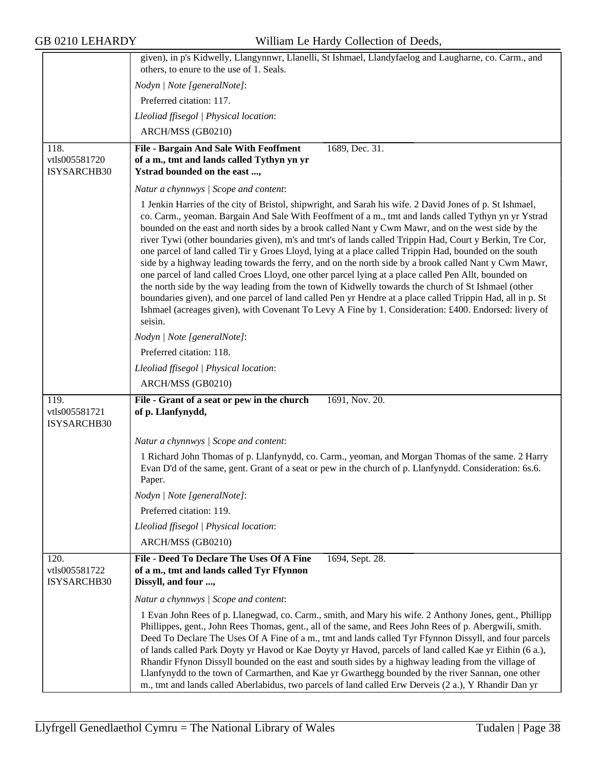|                                      | given), in p's Kidwelly, Llangynnwr, Llanelli, St Ishmael, Llandyfaelog and Laugharne, co. Carm., and<br>others, to enure to the use of 1. Seals.                                                                                                                                                                                                                                                                                                                                                                                                                                                                                                                                                                                                                                                                                                                                                                                                                                                                                                                                                      |
|--------------------------------------|--------------------------------------------------------------------------------------------------------------------------------------------------------------------------------------------------------------------------------------------------------------------------------------------------------------------------------------------------------------------------------------------------------------------------------------------------------------------------------------------------------------------------------------------------------------------------------------------------------------------------------------------------------------------------------------------------------------------------------------------------------------------------------------------------------------------------------------------------------------------------------------------------------------------------------------------------------------------------------------------------------------------------------------------------------------------------------------------------------|
|                                      | Nodyn   Note [generalNote]:                                                                                                                                                                                                                                                                                                                                                                                                                                                                                                                                                                                                                                                                                                                                                                                                                                                                                                                                                                                                                                                                            |
|                                      | Preferred citation: 117.                                                                                                                                                                                                                                                                                                                                                                                                                                                                                                                                                                                                                                                                                                                                                                                                                                                                                                                                                                                                                                                                               |
|                                      | Lleoliad ffisegol   Physical location:                                                                                                                                                                                                                                                                                                                                                                                                                                                                                                                                                                                                                                                                                                                                                                                                                                                                                                                                                                                                                                                                 |
|                                      | ARCH/MSS (GB0210)                                                                                                                                                                                                                                                                                                                                                                                                                                                                                                                                                                                                                                                                                                                                                                                                                                                                                                                                                                                                                                                                                      |
|                                      |                                                                                                                                                                                                                                                                                                                                                                                                                                                                                                                                                                                                                                                                                                                                                                                                                                                                                                                                                                                                                                                                                                        |
| 118.<br>vtls005581720<br>ISYSARCHB30 | 1689, Dec. 31.<br>File - Bargain And Sale With Feoffment<br>of a m., tmt and lands called Tythyn yn yr<br>Ystrad bounded on the east ,                                                                                                                                                                                                                                                                                                                                                                                                                                                                                                                                                                                                                                                                                                                                                                                                                                                                                                                                                                 |
|                                      | Natur a chynnwys / Scope and content:                                                                                                                                                                                                                                                                                                                                                                                                                                                                                                                                                                                                                                                                                                                                                                                                                                                                                                                                                                                                                                                                  |
|                                      | 1 Jenkin Harries of the city of Bristol, shipwright, and Sarah his wife. 2 David Jones of p. St Ishmael,<br>co. Carm., yeoman. Bargain And Sale With Feoffment of a m., tmt and lands called Tythyn yn yr Ystrad<br>bounded on the east and north sides by a brook called Nant y Cwm Mawr, and on the west side by the<br>river Tywi (other boundaries given), m's and tmt's of lands called Trippin Had, Court y Berkin, Tre Cor,<br>one parcel of land called Tir y Groes Lloyd, lying at a place called Trippin Had, bounded on the south<br>side by a highway leading towards the ferry, and on the north side by a brook called Nant y Cwm Mawr,<br>one parcel of land called Croes Lloyd, one other parcel lying at a place called Pen Allt, bounded on<br>the north side by the way leading from the town of Kidwelly towards the church of St Ishmael (other<br>boundaries given), and one parcel of land called Pen yr Hendre at a place called Trippin Had, all in p. St<br>Ishmael (acreages given), with Covenant To Levy A Fine by 1. Consideration: £400. Endorsed: livery of<br>seisin. |
|                                      | Nodyn   Note [generalNote]:                                                                                                                                                                                                                                                                                                                                                                                                                                                                                                                                                                                                                                                                                                                                                                                                                                                                                                                                                                                                                                                                            |
|                                      | Preferred citation: 118.                                                                                                                                                                                                                                                                                                                                                                                                                                                                                                                                                                                                                                                                                                                                                                                                                                                                                                                                                                                                                                                                               |
|                                      | Lleoliad ffisegol   Physical location:                                                                                                                                                                                                                                                                                                                                                                                                                                                                                                                                                                                                                                                                                                                                                                                                                                                                                                                                                                                                                                                                 |
|                                      | ARCH/MSS (GB0210)                                                                                                                                                                                                                                                                                                                                                                                                                                                                                                                                                                                                                                                                                                                                                                                                                                                                                                                                                                                                                                                                                      |
| 119.<br>vtls005581721<br>ISYSARCHB30 | 1691, Nov. 20.<br>File - Grant of a seat or pew in the church<br>of p. Llanfynydd,                                                                                                                                                                                                                                                                                                                                                                                                                                                                                                                                                                                                                                                                                                                                                                                                                                                                                                                                                                                                                     |
|                                      | Natur a chynnwys / Scope and content:                                                                                                                                                                                                                                                                                                                                                                                                                                                                                                                                                                                                                                                                                                                                                                                                                                                                                                                                                                                                                                                                  |
|                                      | 1 Richard John Thomas of p. Llanfynydd, co. Carm., yeoman, and Morgan Thomas of the same. 2 Harry<br>Evan D'd of the same, gent. Grant of a seat or pew in the church of p. Llanfynydd. Consideration: 6s.6.<br>Paper.                                                                                                                                                                                                                                                                                                                                                                                                                                                                                                                                                                                                                                                                                                                                                                                                                                                                                 |
|                                      | Nodyn   Note [generalNote]:                                                                                                                                                                                                                                                                                                                                                                                                                                                                                                                                                                                                                                                                                                                                                                                                                                                                                                                                                                                                                                                                            |
|                                      | Preferred citation: 119.                                                                                                                                                                                                                                                                                                                                                                                                                                                                                                                                                                                                                                                                                                                                                                                                                                                                                                                                                                                                                                                                               |
|                                      | Lleoliad ffisegol   Physical location:                                                                                                                                                                                                                                                                                                                                                                                                                                                                                                                                                                                                                                                                                                                                                                                                                                                                                                                                                                                                                                                                 |
|                                      | ARCH/MSS (GB0210)                                                                                                                                                                                                                                                                                                                                                                                                                                                                                                                                                                                                                                                                                                                                                                                                                                                                                                                                                                                                                                                                                      |
| 120.<br>vtls005581722<br>ISYSARCHB30 | File - Deed To Declare The Uses Of A Fine<br>1694, Sept. 28.<br>of a m., tmt and lands called Tyr Ffynnon<br>Dissyll, and four ,                                                                                                                                                                                                                                                                                                                                                                                                                                                                                                                                                                                                                                                                                                                                                                                                                                                                                                                                                                       |
|                                      | Natur a chynnwys / Scope and content:                                                                                                                                                                                                                                                                                                                                                                                                                                                                                                                                                                                                                                                                                                                                                                                                                                                                                                                                                                                                                                                                  |
|                                      | 1 Evan John Rees of p. Llanegwad, co. Carm., smith, and Mary his wife. 2 Anthony Jones, gent., Phillipp<br>Phillippes, gent., John Rees Thomas, gent., all of the same, and Rees John Rees of p. Abergwili, smith.<br>Deed To Declare The Uses Of A Fine of a m., tmt and lands called Tyr Ffynnon Dissyll, and four parcels<br>of lands called Park Doyty yr Havod or Kae Doyty yr Havod, parcels of land called Kae yr Eithin (6 a.),<br>Rhandir Ffynon Dissyll bounded on the east and south sides by a highway leading from the village of<br>Llanfynydd to the town of Carmarthen, and Kae yr Gwarthegg bounded by the river Sannan, one other<br>m., tmt and lands called Aberlabidus, two parcels of land called Erw Derveis (2 a.), Y Rhandir Dan yr                                                                                                                                                                                                                                                                                                                                           |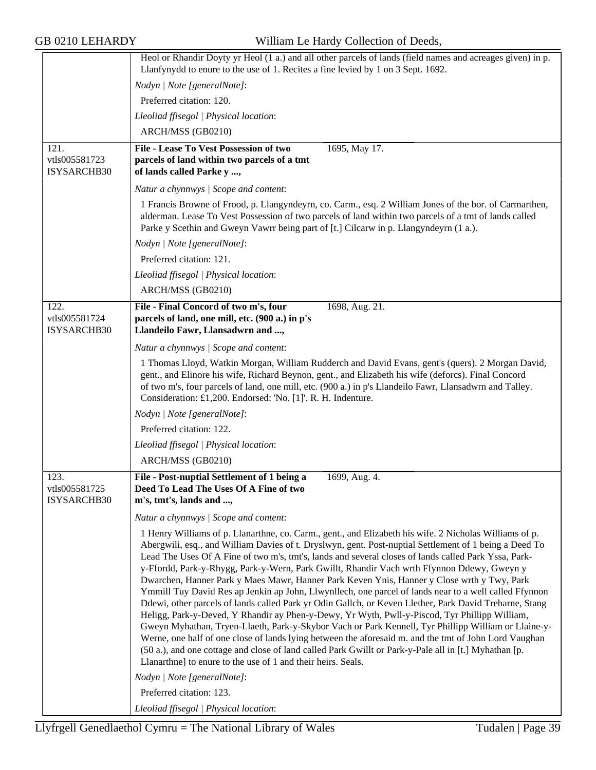|                              | Heol or Rhandir Doyty yr Heol (1 a.) and all other parcels of lands (field names and acreages given) in p.                                                                                                                                                                                                                                                                                                                                                                                                                                                                                                                                                                                                                                                                                                                                                                                                                                                                                                                                                                                                                                                                                                                                                       |
|------------------------------|------------------------------------------------------------------------------------------------------------------------------------------------------------------------------------------------------------------------------------------------------------------------------------------------------------------------------------------------------------------------------------------------------------------------------------------------------------------------------------------------------------------------------------------------------------------------------------------------------------------------------------------------------------------------------------------------------------------------------------------------------------------------------------------------------------------------------------------------------------------------------------------------------------------------------------------------------------------------------------------------------------------------------------------------------------------------------------------------------------------------------------------------------------------------------------------------------------------------------------------------------------------|
|                              | Llanfynydd to enure to the use of 1. Recites a fine levied by 1 on 3 Sept. 1692.                                                                                                                                                                                                                                                                                                                                                                                                                                                                                                                                                                                                                                                                                                                                                                                                                                                                                                                                                                                                                                                                                                                                                                                 |
|                              | Nodyn   Note [generalNote]:                                                                                                                                                                                                                                                                                                                                                                                                                                                                                                                                                                                                                                                                                                                                                                                                                                                                                                                                                                                                                                                                                                                                                                                                                                      |
|                              | Preferred citation: 120.                                                                                                                                                                                                                                                                                                                                                                                                                                                                                                                                                                                                                                                                                                                                                                                                                                                                                                                                                                                                                                                                                                                                                                                                                                         |
|                              | Lleoliad ffisegol   Physical location:                                                                                                                                                                                                                                                                                                                                                                                                                                                                                                                                                                                                                                                                                                                                                                                                                                                                                                                                                                                                                                                                                                                                                                                                                           |
|                              | ARCH/MSS (GB0210)                                                                                                                                                                                                                                                                                                                                                                                                                                                                                                                                                                                                                                                                                                                                                                                                                                                                                                                                                                                                                                                                                                                                                                                                                                                |
| 121.                         | File - Lease To Vest Possession of two<br>1695, May 17.                                                                                                                                                                                                                                                                                                                                                                                                                                                                                                                                                                                                                                                                                                                                                                                                                                                                                                                                                                                                                                                                                                                                                                                                          |
| vtls005581723<br>ISYSARCHB30 | parcels of land within two parcels of a tmt<br>of lands called Parke y ,                                                                                                                                                                                                                                                                                                                                                                                                                                                                                                                                                                                                                                                                                                                                                                                                                                                                                                                                                                                                                                                                                                                                                                                         |
|                              | Natur a chynnwys / Scope and content:                                                                                                                                                                                                                                                                                                                                                                                                                                                                                                                                                                                                                                                                                                                                                                                                                                                                                                                                                                                                                                                                                                                                                                                                                            |
|                              | 1 Francis Browne of Frood, p. Llangyndeyrn, co. Carm., esq. 2 William Jones of the bor. of Carmarthen,<br>alderman. Lease To Vest Possession of two parcels of land within two parcels of a tmt of lands called<br>Parke y Scethin and Gweyn Vawrr being part of [t.] Cilcarw in p. Llangyndeyrn (1 a.).                                                                                                                                                                                                                                                                                                                                                                                                                                                                                                                                                                                                                                                                                                                                                                                                                                                                                                                                                         |
|                              | Nodyn   Note [generalNote]:                                                                                                                                                                                                                                                                                                                                                                                                                                                                                                                                                                                                                                                                                                                                                                                                                                                                                                                                                                                                                                                                                                                                                                                                                                      |
|                              | Preferred citation: 121.                                                                                                                                                                                                                                                                                                                                                                                                                                                                                                                                                                                                                                                                                                                                                                                                                                                                                                                                                                                                                                                                                                                                                                                                                                         |
|                              | Lleoliad ffisegol   Physical location:                                                                                                                                                                                                                                                                                                                                                                                                                                                                                                                                                                                                                                                                                                                                                                                                                                                                                                                                                                                                                                                                                                                                                                                                                           |
|                              | ARCH/MSS (GB0210)                                                                                                                                                                                                                                                                                                                                                                                                                                                                                                                                                                                                                                                                                                                                                                                                                                                                                                                                                                                                                                                                                                                                                                                                                                                |
| 122.                         | File - Final Concord of two m's, four<br>1698, Aug. 21.                                                                                                                                                                                                                                                                                                                                                                                                                                                                                                                                                                                                                                                                                                                                                                                                                                                                                                                                                                                                                                                                                                                                                                                                          |
| vtls005581724<br>ISYSARCHB30 | parcels of land, one mill, etc. (900 a.) in p's<br>Llandeilo Fawr, Llansadwrn and ,                                                                                                                                                                                                                                                                                                                                                                                                                                                                                                                                                                                                                                                                                                                                                                                                                                                                                                                                                                                                                                                                                                                                                                              |
|                              | Natur a chynnwys / Scope and content:                                                                                                                                                                                                                                                                                                                                                                                                                                                                                                                                                                                                                                                                                                                                                                                                                                                                                                                                                                                                                                                                                                                                                                                                                            |
|                              | 1 Thomas Lloyd, Watkin Morgan, William Rudderch and David Evans, gent's (quers). 2 Morgan David,<br>gent., and Elinore his wife, Richard Beynon, gent., and Elizabeth his wife (deforcs). Final Concord<br>of two m's, four parcels of land, one mill, etc. (900 a.) in p's Llandeilo Fawr, Llansadwrn and Talley.<br>Consideration: £1,200. Endorsed: 'No. [1]'. R. H. Indenture.                                                                                                                                                                                                                                                                                                                                                                                                                                                                                                                                                                                                                                                                                                                                                                                                                                                                               |
|                              | Nodyn   Note [generalNote]:                                                                                                                                                                                                                                                                                                                                                                                                                                                                                                                                                                                                                                                                                                                                                                                                                                                                                                                                                                                                                                                                                                                                                                                                                                      |
|                              | Preferred citation: 122.                                                                                                                                                                                                                                                                                                                                                                                                                                                                                                                                                                                                                                                                                                                                                                                                                                                                                                                                                                                                                                                                                                                                                                                                                                         |
|                              | Lleoliad ffisegol   Physical location:                                                                                                                                                                                                                                                                                                                                                                                                                                                                                                                                                                                                                                                                                                                                                                                                                                                                                                                                                                                                                                                                                                                                                                                                                           |
|                              | ARCH/MSS (GB0210)                                                                                                                                                                                                                                                                                                                                                                                                                                                                                                                                                                                                                                                                                                                                                                                                                                                                                                                                                                                                                                                                                                                                                                                                                                                |
| 123.                         | File - Post-nuptial Settlement of 1 being a<br>1699, Aug. 4.                                                                                                                                                                                                                                                                                                                                                                                                                                                                                                                                                                                                                                                                                                                                                                                                                                                                                                                                                                                                                                                                                                                                                                                                     |
| vtls005581725                | Deed To Lead The Uses Of A Fine of two                                                                                                                                                                                                                                                                                                                                                                                                                                                                                                                                                                                                                                                                                                                                                                                                                                                                                                                                                                                                                                                                                                                                                                                                                           |
| ISYSARCHB30                  | m's, tmt's, lands and ,                                                                                                                                                                                                                                                                                                                                                                                                                                                                                                                                                                                                                                                                                                                                                                                                                                                                                                                                                                                                                                                                                                                                                                                                                                          |
|                              | Natur a chynnwys / Scope and content:                                                                                                                                                                                                                                                                                                                                                                                                                                                                                                                                                                                                                                                                                                                                                                                                                                                                                                                                                                                                                                                                                                                                                                                                                            |
|                              | 1 Henry Williams of p. Llanarthne, co. Carm., gent., and Elizabeth his wife. 2 Nicholas Williams of p.<br>Abergwili, esq., and William Davies of t. Dryslwyn, gent. Post-nuptial Settlement of 1 being a Deed To<br>Lead The Uses Of A Fine of two m's, tmt's, lands and several closes of lands called Park Yssa, Park-<br>y-Ffordd, Park-y-Rhygg, Park-y-Wern, Park Gwillt, Rhandir Vach wrth Ffynnon Ddewy, Gweyn y<br>Dwarchen, Hanner Park y Maes Mawr, Hanner Park Keven Ynis, Hanner y Close wrth y Twy, Park<br>Ymmill Tuy David Res ap Jenkin ap John, Llwynllech, one parcel of lands near to a well called Ffynnon<br>Ddewi, other parcels of lands called Park yr Odin Gallch, or Keven Llether, Park David Treharne, Stang<br>Heligg, Park-y-Deved, Y Rhandir ay Phen-y-Dewy, Yr Wyth, Pwll-y-Piscod, Tyr Phillipp William,<br>Gweyn Myhathan, Tryen-Llaeth, Park-y-Skybor Vach or Park Kennell, Tyr Phillipp William or Llaine-y-<br>Werne, one half of one close of lands lying between the aforesaid m. and the tmt of John Lord Vaughan<br>(50 a.), and one cottage and close of land called Park Gwillt or Park-y-Pale all in [t.] Myhathan [p.<br>Llanarthne] to enure to the use of 1 and their heirs. Seals.<br>Nodyn   Note [generalNote]: |
|                              | Preferred citation: 123.                                                                                                                                                                                                                                                                                                                                                                                                                                                                                                                                                                                                                                                                                                                                                                                                                                                                                                                                                                                                                                                                                                                                                                                                                                         |
|                              | Lleoliad ffisegol   Physical location:                                                                                                                                                                                                                                                                                                                                                                                                                                                                                                                                                                                                                                                                                                                                                                                                                                                                                                                                                                                                                                                                                                                                                                                                                           |
|                              |                                                                                                                                                                                                                                                                                                                                                                                                                                                                                                                                                                                                                                                                                                                                                                                                                                                                                                                                                                                                                                                                                                                                                                                                                                                                  |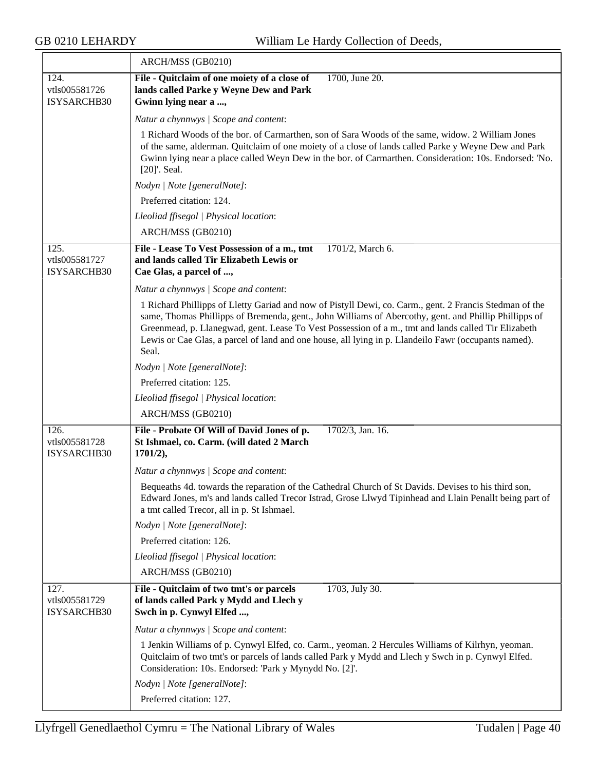|                                      | ARCH/MSS (GB0210)                                                                                                                                                                                                                                                                                                                                                                                                                        |
|--------------------------------------|------------------------------------------------------------------------------------------------------------------------------------------------------------------------------------------------------------------------------------------------------------------------------------------------------------------------------------------------------------------------------------------------------------------------------------------|
| 124.<br>vtls005581726<br>ISYSARCHB30 | File - Quitclaim of one moiety of a close of<br>1700, June 20.<br>lands called Parke y Weyne Dew and Park<br>Gwinn lying near a ,                                                                                                                                                                                                                                                                                                        |
|                                      | Natur a chynnwys / Scope and content:                                                                                                                                                                                                                                                                                                                                                                                                    |
|                                      | 1 Richard Woods of the bor. of Carmarthen, son of Sara Woods of the same, widow. 2 William Jones<br>of the same, alderman. Quitclaim of one moiety of a close of lands called Parke y Weyne Dew and Park<br>Gwinn lying near a place called Weyn Dew in the bor. of Carmarthen. Consideration: 10s. Endorsed: 'No.<br>[20]'. Seal.                                                                                                       |
|                                      | Nodyn   Note [generalNote]:                                                                                                                                                                                                                                                                                                                                                                                                              |
|                                      | Preferred citation: 124.                                                                                                                                                                                                                                                                                                                                                                                                                 |
|                                      | Lleoliad ffisegol   Physical location:                                                                                                                                                                                                                                                                                                                                                                                                   |
|                                      | ARCH/MSS (GB0210)                                                                                                                                                                                                                                                                                                                                                                                                                        |
| 125.<br>vtls005581727<br>ISYSARCHB30 | File - Lease To Vest Possession of a m., tmt<br>1701/2, March 6.<br>and lands called Tir Elizabeth Lewis or<br>Cae Glas, a parcel of ,                                                                                                                                                                                                                                                                                                   |
|                                      | Natur a chynnwys / Scope and content:                                                                                                                                                                                                                                                                                                                                                                                                    |
|                                      | 1 Richard Phillipps of Lletty Gariad and now of Pistyll Dewi, co. Carm., gent. 2 Francis Stedman of the<br>same, Thomas Phillipps of Bremenda, gent., John Williams of Abercothy, gent. and Phillip Phillipps of<br>Greenmead, p. Llanegwad, gent. Lease To Vest Possession of a m., tmt and lands called Tir Elizabeth<br>Lewis or Cae Glas, a parcel of land and one house, all lying in p. Llandeilo Fawr (occupants named).<br>Seal. |
|                                      | Nodyn   Note [generalNote]:                                                                                                                                                                                                                                                                                                                                                                                                              |
|                                      | Preferred citation: 125.                                                                                                                                                                                                                                                                                                                                                                                                                 |
|                                      | Lleoliad ffisegol   Physical location:                                                                                                                                                                                                                                                                                                                                                                                                   |
|                                      | ARCH/MSS (GB0210)                                                                                                                                                                                                                                                                                                                                                                                                                        |
| 126.<br>vtls005581728<br>ISYSARCHB30 | 1702/3, Jan. 16.<br>File - Probate Of Will of David Jones of p.<br>St Ishmael, co. Carm. (will dated 2 March<br>$1701/2$ ),                                                                                                                                                                                                                                                                                                              |
|                                      | Natur a chynnwys / Scope and content:                                                                                                                                                                                                                                                                                                                                                                                                    |
|                                      | Bequeaths 4d. towards the reparation of the Cathedral Church of St Davids. Devises to his third son,<br>Edward Jones, m's and lands called Trecor Istrad, Grose Llwyd Tipinhead and Llain Penallt being part of<br>a tmt called Trecor, all in p. St Ishmael.                                                                                                                                                                            |
|                                      | Nodyn   Note [generalNote]:                                                                                                                                                                                                                                                                                                                                                                                                              |
|                                      | Preferred citation: 126.                                                                                                                                                                                                                                                                                                                                                                                                                 |
|                                      | Lleoliad ffisegol   Physical location:                                                                                                                                                                                                                                                                                                                                                                                                   |
|                                      | ARCH/MSS (GB0210)                                                                                                                                                                                                                                                                                                                                                                                                                        |
| 127.<br>vtls005581729<br>ISYSARCHB30 | File - Quitclaim of two tmt's or parcels<br>1703, July 30.<br>of lands called Park y Mydd and Llech y<br>Swch in p. Cynwyl Elfed ,                                                                                                                                                                                                                                                                                                       |
|                                      | Natur a chynnwys / Scope and content:                                                                                                                                                                                                                                                                                                                                                                                                    |
|                                      | 1 Jenkin Williams of p. Cynwyl Elfed, co. Carm., yeoman. 2 Hercules Williams of Kilrhyn, yeoman.<br>Quitclaim of two tmt's or parcels of lands called Park y Mydd and Llech y Swch in p. Cynwyl Elfed.<br>Consideration: 10s. Endorsed: 'Park y Mynydd No. [2]'.                                                                                                                                                                         |
|                                      | Nodyn   Note [generalNote]:                                                                                                                                                                                                                                                                                                                                                                                                              |
|                                      | Preferred citation: 127.                                                                                                                                                                                                                                                                                                                                                                                                                 |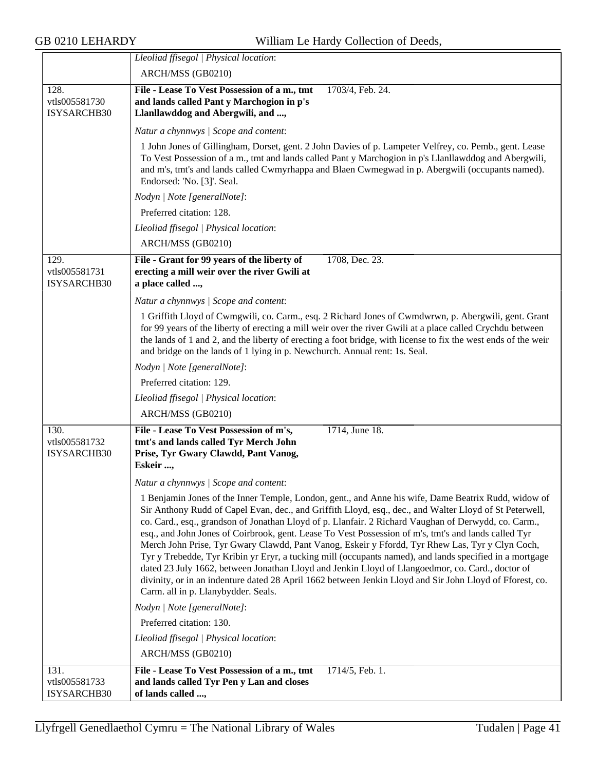|                                      | Lleoliad ffisegol   Physical location:                                                                                                                                                                                                                                                                                                                                                                                                                                                                                                                                                                                                                                                                                                                                                                                                                                                              |
|--------------------------------------|-----------------------------------------------------------------------------------------------------------------------------------------------------------------------------------------------------------------------------------------------------------------------------------------------------------------------------------------------------------------------------------------------------------------------------------------------------------------------------------------------------------------------------------------------------------------------------------------------------------------------------------------------------------------------------------------------------------------------------------------------------------------------------------------------------------------------------------------------------------------------------------------------------|
|                                      | ARCH/MSS (GB0210)                                                                                                                                                                                                                                                                                                                                                                                                                                                                                                                                                                                                                                                                                                                                                                                                                                                                                   |
| 128.<br>vtls005581730<br>ISYSARCHB30 | File - Lease To Vest Possession of a m., tmt<br>1703/4, Feb. 24.<br>and lands called Pant y Marchogion in p's<br>Llanllawddog and Abergwili, and ,                                                                                                                                                                                                                                                                                                                                                                                                                                                                                                                                                                                                                                                                                                                                                  |
|                                      | Natur a chynnwys / Scope and content:                                                                                                                                                                                                                                                                                                                                                                                                                                                                                                                                                                                                                                                                                                                                                                                                                                                               |
|                                      | 1 John Jones of Gillingham, Dorset, gent. 2 John Davies of p. Lampeter Velfrey, co. Pemb., gent. Lease<br>To Vest Possession of a m., tmt and lands called Pant y Marchogion in p's Llanllawddog and Abergwili,<br>and m's, tmt's and lands called Cwmyrhappa and Blaen Cwmegwad in p. Abergwili (occupants named).<br>Endorsed: 'No. [3]'. Seal.                                                                                                                                                                                                                                                                                                                                                                                                                                                                                                                                                   |
|                                      | Nodyn   Note [generalNote]:                                                                                                                                                                                                                                                                                                                                                                                                                                                                                                                                                                                                                                                                                                                                                                                                                                                                         |
|                                      | Preferred citation: 128.                                                                                                                                                                                                                                                                                                                                                                                                                                                                                                                                                                                                                                                                                                                                                                                                                                                                            |
|                                      | Lleoliad ffisegol   Physical location:                                                                                                                                                                                                                                                                                                                                                                                                                                                                                                                                                                                                                                                                                                                                                                                                                                                              |
|                                      | ARCH/MSS (GB0210)                                                                                                                                                                                                                                                                                                                                                                                                                                                                                                                                                                                                                                                                                                                                                                                                                                                                                   |
| 129.<br>vtls005581731<br>ISYSARCHB30 | File - Grant for 99 years of the liberty of<br>1708, Dec. 23.<br>erecting a mill weir over the river Gwili at<br>a place called ,                                                                                                                                                                                                                                                                                                                                                                                                                                                                                                                                                                                                                                                                                                                                                                   |
|                                      | Natur a chynnwys / Scope and content:                                                                                                                                                                                                                                                                                                                                                                                                                                                                                                                                                                                                                                                                                                                                                                                                                                                               |
|                                      | 1 Griffith Lloyd of Cwmgwili, co. Carm., esq. 2 Richard Jones of Cwmdwrwn, p. Abergwili, gent. Grant<br>for 99 years of the liberty of erecting a mill weir over the river Gwili at a place called Crychdu between<br>the lands of 1 and 2, and the liberty of erecting a foot bridge, with license to fix the west ends of the weir<br>and bridge on the lands of 1 lying in p. Newchurch. Annual rent: 1s. Seal.                                                                                                                                                                                                                                                                                                                                                                                                                                                                                  |
|                                      | Nodyn   Note [generalNote]:                                                                                                                                                                                                                                                                                                                                                                                                                                                                                                                                                                                                                                                                                                                                                                                                                                                                         |
|                                      | Preferred citation: 129.                                                                                                                                                                                                                                                                                                                                                                                                                                                                                                                                                                                                                                                                                                                                                                                                                                                                            |
|                                      | Lleoliad ffisegol   Physical location:                                                                                                                                                                                                                                                                                                                                                                                                                                                                                                                                                                                                                                                                                                                                                                                                                                                              |
|                                      | ARCH/MSS (GB0210)                                                                                                                                                                                                                                                                                                                                                                                                                                                                                                                                                                                                                                                                                                                                                                                                                                                                                   |
| 130.<br>vtls005581732<br>ISYSARCHB30 | File - Lease To Vest Possession of m's,<br>1714, June 18.<br>tmt's and lands called Tyr Merch John<br>Prise, Tyr Gwary Clawdd, Pant Vanog,<br>Eskeir ,                                                                                                                                                                                                                                                                                                                                                                                                                                                                                                                                                                                                                                                                                                                                              |
|                                      | Natur a chynnwys / Scope and content:                                                                                                                                                                                                                                                                                                                                                                                                                                                                                                                                                                                                                                                                                                                                                                                                                                                               |
|                                      | 1 Benjamin Jones of the Inner Temple, London, gent., and Anne his wife, Dame Beatrix Rudd, widow of<br>Sir Anthony Rudd of Capel Evan, dec., and Griffith Lloyd, esq., dec., and Walter Lloyd of St Peterwell,<br>co. Card., esq., grandson of Jonathan Lloyd of p. Llanfair. 2 Richard Vaughan of Derwydd, co. Carm.,<br>esq., and John Jones of Coirbrook, gent. Lease To Vest Possession of m's, tmt's and lands called Tyr<br>Merch John Prise, Tyr Gwary Clawdd, Pant Vanog, Eskeir y Ffordd, Tyr Rhew Las, Tyr y Clyn Coch,<br>Tyr y Trebedde, Tyr Kribin yr Eryr, a tucking mill (occupants named), and lands specified in a mortgage<br>dated 23 July 1662, between Jonathan Lloyd and Jenkin Lloyd of Llangoedmor, co. Card., doctor of<br>divinity, or in an indenture dated 28 April 1662 between Jenkin Lloyd and Sir John Lloyd of Fforest, co.<br>Carm. all in p. Llanybydder. Seals. |
|                                      | Nodyn   Note [generalNote]:                                                                                                                                                                                                                                                                                                                                                                                                                                                                                                                                                                                                                                                                                                                                                                                                                                                                         |
|                                      | Preferred citation: 130.                                                                                                                                                                                                                                                                                                                                                                                                                                                                                                                                                                                                                                                                                                                                                                                                                                                                            |
|                                      | Lleoliad ffisegol   Physical location:                                                                                                                                                                                                                                                                                                                                                                                                                                                                                                                                                                                                                                                                                                                                                                                                                                                              |
|                                      | ARCH/MSS (GB0210)                                                                                                                                                                                                                                                                                                                                                                                                                                                                                                                                                                                                                                                                                                                                                                                                                                                                                   |
| 131.<br>vtls005581733<br>ISYSARCHB30 | File - Lease To Vest Possession of a m., tmt<br>$1714/5,$ Feb. 1.<br>and lands called Tyr Pen y Lan and closes<br>of lands called ,                                                                                                                                                                                                                                                                                                                                                                                                                                                                                                                                                                                                                                                                                                                                                                 |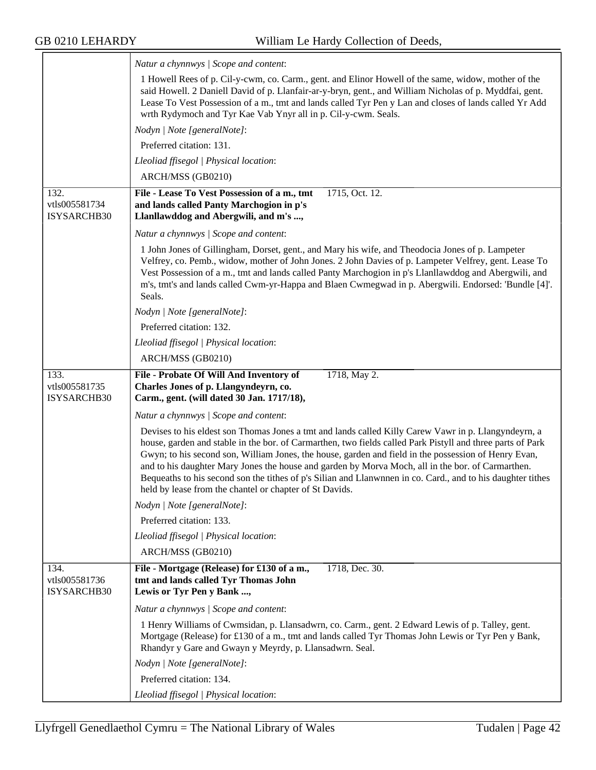|                                      | Natur a chynnwys / Scope and content:                                                                                                                                                                                                                                                                                                                                                                                                                                                                                                                                                                     |
|--------------------------------------|-----------------------------------------------------------------------------------------------------------------------------------------------------------------------------------------------------------------------------------------------------------------------------------------------------------------------------------------------------------------------------------------------------------------------------------------------------------------------------------------------------------------------------------------------------------------------------------------------------------|
|                                      | 1 Howell Rees of p. Cil-y-cwm, co. Carm., gent. and Elinor Howell of the same, widow, mother of the<br>said Howell. 2 Daniell David of p. Llanfair-ar-y-bryn, gent., and William Nicholas of p. Myddfai, gent.<br>Lease To Vest Possession of a m., tmt and lands called Tyr Pen y Lan and closes of lands called Yr Add<br>wrth Rydymoch and Tyr Kae Vab Ynyr all in p. Cil-y-cwm. Seals.                                                                                                                                                                                                                |
|                                      | Nodyn   Note [generalNote]:                                                                                                                                                                                                                                                                                                                                                                                                                                                                                                                                                                               |
|                                      | Preferred citation: 131.                                                                                                                                                                                                                                                                                                                                                                                                                                                                                                                                                                                  |
|                                      | Lleoliad ffisegol   Physical location:                                                                                                                                                                                                                                                                                                                                                                                                                                                                                                                                                                    |
|                                      | ARCH/MSS (GB0210)                                                                                                                                                                                                                                                                                                                                                                                                                                                                                                                                                                                         |
| 132.<br>vtls005581734<br>ISYSARCHB30 | File - Lease To Vest Possession of a m., tmt<br>1715, Oct. 12.<br>and lands called Panty Marchogion in p's<br>Llanllawddog and Abergwili, and m's ,                                                                                                                                                                                                                                                                                                                                                                                                                                                       |
|                                      | Natur a chynnwys / Scope and content:                                                                                                                                                                                                                                                                                                                                                                                                                                                                                                                                                                     |
|                                      | 1 John Jones of Gillingham, Dorset, gent., and Mary his wife, and Theodocia Jones of p. Lampeter<br>Velfrey, co. Pemb., widow, mother of John Jones. 2 John Davies of p. Lampeter Velfrey, gent. Lease To<br>Vest Possession of a m., tmt and lands called Panty Marchogion in p's Llanllawddog and Abergwili, and<br>m's, tmt's and lands called Cwm-yr-Happa and Blaen Cwmegwad in p. Abergwili. Endorsed: 'Bundle [4]'.<br>Seals.                                                                                                                                                                      |
|                                      | Nodyn   Note [generalNote]:                                                                                                                                                                                                                                                                                                                                                                                                                                                                                                                                                                               |
|                                      | Preferred citation: 132.                                                                                                                                                                                                                                                                                                                                                                                                                                                                                                                                                                                  |
|                                      | Lleoliad ffisegol   Physical location:                                                                                                                                                                                                                                                                                                                                                                                                                                                                                                                                                                    |
|                                      | ARCH/MSS (GB0210)                                                                                                                                                                                                                                                                                                                                                                                                                                                                                                                                                                                         |
| 133.<br>vtls005581735<br>ISYSARCHB30 | 1718, May 2.<br>File - Probate Of Will And Inventory of<br>Charles Jones of p. Llangyndeyrn, co.<br>Carm., gent. (will dated 30 Jan. 1717/18),                                                                                                                                                                                                                                                                                                                                                                                                                                                            |
|                                      | Natur a chynnwys / Scope and content:                                                                                                                                                                                                                                                                                                                                                                                                                                                                                                                                                                     |
|                                      | Devises to his eldest son Thomas Jones a tmt and lands called Killy Carew Vawr in p. Llangyndeyrn, a<br>house, garden and stable in the bor. of Carmarthen, two fields called Park Pistyll and three parts of Park<br>Gwyn; to his second son, William Jones, the house, garden and field in the possession of Henry Evan,<br>and to his daughter Mary Jones the house and garden by Morva Moch, all in the bor. of Carmarthen.<br>Bequeaths to his second son the tithes of p's Silian and Llanwnnen in co. Card., and to his daughter tithes<br>held by lease from the chantel or chapter of St Davids. |
|                                      | Nodyn   Note [generalNote]:                                                                                                                                                                                                                                                                                                                                                                                                                                                                                                                                                                               |
|                                      | Preferred citation: 133.                                                                                                                                                                                                                                                                                                                                                                                                                                                                                                                                                                                  |
|                                      | Lleoliad ffisegol   Physical location:                                                                                                                                                                                                                                                                                                                                                                                                                                                                                                                                                                    |
|                                      | ARCH/MSS (GB0210)                                                                                                                                                                                                                                                                                                                                                                                                                                                                                                                                                                                         |
| 134.<br>vtls005581736<br>ISYSARCHB30 | 1718, Dec. 30.<br>File - Mortgage (Release) for £130 of a m.,<br>tmt and lands called Tyr Thomas John<br>Lewis or Tyr Pen y Bank ,                                                                                                                                                                                                                                                                                                                                                                                                                                                                        |
|                                      | Natur a chynnwys / Scope and content:                                                                                                                                                                                                                                                                                                                                                                                                                                                                                                                                                                     |
|                                      | 1 Henry Williams of Cwmsidan, p. Llansadwrn, co. Carm., gent. 2 Edward Lewis of p. Talley, gent.<br>Mortgage (Release) for £130 of a m., tmt and lands called Tyr Thomas John Lewis or Tyr Pen y Bank,<br>Rhandyr y Gare and Gwayn y Meyrdy, p. Llansadwrn. Seal.                                                                                                                                                                                                                                                                                                                                         |
|                                      | Nodyn   Note [generalNote]:                                                                                                                                                                                                                                                                                                                                                                                                                                                                                                                                                                               |
|                                      | Preferred citation: 134.                                                                                                                                                                                                                                                                                                                                                                                                                                                                                                                                                                                  |
|                                      | Lleoliad ffisegol   Physical location:                                                                                                                                                                                                                                                                                                                                                                                                                                                                                                                                                                    |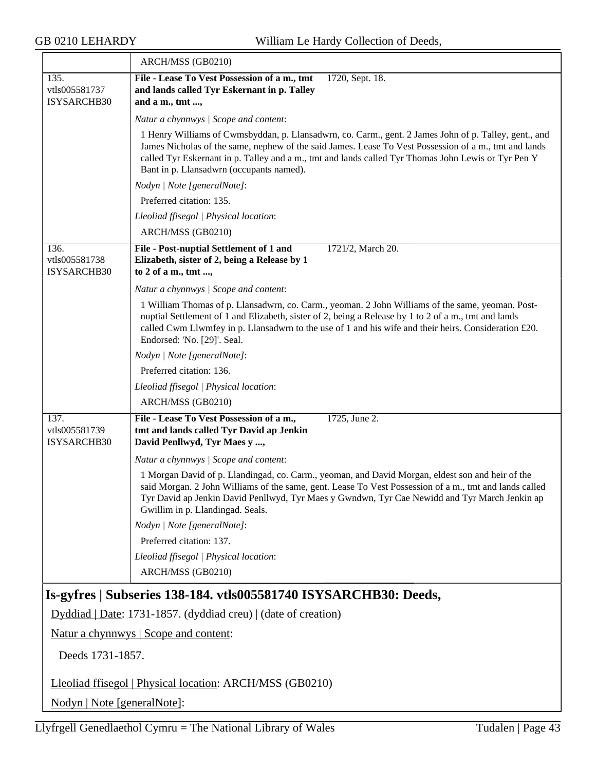|                                       | ARCH/MSS (GB0210)                                                                                                                                                                                                                                                                                                                                                 |  |
|---------------------------------------|-------------------------------------------------------------------------------------------------------------------------------------------------------------------------------------------------------------------------------------------------------------------------------------------------------------------------------------------------------------------|--|
| 135.<br>vtls005581737                 | File - Lease To Vest Possession of a m., tmt<br>1720, Sept. 18.                                                                                                                                                                                                                                                                                                   |  |
| ISYSARCHB30                           | and lands called Tyr Eskernant in p. Talley<br>and a m., tmt ,                                                                                                                                                                                                                                                                                                    |  |
|                                       | Natur a chynnwys / Scope and content:                                                                                                                                                                                                                                                                                                                             |  |
|                                       | 1 Henry Williams of Cwmsbyddan, p. Llansadwrn, co. Carm., gent. 2 James John of p. Talley, gent., and<br>James Nicholas of the same, nephew of the said James. Lease To Vest Possession of a m., tmt and lands<br>called Tyr Eskernant in p. Talley and a m., tmt and lands called Tyr Thomas John Lewis or Tyr Pen Y<br>Bant in p. Llansadwrn (occupants named). |  |
|                                       | Nodyn   Note [generalNote]:                                                                                                                                                                                                                                                                                                                                       |  |
|                                       | Preferred citation: 135.                                                                                                                                                                                                                                                                                                                                          |  |
|                                       | Lleoliad ffisegol   Physical location:                                                                                                                                                                                                                                                                                                                            |  |
|                                       | ARCH/MSS (GB0210)                                                                                                                                                                                                                                                                                                                                                 |  |
| 136.<br>vtls005581738<br>ISYSARCHB30  | File - Post-nuptial Settlement of 1 and<br>1721/2, March 20.<br>Elizabeth, sister of 2, being a Release by 1<br>to 2 of a m., tmt ,                                                                                                                                                                                                                               |  |
|                                       | Natur a chynnwys / Scope and content:                                                                                                                                                                                                                                                                                                                             |  |
|                                       | 1 William Thomas of p. Llansadwrn, co. Carm., yeoman. 2 John Williams of the same, yeoman. Post-<br>nuptial Settlement of 1 and Elizabeth, sister of 2, being a Release by 1 to 2 of a m., tmt and lands<br>called Cwm Llwmfey in p. Llansadwrn to the use of 1 and his wife and their heirs. Consideration £20.<br>Endorsed: 'No. [29]'. Seal.                   |  |
|                                       | Nodyn   Note [generalNote]:                                                                                                                                                                                                                                                                                                                                       |  |
|                                       | Preferred citation: 136.                                                                                                                                                                                                                                                                                                                                          |  |
|                                       | Lleoliad ffisegol   Physical location:                                                                                                                                                                                                                                                                                                                            |  |
|                                       | ARCH/MSS (GB0210)                                                                                                                                                                                                                                                                                                                                                 |  |
| 137.<br>vtls005581739<br>ISYSARCHB30  | File - Lease To Vest Possession of a m.,<br>1725, June 2.<br>tmt and lands called Tyr David ap Jenkin<br>David Penllwyd, Tyr Maes y ,                                                                                                                                                                                                                             |  |
|                                       | Natur a chynnwys / Scope and content:                                                                                                                                                                                                                                                                                                                             |  |
|                                       | 1 Morgan David of p. Llandingad, co. Carm., yeoman, and David Morgan, eldest son and heir of the<br>said Morgan. 2 John Williams of the same, gent. Lease To Vest Possession of a m., tmt and lands called<br>Tyr David ap Jenkin David Penllwyd, Tyr Maes y Gwndwn, Tyr Cae Newidd and Tyr March Jenkin ap<br>Gwillim in p. Llandingad. Seals.                   |  |
|                                       | Nodyn   Note [generalNote]:                                                                                                                                                                                                                                                                                                                                       |  |
|                                       | Preferred citation: 137.                                                                                                                                                                                                                                                                                                                                          |  |
|                                       | Lleoliad ffisegol   Physical location:<br>ARCH/MSS (GB0210)                                                                                                                                                                                                                                                                                                       |  |
|                                       | Is-gyfres   Subseries 138-184. vtls005581740 ISYSARCHB30: Deeds,                                                                                                                                                                                                                                                                                                  |  |
|                                       | Dyddiad   Date: 1731-1857. (dyddiad creu)   (date of creation)                                                                                                                                                                                                                                                                                                    |  |
| Natur a chynnwys   Scope and content: |                                                                                                                                                                                                                                                                                                                                                                   |  |
|                                       | Deeds 1731-1857.                                                                                                                                                                                                                                                                                                                                                  |  |
|                                       | Lleoliad ffisegol   Physical location: ARCH/MSS (GB0210)                                                                                                                                                                                                                                                                                                          |  |
|                                       |                                                                                                                                                                                                                                                                                                                                                                   |  |

<span id="page-42-0"></span>Nodyn | Note [generalNote]: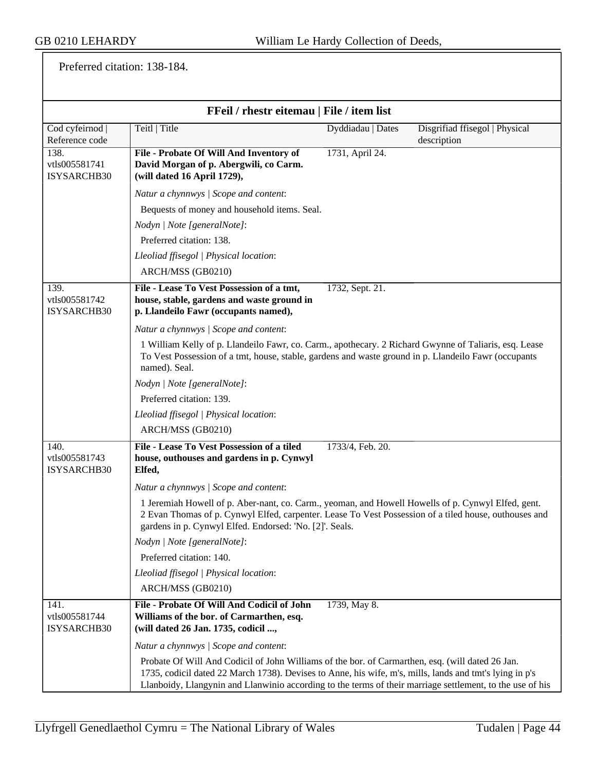Preferred citation: 138-184.

|                                      | FFeil / rhestr eitemau   File / item list                                                                                                                                                                                                                                                                                |                   |                                               |
|--------------------------------------|--------------------------------------------------------------------------------------------------------------------------------------------------------------------------------------------------------------------------------------------------------------------------------------------------------------------------|-------------------|-----------------------------------------------|
| Cod cyfeirnod<br>Reference code      | Teitl   Title                                                                                                                                                                                                                                                                                                            | Dyddiadau   Dates | Disgrifiad ffisegol   Physical<br>description |
| 138.<br>vtls005581741<br>ISYSARCHB30 | File - Probate Of Will And Inventory of<br>David Morgan of p. Abergwili, co Carm.<br>(will dated 16 April 1729),                                                                                                                                                                                                         | 1731, April 24.   |                                               |
|                                      | Natur a chynnwys / Scope and content:                                                                                                                                                                                                                                                                                    |                   |                                               |
|                                      | Bequests of money and household items. Seal.                                                                                                                                                                                                                                                                             |                   |                                               |
|                                      | Nodyn   Note [generalNote]:                                                                                                                                                                                                                                                                                              |                   |                                               |
|                                      | Preferred citation: 138.                                                                                                                                                                                                                                                                                                 |                   |                                               |
|                                      | Lleoliad ffisegol   Physical location:                                                                                                                                                                                                                                                                                   |                   |                                               |
|                                      | ARCH/MSS (GB0210)                                                                                                                                                                                                                                                                                                        |                   |                                               |
| 139.<br>vtls005581742<br>ISYSARCHB30 | File - Lease To Vest Possession of a tmt,<br>house, stable, gardens and waste ground in<br>p. Llandeilo Fawr (occupants named),                                                                                                                                                                                          | 1732, Sept. 21.   |                                               |
|                                      | Natur a chynnwys / Scope and content:                                                                                                                                                                                                                                                                                    |                   |                                               |
|                                      | 1 William Kelly of p. Llandeilo Fawr, co. Carm., apothecary. 2 Richard Gwynne of Taliaris, esq. Lease<br>To Vest Possession of a tmt, house, stable, gardens and waste ground in p. Llandeilo Fawr (occupants<br>named). Seal.                                                                                           |                   |                                               |
|                                      | Nodyn   Note [generalNote]:                                                                                                                                                                                                                                                                                              |                   |                                               |
|                                      | Preferred citation: 139.                                                                                                                                                                                                                                                                                                 |                   |                                               |
|                                      | Lleoliad ffisegol   Physical location:                                                                                                                                                                                                                                                                                   |                   |                                               |
|                                      | ARCH/MSS (GB0210)                                                                                                                                                                                                                                                                                                        |                   |                                               |
| 140.<br>vtls005581743<br>ISYSARCHB30 | File - Lease To Vest Possession of a tiled<br>house, outhouses and gardens in p. Cynwyl<br>Elfed,                                                                                                                                                                                                                        | 1733/4, Feb. 20.  |                                               |
|                                      | Natur a chynnwys / Scope and content:                                                                                                                                                                                                                                                                                    |                   |                                               |
|                                      | 1 Jeremiah Howell of p. Aber-nant, co. Carm., yeoman, and Howell Howells of p. Cynwyl Elfed, gent.<br>2 Evan Thomas of p. Cynwyl Elfed, carpenter. Lease To Vest Possession of a tiled house, outhouses and<br>gardens in p. Cynwyl Elfed. Endorsed: 'No. [2]'. Seals.                                                   |                   |                                               |
|                                      | Nodyn   Note [generalNote]:                                                                                                                                                                                                                                                                                              |                   |                                               |
|                                      | Preferred citation: 140.                                                                                                                                                                                                                                                                                                 |                   |                                               |
|                                      | Lleoliad ffisegol   Physical location:                                                                                                                                                                                                                                                                                   |                   |                                               |
|                                      | ARCH/MSS (GB0210)                                                                                                                                                                                                                                                                                                        |                   |                                               |
| 141.<br>vtls005581744<br>ISYSARCHB30 | File - Probate Of Will And Codicil of John<br>Williams of the bor. of Carmarthen, esq.<br>(will dated 26 Jan. 1735, codicil ,                                                                                                                                                                                            | 1739, May 8.      |                                               |
|                                      | Natur a chynnwys / Scope and content:                                                                                                                                                                                                                                                                                    |                   |                                               |
|                                      | Probate Of Will And Codicil of John Williams of the bor. of Carmarthen, esq. (will dated 26 Jan.<br>1735, codicil dated 22 March 1738). Devises to Anne, his wife, m's, mills, lands and tmt's lying in p's<br>Llanboidy, Llangynin and Llanwinio according to the terms of their marriage settlement, to the use of his |                   |                                               |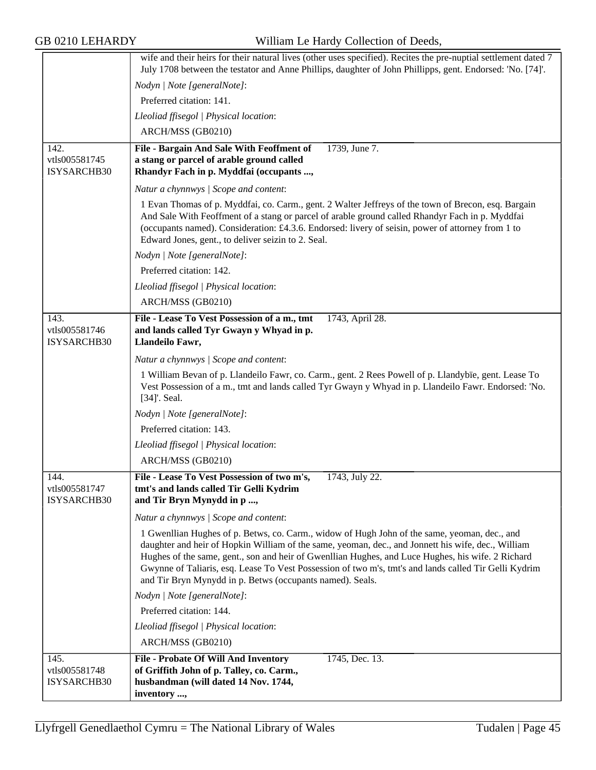|                                      | wife and their heirs for their natural lives (other uses specified). Recites the pre-nuptial settlement dated 7<br>July 1708 between the testator and Anne Phillips, daughter of John Phillipps, gent. Endorsed: 'No. [74]'.                                                                                                                                                                                                                                                  |
|--------------------------------------|-------------------------------------------------------------------------------------------------------------------------------------------------------------------------------------------------------------------------------------------------------------------------------------------------------------------------------------------------------------------------------------------------------------------------------------------------------------------------------|
|                                      | Nodyn   Note [generalNote]:                                                                                                                                                                                                                                                                                                                                                                                                                                                   |
|                                      | Preferred citation: 141.                                                                                                                                                                                                                                                                                                                                                                                                                                                      |
|                                      | Lleoliad ffisegol   Physical location:                                                                                                                                                                                                                                                                                                                                                                                                                                        |
|                                      | ARCH/MSS (GB0210)                                                                                                                                                                                                                                                                                                                                                                                                                                                             |
| 142.                                 | 1739, June 7.<br>File - Bargain And Sale With Feoffment of                                                                                                                                                                                                                                                                                                                                                                                                                    |
| vtls005581745<br>ISYSARCHB30         | a stang or parcel of arable ground called<br>Rhandyr Fach in p. Myddfai (occupants ,                                                                                                                                                                                                                                                                                                                                                                                          |
|                                      | Natur a chynnwys / Scope and content:                                                                                                                                                                                                                                                                                                                                                                                                                                         |
|                                      | 1 Evan Thomas of p. Myddfai, co. Carm., gent. 2 Walter Jeffreys of the town of Brecon, esq. Bargain<br>And Sale With Feoffment of a stang or parcel of arable ground called Rhandyr Fach in p. Myddfai<br>(occupants named). Consideration: £4.3.6. Endorsed: livery of seisin, power of attorney from 1 to<br>Edward Jones, gent., to deliver seizin to 2. Seal.                                                                                                             |
|                                      | Nodyn   Note [generalNote]:                                                                                                                                                                                                                                                                                                                                                                                                                                                   |
|                                      | Preferred citation: 142.                                                                                                                                                                                                                                                                                                                                                                                                                                                      |
|                                      | Lleoliad ffisegol   Physical location:                                                                                                                                                                                                                                                                                                                                                                                                                                        |
|                                      | ARCH/MSS (GB0210)                                                                                                                                                                                                                                                                                                                                                                                                                                                             |
| 143.<br>vtls005581746<br>ISYSARCHB30 | File - Lease To Vest Possession of a m., tmt<br>1743, April 28.<br>and lands called Tyr Gwayn y Whyad in p.<br>Llandeilo Fawr,                                                                                                                                                                                                                                                                                                                                                |
|                                      | Natur a chynnwys / Scope and content:                                                                                                                                                                                                                                                                                                                                                                                                                                         |
|                                      | 1 William Bevan of p. Llandeilo Fawr, co. Carm., gent. 2 Rees Powell of p. Llandybïe, gent. Lease To<br>Vest Possession of a m., tmt and lands called Tyr Gwayn y Whyad in p. Llandeilo Fawr. Endorsed: 'No.<br>[34]'. Seal.                                                                                                                                                                                                                                                  |
|                                      | Nodyn   Note [generalNote]:                                                                                                                                                                                                                                                                                                                                                                                                                                                   |
|                                      | Preferred citation: 143.                                                                                                                                                                                                                                                                                                                                                                                                                                                      |
|                                      | Lleoliad ffisegol   Physical location:                                                                                                                                                                                                                                                                                                                                                                                                                                        |
|                                      | ARCH/MSS (GB0210)                                                                                                                                                                                                                                                                                                                                                                                                                                                             |
| 144.<br>vtls005581747<br>ISYSARCHB30 | File - Lease To Vest Possession of two m's,<br>1743, July 22.<br>tmt's and lands called Tir Gelli Kydrim<br>and Tir Bryn Mynydd in p,                                                                                                                                                                                                                                                                                                                                         |
|                                      | Natur a chynnwys / Scope and content:                                                                                                                                                                                                                                                                                                                                                                                                                                         |
|                                      | 1 Gwenllian Hughes of p. Betws, co. Carm., widow of Hugh John of the same, yeoman, dec., and<br>daughter and heir of Hopkin William of the same, yeoman, dec., and Jonnett his wife, dec., William<br>Hughes of the same, gent., son and heir of Gwenllian Hughes, and Luce Hughes, his wife. 2 Richard<br>Gwynne of Taliaris, esq. Lease To Vest Possession of two m's, tmt's and lands called Tir Gelli Kydrim<br>and Tir Bryn Mynydd in p. Betws (occupants named). Seals. |
|                                      | Nodyn   Note [generalNote]:                                                                                                                                                                                                                                                                                                                                                                                                                                                   |
|                                      | Preferred citation: 144.                                                                                                                                                                                                                                                                                                                                                                                                                                                      |
|                                      | Lleoliad ffisegol   Physical location:                                                                                                                                                                                                                                                                                                                                                                                                                                        |
|                                      | ARCH/MSS (GB0210)                                                                                                                                                                                                                                                                                                                                                                                                                                                             |
| 145.                                 | 1745, Dec. 13.<br><b>File - Probate Of Will And Inventory</b>                                                                                                                                                                                                                                                                                                                                                                                                                 |
| vtls005581748                        | of Griffith John of p. Talley, co. Carm.,                                                                                                                                                                                                                                                                                                                                                                                                                                     |
| ISYSARCHB30                          | husbandman (will dated 14 Nov. 1744,<br>inventory ,                                                                                                                                                                                                                                                                                                                                                                                                                           |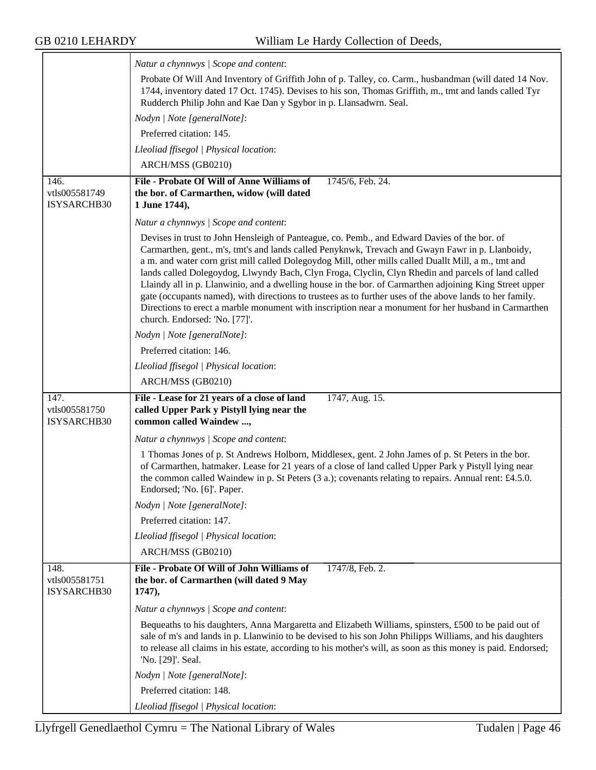|                                      | Natur a chynnwys / Scope and content:                                                                                                                                                                                                                                                                                                                                                                                                                                                                                                                                                                                                                                                                                                                                          |
|--------------------------------------|--------------------------------------------------------------------------------------------------------------------------------------------------------------------------------------------------------------------------------------------------------------------------------------------------------------------------------------------------------------------------------------------------------------------------------------------------------------------------------------------------------------------------------------------------------------------------------------------------------------------------------------------------------------------------------------------------------------------------------------------------------------------------------|
|                                      | Probate Of Will And Inventory of Griffith John of p. Talley, co. Carm., husbandman (will dated 14 Nov.                                                                                                                                                                                                                                                                                                                                                                                                                                                                                                                                                                                                                                                                         |
|                                      | 1744, inventory dated 17 Oct. 1745). Devises to his son, Thomas Griffith, m., tmt and lands called Tyr                                                                                                                                                                                                                                                                                                                                                                                                                                                                                                                                                                                                                                                                         |
|                                      | Rudderch Philip John and Kae Dan y Sgybor in p. Llansadwrn. Seal.                                                                                                                                                                                                                                                                                                                                                                                                                                                                                                                                                                                                                                                                                                              |
|                                      | Nodyn   Note [generalNote]:                                                                                                                                                                                                                                                                                                                                                                                                                                                                                                                                                                                                                                                                                                                                                    |
|                                      | Preferred citation: 145.                                                                                                                                                                                                                                                                                                                                                                                                                                                                                                                                                                                                                                                                                                                                                       |
|                                      | Lleoliad ffisegol   Physical location:                                                                                                                                                                                                                                                                                                                                                                                                                                                                                                                                                                                                                                                                                                                                         |
|                                      | ARCH/MSS (GB0210)                                                                                                                                                                                                                                                                                                                                                                                                                                                                                                                                                                                                                                                                                                                                                              |
| 146.                                 | File - Probate Of Will of Anne Williams of<br>1745/6, Feb. 24.                                                                                                                                                                                                                                                                                                                                                                                                                                                                                                                                                                                                                                                                                                                 |
| vtls005581749                        | the bor. of Carmarthen, widow (will dated                                                                                                                                                                                                                                                                                                                                                                                                                                                                                                                                                                                                                                                                                                                                      |
| ISYSARCHB30                          | 1 June 1744),                                                                                                                                                                                                                                                                                                                                                                                                                                                                                                                                                                                                                                                                                                                                                                  |
|                                      | Natur a chynnwys / Scope and content:                                                                                                                                                                                                                                                                                                                                                                                                                                                                                                                                                                                                                                                                                                                                          |
|                                      | Devises in trust to John Hensleigh of Panteague, co. Pemb., and Edward Davies of the bor. of<br>Carmarthen, gent., m's, tmt's and lands called Penyknwk, Trevach and Gwayn Fawr in p. Llanboidy,<br>a m. and water corn grist mill called Dolegoydog Mill, other mills called Duallt Mill, a m., tmt and<br>lands called Dolegoydog, Llwyndy Bach, Clyn Froga, Clyclin, Clyn Rhedin and parcels of land called<br>Llaindy all in p. Llanwinio, and a dwelling house in the bor. of Carmarthen adjoining King Street upper<br>gate (occupants named), with directions to trustees as to further uses of the above lands to her family.<br>Directions to erect a marble monument with inscription near a monument for her husband in Carmarthen<br>church. Endorsed: 'No. [77]'. |
|                                      | Nodyn   Note [generalNote]:                                                                                                                                                                                                                                                                                                                                                                                                                                                                                                                                                                                                                                                                                                                                                    |
|                                      | Preferred citation: 146.                                                                                                                                                                                                                                                                                                                                                                                                                                                                                                                                                                                                                                                                                                                                                       |
|                                      | Lleoliad ffisegol   Physical location:                                                                                                                                                                                                                                                                                                                                                                                                                                                                                                                                                                                                                                                                                                                                         |
|                                      | ARCH/MSS (GB0210)                                                                                                                                                                                                                                                                                                                                                                                                                                                                                                                                                                                                                                                                                                                                                              |
| 147.<br>vtls005581750<br>ISYSARCHB30 | 1747, Aug. 15.<br>File - Lease for 21 years of a close of land<br>called Upper Park y Pistyll lying near the<br>common called Waindew,                                                                                                                                                                                                                                                                                                                                                                                                                                                                                                                                                                                                                                         |
|                                      | Natur a chynnwys / Scope and content:                                                                                                                                                                                                                                                                                                                                                                                                                                                                                                                                                                                                                                                                                                                                          |
|                                      | 1 Thomas Jones of p. St Andrews Holborn, Middlesex, gent. 2 John James of p. St Peters in the bor.<br>of Carmarthen, hatmaker. Lease for 21 years of a close of land called Upper Park y Pistyll lying near<br>the common called Waindew in p. St Peters $(3 a)$ ; covenants relating to repairs. Annual rent: £4.5.0.<br>Endorsed; 'No. [6]'. Paper.                                                                                                                                                                                                                                                                                                                                                                                                                          |
|                                      | Nodyn   Note [generalNote]:                                                                                                                                                                                                                                                                                                                                                                                                                                                                                                                                                                                                                                                                                                                                                    |
|                                      | Preferred citation: 147.                                                                                                                                                                                                                                                                                                                                                                                                                                                                                                                                                                                                                                                                                                                                                       |
|                                      | Lleoliad ffisegol   Physical location:                                                                                                                                                                                                                                                                                                                                                                                                                                                                                                                                                                                                                                                                                                                                         |
|                                      | ARCH/MSS (GB0210)                                                                                                                                                                                                                                                                                                                                                                                                                                                                                                                                                                                                                                                                                                                                                              |
| 148.                                 | File - Probate Of Will of John Williams of<br>1747/8, Feb. 2.                                                                                                                                                                                                                                                                                                                                                                                                                                                                                                                                                                                                                                                                                                                  |
| vtls005581751<br>ISYSARCHB30         | the bor. of Carmarthen (will dated 9 May<br>1747,                                                                                                                                                                                                                                                                                                                                                                                                                                                                                                                                                                                                                                                                                                                              |
|                                      | Natur a chynnwys / Scope and content:                                                                                                                                                                                                                                                                                                                                                                                                                                                                                                                                                                                                                                                                                                                                          |
|                                      | Bequeaths to his daughters, Anna Margaretta and Elizabeth Williams, spinsters, £500 to be paid out of<br>sale of m's and lands in p. Llanwinio to be devised to his son John Philipps Williams, and his daughters<br>to release all claims in his estate, according to his mother's will, as soon as this money is paid. Endorsed;<br>'No. [29]'. Seal.                                                                                                                                                                                                                                                                                                                                                                                                                        |
|                                      | Nodyn   Note [generalNote]:                                                                                                                                                                                                                                                                                                                                                                                                                                                                                                                                                                                                                                                                                                                                                    |
|                                      | Preferred citation: 148.                                                                                                                                                                                                                                                                                                                                                                                                                                                                                                                                                                                                                                                                                                                                                       |
|                                      | Lleoliad ffisegol   Physical location:                                                                                                                                                                                                                                                                                                                                                                                                                                                                                                                                                                                                                                                                                                                                         |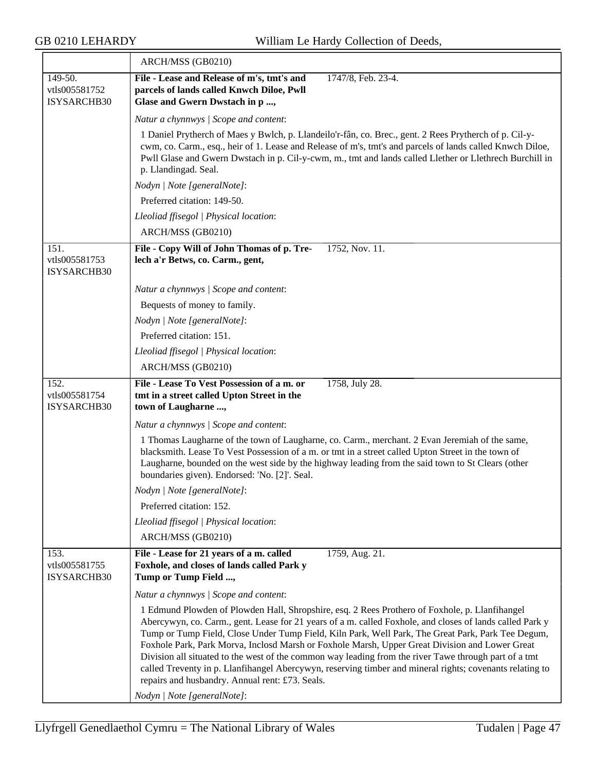| ARCH/MSS (GB0210)                                                                                                                                                                                                                                                                                                                                                                                                                                                                                                                                                                                                                                                                                                        |
|--------------------------------------------------------------------------------------------------------------------------------------------------------------------------------------------------------------------------------------------------------------------------------------------------------------------------------------------------------------------------------------------------------------------------------------------------------------------------------------------------------------------------------------------------------------------------------------------------------------------------------------------------------------------------------------------------------------------------|
| File - Lease and Release of m's, tmt's and<br>1747/8, Feb. 23-4.<br>parcels of lands called Knwch Diloe, Pwll<br>Glase and Gwern Dwstach in p ,                                                                                                                                                                                                                                                                                                                                                                                                                                                                                                                                                                          |
| Natur a chynnwys / Scope and content:                                                                                                                                                                                                                                                                                                                                                                                                                                                                                                                                                                                                                                                                                    |
| 1 Daniel Prytherch of Maes y Bwlch, p. Llandeilo'r-fân, co. Brec., gent. 2 Rees Prytherch of p. Cil-y-<br>cwm, co. Carm., esq., heir of 1. Lease and Release of m's, tmt's and parcels of lands called Knwch Diloe,<br>Pwll Glase and Gwern Dwstach in p. Cil-y-cwm, m., tmt and lands called Llether or Llethrech Burchill in<br>p. Llandingad. Seal.                                                                                                                                                                                                                                                                                                                                                                   |
| Nodyn   Note [generalNote]:                                                                                                                                                                                                                                                                                                                                                                                                                                                                                                                                                                                                                                                                                              |
| Preferred citation: 149-50.                                                                                                                                                                                                                                                                                                                                                                                                                                                                                                                                                                                                                                                                                              |
| Lleoliad ffisegol   Physical location:                                                                                                                                                                                                                                                                                                                                                                                                                                                                                                                                                                                                                                                                                   |
| ARCH/MSS (GB0210)                                                                                                                                                                                                                                                                                                                                                                                                                                                                                                                                                                                                                                                                                                        |
| File - Copy Will of John Thomas of p. Tre-<br>1752, Nov. 11.<br>lech a'r Betws, co. Carm., gent,                                                                                                                                                                                                                                                                                                                                                                                                                                                                                                                                                                                                                         |
| Natur a chynnwys / Scope and content:                                                                                                                                                                                                                                                                                                                                                                                                                                                                                                                                                                                                                                                                                    |
| Bequests of money to family.                                                                                                                                                                                                                                                                                                                                                                                                                                                                                                                                                                                                                                                                                             |
| Nodyn   Note [generalNote]:                                                                                                                                                                                                                                                                                                                                                                                                                                                                                                                                                                                                                                                                                              |
| Preferred citation: 151.                                                                                                                                                                                                                                                                                                                                                                                                                                                                                                                                                                                                                                                                                                 |
| Lleoliad ffisegol   Physical location:                                                                                                                                                                                                                                                                                                                                                                                                                                                                                                                                                                                                                                                                                   |
| ARCH/MSS (GB0210)                                                                                                                                                                                                                                                                                                                                                                                                                                                                                                                                                                                                                                                                                                        |
| File - Lease To Vest Possession of a m. or<br>1758, July 28.<br>tmt in a street called Upton Street in the<br>town of Laugharne ,                                                                                                                                                                                                                                                                                                                                                                                                                                                                                                                                                                                        |
| Natur a chynnwys / Scope and content:                                                                                                                                                                                                                                                                                                                                                                                                                                                                                                                                                                                                                                                                                    |
| 1 Thomas Laugharne of the town of Laugharne, co. Carm., merchant. 2 Evan Jeremiah of the same,<br>blacksmith. Lease To Vest Possession of a m. or tmt in a street called Upton Street in the town of<br>Laugharne, bounded on the west side by the highway leading from the said town to St Clears (other<br>boundaries given). Endorsed: 'No. [2]'. Seal.                                                                                                                                                                                                                                                                                                                                                               |
| Nodyn   Note [generalNote]:                                                                                                                                                                                                                                                                                                                                                                                                                                                                                                                                                                                                                                                                                              |
| Preferred citation: 152.                                                                                                                                                                                                                                                                                                                                                                                                                                                                                                                                                                                                                                                                                                 |
| Lleoliad ffisegol   Physical location:                                                                                                                                                                                                                                                                                                                                                                                                                                                                                                                                                                                                                                                                                   |
| ARCH/MSS (GB0210)                                                                                                                                                                                                                                                                                                                                                                                                                                                                                                                                                                                                                                                                                                        |
| File - Lease for 21 years of a m. called<br>1759, Aug. 21.<br>Foxhole, and closes of lands called Park y<br>Tump or Tump Field ,                                                                                                                                                                                                                                                                                                                                                                                                                                                                                                                                                                                         |
| Natur a chynnwys / Scope and content:                                                                                                                                                                                                                                                                                                                                                                                                                                                                                                                                                                                                                                                                                    |
| 1 Edmund Plowden of Plowden Hall, Shropshire, esq. 2 Rees Prothero of Foxhole, p. Llanfihangel<br>Abercywyn, co. Carm., gent. Lease for 21 years of a m. called Foxhole, and closes of lands called Park y<br>Tump or Tump Field, Close Under Tump Field, Kiln Park, Well Park, The Great Park, Park Tee Degum,<br>Foxhole Park, Park Morva, Inclosd Marsh or Foxhole Marsh, Upper Great Division and Lower Great<br>Division all situated to the west of the common way leading from the river Tawe through part of a tmt<br>called Treventy in p. Llanfihangel Abercywyn, reserving timber and mineral rights; covenants relating to<br>repairs and husbandry. Annual rent: £73. Seals.<br>Nodyn   Note [generalNote]: |
|                                                                                                                                                                                                                                                                                                                                                                                                                                                                                                                                                                                                                                                                                                                          |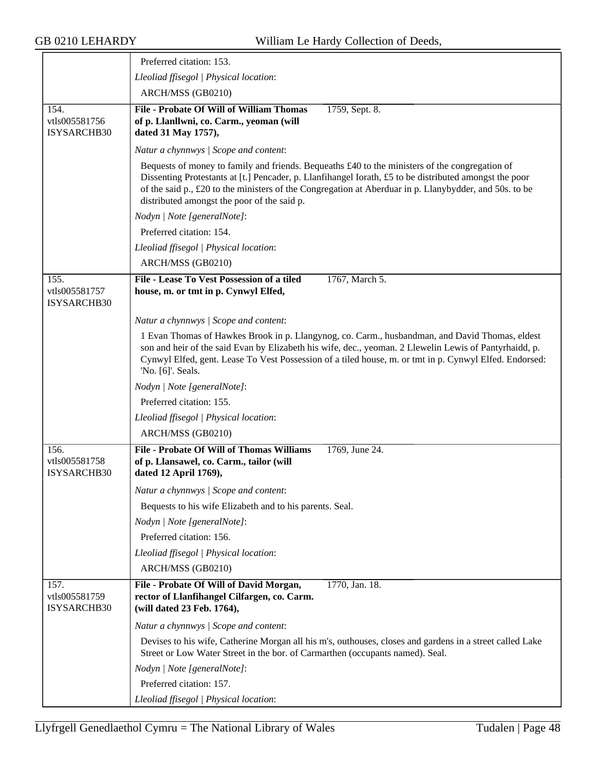|                                             | Preferred citation: 153.                                                                                                                                                                                                                                                                                                                                          |
|---------------------------------------------|-------------------------------------------------------------------------------------------------------------------------------------------------------------------------------------------------------------------------------------------------------------------------------------------------------------------------------------------------------------------|
|                                             | Lleoliad ffisegol   Physical location:                                                                                                                                                                                                                                                                                                                            |
|                                             | ARCH/MSS (GB0210)                                                                                                                                                                                                                                                                                                                                                 |
| 154.<br>vtls005581756<br><b>ISYSARCHB30</b> | <b>File - Probate Of Will of William Thomas</b><br>1759, Sept. 8.<br>of p. Llanllwni, co. Carm., yeoman (will<br>dated 31 May 1757),                                                                                                                                                                                                                              |
|                                             | Natur a chynnwys / Scope and content:                                                                                                                                                                                                                                                                                                                             |
|                                             | Bequests of money to family and friends. Bequeaths £40 to the ministers of the congregation of<br>Dissenting Protestants at [t.] Pencader, p. Llanfihangel Iorath, £5 to be distributed amongst the poor<br>of the said p., £20 to the ministers of the Congregation at Aberduar in p. Llanybydder, and 50s. to be<br>distributed amongst the poor of the said p. |
|                                             | Nodyn   Note [generalNote]:                                                                                                                                                                                                                                                                                                                                       |
|                                             | Preferred citation: 154.                                                                                                                                                                                                                                                                                                                                          |
|                                             | Lleoliad ffisegol   Physical location:                                                                                                                                                                                                                                                                                                                            |
|                                             | ARCH/MSS (GB0210)                                                                                                                                                                                                                                                                                                                                                 |
| 155.<br>vtls005581757<br>ISYSARCHB30        | File - Lease To Vest Possession of a tiled<br>1767, March 5.<br>house, m. or tmt in p. Cynwyl Elfed,                                                                                                                                                                                                                                                              |
|                                             | Natur a chynnwys / Scope and content:                                                                                                                                                                                                                                                                                                                             |
|                                             | 1 Evan Thomas of Hawkes Brook in p. Llangynog, co. Carm., husbandman, and David Thomas, eldest<br>son and heir of the said Evan by Elizabeth his wife, dec., yeoman. 2 Llewelin Lewis of Pantyrhaidd, p.<br>Cynwyl Elfed, gent. Lease To Vest Possession of a tiled house, m. or tmt in p. Cynwyl Elfed. Endorsed:<br>'No. [6]'. Seals.                           |
|                                             | Nodyn   Note [generalNote]:                                                                                                                                                                                                                                                                                                                                       |
|                                             | Preferred citation: 155.                                                                                                                                                                                                                                                                                                                                          |
|                                             | Lleoliad ffisegol   Physical location:                                                                                                                                                                                                                                                                                                                            |
|                                             | ARCH/MSS (GB0210)                                                                                                                                                                                                                                                                                                                                                 |
| 156.<br>vtls005581758<br><b>ISYSARCHB30</b> | <b>File - Probate Of Will of Thomas Williams</b><br>1769, June 24.<br>of p. Llansawel, co. Carm., tailor (will<br>dated 12 April 1769),                                                                                                                                                                                                                           |
|                                             | Natur a chynnwys / Scope and content:                                                                                                                                                                                                                                                                                                                             |
|                                             | Bequests to his wife Elizabeth and to his parents. Seal.                                                                                                                                                                                                                                                                                                          |
|                                             | Nodyn   Note [generalNote]:                                                                                                                                                                                                                                                                                                                                       |
|                                             | Preferred citation: 156.                                                                                                                                                                                                                                                                                                                                          |
|                                             | Lleoliad ffisegol   Physical location:                                                                                                                                                                                                                                                                                                                            |
|                                             | ARCH/MSS (GB0210)                                                                                                                                                                                                                                                                                                                                                 |
| 157.<br>vtls005581759<br>ISYSARCHB30        | File - Probate Of Will of David Morgan,<br>1770, Jan. 18.<br>rector of Llanfihangel Cilfargen, co. Carm.<br>(will dated 23 Feb. 1764),                                                                                                                                                                                                                            |
|                                             | Natur a chynnwys / Scope and content:                                                                                                                                                                                                                                                                                                                             |
|                                             | Devises to his wife, Catherine Morgan all his m's, outhouses, closes and gardens in a street called Lake<br>Street or Low Water Street in the bor. of Carmarthen (occupants named). Seal.                                                                                                                                                                         |
|                                             | Nodyn   Note [generalNote]:                                                                                                                                                                                                                                                                                                                                       |
|                                             | Preferred citation: 157.                                                                                                                                                                                                                                                                                                                                          |
|                                             | Lleoliad ffisegol   Physical location:                                                                                                                                                                                                                                                                                                                            |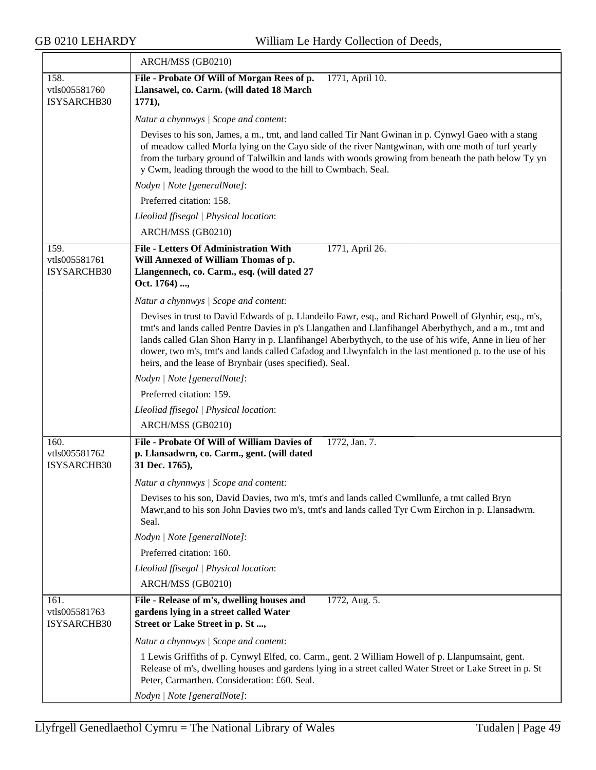$\overline{\phantom{a}}$ 

|                                      | ARCH/MSS (GB0210)                                                                                                                                                                                                                                                                                                                                                                                                                                                                                     |
|--------------------------------------|-------------------------------------------------------------------------------------------------------------------------------------------------------------------------------------------------------------------------------------------------------------------------------------------------------------------------------------------------------------------------------------------------------------------------------------------------------------------------------------------------------|
| 158.<br>vtls005581760<br>ISYSARCHB30 | File - Probate Of Will of Morgan Rees of p.<br>1771, April 10.<br>Llansawel, co. Carm. (will dated 18 March<br>1771,                                                                                                                                                                                                                                                                                                                                                                                  |
|                                      | Natur a chynnwys / Scope and content:                                                                                                                                                                                                                                                                                                                                                                                                                                                                 |
|                                      | Devises to his son, James, a m., tmt, and land called Tir Nant Gwinan in p. Cynwyl Gaeo with a stang<br>of meadow called Morfa lying on the Cayo side of the river Nantgwinan, with one moth of turf yearly<br>from the turbary ground of Talwilkin and lands with woods growing from beneath the path below Ty yn<br>y Cwm, leading through the wood to the hill to Cwmbach. Seal.                                                                                                                   |
|                                      | Nodyn   Note [generalNote]:                                                                                                                                                                                                                                                                                                                                                                                                                                                                           |
|                                      | Preferred citation: 158.                                                                                                                                                                                                                                                                                                                                                                                                                                                                              |
|                                      | Lleoliad ffisegol   Physical location:                                                                                                                                                                                                                                                                                                                                                                                                                                                                |
|                                      | ARCH/MSS (GB0210)                                                                                                                                                                                                                                                                                                                                                                                                                                                                                     |
| 159.<br>vtls005581761<br>ISYSARCHB30 | <b>File - Letters Of Administration With</b><br>1771, April 26.<br>Will Annexed of William Thomas of p.<br>Llangennech, co. Carm., esq. (will dated 27<br>Oct. 1764) ,                                                                                                                                                                                                                                                                                                                                |
|                                      | Natur a chynnwys / Scope and content:                                                                                                                                                                                                                                                                                                                                                                                                                                                                 |
|                                      | Devises in trust to David Edwards of p. Llandeilo Fawr, esq., and Richard Powell of Glynhir, esq., m's,<br>tmt's and lands called Pentre Davies in p's Llangathen and Llanfihangel Aberbythych, and a m., tmt and<br>lands called Glan Shon Harry in p. Llanfihangel Aberbythych, to the use of his wife, Anne in lieu of her<br>dower, two m's, tmt's and lands called Cafadog and Llwynfalch in the last mentioned p. to the use of his<br>heirs, and the lease of Brynbair (uses specified). Seal. |
|                                      | Nodyn   Note [generalNote]:                                                                                                                                                                                                                                                                                                                                                                                                                                                                           |
|                                      | Preferred citation: 159.                                                                                                                                                                                                                                                                                                                                                                                                                                                                              |
|                                      | Lleoliad ffisegol   Physical location:                                                                                                                                                                                                                                                                                                                                                                                                                                                                |
|                                      | ARCH/MSS (GB0210)                                                                                                                                                                                                                                                                                                                                                                                                                                                                                     |
| 160.<br>vtls005581762<br>ISYSARCHB30 | File - Probate Of Will of William Davies of<br>1772, Jan. 7.<br>p. Llansadwrn, co. Carm., gent. (will dated<br>31 Dec. 1765),                                                                                                                                                                                                                                                                                                                                                                         |
|                                      | Natur a chynnwys / Scope and content:                                                                                                                                                                                                                                                                                                                                                                                                                                                                 |
|                                      | Devises to his son, David Davies, two m's, tmt's and lands called Cwmllunfe, a tmt called Bryn<br>Mawr, and to his son John Davies two m's, tmt's and lands called Tyr Cwm Eirchon in p. Llansadwrn.<br>Seal.                                                                                                                                                                                                                                                                                         |
|                                      | Nodyn   Note [generalNote]:                                                                                                                                                                                                                                                                                                                                                                                                                                                                           |
|                                      | Preferred citation: 160.                                                                                                                                                                                                                                                                                                                                                                                                                                                                              |
|                                      | Lleoliad ffisegol   Physical location:                                                                                                                                                                                                                                                                                                                                                                                                                                                                |
|                                      | ARCH/MSS (GB0210)                                                                                                                                                                                                                                                                                                                                                                                                                                                                                     |
| 161.<br>vtls005581763<br>ISYSARCHB30 | File - Release of m's, dwelling houses and<br>1772, Aug. 5.<br>gardens lying in a street called Water<br>Street or Lake Street in p. St ,                                                                                                                                                                                                                                                                                                                                                             |
|                                      | Natur a chynnwys / Scope and content:                                                                                                                                                                                                                                                                                                                                                                                                                                                                 |
|                                      | 1 Lewis Griffiths of p. Cynwyl Elfed, co. Carm., gent. 2 William Howell of p. Llanpumsaint, gent.<br>Release of m's, dwelling houses and gardens lying in a street called Water Street or Lake Street in p. St<br>Peter, Carmarthen. Consideration: £60. Seal.                                                                                                                                                                                                                                        |
|                                      | Nodyn   Note [generalNote]:                                                                                                                                                                                                                                                                                                                                                                                                                                                                           |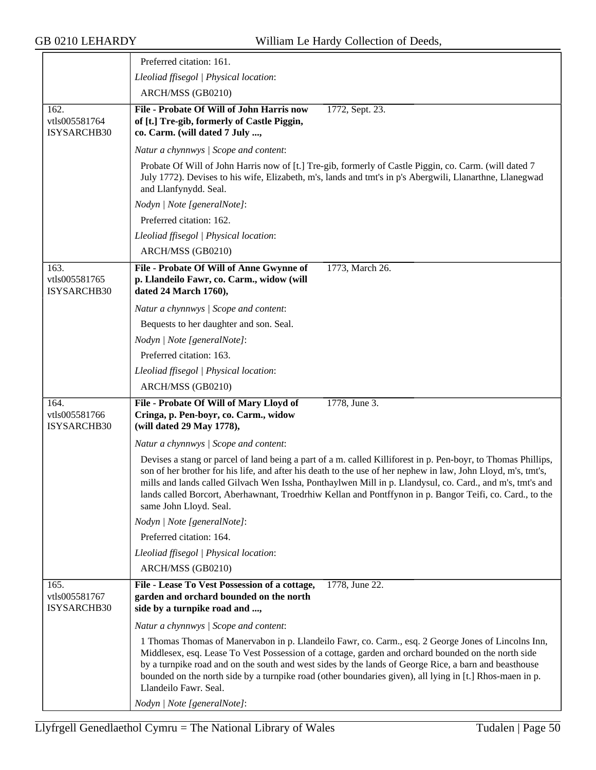|                                      | Preferred citation: 161.                                                                                                                                                                                                                                                                                                                                                                                                                                                                |
|--------------------------------------|-----------------------------------------------------------------------------------------------------------------------------------------------------------------------------------------------------------------------------------------------------------------------------------------------------------------------------------------------------------------------------------------------------------------------------------------------------------------------------------------|
|                                      | Lleoliad ffisegol   Physical location:                                                                                                                                                                                                                                                                                                                                                                                                                                                  |
|                                      | ARCH/MSS (GB0210)                                                                                                                                                                                                                                                                                                                                                                                                                                                                       |
| 162.<br>vtls005581764<br>ISYSARCHB30 | File - Probate Of Will of John Harris now<br>1772, Sept. 23.<br>of [t.] Tre-gib, formerly of Castle Piggin,<br>co. Carm. (will dated 7 July ,                                                                                                                                                                                                                                                                                                                                           |
|                                      | Natur a chynnwys / Scope and content:                                                                                                                                                                                                                                                                                                                                                                                                                                                   |
|                                      | Probate Of Will of John Harris now of [t.] Tre-gib, formerly of Castle Piggin, co. Carm. (will dated 7<br>July 1772). Devises to his wife, Elizabeth, m's, lands and tmt's in p's Abergwili, Llanarthne, Llanegwad<br>and Llanfynydd. Seal.                                                                                                                                                                                                                                             |
|                                      | Nodyn   Note [generalNote]:                                                                                                                                                                                                                                                                                                                                                                                                                                                             |
|                                      | Preferred citation: 162.                                                                                                                                                                                                                                                                                                                                                                                                                                                                |
|                                      | Lleoliad ffisegol   Physical location:                                                                                                                                                                                                                                                                                                                                                                                                                                                  |
|                                      | ARCH/MSS (GB0210)                                                                                                                                                                                                                                                                                                                                                                                                                                                                       |
| 163.<br>vtls005581765<br>ISYSARCHB30 | File - Probate Of Will of Anne Gwynne of<br>1773, March 26.<br>p. Llandeilo Fawr, co. Carm., widow (will<br>dated 24 March 1760),                                                                                                                                                                                                                                                                                                                                                       |
|                                      | Natur a chynnwys / Scope and content:                                                                                                                                                                                                                                                                                                                                                                                                                                                   |
|                                      | Bequests to her daughter and son. Seal.                                                                                                                                                                                                                                                                                                                                                                                                                                                 |
|                                      | Nodyn   Note [generalNote]:                                                                                                                                                                                                                                                                                                                                                                                                                                                             |
|                                      | Preferred citation: 163.                                                                                                                                                                                                                                                                                                                                                                                                                                                                |
|                                      | Lleoliad ffisegol   Physical location:                                                                                                                                                                                                                                                                                                                                                                                                                                                  |
|                                      | ARCH/MSS (GB0210)                                                                                                                                                                                                                                                                                                                                                                                                                                                                       |
| 164.<br>vtls005581766<br>ISYSARCHB30 | 1778, June 3.<br>File - Probate Of Will of Mary Lloyd of<br>Cringa, p. Pen-boyr, co. Carm., widow<br>(will dated 29 May 1778),                                                                                                                                                                                                                                                                                                                                                          |
|                                      | Natur a chynnwys / Scope and content:                                                                                                                                                                                                                                                                                                                                                                                                                                                   |
|                                      | Devises a stang or parcel of land being a part of a m. called Killiforest in p. Pen-boyr, to Thomas Phillips,<br>son of her brother for his life, and after his death to the use of her nephew in law, John Lloyd, m's, tmt's,<br>mills and lands called Gilvach Wen Issha, Ponthaylwen Mill in p. Llandysul, co. Card., and m's, tmt's and<br>lands called Borcort, Aberhawnant, Troedrhiw Kellan and Pontffynon in p. Bangor Teifi, co. Card., to the<br>same John Lloyd. Seal.       |
|                                      | Nodyn   Note [generalNote]:                                                                                                                                                                                                                                                                                                                                                                                                                                                             |
|                                      | Preferred citation: 164.                                                                                                                                                                                                                                                                                                                                                                                                                                                                |
|                                      | Lleoliad ffisegol   Physical location:                                                                                                                                                                                                                                                                                                                                                                                                                                                  |
|                                      | ARCH/MSS (GB0210)                                                                                                                                                                                                                                                                                                                                                                                                                                                                       |
| 165.<br>vtls005581767<br>ISYSARCHB30 | File - Lease To Vest Possession of a cottage,<br>1778, June 22.<br>garden and orchard bounded on the north<br>side by a turnpike road and ,                                                                                                                                                                                                                                                                                                                                             |
|                                      | Natur a chynnwys / Scope and content:                                                                                                                                                                                                                                                                                                                                                                                                                                                   |
|                                      | 1 Thomas Thomas of Manervabon in p. Llandeilo Fawr, co. Carm., esq. 2 George Jones of Lincolns Inn,<br>Middlesex, esq. Lease To Vest Possession of a cottage, garden and orchard bounded on the north side<br>by a turnpike road and on the south and west sides by the lands of George Rice, a barn and beasthouse<br>bounded on the north side by a turnpike road (other boundaries given), all lying in [t.] Rhos-maen in p.<br>Llandeilo Fawr. Seal.<br>Nodyn   Note [generalNote]: |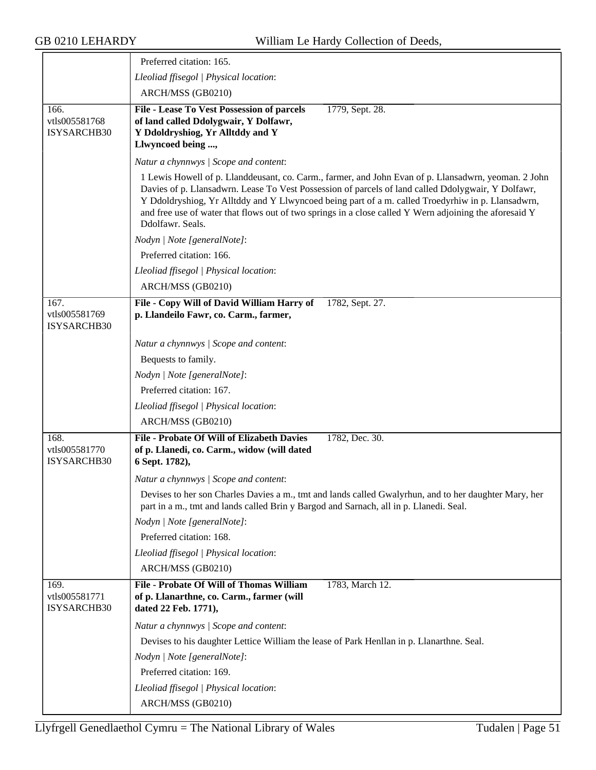|                                      | Preferred citation: 165.                                                                                                                                                                                                                                                                                                                                                                                                                      |
|--------------------------------------|-----------------------------------------------------------------------------------------------------------------------------------------------------------------------------------------------------------------------------------------------------------------------------------------------------------------------------------------------------------------------------------------------------------------------------------------------|
|                                      | Lleoliad ffisegol   Physical location:                                                                                                                                                                                                                                                                                                                                                                                                        |
|                                      | ARCH/MSS (GB0210)                                                                                                                                                                                                                                                                                                                                                                                                                             |
| 166.<br>vtls005581768<br>ISYSARCHB30 | <b>File - Lease To Vest Possession of parcels</b><br>1779, Sept. 28.<br>of land called Ddolygwair, Y Dolfawr,<br>Y Ddoldryshiog, Yr Alltddy and Y<br>Llwyncoed being ,                                                                                                                                                                                                                                                                        |
|                                      | Natur a chynnwys / Scope and content:                                                                                                                                                                                                                                                                                                                                                                                                         |
|                                      | 1 Lewis Howell of p. Llanddeusant, co. Carm., farmer, and John Evan of p. Llansadwrn, yeoman. 2 John<br>Davies of p. Llansadwrn. Lease To Vest Possession of parcels of land called Ddolygwair, Y Dolfawr,<br>Y Ddoldryshiog, Yr Alltddy and Y Llwyncoed being part of a m. called Troedyrhiw in p. Llansadwrn,<br>and free use of water that flows out of two springs in a close called Y Wern adjoining the aforesaid Y<br>Ddolfawr. Seals. |
|                                      | Nodyn   Note [generalNote]:                                                                                                                                                                                                                                                                                                                                                                                                                   |
|                                      | Preferred citation: 166.                                                                                                                                                                                                                                                                                                                                                                                                                      |
|                                      | Lleoliad ffisegol   Physical location:                                                                                                                                                                                                                                                                                                                                                                                                        |
|                                      | ARCH/MSS (GB0210)                                                                                                                                                                                                                                                                                                                                                                                                                             |
| 167.<br>vtls005581769<br>ISYSARCHB30 | File - Copy Will of David William Harry of<br>1782, Sept. 27.<br>p. Llandeilo Fawr, co. Carm., farmer,                                                                                                                                                                                                                                                                                                                                        |
|                                      | Natur a chynnwys / Scope and content:                                                                                                                                                                                                                                                                                                                                                                                                         |
|                                      | Bequests to family.                                                                                                                                                                                                                                                                                                                                                                                                                           |
|                                      | Nodyn   Note [generalNote]:                                                                                                                                                                                                                                                                                                                                                                                                                   |
|                                      | Preferred citation: 167.                                                                                                                                                                                                                                                                                                                                                                                                                      |
|                                      | Lleoliad ffisegol   Physical location:                                                                                                                                                                                                                                                                                                                                                                                                        |
|                                      | ARCH/MSS (GB0210)                                                                                                                                                                                                                                                                                                                                                                                                                             |
| 168.<br>vtls005581770<br>ISYSARCHB30 | <b>File - Probate Of Will of Elizabeth Davies</b><br>1782, Dec. 30.<br>of p. Llanedi, co. Carm., widow (will dated<br>6 Sept. 1782),                                                                                                                                                                                                                                                                                                          |
|                                      | Natur a chynnwys / Scope and content:                                                                                                                                                                                                                                                                                                                                                                                                         |
|                                      | Devises to her son Charles Davies a m., tmt and lands called Gwalyrhun, and to her daughter Mary, her<br>part in a m., tmt and lands called Brin y Bargod and Sarnach, all in p. Llanedi. Seal.                                                                                                                                                                                                                                               |
|                                      | Nodyn   Note [generalNote]:                                                                                                                                                                                                                                                                                                                                                                                                                   |
|                                      | Preferred citation: 168.                                                                                                                                                                                                                                                                                                                                                                                                                      |
|                                      | Lleoliad ffisegol   Physical location:                                                                                                                                                                                                                                                                                                                                                                                                        |
|                                      | ARCH/MSS (GB0210)                                                                                                                                                                                                                                                                                                                                                                                                                             |
| 169.<br>vtls005581771<br>ISYSARCHB30 | File - Probate Of Will of Thomas William<br>1783, March 12.<br>of p. Llanarthne, co. Carm., farmer (will<br>dated 22 Feb. 1771),                                                                                                                                                                                                                                                                                                              |
|                                      | Natur a chynnwys / Scope and content:                                                                                                                                                                                                                                                                                                                                                                                                         |
|                                      | Devises to his daughter Lettice William the lease of Park Henllan in p. Llanarthne. Seal.                                                                                                                                                                                                                                                                                                                                                     |
|                                      | Nodyn   Note [generalNote]:                                                                                                                                                                                                                                                                                                                                                                                                                   |
|                                      | Preferred citation: 169.                                                                                                                                                                                                                                                                                                                                                                                                                      |
|                                      | Lleoliad ffisegol   Physical location:                                                                                                                                                                                                                                                                                                                                                                                                        |
|                                      | ARCH/MSS (GB0210)                                                                                                                                                                                                                                                                                                                                                                                                                             |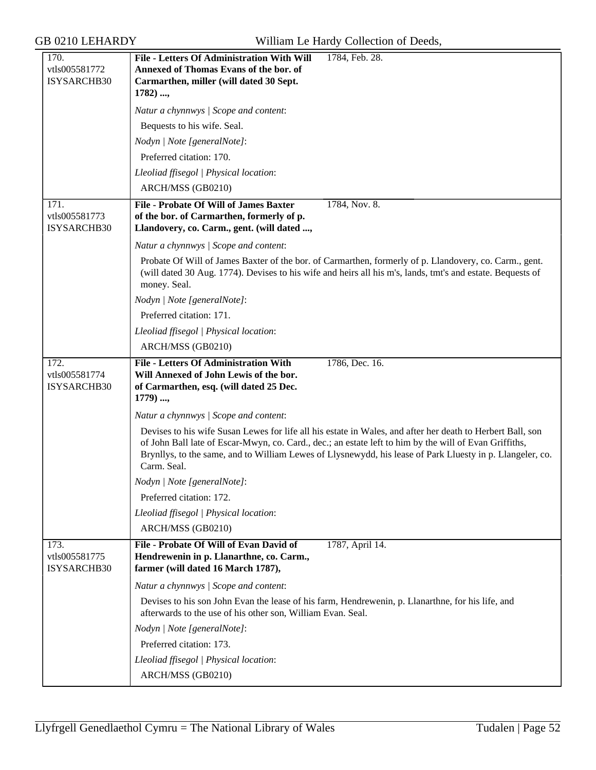| 170.                                 | File - Letters Of Administration With Will<br>1784, Feb. 28.                                                                                                                                                                                                                                                                                     |
|--------------------------------------|--------------------------------------------------------------------------------------------------------------------------------------------------------------------------------------------------------------------------------------------------------------------------------------------------------------------------------------------------|
| vtls005581772<br>ISYSARCHB30         | Annexed of Thomas Evans of the bor. of<br>Carmarthen, miller (will dated 30 Sept.                                                                                                                                                                                                                                                                |
|                                      | 1782) ,                                                                                                                                                                                                                                                                                                                                          |
|                                      | Natur a chynnwys / Scope and content:                                                                                                                                                                                                                                                                                                            |
|                                      | Bequests to his wife. Seal.                                                                                                                                                                                                                                                                                                                      |
|                                      | Nodyn   Note [generalNote]:                                                                                                                                                                                                                                                                                                                      |
|                                      | Preferred citation: 170.                                                                                                                                                                                                                                                                                                                         |
|                                      | Lleoliad ffisegol   Physical location:                                                                                                                                                                                                                                                                                                           |
|                                      | ARCH/MSS (GB0210)                                                                                                                                                                                                                                                                                                                                |
| 171.                                 | <b>File - Probate Of Will of James Baxter</b><br>1784, Nov. 8.                                                                                                                                                                                                                                                                                   |
| vtls005581773<br>ISYSARCHB30         | of the bor. of Carmarthen, formerly of p.<br>Llandovery, co. Carm., gent. (will dated ,                                                                                                                                                                                                                                                          |
|                                      | Natur a chynnwys / Scope and content:                                                                                                                                                                                                                                                                                                            |
|                                      | Probate Of Will of James Baxter of the bor. of Carmarthen, formerly of p. Llandovery, co. Carm., gent.<br>(will dated 30 Aug. 1774). Devises to his wife and heirs all his m's, lands, tmt's and estate. Bequests of<br>money. Seal.                                                                                                             |
|                                      | Nodyn   Note [generalNote]:                                                                                                                                                                                                                                                                                                                      |
|                                      | Preferred citation: 171.                                                                                                                                                                                                                                                                                                                         |
|                                      | Lleoliad ffisegol   Physical location:                                                                                                                                                                                                                                                                                                           |
|                                      | ARCH/MSS (GB0210)                                                                                                                                                                                                                                                                                                                                |
| 172.                                 | <b>File - Letters Of Administration With</b><br>1786, Dec. 16.                                                                                                                                                                                                                                                                                   |
| vtls005581774<br>ISYSARCHB30         | Will Annexed of John Lewis of the bor.<br>of Carmarthen, esq. (will dated 25 Dec.                                                                                                                                                                                                                                                                |
|                                      | $1779)$ ,                                                                                                                                                                                                                                                                                                                                        |
|                                      | Natur a chynnwys / Scope and content:                                                                                                                                                                                                                                                                                                            |
|                                      | Devises to his wife Susan Lewes for life all his estate in Wales, and after her death to Herbert Ball, son<br>of John Ball late of Escar-Mwyn, co. Card., dec.; an estate left to him by the will of Evan Griffiths,<br>Brynllys, to the same, and to William Lewes of Llysnewydd, his lease of Park Lluesty in p. Llangeler, co.<br>Carm. Seal. |
|                                      | Nodyn   Note [generalNote]:                                                                                                                                                                                                                                                                                                                      |
|                                      | Preferred citation: 172.                                                                                                                                                                                                                                                                                                                         |
|                                      | Lleoliad ffisegol   Physical location:                                                                                                                                                                                                                                                                                                           |
|                                      | ARCH/MSS (GB0210)                                                                                                                                                                                                                                                                                                                                |
| 173.<br>vtls005581775<br>ISYSARCHB30 | File - Probate Of Will of Evan David of<br>1787, April 14.<br>Hendrewenin in p. Llanarthne, co. Carm.,<br>farmer (will dated 16 March 1787),                                                                                                                                                                                                     |
|                                      | Natur a chynnwys / Scope and content:                                                                                                                                                                                                                                                                                                            |
|                                      | Devises to his son John Evan the lease of his farm, Hendrewenin, p. Llanarthne, for his life, and<br>afterwards to the use of his other son, William Evan. Seal.                                                                                                                                                                                 |
|                                      | Nodyn   Note [generalNote]:                                                                                                                                                                                                                                                                                                                      |
|                                      | Preferred citation: 173.                                                                                                                                                                                                                                                                                                                         |
|                                      | Lleoliad ffisegol   Physical location:                                                                                                                                                                                                                                                                                                           |
|                                      | ARCH/MSS (GB0210)                                                                                                                                                                                                                                                                                                                                |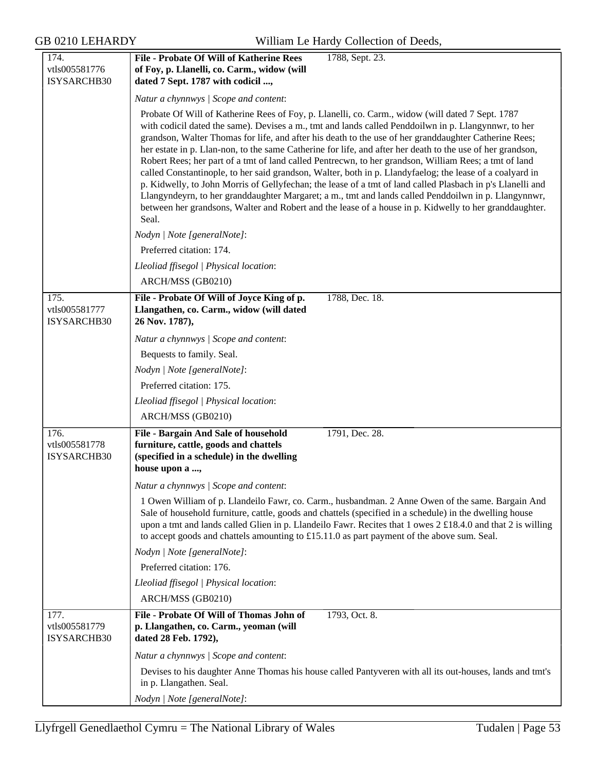| 174.                                 | <b>File - Probate Of Will of Katherine Rees</b><br>1788, Sept. 23.                                                                                                                                                                                                                                                                                                                                                                                                                                                                                                                                                                                                                                                                                                                                                                                                                                                                                                                            |  |
|--------------------------------------|-----------------------------------------------------------------------------------------------------------------------------------------------------------------------------------------------------------------------------------------------------------------------------------------------------------------------------------------------------------------------------------------------------------------------------------------------------------------------------------------------------------------------------------------------------------------------------------------------------------------------------------------------------------------------------------------------------------------------------------------------------------------------------------------------------------------------------------------------------------------------------------------------------------------------------------------------------------------------------------------------|--|
| vtls005581776                        | of Foy, p. Llanelli, co. Carm., widow (will                                                                                                                                                                                                                                                                                                                                                                                                                                                                                                                                                                                                                                                                                                                                                                                                                                                                                                                                                   |  |
| ISYSARCHB30                          | dated 7 Sept. 1787 with codicil ,                                                                                                                                                                                                                                                                                                                                                                                                                                                                                                                                                                                                                                                                                                                                                                                                                                                                                                                                                             |  |
|                                      | Natur a chynnwys / Scope and content:                                                                                                                                                                                                                                                                                                                                                                                                                                                                                                                                                                                                                                                                                                                                                                                                                                                                                                                                                         |  |
|                                      | Probate Of Will of Katherine Rees of Foy, p. Llanelli, co. Carm., widow (will dated 7 Sept. 1787<br>with codicil dated the same). Devises a m., tmt and lands called Penddoilwn in p. Llangynnwr, to her<br>grandson, Walter Thomas for life, and after his death to the use of her granddaughter Catherine Rees;<br>her estate in p. Llan-non, to the same Catherine for life, and after her death to the use of her grandson,<br>Robert Rees; her part of a tmt of land called Pentrecwn, to her grandson, William Rees; a tmt of land<br>called Constantinople, to her said grandson, Walter, both in p. Llandyfaelog; the lease of a coalyard in<br>p. Kidwelly, to John Morris of Gellyfechan; the lease of a tmt of land called Plasbach in p's Llanelli and<br>Llangyndeyrn, to her granddaughter Margaret; a m., tmt and lands called Penddoilwn in p. Llangynnwr,<br>between her grandsons, Walter and Robert and the lease of a house in p. Kidwelly to her granddaughter.<br>Seal. |  |
|                                      | Nodyn   Note [generalNote]:                                                                                                                                                                                                                                                                                                                                                                                                                                                                                                                                                                                                                                                                                                                                                                                                                                                                                                                                                                   |  |
|                                      | Preferred citation: 174.                                                                                                                                                                                                                                                                                                                                                                                                                                                                                                                                                                                                                                                                                                                                                                                                                                                                                                                                                                      |  |
|                                      | Lleoliad ffisegol   Physical location:                                                                                                                                                                                                                                                                                                                                                                                                                                                                                                                                                                                                                                                                                                                                                                                                                                                                                                                                                        |  |
|                                      | ARCH/MSS (GB0210)                                                                                                                                                                                                                                                                                                                                                                                                                                                                                                                                                                                                                                                                                                                                                                                                                                                                                                                                                                             |  |
| 175.<br>vtls005581777<br>ISYSARCHB30 | File - Probate Of Will of Joyce King of p.<br>1788, Dec. 18.<br>Llangathen, co. Carm., widow (will dated<br>26 Nov. 1787),                                                                                                                                                                                                                                                                                                                                                                                                                                                                                                                                                                                                                                                                                                                                                                                                                                                                    |  |
|                                      | Natur a chynnwys / Scope and content:                                                                                                                                                                                                                                                                                                                                                                                                                                                                                                                                                                                                                                                                                                                                                                                                                                                                                                                                                         |  |
|                                      | Bequests to family. Seal.                                                                                                                                                                                                                                                                                                                                                                                                                                                                                                                                                                                                                                                                                                                                                                                                                                                                                                                                                                     |  |
|                                      | Nodyn   Note [generalNote]:                                                                                                                                                                                                                                                                                                                                                                                                                                                                                                                                                                                                                                                                                                                                                                                                                                                                                                                                                                   |  |
|                                      | Preferred citation: 175.                                                                                                                                                                                                                                                                                                                                                                                                                                                                                                                                                                                                                                                                                                                                                                                                                                                                                                                                                                      |  |
|                                      | Lleoliad ffisegol   Physical location:                                                                                                                                                                                                                                                                                                                                                                                                                                                                                                                                                                                                                                                                                                                                                                                                                                                                                                                                                        |  |
|                                      | ARCH/MSS (GB0210)                                                                                                                                                                                                                                                                                                                                                                                                                                                                                                                                                                                                                                                                                                                                                                                                                                                                                                                                                                             |  |
| 176.<br>vtls005581778<br>ISYSARCHB30 | 1791, Dec. 28.<br>File - Bargain And Sale of household<br>furniture, cattle, goods and chattels<br>(specified in a schedule) in the dwelling<br>house upon a ,                                                                                                                                                                                                                                                                                                                                                                                                                                                                                                                                                                                                                                                                                                                                                                                                                                |  |
|                                      | Natur a chynnwys / Scope and content:                                                                                                                                                                                                                                                                                                                                                                                                                                                                                                                                                                                                                                                                                                                                                                                                                                                                                                                                                         |  |
|                                      | 1 Owen William of p. Llandeilo Fawr, co. Carm., husbandman. 2 Anne Owen of the same. Bargain And<br>Sale of household furniture, cattle, goods and chattels (specified in a schedule) in the dwelling house<br>upon a tmt and lands called Glien in p. Llandeilo Fawr. Recites that 1 owes 2 £18.4.0 and that 2 is willing<br>to accept goods and chattels amounting to £15.11.0 as part payment of the above sum. Seal.                                                                                                                                                                                                                                                                                                                                                                                                                                                                                                                                                                      |  |
|                                      | Nodyn   Note [generalNote]:                                                                                                                                                                                                                                                                                                                                                                                                                                                                                                                                                                                                                                                                                                                                                                                                                                                                                                                                                                   |  |
|                                      | Preferred citation: 176.                                                                                                                                                                                                                                                                                                                                                                                                                                                                                                                                                                                                                                                                                                                                                                                                                                                                                                                                                                      |  |
|                                      | Lleoliad ffisegol   Physical location:                                                                                                                                                                                                                                                                                                                                                                                                                                                                                                                                                                                                                                                                                                                                                                                                                                                                                                                                                        |  |
|                                      | ARCH/MSS (GB0210)                                                                                                                                                                                                                                                                                                                                                                                                                                                                                                                                                                                                                                                                                                                                                                                                                                                                                                                                                                             |  |
| 177.<br>vtls005581779<br>ISYSARCHB30 | File - Probate Of Will of Thomas John of<br>1793, Oct. 8.<br>p. Llangathen, co. Carm., yeoman (will<br>dated 28 Feb. 1792),                                                                                                                                                                                                                                                                                                                                                                                                                                                                                                                                                                                                                                                                                                                                                                                                                                                                   |  |
|                                      | Natur a chynnwys / Scope and content:                                                                                                                                                                                                                                                                                                                                                                                                                                                                                                                                                                                                                                                                                                                                                                                                                                                                                                                                                         |  |
|                                      | Devises to his daughter Anne Thomas his house called Pantyveren with all its out-houses, lands and tmt's<br>in p. Llangathen. Seal.                                                                                                                                                                                                                                                                                                                                                                                                                                                                                                                                                                                                                                                                                                                                                                                                                                                           |  |
|                                      | Nodyn   Note [generalNote]:                                                                                                                                                                                                                                                                                                                                                                                                                                                                                                                                                                                                                                                                                                                                                                                                                                                                                                                                                                   |  |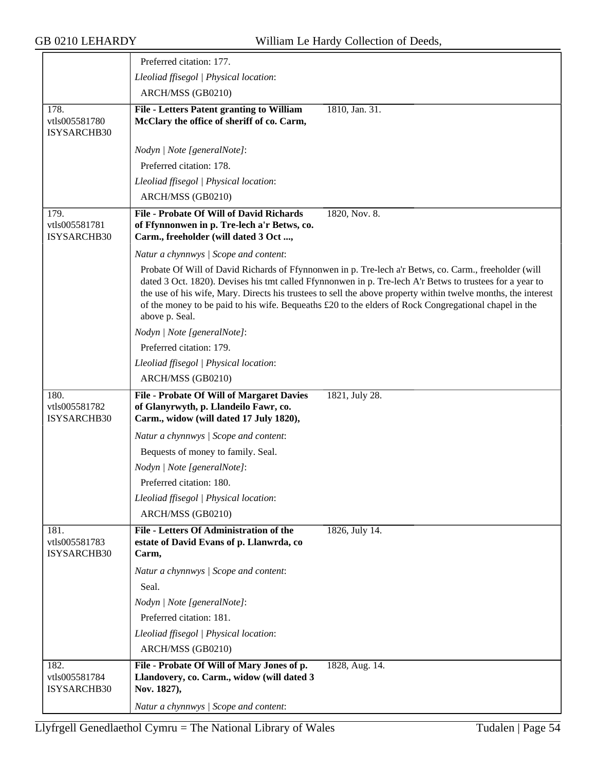|                                      | Preferred citation: 177.                                                                                                                                                                                                                                                                                                                                                                                                                                      |
|--------------------------------------|---------------------------------------------------------------------------------------------------------------------------------------------------------------------------------------------------------------------------------------------------------------------------------------------------------------------------------------------------------------------------------------------------------------------------------------------------------------|
|                                      | Lleoliad ffisegol   Physical location:                                                                                                                                                                                                                                                                                                                                                                                                                        |
|                                      | ARCH/MSS (GB0210)                                                                                                                                                                                                                                                                                                                                                                                                                                             |
| 178.<br>vtls005581780<br>ISYSARCHB30 | <b>File - Letters Patent granting to William</b><br>1810, Jan. 31.<br>McClary the office of sheriff of co. Carm,                                                                                                                                                                                                                                                                                                                                              |
|                                      | Nodyn   Note [generalNote]:                                                                                                                                                                                                                                                                                                                                                                                                                                   |
|                                      | Preferred citation: 178.                                                                                                                                                                                                                                                                                                                                                                                                                                      |
|                                      | Lleoliad ffisegol   Physical location:                                                                                                                                                                                                                                                                                                                                                                                                                        |
|                                      | ARCH/MSS (GB0210)                                                                                                                                                                                                                                                                                                                                                                                                                                             |
| 179.<br>vtls005581781<br>ISYSARCHB30 | <b>File - Probate Of Will of David Richards</b><br>1820, Nov. 8.<br>of Ffynnonwen in p. Tre-lech a'r Betws, co.<br>Carm., freeholder (will dated 3 Oct ,                                                                                                                                                                                                                                                                                                      |
|                                      | Natur a chynnwys / Scope and content:                                                                                                                                                                                                                                                                                                                                                                                                                         |
|                                      | Probate Of Will of David Richards of Ffynnonwen in p. Tre-lech a'r Betws, co. Carm., freeholder (will<br>dated 3 Oct. 1820). Devises his tmt called Ffynnonwen in p. Tre-lech A'r Betws to trustees for a year to<br>the use of his wife, Mary. Directs his trustees to sell the above property within twelve months, the interest<br>of the money to be paid to his wife. Bequeaths £20 to the elders of Rock Congregational chapel in the<br>above p. Seal. |
|                                      | Nodyn   Note [generalNote]:                                                                                                                                                                                                                                                                                                                                                                                                                                   |
|                                      | Preferred citation: 179.                                                                                                                                                                                                                                                                                                                                                                                                                                      |
|                                      | Lleoliad ffisegol   Physical location:                                                                                                                                                                                                                                                                                                                                                                                                                        |
|                                      | ARCH/MSS (GB0210)                                                                                                                                                                                                                                                                                                                                                                                                                                             |
| 180.<br>vtls005581782<br>ISYSARCHB30 | File - Probate Of Will of Margaret Davies<br>1821, July 28.<br>of Glanyrwyth, p. Llandeilo Fawr, co.<br>Carm., widow (will dated 17 July 1820),                                                                                                                                                                                                                                                                                                               |
|                                      | Natur a chynnwys / Scope and content:                                                                                                                                                                                                                                                                                                                                                                                                                         |
|                                      | Bequests of money to family. Seal.                                                                                                                                                                                                                                                                                                                                                                                                                            |
|                                      | Nodyn   Note [generalNote]:                                                                                                                                                                                                                                                                                                                                                                                                                                   |
|                                      | Preferred citation: 180.                                                                                                                                                                                                                                                                                                                                                                                                                                      |
|                                      | Lleoliad ffisegol   Physical location:                                                                                                                                                                                                                                                                                                                                                                                                                        |
|                                      | ARCH/MSS (GB0210)                                                                                                                                                                                                                                                                                                                                                                                                                                             |
| 181.<br>vtls005581783<br>ISYSARCHB30 | File - Letters Of Administration of the<br>1826, July 14.<br>estate of David Evans of p. Llanwrda, co<br>Carm,                                                                                                                                                                                                                                                                                                                                                |
|                                      | Natur a chynnwys / Scope and content:                                                                                                                                                                                                                                                                                                                                                                                                                         |
|                                      | Seal.                                                                                                                                                                                                                                                                                                                                                                                                                                                         |
|                                      | Nodyn   Note [generalNote]:                                                                                                                                                                                                                                                                                                                                                                                                                                   |
|                                      | Preferred citation: 181.                                                                                                                                                                                                                                                                                                                                                                                                                                      |
|                                      | Lleoliad ffisegol   Physical location:                                                                                                                                                                                                                                                                                                                                                                                                                        |
|                                      | ARCH/MSS (GB0210)                                                                                                                                                                                                                                                                                                                                                                                                                                             |
| 182.<br>vtls005581784<br>ISYSARCHB30 | File - Probate Of Will of Mary Jones of p.<br>1828, Aug. 14.<br>Llandovery, co. Carm., widow (will dated 3<br>Nov. 1827),                                                                                                                                                                                                                                                                                                                                     |
|                                      | Natur a chynnwys / Scope and content:                                                                                                                                                                                                                                                                                                                                                                                                                         |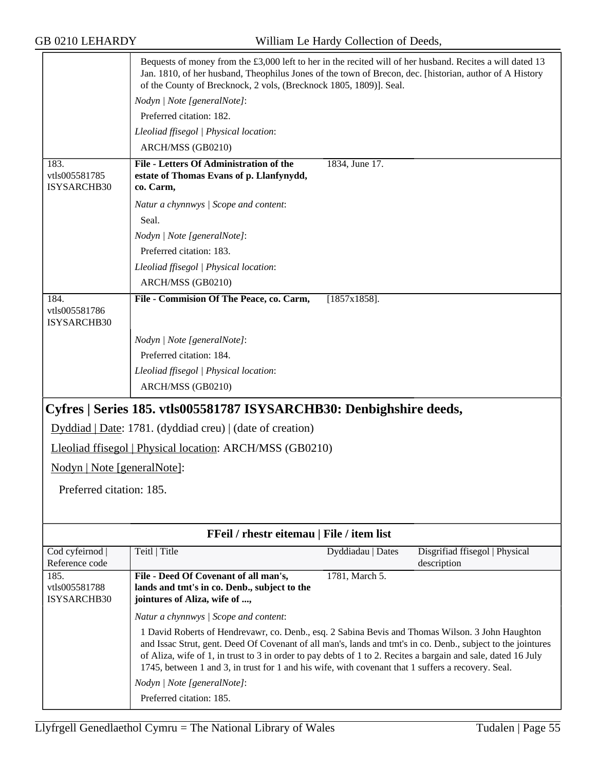<span id="page-54-0"></span>

|                                      | Bequests of money from the $\text{\pounds}3,000$ left to her in the recited will of her husband. Recites a will dated 13<br>Jan. 1810, of her husband, Theophilus Jones of the town of Brecon, dec. [historian, author of A History<br>of the County of Brecknock, 2 vols, (Brecknock 1805, 1809)]. Seal.                                                                                                                               |                   |                                               |
|--------------------------------------|-----------------------------------------------------------------------------------------------------------------------------------------------------------------------------------------------------------------------------------------------------------------------------------------------------------------------------------------------------------------------------------------------------------------------------------------|-------------------|-----------------------------------------------|
|                                      | Nodyn   Note [generalNote]:                                                                                                                                                                                                                                                                                                                                                                                                             |                   |                                               |
|                                      | Preferred citation: 182.                                                                                                                                                                                                                                                                                                                                                                                                                |                   |                                               |
|                                      | Lleoliad ffisegol   Physical location:                                                                                                                                                                                                                                                                                                                                                                                                  |                   |                                               |
|                                      | ARCH/MSS (GB0210)                                                                                                                                                                                                                                                                                                                                                                                                                       |                   |                                               |
| 183.<br>vtls005581785<br>ISYSARCHB30 | File - Letters Of Administration of the<br>estate of Thomas Evans of p. Llanfynydd,<br>co. Carm,                                                                                                                                                                                                                                                                                                                                        | 1834, June 17.    |                                               |
|                                      | Natur a chynnwys / Scope and content:                                                                                                                                                                                                                                                                                                                                                                                                   |                   |                                               |
|                                      | Seal.                                                                                                                                                                                                                                                                                                                                                                                                                                   |                   |                                               |
|                                      | Nodyn   Note [generalNote]:                                                                                                                                                                                                                                                                                                                                                                                                             |                   |                                               |
|                                      | Preferred citation: 183.                                                                                                                                                                                                                                                                                                                                                                                                                |                   |                                               |
|                                      | Lleoliad ffisegol   Physical location:                                                                                                                                                                                                                                                                                                                                                                                                  |                   |                                               |
|                                      | ARCH/MSS (GB0210)                                                                                                                                                                                                                                                                                                                                                                                                                       |                   |                                               |
| 184.<br>vtls005581786<br>ISYSARCHB30 | File - Commision Of The Peace, co. Carm,                                                                                                                                                                                                                                                                                                                                                                                                | $[1857x1858]$ .   |                                               |
|                                      | Nodyn   Note [generalNote]:                                                                                                                                                                                                                                                                                                                                                                                                             |                   |                                               |
|                                      | Preferred citation: 184.                                                                                                                                                                                                                                                                                                                                                                                                                |                   |                                               |
|                                      | Lleoliad ffisegol   Physical location:                                                                                                                                                                                                                                                                                                                                                                                                  |                   |                                               |
|                                      | ARCH/MSS (GB0210)                                                                                                                                                                                                                                                                                                                                                                                                                       |                   |                                               |
|                                      | Cyfres   Series 185. vtls005581787 ISYSARCHB30: Denbighshire deeds,                                                                                                                                                                                                                                                                                                                                                                     |                   |                                               |
|                                      | Dyddiad   Date: 1781. (dyddiad creu)   (date of creation)                                                                                                                                                                                                                                                                                                                                                                               |                   |                                               |
|                                      | Lleoliad ffisegol   Physical location: ARCH/MSS (GB0210)                                                                                                                                                                                                                                                                                                                                                                                |                   |                                               |
| Nodyn   Note [generalNote]:          |                                                                                                                                                                                                                                                                                                                                                                                                                                         |                   |                                               |
| Preferred citation: 185.             |                                                                                                                                                                                                                                                                                                                                                                                                                                         |                   |                                               |
|                                      |                                                                                                                                                                                                                                                                                                                                                                                                                                         |                   |                                               |
|                                      |                                                                                                                                                                                                                                                                                                                                                                                                                                         |                   |                                               |
|                                      | FFeil / rhestr eitemau   File / item list                                                                                                                                                                                                                                                                                                                                                                                               |                   |                                               |
| Cod cyfeirnod<br>Reference code      | Teitl   Title                                                                                                                                                                                                                                                                                                                                                                                                                           | Dyddiadau   Dates | Disgrifiad ffisegol   Physical<br>description |
| 185.<br>vtls005581788<br>ISYSARCHB30 | File - Deed Of Covenant of all man's,<br>lands and tmt's in co. Denb., subject to the<br>jointures of Aliza, wife of ,                                                                                                                                                                                                                                                                                                                  | 1781, March 5.    |                                               |
|                                      | Natur a chynnwys   Scope and content:                                                                                                                                                                                                                                                                                                                                                                                                   |                   |                                               |
|                                      | 1 David Roberts of Hendrevawr, co. Denb., esq. 2 Sabina Bevis and Thomas Wilson. 3 John Haughton<br>and Issac Strut, gent. Deed Of Covenant of all man's, lands and tmt's in co. Denb., subject to the jointures<br>of Aliza, wife of 1, in trust to 3 in order to pay debts of 1 to 2. Recites a bargain and sale, dated 16 July<br>1745, between 1 and 3, in trust for 1 and his wife, with covenant that 1 suffers a recovery. Seal. |                   |                                               |
|                                      | Nodyn   Note [generalNote]:                                                                                                                                                                                                                                                                                                                                                                                                             |                   |                                               |
|                                      | Preferred citation: 185.                                                                                                                                                                                                                                                                                                                                                                                                                |                   |                                               |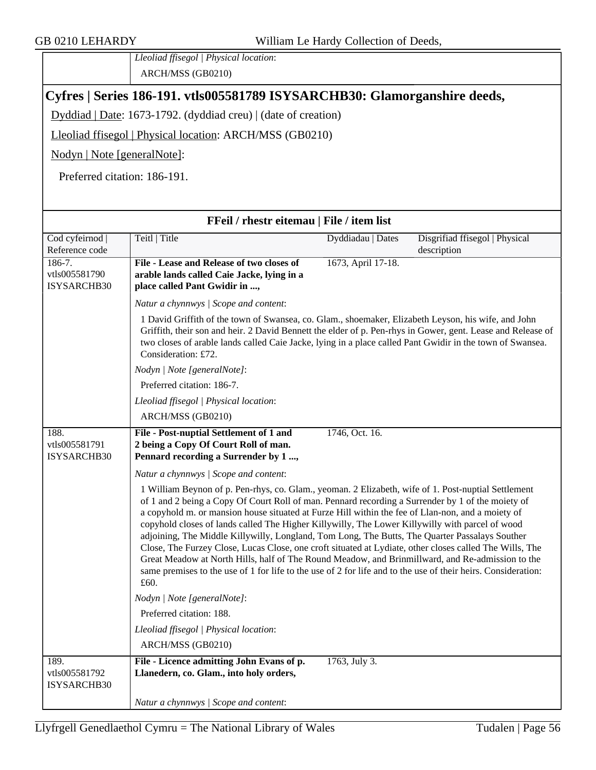*Lleoliad ffisegol | Physical location*: ARCH/MSS (GB0210)

#### <span id="page-55-0"></span>**Cyfres | Series 186-191. vtls005581789 ISYSARCHB30: Glamorganshire deeds,**

Dyddiad | Date: 1673-1792. (dyddiad creu) | (date of creation)

Lleoliad ffisegol | Physical location: ARCH/MSS (GB0210)

Nodyn | Note [generalNote]:

Preferred citation: 186-191.

|                                      | FFeil / rhestr eitemau   File / item list                                                                                                                                                                                                                                                                                                                                                                                                                                                                                                                                                                                                                                                                                                                                                                                                                  |                    |                                |
|--------------------------------------|------------------------------------------------------------------------------------------------------------------------------------------------------------------------------------------------------------------------------------------------------------------------------------------------------------------------------------------------------------------------------------------------------------------------------------------------------------------------------------------------------------------------------------------------------------------------------------------------------------------------------------------------------------------------------------------------------------------------------------------------------------------------------------------------------------------------------------------------------------|--------------------|--------------------------------|
| Cod cyfeirnod                        | Teitl   Title                                                                                                                                                                                                                                                                                                                                                                                                                                                                                                                                                                                                                                                                                                                                                                                                                                              | Dyddiadau   Dates  | Disgrifiad ffisegol   Physical |
| Reference code                       |                                                                                                                                                                                                                                                                                                                                                                                                                                                                                                                                                                                                                                                                                                                                                                                                                                                            |                    | description                    |
| $186-7.$<br>vtls005581790            | File - Lease and Release of two closes of<br>arable lands called Caie Jacke, lying in a                                                                                                                                                                                                                                                                                                                                                                                                                                                                                                                                                                                                                                                                                                                                                                    | 1673, April 17-18. |                                |
| ISYSARCHB30                          | place called Pant Gwidir in ,                                                                                                                                                                                                                                                                                                                                                                                                                                                                                                                                                                                                                                                                                                                                                                                                                              |                    |                                |
|                                      | Natur a chynnwys / Scope and content:                                                                                                                                                                                                                                                                                                                                                                                                                                                                                                                                                                                                                                                                                                                                                                                                                      |                    |                                |
|                                      | 1 David Griffith of the town of Swansea, co. Glam., shoemaker, Elizabeth Leyson, his wife, and John<br>Griffith, their son and heir. 2 David Bennett the elder of p. Pen-rhys in Gower, gent. Lease and Release of<br>two closes of arable lands called Caie Jacke, lying in a place called Pant Gwidir in the town of Swansea.<br>Consideration: £72.                                                                                                                                                                                                                                                                                                                                                                                                                                                                                                     |                    |                                |
|                                      | Nodyn   Note [generalNote]:                                                                                                                                                                                                                                                                                                                                                                                                                                                                                                                                                                                                                                                                                                                                                                                                                                |                    |                                |
|                                      | Preferred citation: 186-7.                                                                                                                                                                                                                                                                                                                                                                                                                                                                                                                                                                                                                                                                                                                                                                                                                                 |                    |                                |
|                                      | Lleoliad ffisegol   Physical location:                                                                                                                                                                                                                                                                                                                                                                                                                                                                                                                                                                                                                                                                                                                                                                                                                     |                    |                                |
|                                      | ARCH/MSS (GB0210)                                                                                                                                                                                                                                                                                                                                                                                                                                                                                                                                                                                                                                                                                                                                                                                                                                          |                    |                                |
| 188.<br>vtls005581791<br>ISYSARCHB30 | File - Post-nuptial Settlement of 1 and<br>2 being a Copy Of Court Roll of man.<br>Pennard recording a Surrender by 1 ,                                                                                                                                                                                                                                                                                                                                                                                                                                                                                                                                                                                                                                                                                                                                    | 1746, Oct. 16.     |                                |
|                                      | Natur a chynnwys / Scope and content:                                                                                                                                                                                                                                                                                                                                                                                                                                                                                                                                                                                                                                                                                                                                                                                                                      |                    |                                |
|                                      | 1 William Beynon of p. Pen-rhys, co. Glam., yeoman. 2 Elizabeth, wife of 1. Post-nuptial Settlement<br>of 1 and 2 being a Copy Of Court Roll of man. Pennard recording a Surrender by 1 of the moiety of<br>a copyhold m. or mansion house situated at Furze Hill within the fee of Llan-non, and a moiety of<br>copyhold closes of lands called The Higher Killywilly, The Lower Killywilly with parcel of wood<br>adjoining, The Middle Killywilly, Longland, Tom Long, The Butts, The Quarter Passalays Souther<br>Close, The Furzey Close, Lucas Close, one croft situated at Lydiate, other closes called The Wills, The<br>Great Meadow at North Hills, half of The Round Meadow, and Brinmillward, and Re-admission to the<br>same premises to the use of 1 for life to the use of 2 for life and to the use of their heirs. Consideration:<br>£60. |                    |                                |
|                                      | Nodyn   Note [generalNote]:                                                                                                                                                                                                                                                                                                                                                                                                                                                                                                                                                                                                                                                                                                                                                                                                                                |                    |                                |
|                                      | Preferred citation: 188.                                                                                                                                                                                                                                                                                                                                                                                                                                                                                                                                                                                                                                                                                                                                                                                                                                   |                    |                                |
|                                      | Lleoliad ffisegol   Physical location:                                                                                                                                                                                                                                                                                                                                                                                                                                                                                                                                                                                                                                                                                                                                                                                                                     |                    |                                |
|                                      | ARCH/MSS (GB0210)                                                                                                                                                                                                                                                                                                                                                                                                                                                                                                                                                                                                                                                                                                                                                                                                                                          |                    |                                |
| 189.<br>vtls005581792<br>ISYSARCHB30 | File - Licence admitting John Evans of p.<br>Llanedern, co. Glam., into holy orders,                                                                                                                                                                                                                                                                                                                                                                                                                                                                                                                                                                                                                                                                                                                                                                       | 1763, July 3.      |                                |
|                                      | Natur a chynnwys / Scope and content:                                                                                                                                                                                                                                                                                                                                                                                                                                                                                                                                                                                                                                                                                                                                                                                                                      |                    |                                |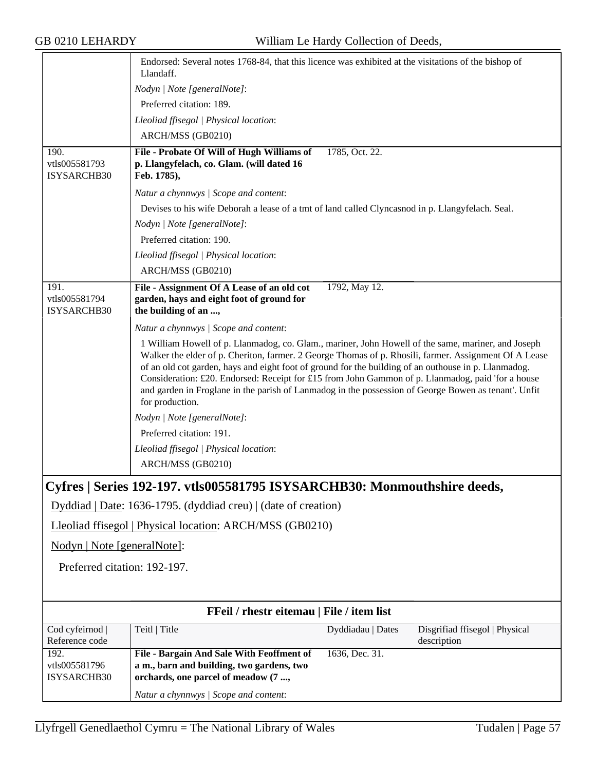<span id="page-56-0"></span>

|                                   | Endorsed: Several notes 1768-84, that this licence was exhibited at the visitations of the bishop of<br>Llandaff.                                                                                           |
|-----------------------------------|-------------------------------------------------------------------------------------------------------------------------------------------------------------------------------------------------------------|
|                                   | Nodyn   Note [generalNote]:                                                                                                                                                                                 |
|                                   | Preferred citation: 189.                                                                                                                                                                                    |
|                                   | Lleoliad ffisegol   Physical location:                                                                                                                                                                      |
|                                   | ARCH/MSS (GB0210)                                                                                                                                                                                           |
| 190.                              | File - Probate Of Will of Hugh Williams of<br>1785, Oct. 22.                                                                                                                                                |
| vtls005581793<br>ISYSARCHB30      | p. Llangyfelach, co. Glam. (will dated 16<br>Feb. 1785),                                                                                                                                                    |
|                                   | Natur a chynnwys / Scope and content:                                                                                                                                                                       |
|                                   | Devises to his wife Deborah a lease of a tmt of land called Clyncasnod in p. Llangyfelach. Seal.                                                                                                            |
|                                   | Nodyn   Note [generalNote]:                                                                                                                                                                                 |
|                                   | Preferred citation: 190.                                                                                                                                                                                    |
|                                   | Lleoliad ffisegol   Physical location:                                                                                                                                                                      |
|                                   | ARCH/MSS (GB0210)                                                                                                                                                                                           |
| 191.                              | File - Assignment Of A Lease of an old cot<br>1792, May 12.                                                                                                                                                 |
| vtls005581794                     | garden, hays and eight foot of ground for                                                                                                                                                                   |
| ISYSARCHB30                       | the building of an ,                                                                                                                                                                                        |
|                                   | Natur a chynnwys / Scope and content:                                                                                                                                                                       |
|                                   | 1 William Howell of p. Llanmadog, co. Glam., mariner, John Howell of the same, mariner, and Joseph<br>Walker the elder of p. Cheriton, farmer. 2 George Thomas of p. Rhosili, farmer. Assignment Of A Lease |
|                                   | of an old cot garden, hays and eight foot of ground for the building of an outhouse in p. Llanmadog.                                                                                                        |
|                                   | Consideration: £20. Endorsed: Receipt for £15 from John Gammon of p. Llanmadog, paid 'for a house                                                                                                           |
|                                   | and garden in Froglane in the parish of Lanmadog in the possession of George Bowen as tenant'. Unfit<br>for production.                                                                                     |
|                                   | Nodyn   Note [generalNote]:                                                                                                                                                                                 |
|                                   | Preferred citation: 191.                                                                                                                                                                                    |
|                                   | Lleoliad ffisegol   Physical location:                                                                                                                                                                      |
|                                   | ARCH/MSS (GB0210)                                                                                                                                                                                           |
|                                   | Cyfres   Series 192-197. vtls005581795 ISYSARCHB30: Monmouthshire deeds,                                                                                                                                    |
|                                   |                                                                                                                                                                                                             |
|                                   | Dyddiad   Date: 1636-1795. (dyddiad creu)   (date of creation)                                                                                                                                              |
|                                   | Lleoliad ffisegol   Physical location: ARCH/MSS (GB0210)                                                                                                                                                    |
| Nodyn   Note [generalNote]:       |                                                                                                                                                                                                             |
| Preferred citation: 192-197.      |                                                                                                                                                                                                             |
|                                   |                                                                                                                                                                                                             |
|                                   |                                                                                                                                                                                                             |
|                                   | FFeil / rhestr eitemau   File / item list                                                                                                                                                                   |
| Cod cyfeirnod  <br>Reference code | Teitl   Title<br>Dyddiadau   Dates<br>Disgrifiad ffisegol   Physical<br>description                                                                                                                         |
| 192.                              | File - Bargain And Sale With Feoffment of<br>1636, Dec. 31.                                                                                                                                                 |
| vtls005581796                     | a m., barn and building, two gardens, two                                                                                                                                                                   |
| ISYSARCHB30                       | orchards, one parcel of meadow (7 ,                                                                                                                                                                         |
|                                   | Natur a chynnwys / Scope and content:                                                                                                                                                                       |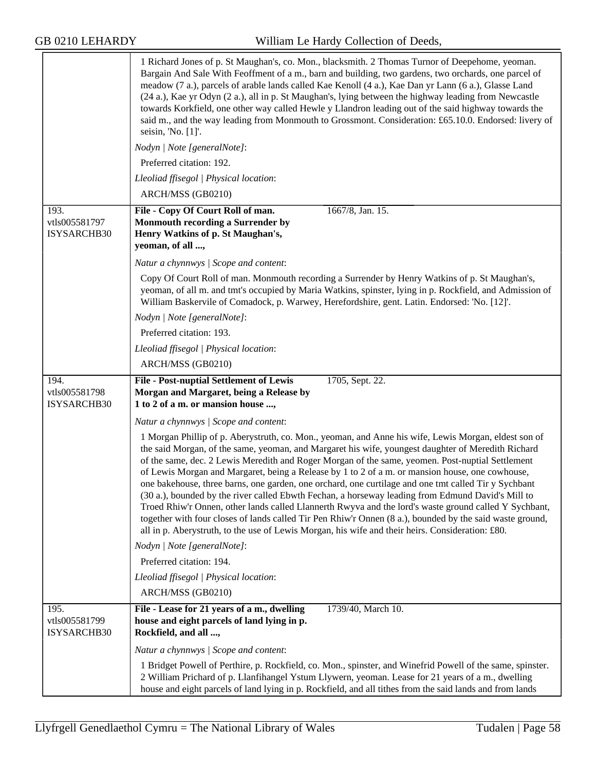|                                      | 1 Richard Jones of p. St Maughan's, co. Mon., blacksmith. 2 Thomas Turnor of Deepehome, yeoman.<br>Bargain And Sale With Feoffment of a m., barn and building, two gardens, two orchards, one parcel of<br>meadow (7 a.), parcels of arable lands called Kae Kenoll (4 a.), Kae Dan yr Lann (6 a.), Glasse Land<br>(24 a.), Kae yr Odyn (2 a.), all in p. St Maughan's, lying between the highway leading from Newcastle<br>towards Korkfield, one other way called Hewle y Llandron leading out of the said highway towards the<br>said m., and the way leading from Monmouth to Grossmont. Consideration: £65.10.0. Endorsed: livery of<br>seisin, 'No. [1]'.                                                                                                                                                                                                                                                                                         |
|--------------------------------------|---------------------------------------------------------------------------------------------------------------------------------------------------------------------------------------------------------------------------------------------------------------------------------------------------------------------------------------------------------------------------------------------------------------------------------------------------------------------------------------------------------------------------------------------------------------------------------------------------------------------------------------------------------------------------------------------------------------------------------------------------------------------------------------------------------------------------------------------------------------------------------------------------------------------------------------------------------|
|                                      | Nodyn   Note [generalNote]:                                                                                                                                                                                                                                                                                                                                                                                                                                                                                                                                                                                                                                                                                                                                                                                                                                                                                                                             |
|                                      | Preferred citation: 192.                                                                                                                                                                                                                                                                                                                                                                                                                                                                                                                                                                                                                                                                                                                                                                                                                                                                                                                                |
|                                      | Lleoliad ffisegol   Physical location:                                                                                                                                                                                                                                                                                                                                                                                                                                                                                                                                                                                                                                                                                                                                                                                                                                                                                                                  |
|                                      | ARCH/MSS (GB0210)                                                                                                                                                                                                                                                                                                                                                                                                                                                                                                                                                                                                                                                                                                                                                                                                                                                                                                                                       |
| 193.<br>vtls005581797<br>ISYSARCHB30 | File - Copy Of Court Roll of man.<br>1667/8, Jan. 15.<br>Monmouth recording a Surrender by<br>Henry Watkins of p. St Maughan's,<br>yeoman, of all ,                                                                                                                                                                                                                                                                                                                                                                                                                                                                                                                                                                                                                                                                                                                                                                                                     |
|                                      | Natur a chynnwys / Scope and content:                                                                                                                                                                                                                                                                                                                                                                                                                                                                                                                                                                                                                                                                                                                                                                                                                                                                                                                   |
|                                      | Copy Of Court Roll of man. Monmouth recording a Surrender by Henry Watkins of p. St Maughan's,<br>yeoman, of all m. and tmt's occupied by Maria Watkins, spinster, lying in p. Rockfield, and Admission of<br>William Baskervile of Comadock, p. Warwey, Herefordshire, gent. Latin. Endorsed: 'No. [12]'.                                                                                                                                                                                                                                                                                                                                                                                                                                                                                                                                                                                                                                              |
|                                      | Nodyn   Note [generalNote]:                                                                                                                                                                                                                                                                                                                                                                                                                                                                                                                                                                                                                                                                                                                                                                                                                                                                                                                             |
|                                      | Preferred citation: 193.                                                                                                                                                                                                                                                                                                                                                                                                                                                                                                                                                                                                                                                                                                                                                                                                                                                                                                                                |
|                                      | Lleoliad ffisegol   Physical location:                                                                                                                                                                                                                                                                                                                                                                                                                                                                                                                                                                                                                                                                                                                                                                                                                                                                                                                  |
|                                      | ARCH/MSS (GB0210)                                                                                                                                                                                                                                                                                                                                                                                                                                                                                                                                                                                                                                                                                                                                                                                                                                                                                                                                       |
| 194.<br>vtls005581798                | <b>File - Post-nuptial Settlement of Lewis</b><br>1705, Sept. 22.<br>Morgan and Margaret, being a Release by                                                                                                                                                                                                                                                                                                                                                                                                                                                                                                                                                                                                                                                                                                                                                                                                                                            |
| <b>ISYSARCHB30</b>                   | 1 to 2 of a m. or mansion house ,                                                                                                                                                                                                                                                                                                                                                                                                                                                                                                                                                                                                                                                                                                                                                                                                                                                                                                                       |
|                                      | Natur a chynnwys / Scope and content:                                                                                                                                                                                                                                                                                                                                                                                                                                                                                                                                                                                                                                                                                                                                                                                                                                                                                                                   |
|                                      | 1 Morgan Phillip of p. Aberystruth, co. Mon., yeoman, and Anne his wife, Lewis Morgan, eldest son of<br>the said Morgan, of the same, yeoman, and Margaret his wife, youngest daughter of Meredith Richard<br>of the same, dec. 2 Lewis Meredith and Roger Morgan of the same, yeomen. Post-nuptial Settlement<br>of Lewis Morgan and Margaret, being a Release by 1 to 2 of a m. or mansion house, one cowhouse,<br>one bakehouse, three barns, one garden, one orchard, one curtilage and one tmt called Tir y Sychbant<br>(30 a.), bounded by the river called Ebwth Fechan, a horseway leading from Edmund David's Mill to<br>Troed Rhiw'r Onnen, other lands called Llannerth Rwyva and the lord's waste ground called Y Sychbant,<br>together with four closes of lands called Tir Pen Rhiw'r Onnen (8 a.), bounded by the said waste ground,<br>all in p. Aberystruth, to the use of Lewis Morgan, his wife and their heirs. Consideration: £80. |
|                                      | Nodyn   Note [generalNote]:                                                                                                                                                                                                                                                                                                                                                                                                                                                                                                                                                                                                                                                                                                                                                                                                                                                                                                                             |
|                                      | Preferred citation: 194.                                                                                                                                                                                                                                                                                                                                                                                                                                                                                                                                                                                                                                                                                                                                                                                                                                                                                                                                |
|                                      | Lleoliad ffisegol   Physical location:                                                                                                                                                                                                                                                                                                                                                                                                                                                                                                                                                                                                                                                                                                                                                                                                                                                                                                                  |
|                                      | ARCH/MSS (GB0210)                                                                                                                                                                                                                                                                                                                                                                                                                                                                                                                                                                                                                                                                                                                                                                                                                                                                                                                                       |
| 195.<br>vtls005581799<br>ISYSARCHB30 | File - Lease for 21 years of a m., dwelling<br>1739/40, March 10.<br>house and eight parcels of land lying in p.<br>Rockfield, and all ,                                                                                                                                                                                                                                                                                                                                                                                                                                                                                                                                                                                                                                                                                                                                                                                                                |
|                                      | Natur a chynnwys / Scope and content:                                                                                                                                                                                                                                                                                                                                                                                                                                                                                                                                                                                                                                                                                                                                                                                                                                                                                                                   |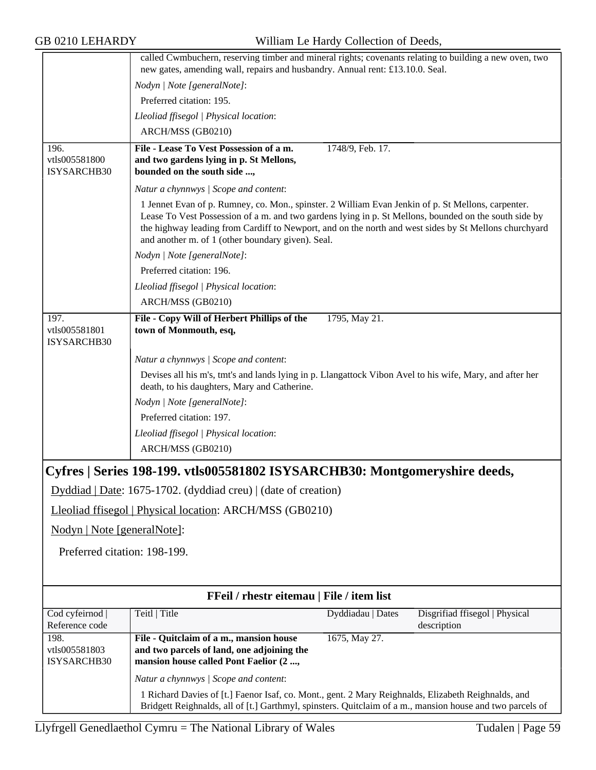<span id="page-58-0"></span>

|                                   | called Cwmbuchern, reserving timber and mineral rights; covenants relating to building a new oven, two<br>new gates, amending wall, repairs and husbandry. Annual rent: £13.10.0. Seal.                                                                                                                                                                                   |                   |                                               |
|-----------------------------------|---------------------------------------------------------------------------------------------------------------------------------------------------------------------------------------------------------------------------------------------------------------------------------------------------------------------------------------------------------------------------|-------------------|-----------------------------------------------|
|                                   | Nodyn   Note [generalNote]:                                                                                                                                                                                                                                                                                                                                               |                   |                                               |
|                                   | Preferred citation: 195.                                                                                                                                                                                                                                                                                                                                                  |                   |                                               |
|                                   | Lleoliad ffisegol   Physical location:                                                                                                                                                                                                                                                                                                                                    |                   |                                               |
|                                   | ARCH/MSS (GB0210)                                                                                                                                                                                                                                                                                                                                                         |                   |                                               |
| 196.                              | File - Lease To Vest Possession of a m.                                                                                                                                                                                                                                                                                                                                   | 1748/9, Feb. 17.  |                                               |
| vtls005581800<br>ISYSARCHB30      | and two gardens lying in p. St Mellons,<br>bounded on the south side ,                                                                                                                                                                                                                                                                                                    |                   |                                               |
|                                   | Natur a chynnwys / Scope and content:                                                                                                                                                                                                                                                                                                                                     |                   |                                               |
|                                   | 1 Jennet Evan of p. Rumney, co. Mon., spinster. 2 William Evan Jenkin of p. St Mellons, carpenter.<br>Lease To Vest Possession of a m. and two gardens lying in p. St Mellons, bounded on the south side by<br>the highway leading from Cardiff to Newport, and on the north and west sides by St Mellons churchyard<br>and another m. of 1 (other boundary given). Seal. |                   |                                               |
|                                   | Nodyn   Note [generalNote]:                                                                                                                                                                                                                                                                                                                                               |                   |                                               |
|                                   | Preferred citation: 196.                                                                                                                                                                                                                                                                                                                                                  |                   |                                               |
|                                   | Lleoliad ffisegol   Physical location:                                                                                                                                                                                                                                                                                                                                    |                   |                                               |
|                                   | ARCH/MSS (GB0210)                                                                                                                                                                                                                                                                                                                                                         |                   |                                               |
| 197.                              | File - Copy Will of Herbert Phillips of the                                                                                                                                                                                                                                                                                                                               | 1795, May 21.     |                                               |
| vtls005581801<br>ISYSARCHB30      | town of Monmouth, esq,                                                                                                                                                                                                                                                                                                                                                    |                   |                                               |
|                                   | Natur a chynnwys / Scope and content:                                                                                                                                                                                                                                                                                                                                     |                   |                                               |
|                                   | Devises all his m's, tmt's and lands lying in p. Llangattock Vibon Avel to his wife, Mary, and after her<br>death, to his daughters, Mary and Catherine.                                                                                                                                                                                                                  |                   |                                               |
|                                   | Nodyn   Note [generalNote]:                                                                                                                                                                                                                                                                                                                                               |                   |                                               |
|                                   | Preferred citation: 197.                                                                                                                                                                                                                                                                                                                                                  |                   |                                               |
|                                   | Lleoliad ffisegol   Physical location:                                                                                                                                                                                                                                                                                                                                    |                   |                                               |
|                                   | ARCH/MSS (GB0210)                                                                                                                                                                                                                                                                                                                                                         |                   |                                               |
|                                   |                                                                                                                                                                                                                                                                                                                                                                           |                   |                                               |
|                                   | Cyfres   Series 198-199. vtls005581802 ISYSARCHB30: Montgomeryshire deeds,                                                                                                                                                                                                                                                                                                |                   |                                               |
|                                   | Dyddiad   Date: 1675-1702. (dyddiad creu)   (date of creation)                                                                                                                                                                                                                                                                                                            |                   |                                               |
|                                   | Lleoliad ffisegol   Physical location: ARCH/MSS (GB0210)                                                                                                                                                                                                                                                                                                                  |                   |                                               |
| Nodyn   Note [generalNote]:       |                                                                                                                                                                                                                                                                                                                                                                           |                   |                                               |
| Preferred citation: 198-199.      |                                                                                                                                                                                                                                                                                                                                                                           |                   |                                               |
|                                   |                                                                                                                                                                                                                                                                                                                                                                           |                   |                                               |
|                                   |                                                                                                                                                                                                                                                                                                                                                                           |                   |                                               |
|                                   | FFeil / rhestr eitemau   File / item list                                                                                                                                                                                                                                                                                                                                 |                   |                                               |
| Cod cyfeirnod  <br>Reference code | Teitl   Title                                                                                                                                                                                                                                                                                                                                                             | Dyddiadau   Dates | Disgrifiad ffisegol   Physical<br>description |
| 198.                              | File - Quitclaim of a m., mansion house                                                                                                                                                                                                                                                                                                                                   | 1675, May 27.     |                                               |
| vtls005581803<br>ISYSARCHB30      | and two parcels of land, one adjoining the<br>mansion house called Pont Faelior (2 ,                                                                                                                                                                                                                                                                                      |                   |                                               |
|                                   | Natur a chynnwys / Scope and content:                                                                                                                                                                                                                                                                                                                                     |                   |                                               |
|                                   | 1 Richard Davies of [t.] Faenor Isaf, co. Mont., gent. 2 Mary Reighnalds, Elizabeth Reighnalds, and<br>Bridgett Reighnalds, all of [t.] Garthmyl, spinsters. Quitclaim of a m., mansion house and two parcels of                                                                                                                                                          |                   |                                               |
|                                   |                                                                                                                                                                                                                                                                                                                                                                           |                   |                                               |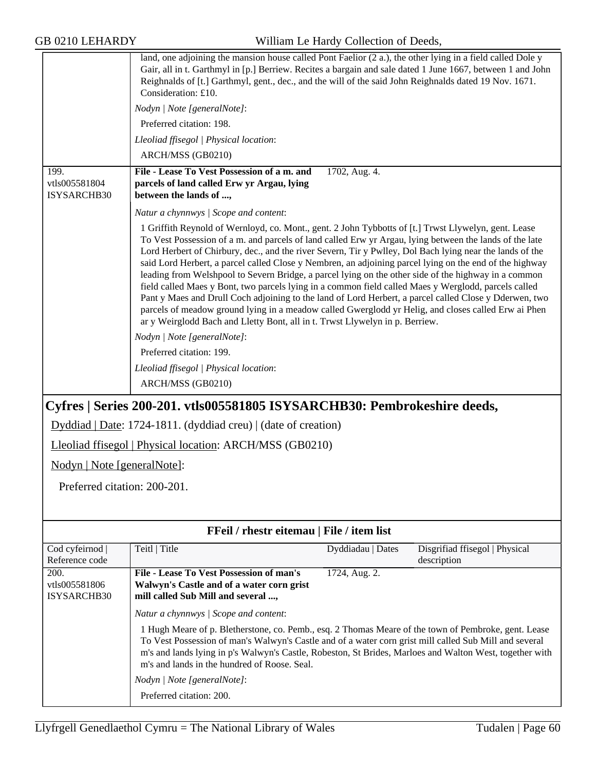| ID VZIV LENAND I                    |                                                                                                                                                                                                                                                                                                                                                                                                                                                                                                                                                                                                                                                                                                                                                                                                                                                                                                                                                         | WHITAIN Le Hardy Conection of Deeds, |                                |
|-------------------------------------|---------------------------------------------------------------------------------------------------------------------------------------------------------------------------------------------------------------------------------------------------------------------------------------------------------------------------------------------------------------------------------------------------------------------------------------------------------------------------------------------------------------------------------------------------------------------------------------------------------------------------------------------------------------------------------------------------------------------------------------------------------------------------------------------------------------------------------------------------------------------------------------------------------------------------------------------------------|--------------------------------------|--------------------------------|
|                                     | land, one adjoining the mansion house called Pont Faelior $(2 \text{ a}.)$ , the other lying in a field called Dole y<br>Gair, all in t. Garthmyl in [p.] Berriew. Recites a bargain and sale dated 1 June 1667, between 1 and John<br>Reighnalds of [t.] Garthmyl, gent., dec., and the will of the said John Reighnalds dated 19 Nov. 1671.<br>Consideration: £10.                                                                                                                                                                                                                                                                                                                                                                                                                                                                                                                                                                                    |                                      |                                |
|                                     | Nodyn   Note [generalNote]:                                                                                                                                                                                                                                                                                                                                                                                                                                                                                                                                                                                                                                                                                                                                                                                                                                                                                                                             |                                      |                                |
|                                     | Preferred citation: 198.                                                                                                                                                                                                                                                                                                                                                                                                                                                                                                                                                                                                                                                                                                                                                                                                                                                                                                                                |                                      |                                |
|                                     | Lleoliad ffisegol   Physical location:                                                                                                                                                                                                                                                                                                                                                                                                                                                                                                                                                                                                                                                                                                                                                                                                                                                                                                                  |                                      |                                |
|                                     | ARCH/MSS (GB0210)                                                                                                                                                                                                                                                                                                                                                                                                                                                                                                                                                                                                                                                                                                                                                                                                                                                                                                                                       |                                      |                                |
| 199.                                | File - Lease To Vest Possession of a m. and                                                                                                                                                                                                                                                                                                                                                                                                                                                                                                                                                                                                                                                                                                                                                                                                                                                                                                             | 1702, Aug. 4.                        |                                |
| vtls005581804<br><b>ISYSARCHB30</b> | parcels of land called Erw yr Argau, lying<br>between the lands of ,                                                                                                                                                                                                                                                                                                                                                                                                                                                                                                                                                                                                                                                                                                                                                                                                                                                                                    |                                      |                                |
|                                     | Natur a chynnwys / Scope and content:                                                                                                                                                                                                                                                                                                                                                                                                                                                                                                                                                                                                                                                                                                                                                                                                                                                                                                                   |                                      |                                |
|                                     | 1 Griffith Reynold of Wernloyd, co. Mont., gent. 2 John Tybbotts of [t.] Trwst Llywelyn, gent. Lease<br>To Vest Possession of a m. and parcels of land called Erw yr Argau, lying between the lands of the late<br>Lord Herbert of Chirbury, dec., and the river Severn, Tir y Pwlley, Dol Bach lying near the lands of the<br>said Lord Herbert, a parcel called Close y Nembren, an adjoining parcel lying on the end of the highway<br>leading from Welshpool to Severn Bridge, a parcel lying on the other side of the highway in a common<br>field called Maes y Bont, two parcels lying in a common field called Maes y Werglodd, parcels called<br>Pant y Maes and Drull Coch adjoining to the land of Lord Herbert, a parcel called Close y Dderwen, two<br>parcels of meadow ground lying in a meadow called Gwerglodd yr Helig, and closes called Erw ai Phen<br>ar y Weirglodd Bach and Lletty Bont, all in t. Trwst Llywelyn in p. Berriew. |                                      |                                |
|                                     | Nodyn   Note [generalNote]:                                                                                                                                                                                                                                                                                                                                                                                                                                                                                                                                                                                                                                                                                                                                                                                                                                                                                                                             |                                      |                                |
|                                     | Preferred citation: 199.                                                                                                                                                                                                                                                                                                                                                                                                                                                                                                                                                                                                                                                                                                                                                                                                                                                                                                                                |                                      |                                |
|                                     | Lleoliad ffisegol   Physical location:                                                                                                                                                                                                                                                                                                                                                                                                                                                                                                                                                                                                                                                                                                                                                                                                                                                                                                                  |                                      |                                |
|                                     | ARCH/MSS (GB0210)                                                                                                                                                                                                                                                                                                                                                                                                                                                                                                                                                                                                                                                                                                                                                                                                                                                                                                                                       |                                      |                                |
|                                     | Cyfres   Series 200-201. vtls005581805 ISYSARCHB30: Pembrokeshire deeds,                                                                                                                                                                                                                                                                                                                                                                                                                                                                                                                                                                                                                                                                                                                                                                                                                                                                                |                                      |                                |
|                                     | Dyddiad   Date: 1724-1811. (dyddiad creu)   (date of creation)                                                                                                                                                                                                                                                                                                                                                                                                                                                                                                                                                                                                                                                                                                                                                                                                                                                                                          |                                      |                                |
|                                     | Lleoliad ffisegol   Physical location: ARCH/MSS (GB0210)                                                                                                                                                                                                                                                                                                                                                                                                                                                                                                                                                                                                                                                                                                                                                                                                                                                                                                |                                      |                                |
| Nodyn   Note [generalNote]:         |                                                                                                                                                                                                                                                                                                                                                                                                                                                                                                                                                                                                                                                                                                                                                                                                                                                                                                                                                         |                                      |                                |
|                                     |                                                                                                                                                                                                                                                                                                                                                                                                                                                                                                                                                                                                                                                                                                                                                                                                                                                                                                                                                         |                                      |                                |
| Preferred citation: 200-201.        |                                                                                                                                                                                                                                                                                                                                                                                                                                                                                                                                                                                                                                                                                                                                                                                                                                                                                                                                                         |                                      |                                |
|                                     |                                                                                                                                                                                                                                                                                                                                                                                                                                                                                                                                                                                                                                                                                                                                                                                                                                                                                                                                                         |                                      |                                |
|                                     | FFeil / rhestr eitemau   File / item list                                                                                                                                                                                                                                                                                                                                                                                                                                                                                                                                                                                                                                                                                                                                                                                                                                                                                                               |                                      |                                |
| Cod cyfeirnod                       | Teitl   Title                                                                                                                                                                                                                                                                                                                                                                                                                                                                                                                                                                                                                                                                                                                                                                                                                                                                                                                                           | Dyddiadau   Dates                    | Disgrifiad ffisegol   Physical |
| Reference code                      | File - Lease To Vest Possession of man's                                                                                                                                                                                                                                                                                                                                                                                                                                                                                                                                                                                                                                                                                                                                                                                                                                                                                                                |                                      | description                    |
| 200.<br>vtls005581806               | Walwyn's Castle and of a water corn grist                                                                                                                                                                                                                                                                                                                                                                                                                                                                                                                                                                                                                                                                                                                                                                                                                                                                                                               | 1724, Aug. 2.                        |                                |
| ISYSARCHB30                         | mill called Sub Mill and several ,                                                                                                                                                                                                                                                                                                                                                                                                                                                                                                                                                                                                                                                                                                                                                                                                                                                                                                                      |                                      |                                |
|                                     | Natur a chynnwys   Scope and content:                                                                                                                                                                                                                                                                                                                                                                                                                                                                                                                                                                                                                                                                                                                                                                                                                                                                                                                   |                                      |                                |
|                                     | 1 Hugh Meare of p. Bletherstone, co. Pemb., esq. 2 Thomas Meare of the town of Pembroke, gent. Lease                                                                                                                                                                                                                                                                                                                                                                                                                                                                                                                                                                                                                                                                                                                                                                                                                                                    |                                      |                                |
|                                     | To Vest Possession of man's Walwyn's Castle and of a water corn grist mill called Sub Mill and several                                                                                                                                                                                                                                                                                                                                                                                                                                                                                                                                                                                                                                                                                                                                                                                                                                                  |                                      |                                |

<span id="page-59-0"></span>*Nodyn | Note [generalNote]*: Preferred citation: 200.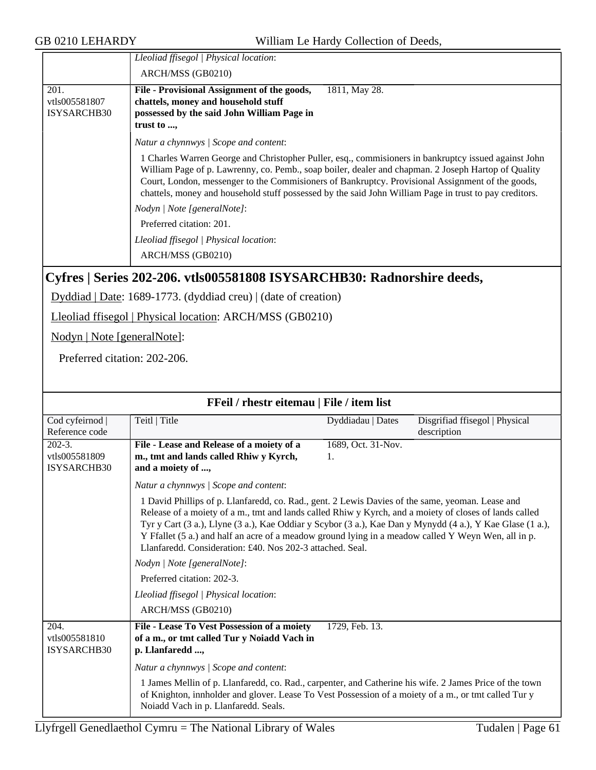|                                      | Lleoliad ffisegol   Physical location:<br>ARCH/MSS (GB0210)                                                                                                                                                                                                                                                                                                                                                               |
|--------------------------------------|---------------------------------------------------------------------------------------------------------------------------------------------------------------------------------------------------------------------------------------------------------------------------------------------------------------------------------------------------------------------------------------------------------------------------|
| 201.<br>vtls005581807<br>ISYSARCHB30 | File - Provisional Assignment of the goods,<br>1811, May 28.<br>chattels, money and household stuff<br>possessed by the said John William Page in<br>trust to ,                                                                                                                                                                                                                                                           |
|                                      | Natur a chynnwys / Scope and content:                                                                                                                                                                                                                                                                                                                                                                                     |
|                                      | 1 Charles Warren George and Christopher Puller, esq., commisioners in bankruptcy issued against John<br>William Page of p. Lawrenny, co. Pemb., soap boiler, dealer and chapman. 2 Joseph Hartop of Quality<br>Court, London, messenger to the Commisioners of Bankruptcy. Provisional Assignment of the goods,<br>chattels, money and household stuff possessed by the said John William Page in trust to pay creditors. |
|                                      | Nodyn   Note [generalNote]:                                                                                                                                                                                                                                                                                                                                                                                               |
|                                      | Preferred citation: 201.                                                                                                                                                                                                                                                                                                                                                                                                  |
|                                      | Lleoliad ffisegol   Physical location:                                                                                                                                                                                                                                                                                                                                                                                    |
|                                      | ARCH/MSS (GB0210)                                                                                                                                                                                                                                                                                                                                                                                                         |

### <span id="page-60-0"></span>**Cyfres | Series 202-206. vtls005581808 ISYSARCHB30: Radnorshire deeds,**

Dyddiad | Date: 1689-1773. (dyddiad creu) | (date of creation)

Lleoliad ffisegol | Physical location: ARCH/MSS (GB0210)

Nodyn | Note [generalNote]:

Preferred citation: 202-206.

| FFeil / rhestr eitemau   File / item list          |                                                                                                                                                                                                                                                                                                                                                                                                                                                                                             |                    |                                |  |
|----------------------------------------------------|---------------------------------------------------------------------------------------------------------------------------------------------------------------------------------------------------------------------------------------------------------------------------------------------------------------------------------------------------------------------------------------------------------------------------------------------------------------------------------------------|--------------------|--------------------------------|--|
| Cod cyfeirnod                                      | Teitl   Title                                                                                                                                                                                                                                                                                                                                                                                                                                                                               | Dyddiadau   Dates  | Disgrifiad ffisegol   Physical |  |
| Reference code                                     |                                                                                                                                                                                                                                                                                                                                                                                                                                                                                             |                    | description                    |  |
| $202 - 3.$                                         | File - Lease and Release of a moiety of a                                                                                                                                                                                                                                                                                                                                                                                                                                                   | 1689, Oct. 31-Nov. |                                |  |
| vtls005581809                                      | m., tmt and lands called Rhiw y Kyrch,                                                                                                                                                                                                                                                                                                                                                                                                                                                      | 1.                 |                                |  |
| ISYSARCHB30                                        | and a moiety of ,                                                                                                                                                                                                                                                                                                                                                                                                                                                                           |                    |                                |  |
|                                                    | Natur a chynnwys / Scope and content:                                                                                                                                                                                                                                                                                                                                                                                                                                                       |                    |                                |  |
|                                                    | 1 David Phillips of p. Llanfaredd, co. Rad., gent. 2 Lewis Davies of the same, yeoman. Lease and<br>Release of a moiety of a m., tmt and lands called Rhiw y Kyrch, and a moiety of closes of lands called<br>Tyr y Cart (3 a.), Llyne (3 a.), Kae Oddiar y Scybor (3 a.), Kae Dan y Mynydd (4 a.), Y Kae Glase (1 a.),<br>Y Ffallet (5 a.) and half an acre of a meadow ground lying in a meadow called Y Weyn Wen, all in p.<br>Llanfaredd. Consideration: £40. Nos 202-3 attached. Seal. |                    |                                |  |
|                                                    | Nodyn   Note [generalNote]:                                                                                                                                                                                                                                                                                                                                                                                                                                                                 |                    |                                |  |
|                                                    | Preferred citation: 202-3.                                                                                                                                                                                                                                                                                                                                                                                                                                                                  |                    |                                |  |
|                                                    | Lleoliad ffisegol   Physical location:                                                                                                                                                                                                                                                                                                                                                                                                                                                      |                    |                                |  |
|                                                    | ARCH/MSS (GB0210)                                                                                                                                                                                                                                                                                                                                                                                                                                                                           |                    |                                |  |
| $\overline{204}$ .<br>vtls005581810<br>ISYSARCHB30 | File - Lease To Vest Possession of a moiety<br>of a m., or tmt called Tur y Noiadd Vach in<br>p. Llanfaredd ,                                                                                                                                                                                                                                                                                                                                                                               | 1729, Feb. 13.     |                                |  |
|                                                    | Natur a chynnwys / Scope and content:                                                                                                                                                                                                                                                                                                                                                                                                                                                       |                    |                                |  |
|                                                    | 1 James Mellin of p. Llanfaredd, co. Rad., carpenter, and Catherine his wife. 2 James Price of the town<br>of Knighton, innholder and glover. Lease To Vest Possession of a moiety of a m., or tmt called Tur y<br>Noiadd Vach in p. Llanfaredd. Seals.                                                                                                                                                                                                                                     |                    |                                |  |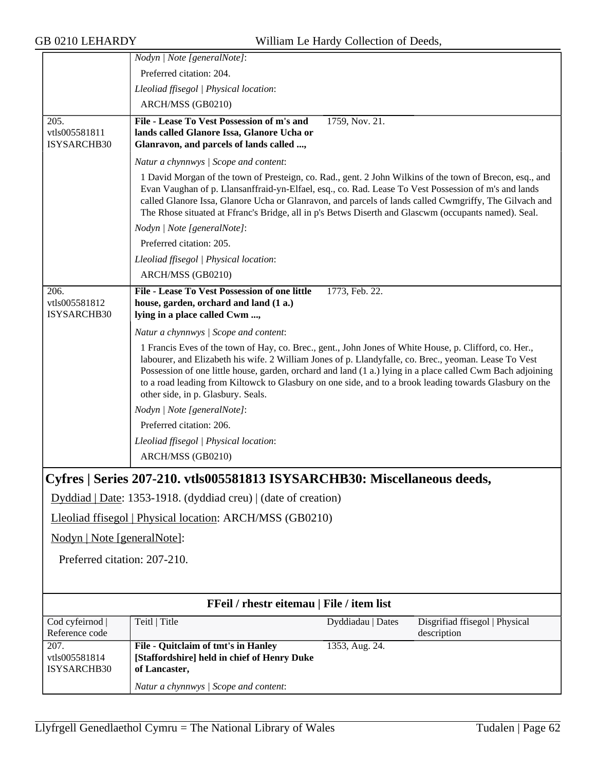<span id="page-61-0"></span>

|                                                                          | Nodyn   Note [generalNote]:                                                                                                                                                                                                                                                                                                                                                                                                                                                    |                   |                                               |  |  |
|--------------------------------------------------------------------------|--------------------------------------------------------------------------------------------------------------------------------------------------------------------------------------------------------------------------------------------------------------------------------------------------------------------------------------------------------------------------------------------------------------------------------------------------------------------------------|-------------------|-----------------------------------------------|--|--|
|                                                                          | Preferred citation: 204.                                                                                                                                                                                                                                                                                                                                                                                                                                                       |                   |                                               |  |  |
|                                                                          | Lleoliad ffisegol   Physical location:                                                                                                                                                                                                                                                                                                                                                                                                                                         |                   |                                               |  |  |
|                                                                          | ARCH/MSS (GB0210)                                                                                                                                                                                                                                                                                                                                                                                                                                                              |                   |                                               |  |  |
| 205.                                                                     | File - Lease To Vest Possession of m's and                                                                                                                                                                                                                                                                                                                                                                                                                                     | 1759, Nov. 21.    |                                               |  |  |
| vtls005581811                                                            | lands called Glanore Issa, Glanore Ucha or                                                                                                                                                                                                                                                                                                                                                                                                                                     |                   |                                               |  |  |
| ISYSARCHB30                                                              | Glanravon, and parcels of lands called ,                                                                                                                                                                                                                                                                                                                                                                                                                                       |                   |                                               |  |  |
|                                                                          | Natur a chynnwys / Scope and content:                                                                                                                                                                                                                                                                                                                                                                                                                                          |                   |                                               |  |  |
|                                                                          | 1 David Morgan of the town of Presteign, co. Rad., gent. 2 John Wilkins of the town of Brecon, esq., and<br>Evan Vaughan of p. Llansanffraid-yn-Elfael, esq., co. Rad. Lease To Vest Possession of m's and lands<br>called Glanore Issa, Glanore Ucha or Glanravon, and parcels of lands called Cwmgriffy, The Gilvach and<br>The Rhose situated at Ffranc's Bridge, all in p's Betws Diserth and Glascwm (occupants named). Seal.                                             |                   |                                               |  |  |
|                                                                          | Nodyn   Note [generalNote]:                                                                                                                                                                                                                                                                                                                                                                                                                                                    |                   |                                               |  |  |
|                                                                          | Preferred citation: 205.                                                                                                                                                                                                                                                                                                                                                                                                                                                       |                   |                                               |  |  |
|                                                                          | Lleoliad ffisegol   Physical location:                                                                                                                                                                                                                                                                                                                                                                                                                                         |                   |                                               |  |  |
|                                                                          | ARCH/MSS (GB0210)                                                                                                                                                                                                                                                                                                                                                                                                                                                              |                   |                                               |  |  |
| 206.<br>vtls005581812<br>ISYSARCHB30                                     | File - Lease To Vest Possession of one little<br>house, garden, orchard and land (1 a.)<br>lying in a place called Cwm ,                                                                                                                                                                                                                                                                                                                                                       | 1773, Feb. 22.    |                                               |  |  |
|                                                                          | Natur a chynnwys / Scope and content:                                                                                                                                                                                                                                                                                                                                                                                                                                          |                   |                                               |  |  |
|                                                                          | 1 Francis Eves of the town of Hay, co. Brec., gent., John Jones of White House, p. Clifford, co. Her.,<br>labourer, and Elizabeth his wife. 2 William Jones of p. Llandyfalle, co. Brec., yeoman. Lease To Vest<br>Possession of one little house, garden, orchard and land (1 a.) lying in a place called Cwm Bach adjoining<br>to a road leading from Kiltowck to Glasbury on one side, and to a brook leading towards Glasbury on the<br>other side, in p. Glasbury. Seals. |                   |                                               |  |  |
|                                                                          | Nodyn   Note [generalNote]:                                                                                                                                                                                                                                                                                                                                                                                                                                                    |                   |                                               |  |  |
|                                                                          | Preferred citation: 206.                                                                                                                                                                                                                                                                                                                                                                                                                                                       |                   |                                               |  |  |
|                                                                          | Lleoliad ffisegol   Physical location:                                                                                                                                                                                                                                                                                                                                                                                                                                         |                   |                                               |  |  |
|                                                                          | ARCH/MSS (GB0210)                                                                                                                                                                                                                                                                                                                                                                                                                                                              |                   |                                               |  |  |
| Cyfres   Series 207-210. vtls005581813 ISYSARCHB30: Miscellaneous deeds, |                                                                                                                                                                                                                                                                                                                                                                                                                                                                                |                   |                                               |  |  |
| Dyddiad   Date: 1353-1918. (dyddiad creu)   (date of creation)           |                                                                                                                                                                                                                                                                                                                                                                                                                                                                                |                   |                                               |  |  |
| Lleoliad ffisegol   Physical location: ARCH/MSS (GB0210)                 |                                                                                                                                                                                                                                                                                                                                                                                                                                                                                |                   |                                               |  |  |
| Nodyn   Note [generalNote]:                                              |                                                                                                                                                                                                                                                                                                                                                                                                                                                                                |                   |                                               |  |  |
| Preferred citation: 207-210.                                             |                                                                                                                                                                                                                                                                                                                                                                                                                                                                                |                   |                                               |  |  |
|                                                                          |                                                                                                                                                                                                                                                                                                                                                                                                                                                                                |                   |                                               |  |  |
|                                                                          | FFeil / rhestr eitemau   File / item list                                                                                                                                                                                                                                                                                                                                                                                                                                      |                   |                                               |  |  |
| Cod cyfeirnod  <br>Reference code                                        | Teitl   Title                                                                                                                                                                                                                                                                                                                                                                                                                                                                  | Dyddiadau   Dates | Disgrifiad ffisegol   Physical<br>description |  |  |
| 207.                                                                     | File - Quitclaim of tmt's in Hanley                                                                                                                                                                                                                                                                                                                                                                                                                                            | 1353, Aug. 24.    |                                               |  |  |
| vtls005581814<br>ISYSARCHB30                                             | [Staffordshire] held in chief of Henry Duke<br>of Lancaster,                                                                                                                                                                                                                                                                                                                                                                                                                   |                   |                                               |  |  |
|                                                                          | Natur a chynnwys / Scope and content:                                                                                                                                                                                                                                                                                                                                                                                                                                          |                   |                                               |  |  |